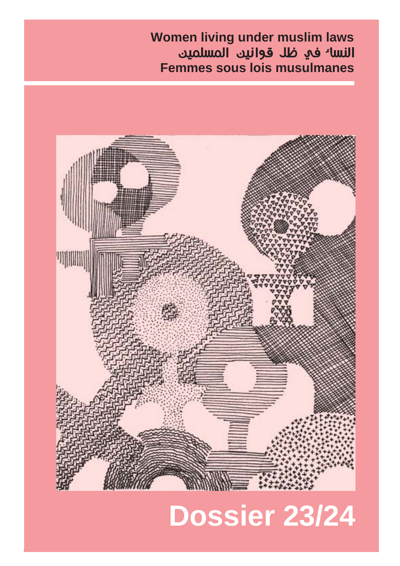**Women living under muslim laws Femmes sous lois musulmanes**



# **Dossier 23/24**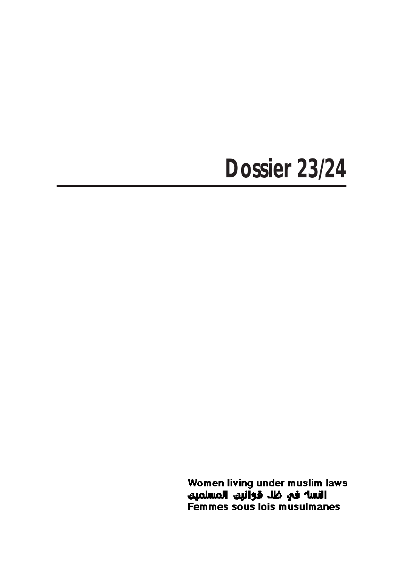# *Dossier 23/24*

Women living under muslim laws النسه في ظل قوآنيد، المسلميد Femmes sous lois musulmanes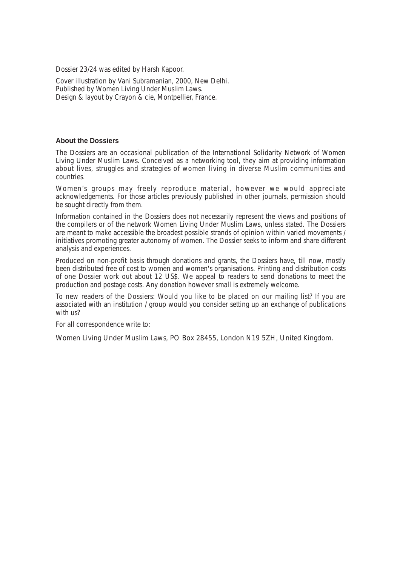Dossier 23/24 was edited by Harsh Kapoor.

Cover illustration by Vani Subramanian, 2000, New Delhi. Published by Women Living Under Muslim Laws. Design & layout by Crayon & cie, Montpellier, France.

#### **About the Dossiers**

The Dossiers are an occasional publication of the International Solidarity Network of Women Living Under Muslim Laws. Conceived as a networking tool, they aim at providing information about lives, struggles and strategies of women living in diverse Muslim communities and countries.

Women's groups may freely reproduce material, however we would appreciate acknowledgements. For those articles previously published in other journals, permission should be sought directly from them.

Information contained in the Dossiers does not necessarily represent the views and positions of the compilers or of the network Women Living Under Muslim Laws, unless stated. The Dossiers are meant to make accessible the broadest possible strands of opinion within varied movements / initiatives promoting greater autonomy of women. The Dossier seeks to inform and share different analysis and experiences.

Produced on non-profit basis through donations and grants, the Dossiers have, till now, mostly been distributed free of cost to women and women's organisations. Printing and distribution costs of one Dossier work out about 12 US\$. We appeal to readers to send donations to meet the production and postage costs. Any donation however small is extremely welcome.

To new readers of the Dossiers: Would you like to be placed on our mailing list? If you are associated with an institution / group would you consider setting up an exchange of publications with us?

For all correspondence write to:

Women Living Under Muslim Laws, PO Box 28455, London N19 5ZH, United Kingdom.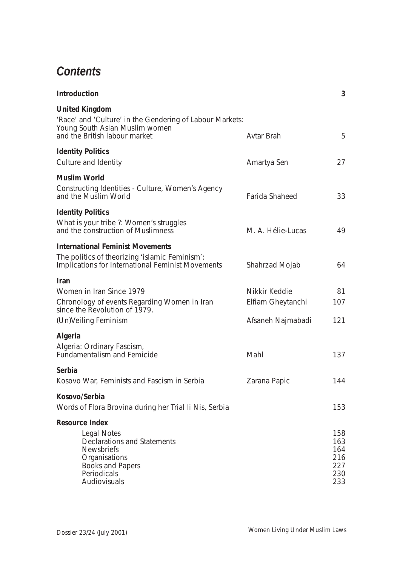## **Contents**

| <b>Introduction</b>                                                                                                                                  |                   | 3                                             |
|------------------------------------------------------------------------------------------------------------------------------------------------------|-------------------|-----------------------------------------------|
| <b>United Kingdom</b><br>'Race' and 'Culture' in the Gendering of Labour Markets:<br>Young South Asian Muslim women<br>and the British labour market | Avtar Brah        | 5                                             |
| <b>Identity Politics</b>                                                                                                                             |                   |                                               |
| Culture and Identity                                                                                                                                 | Amartya Sen       | 27                                            |
| <b>Muslim World</b>                                                                                                                                  |                   |                                               |
| Constructing Identities - Culture, Women's Agency<br>and the Muslim World                                                                            | Farida Shaheed    | 33                                            |
| <b>Identity Politics</b>                                                                                                                             |                   |                                               |
| What is your tribe ?: Women's struggles<br>and the construction of Muslimness                                                                        | M. A. Hélie-Lucas | 49                                            |
| <b>International Feminist Movements</b><br>The politics of theorizing 'islamic Feminism':<br>Implications for International Feminist Movements       | Shahrzad Mojab    | 64                                            |
| Iran                                                                                                                                                 |                   |                                               |
| Women in Iran Since 1979                                                                                                                             | Nikkir Keddie     | 81                                            |
| Chronology of events Regarding Women in Iran<br>since the Revolution of 1979.                                                                        | Elfiam Gheytanchi | 107                                           |
| (Un) Veiling Feminism                                                                                                                                | Afsaneh Najmabadi | 121                                           |
| Algeria                                                                                                                                              |                   |                                               |
| Algeria: Ordinary Fascism,<br>Fundamentalism and Femicide                                                                                            | Mahl              | 137                                           |
| Serbia                                                                                                                                               |                   |                                               |
| Kosovo War, Feminists and Fascism in Serbia                                                                                                          | Zarana Papic      | 144                                           |
| Kosovo/Serbia                                                                                                                                        |                   |                                               |
| Words of Flora Brovina during her Trial Ii Nis, Serbia                                                                                               |                   | 153                                           |
| <b>Resource Index</b>                                                                                                                                |                   |                                               |
| Legal Notes<br>Declarations and Statements<br><b>Newsbriefs</b><br>Organisations<br>Books and Papers<br>Periodicals<br>Audiovisuals                  |                   | 158<br>163<br>164<br>216<br>227<br>230<br>233 |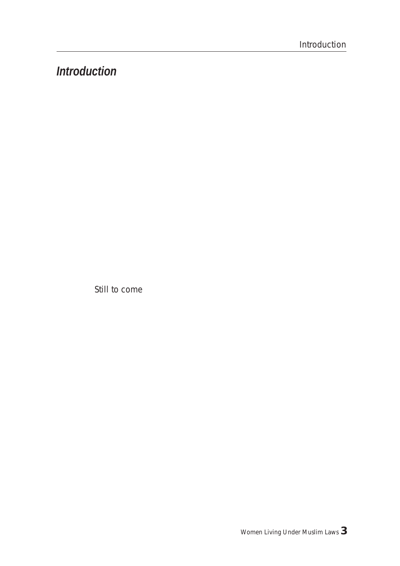## **Introduction**

Still to come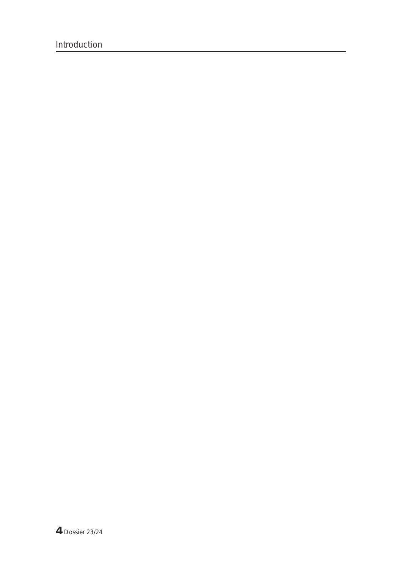*Introduction*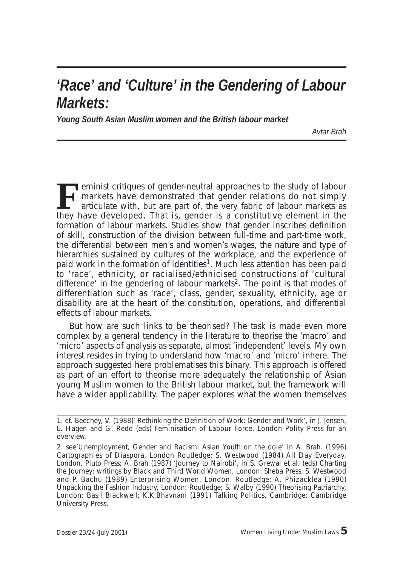# **'Race' and 'Culture' in the Gendering of Labour Markets:**

**Young South Asian Muslim women and the British labour market**

Avtar Brah

**Feminist critiques of gender-neutral approaches to the study of labour<br>markets have demonstrated that gender relations do not simply<br>articulate with, but are part of, the very fabric of labour markets as<br>they have develop** markets have demonstrated that gender relations do not simply articulate with, but are part of, the very fabric of labour markets as they have developed. That is, gender is a constitutive element in the formation of labour markets. Studies show that gender inscribes definition of skill, construction of the division between full-time and part-time work, the differential between men's and women's wages, the nature and type of hierarchies sustained by cultures of the workplace, and the experience of paid work in the formation of identities<sup>1</sup>. Much less attention has been paid to 'race', ethnicity, or racialised/ethnicised constructions of 'cultural difference' in the gendering of labour markets<sup>2</sup>. The point is that modes of differentiation such as 'race', class, gender, sexuality, ethnicity, age or disability are at the heart of the constitution, operations, and differential effects of labour markets.

But how are such links to be theorised? The task is made even more complex by a general tendency in the literature to theorise the 'macro' and 'micro' aspects of analysis as separate, almost 'independent' levels. My own interest resides in trying to understand how 'macro' and 'micro' inhere. The approach suggested here problematises this binary. This approach is offered as part of an effort to theorise more adequately the relationship of Asian young Muslim women to the British labour market, but the framework will have a wider applicability. The paper explores what the women themselves

<sup>1.</sup> cf. Beechey, V. (1988)' Rethinking the Definition of Work: Gender and Work', in J. Jensen, E. Hagen and G. Redd (eds) Feminisation of Labour Force, London Polity Press for an overview.

<sup>2.</sup> see'Unemployment, Gender and Racism: Asian Youth on the dole' in A. Brah. (1996) Cartographies of Diaspora, London Routledge; S. Westwood (1984) All Day Everyday, London, Pluto Press; A. Brah (1987) 'Journey to Nairobi', in S. Grewal et al. (eds) Charting the Journey: writings by Black and Third World Women, London: Sheba Press; S. Westwood and P. Bachu (1989) Enterprising Women, London: Routledge; A. Phizacklea (1990) Unpacking the Fashion Industry, London: Routledge; S. Walby (1990) Theorising Patriarchy, London: Basil Blackwell; K.K.Bhavnani (1991) Talking Politics, Cambridge: Cambridge University Press.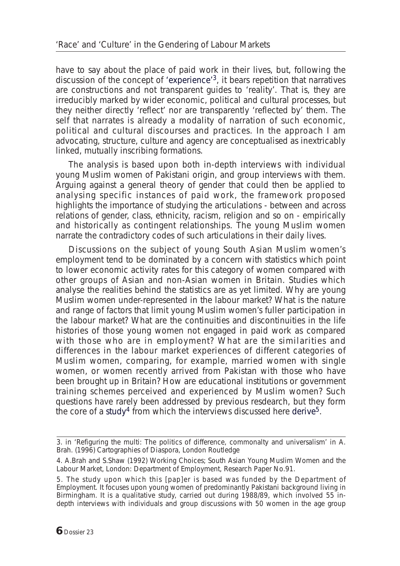have to say about the place of paid work in their lives, but, following the discussion of the concept of 'experience'3, it bears repetition that narratives are constructions and not transparent guides to 'reality'. That is, they are irreducibly marked by wider economic, political and cultural processes, but they neither directly 'reflect' nor are transparently 'reflected by' them. The self that narrates is already a modality of narration of such economic, political and cultural discourses and practices. In the approach I am advocating, structure, culture and agency are conceptualised as inextricably linked, mutually inscribing formations.

The analysis is based upon both in-depth interviews with individual young Muslim women of Pakistani origin, and group interviews with them. Arguing against a general theory of gender that could then be applied to analysing specific instances of paid work, the framework proposed highlights the importance of studying the articulations - between and across relations of gender, class, ethnicity, racism, religion and so on - empirically and historically as contingent relationships. The young Muslim women narrate the contradictory codes of such articulations in their daily lives.

Discussions on the subject of young South Asian Muslim women's employment tend to be dominated by a concern with statistics which point to lower economic activity rates for this category of women compared with other groups of Asian and non-Asian women in Britain. Studies which analyse the realities behind the statistics are as yet limited. Why are young Muslim women under-represented in the labour market? What is the nature and range of factors that limit young Muslim women's fuller participation in the labour market? What are the continuities and discontinuities in the life histories of those young women not engaged in paid work as compared with those who are in employment? What are the similarities and differences in the labour market experiences of different categories of Muslim women, comparing, for example, married women with single women, or women recently arrived from Pakistan with those who have been brought up in Britain? How are educational institutions or government training schemes perceived and experienced by Muslim women? Such questions have rarely been addressed by previous resdearch, but they form the core of a study<sup>4</sup> from which the interviews discussed here derive<sup>5</sup>.

<sup>3.</sup> in 'Refiguring the multi: The politics of difference, commonalty and universalism' in A. Brah. (1996) Cartographies of Diaspora, London Routledge

<sup>4.</sup> A.Brah and S.Shaw (1992) Working Choices; South Asian Young Muslim Women and the Labour Market, London: Department of Employment, Research Paper No.91.

<sup>5.</sup> The study upon which this [pap]er is based was funded by the Department of Employment. It focuses upon young women of predominantly Pakistani background living in Birmingham. It is a qualitative study, carried out during 1988/89, which involved 55 indepth interviews with individuals and group discussions with 50 women in the age group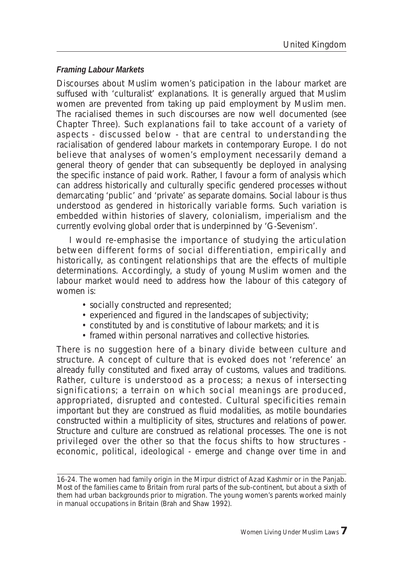## **Framing Labour Markets**

Discourses about Muslim women's paticipation in the labour market are suffused with 'culturalist' explanations. It is generally argued that Muslim women are prevented from taking up paid employment by Muslim men. The racialised themes in such discourses are now well documented (see Chapter Three). Such explanations fail to take account of a variety of aspects - discussed below - that are central to understanding the racialisation of gendered labour markets in contemporary Europe. I do not believe that analyses of women's employment necessarily demand a general theory of gender that can subsequently be deployed in analysing the specific instance of paid work. Rather, I favour a form of analysis which can address historically and culturally specific gendered processes without demarcating 'public' and 'private' as separate domains. Social labour is thus understood as gendered in historically variable forms. Such variation is embedded within histories of slavery, colonialism, imperialism and the currently evolving global order that is underpinned by 'G-Sevenism'.

I would re-emphasise the importance of studying the articulation between different forms of social differentiation, empirically and historically, as contingent relationships that are the effects of multiple determinations. Accordingly, a study of young Muslim women and the labour market would need to address how the labour of this category of women is:

- socially constructed and represented;
- experienced and figured in the landscapes of subjectivity;
- constituted by and is constitutive of labour markets; and it is
- framed within personal narratives and collective histories.

There is no suggestion here of a binary divide between culture and structure. A concept of culture that is evoked does not 'reference' an already fully constituted and fixed array of customs, values and traditions. Rather, culture is understood as a process; a nexus of intersecting significations; a terrain on which social meanings are produced, appropriated, disrupted and contested. Cultural specificities remain important but they are construed as fluid modalities, as motile boundaries constructed within a multiplicity of sites, structures and relations of power. Structure and culture are construed as relational processes. The one is not privileged over the other so that the focus shifts to how structures economic, political, ideological - emerge and change over time in and

<sup>16-24.</sup> The women had family origin in the Mirpur district of Azad Kashmir or in the Panjab. Most of the families came to Britain from rural parts of the sub-continent, but about a sixth of them had urban backgrounds prior to migration. The young women's parents worked mainly in manual occupations in Britain (Brah and Shaw 1992).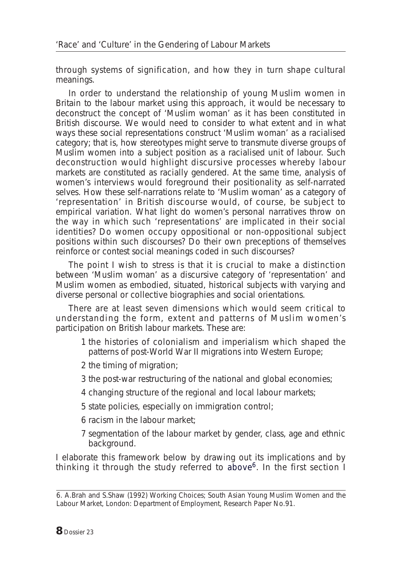through systems of signification, and how they in turn shape cultural meanings.

In order to understand the relationship of young Muslim women in Britain to the labour market using this approach, it would be necessary to deconstruct the concept of 'Muslim woman' as it has been constituted in British discourse. We would need to consider to what extent and in what ways these social representations construct 'Muslim woman' as a racialised category; that is, how stereotypes might serve to transmute diverse groups of Muslim women into a subject position as a racialised unit of labour. Such deconstruction would highlight discursive processes whereby labour markets are constituted as racially gendered. At the same time, analysis of women's interviews would foreground their positionality as self-narrated selves. How these self-narrations relate to 'Muslim woman' as a category of 'representation' in British discourse would, of course, be subject to empirical variation. What light do women's personal narratives throw on the way in which such 'representations' are implicated in their social identities? Do women occupy oppositional or non-oppositional subject positions within such discourses? Do their own preceptions of themselves reinforce or contest social meanings coded in such discourses?

The point I wish to stress is that it is crucial to make a distinction between 'Muslim woman' as a discursive category of 'representation' and Muslim women as embodied, situated, historical subjects with varying and diverse personal or collective biographies and social orientations.

There are at least seven dimensions which would seem critical to understanding the form, extent and patterns of Muslim women's participation on British labour markets. These are:

- 1 the histories of colonialism and imperialism which shaped the patterns of post-World War II migrations into Western Europe;
- 2 the timing of migration;
- 3 the post-war restructuring of the national and global economies;
- 4 changing structure of the regional and local labour markets;
- 5 state policies, especially on immigration control;
- 6 racism in the labour market;
- 7 segmentation of the labour market by gender, class, age and ethnic background.

I elaborate this framework below by drawing out its implications and by thinking it through the study referred to above6. In the first section I

<sup>6.</sup> A.Brah and S.Shaw (1992) Working Choices; South Asian Young Muslim Women and the Labour Market, London: Department of Employment, Research Paper No.91.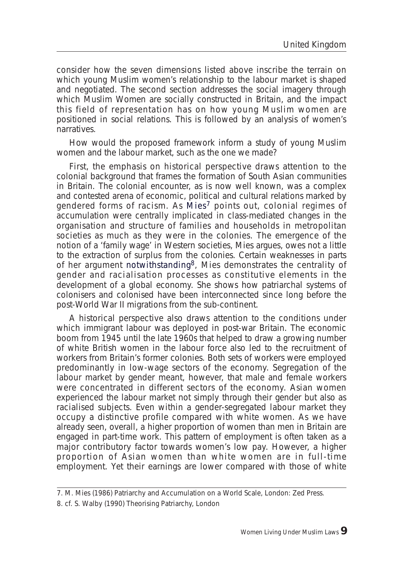consider how the seven dimensions listed above inscribe the terrain on which young Muslim women's relationship to the labour market is shaped and negotiated. The second section addresses the social imagery through which Muslim Women are socially constructed in Britain, and the impact this field of representation has on how young Muslim women are positioned in social relations. This is followed by an analysis of women's narratives.

How would the proposed framework inform a study of young Muslim women and the labour market, such as the one we made?

First, the emphasis on historical perspective draws attention to the colonial background that frames the formation of South Asian communities in Britain. The colonial encounter, as is now well known, was a complex and contested arena of economic, political and cultural relations marked by gendered forms of racism. As Mies<sup>7</sup> points out, colonial regimes of accumulation were centrally implicated in class-mediated changes in the organisation and structure of families and households in metropolitan societies as much as they were in the colonies. The emergence of the notion of a 'family wage' in Western societies, Mies argues, owes not a little to the extraction of surplus from the colonies. Certain weaknesses in parts of her argument notwithstanding<sup>8</sup>. Mies demonstrates the centrality of gender and racialisation processes as constitutive elements in the development of a global economy. She shows how patriarchal systems of colonisers and colonised have been interconnected since long before the post-World War II migrations from the sub-continent.

A historical perspective also draws attention to the conditions under which immigrant labour was deployed in post-war Britain. The economic boom from 1945 until the late 1960s that helped to draw a growing number of white British women in the labour force also led to the recruitment of workers from Britain's former colonies. Both sets of workers were employed predominantly in low-wage sectors of the economy. Segregation of the labour market by gender meant, however, that male and female workers were concentrated in different sectors of the economy. Asian women experienced the labour market not simply through their gender but also as racialised subjects. Even within a gender-segregated labour market they occupy a distinctive profile compared with white women. As we have already seen, overall, a higher proportion of women than men in Britain are engaged in part-time work. This pattern of employment is often taken as a major contributory factor towards women's low pay. However, a higher proportion of Asian women than white women are in full-time employment. Yet their earnings are lower compared with those of white

<sup>7.</sup> M. Mies (1986) Patriarchy and Accumulation on a World Scale, London: Zed Press.

<sup>8.</sup> cf. S. Walby (1990) Theorising Patriarchy, London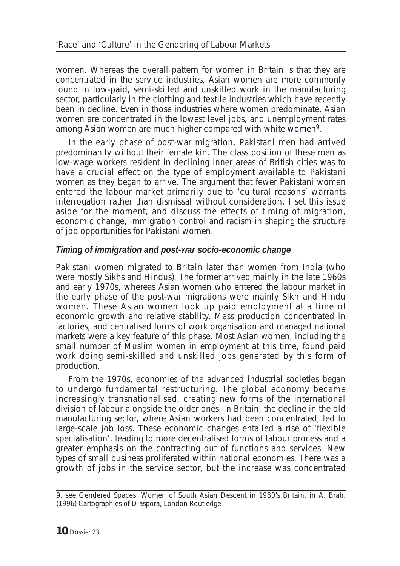women. Whereas the overall pattern for women in Britain is that they are concentrated in the service industries, Asian women are more commonly found in low-paid, semi-skilled and unskilled work in the manufacturing sector, particularly in the clothing and textile industries which have recently been in decline. Even in those industries where women predominate, Asian women are concentrated in the lowest level jobs, and unemployment rates among Asian women are much higher compared with white women<sup>9</sup>.

In the early phase of post-war migration, Pakistani men had arrived predominantly without their female kin. The class position of these men as low-wage workers resident in declining inner areas of British cities was to have a crucial effect on the type of employment available to Pakistani women as they began to arrive. The argument that fewer Pakistani women entered the labour market primarily due to 'cultural reasons' warrants interrogation rather than dismissal without consideration. I set this issue aside for the moment, and discuss the effects of timing of migration, economic change, immigration control and racism in shaping the structure of job opportunities for Pakistani women.

## **Timing of immigration and post-war socio-economic change**

Pakistani women migrated to Britain later than women from India (who were mostly Sikhs and Hindus). The former arrived mainly in the late 1960s and early 1970s, whereas Asian women who entered the labour market in the early phase of the post-war migrations were mainly Sikh and Hindu women. These Asian women took up paid employment at a time of economic growth and relative stability. Mass production concentrated in factories, and centralised forms of work organisation and managed national markets were a key feature of this phase. Most Asian women, including the small number of Muslim women in employment at this time, found paid work doing semi-skilled and unskilled jobs generated by this form of production.

From the 1970s, economies of the advanced industrial societies began to undergo fundamental restructuring. The global economy became increasingly transnationalised, creating new forms of the international division of labour alongside the older ones. In Britain, the decline in the old manufacturing sector, where Asian workers had been concentrated, led to large-scale job loss. These economic changes entailed a rise of 'flexible specialisation', leading to more decentralised forms of labour process and a greater emphasis on the contracting out of functions and services. New types of small business proliferated within national economies. There was a growth of jobs in the service sector, but the increase was concentrated

<sup>9.</sup> see Gendered Spaces: Women of South Asian Descent in 1980's Britain, in A. Brah. (1996) Cartographies of Diaspora, London Routledge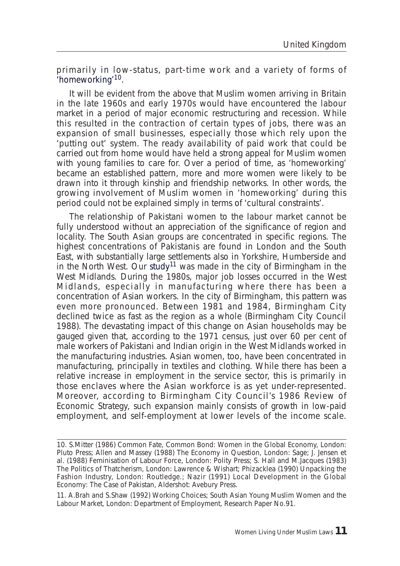primarily in low-status, part-time work and a variety of forms of 'homeworking'10.

It will be evident from the above that Muslim women arriving in Britain in the late 1960s and early 1970s would have encountered the labour market in a period of major economic restructuring and recession. While this resulted in the contraction of certain types of jobs, there was an expansion of small businesses, especially those which rely upon the 'putting out' system. The ready availability of paid work that could be carried out from home would have held a strong appeal for Muslim women with young families to care for. Over a period of time, as 'homeworking' became an established pattern, more and more women were likely to be drawn into it through kinship and friendship networks. In other words, the growing involvement of Muslim women in 'homeworking' during this period could not be explained simply in terms of 'cultural constraints'.

The relationship of Pakistani women to the labour market cannot be fully understood without an appreciation of the significance of region and locality. The South Asian groups are concentrated in specific regions. The highest concentrations of Pakistanis are found in London and the South East, with substantially large settlements also in Yorkshire, Humberside and in the North West. Our study<sup>11</sup> was made in the city of Birmingham in the West Midlands. During the 1980s, major job losses occurred in the West Midlands, especially in manufacturing where there has been a concentration of Asian workers. In the city of Birmingham, this pattern was even more pronounced. Between 1981 and 1984, Birmingham City declined twice as fast as the region as a whole (Birmingham City Council 1988). The devastating impact of this change on Asian households may be gauged given that, according to the 1971 census, just over 60 per cent of male workers of Pakistani and Indian origin in the West Midlands worked in the manufacturing industries. Asian women, too, have been concentrated in manufacturing, principally in textiles and clothing. While there has been a relative increase in employment in the service sector, this is primarily in those enclaves where the Asian workforce is as yet under-represented. Moreover, according to Birmingham City Council's 1986 Review of Economic Strategy, such expansion mainly consists of growth in low-paid employment, and self-employment at lower levels of the income scale.

<sup>10.</sup> S.Mitter (1986) Common Fate, Common Bond: Women in the Global Economy, London: Pluto Press; Allen and Massey (1988) The Economy in Question, London: Sage; J. Jensen et al. (1988) Feminisation of Labour Force, London: Polity Press; S. Hall and M.Jacques (1983) The Politics of Thatcherism, London: Lawrence & Wishart; Phizacklea (1990) Unpacking the Fashion Industry, London: Routledge.; Nazir (1991) Local Development in the Global Economy: The Case of Pakistan, Aldershot: Avebury Press.

<sup>11.</sup> A.Brah and S.Shaw (1992) Working Choices; South Asian Young Muslim Women and the Labour Market, London: Department of Employment, Research Paper No.91.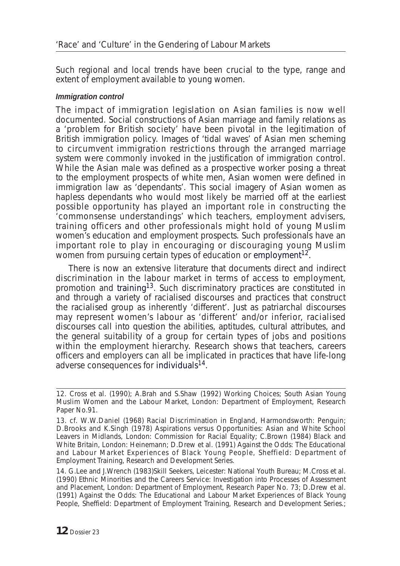Such regional and local trends have been crucial to the type, range and extent of employment available to young women.

#### **Immigration control**

The impact of immigration legislation on Asian families is now well documented. Social constructions of Asian marriage and family relations as a 'problem for British society' have been pivotal in the legitimation of British immigration policy. Images of 'tidal waves' of Asian men scheming to circumvent immigration restrictions through the arranged marriage system were commonly invoked in the justification of immigration control. While the Asian male was defined as a prospective worker posing a threat to the employment prospects of white men, Asian women were defined in immigration law as 'dependants'. This social imagery of Asian women as hapless dependants who would most likely be married off at the earliest possible opportunity has played an important role in constructing the 'commonsense understandings' which teachers, employment advisers, training officers and other professionals might hold of young Muslim women's education and employment prospects. Such professionals have an important role to play in encouraging or discouraging young Muslim women from pursuing certain types of education or employment<sup>12</sup>.

There is now an extensive literature that documents direct and indirect discrimination in the labour market in terms of access to employment, promotion and training<sup>13</sup>. Such discriminatory practices are constituted in and through a variety of racialised discourses and practices that construct the racialised group as inherently 'different'. Just as patriarchal discourses may represent women's labour as 'different' and/or inferior, racialised discourses call into question the abilities, aptitudes, cultural attributes, and the general suitability of a group for certain types of jobs and positions within the employment hierarchy. Research shows that teachers, careers officers and employers can all be implicated in practices that have life-long adverse consequences for individuals<sup>14</sup>.

<sup>12.</sup> Cross et al. (1990); A.Brah and S.Shaw (1992) Working Choices; South Asian Young Muslim Women and the Labour Market, London: Department of Employment, Research Paper No.91.

<sup>13.</sup> cf. W.W.Daniel (1968) Racial Discrimination in England, Harmondsworth: Penguin; D.Brooks and K.Singh (1978) Aspirations versus Opportunities: Asian and White School Leavers in Midlands, London: Commission for Racial Equality; C.Brown (1984) Black and White Britain, London: Heinemann; D.Drew et al. (1991) Against the Odds: The Educational and Labour Market Experiences of Black Young People, Sheffield: Department of Employment Training, Research and Development Series.

<sup>14.</sup> G.Lee and J.Wrench (1983)Skill Seekers, Leicester: National Youth Bureau; M.Cross et al. (1990) Ethnic Minorities and the Careers Service: Investigation into Processes of Assessment and Placement, London: Department of Employment, Research Paper No. 73; D.Drew et al. (1991) Against the Odds: The Educational and Labour Market Experiences of Black Young People, Sheffield: Department of Employment Training, Research and Development Series.;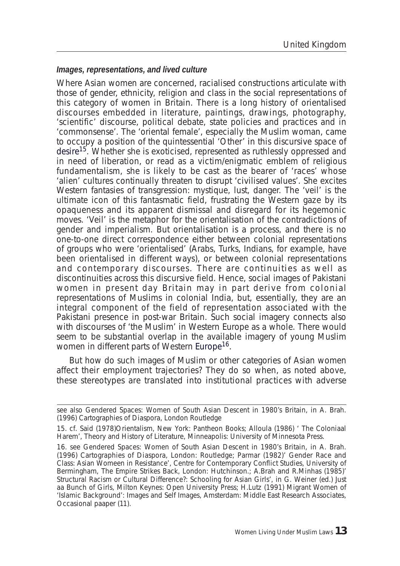#### **Images, representations, and lived culture**

Where Asian women are concerned, racialised constructions articulate with those of gender, ethnicity, religion and class in the social representations of this category of women in Britain. There is a long history of orientalised discourses embedded in literature, paintings, drawings, photography, 'scientific' discourse, political debate, state policies and practices and in 'commonsense'. The 'oriental female', especially the Muslim woman, came to occupy a position of the quintessential 'Other' in this discursive space of desire15. Whether she is exoticised, represented as ruthlessly oppressed and in need of liberation, or read as a victim/enigmatic emblem of religious fundamentalism, she is likely to be cast as the bearer of 'races' whose 'alien' cultures continually threaten to disrupt 'civilised values'. She excites Western fantasies of transgression: mystique, lust, danger. The 'veil' is the ultimate icon of this fantasmatic field, frustrating the Western gaze by its opaqueness and its apparent dismissal and disregard for its hegemonic moves. 'Veil' is the metaphor for the orientalisation of the contradictions of gender and imperialism. But orientalisation is a process, and there is no one-to-one direct correspondence either between colonial representations of groups who were 'orientalised' (Arabs, Turks, Indians, for example, have been orientalised in different ways), or between colonial representations and contemporary discourses. There are continuities as well as discontinuities across this discursive field. Hence, social images of Pakistani women in present day Britain may in part derive from colonial representations of Muslims in colonial India, but, essentially, they are an integral component of the field of representation associated with the Pakistani presence in post-war Britain. Such social imagery connects also with discourses of 'the Muslim' in Western Europe as a whole. There would seem to be substantial overlap in the available imagery of young Muslim women in different parts of Western Europe<sup>16</sup>.

But how do such images of Muslim or other categories of Asian women affect their employment trajectories? They do so when, as noted above, these stereotypes are translated into institutional practices with adverse

see also Gendered Spaces: Women of South Asian Descent in 1980's Britain, in A. Brah. (1996) Cartographies of Diaspora, London Routledge

<sup>15.</sup> cf. Said (1978)Orientalism, New York: Pantheon Books; Alloula (1986) ' The Coloniaal Harem', Theory and History of Literature, Minneapolis: University of Minnesota Press.

<sup>16.</sup> see Gendered Spaces: Women of South Asian Descent in 1980's Britain, in A. Brah. (1996) Cartographies of Diaspora, London: Routledge; Parmar (1982)' Gender Race and Class: Asian Womeen in Resistance', Centre for Contemporary Conflict Studies, University of Bermingham, The Empire Strikes Back, London: Hutchinson.; A.Brah and R.Minhas (1985)' Structural Racism or Cultural Difference?: Schooling for Asian Girls', in G. Weiner (ed.) Just aa Bunch of Girls, Milton Keynes: Open University Press; H.Lutz (1991) Migrant Women of 'Islamic Background': Images and Self Images, Amsterdam: Middle East Research Associates, Occasional paaper (11).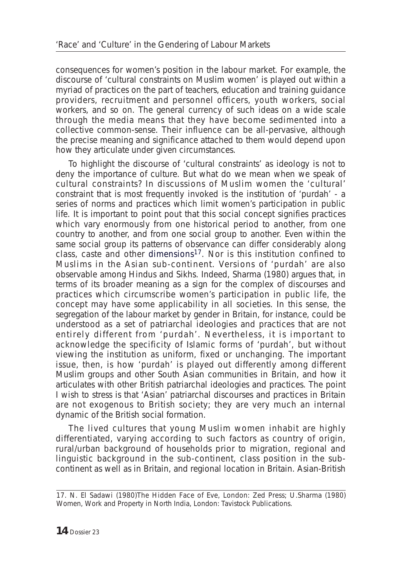consequences for women's position in the labour market. For example, the discourse of 'cultural constraints on Muslim women' is played out within a myriad of practices on the part of teachers, education and training guidance providers, recruitment and personnel officers, youth workers, social workers, and so on. The general currency of such ideas on a wide scale through the media means that they have become sedimented into a collective common-sense. Their influence can be all-pervasive, although the precise meaning and significance attached to them would depend upon how they articulate under given circumstances.

To highlight the discourse of 'cultural constraints' as ideology is not to deny the importance of culture. But what do we mean when we speak of cultural constraints? In discussions of Muslim women the 'cultural' constraint that is most frequently invoked is the institution of 'purdah' - a series of norms and practices which limit women's participation in public life. It is important to point pout that this social concept signifies practices which vary enormously from one historical period to another, from one country to another, and from one social group to another. Even within the same social group its patterns of observance can differ considerably along class, caste and other dimensions<sup>17</sup>. Nor is this institution confined to Muslims in the Asian sub-continent. Versions of 'purdah' are also observable among Hindus and Sikhs. Indeed, Sharma (1980) argues that, in terms of its broader meaning as a sign for the complex of discourses and practices which circumscribe women's participation in public life, the concept may have some applicability in all societies. In this sense, the segregation of the labour market by gender in Britain, for instance, could be understood as a set of patriarchal ideologies and practices that are not entirely different from 'purdah'. Nevertheless, it is important to acknowledge the specificity of Islamic forms of 'purdah', but without viewing the institution as uniform, fixed or unchanging. The important issue, then, is how 'purdah' is played out differently among different Muslim groups and other South Asian communities in Britain, and how it articulates with other British patriarchal ideologies and practices. The point I wish to stress is that 'Asian' patriarchal discourses and practices in Britain are not exogenous to British society; they are very much an internal dynamic of the British social formation.

The lived cultures that young Muslim women inhabit are highly differentiated, varying according to such factors as country of origin, rural/urban background of households prior to migration, regional and linguistic background in the sub-continent, class position in the subcontinent as well as in Britain, and regional location in Britain. Asian-British

<sup>17.</sup> N. El Sadawi (1980)The Hidden Face of Eve, London: Zed Press; U.Sharma (1980) Women, Work and Property in North India, London: Tavistock Publications.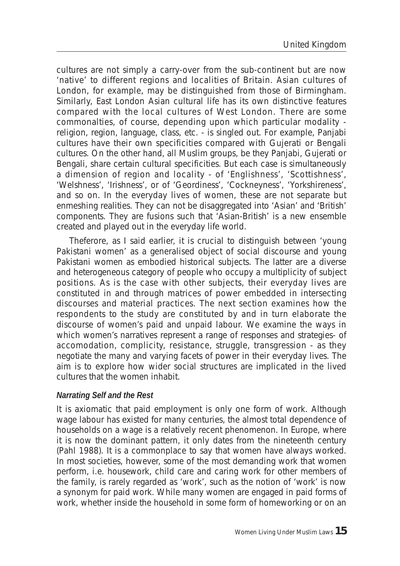cultures are not simply a carry-over from the sub-continent but are now 'native' to different regions and localities of Britain. Asian cultures of London, for example, may be distinguished from those of Birmingham. Similarly, East London Asian cultural life has its own distinctive features compared with the local cultures of West London. There are some commonalties, of course, depending upon which particular modality religion, region, language, class, etc. - is singled out. For example, Panjabi cultures have their own specificities compared with Gujerati or Bengali cultures. On the other hand, all Muslim groups, be they Panjabi, Gujerati or Bengali, share certain cultural specificities. But each case is simultaneously a dimension of region and locality - of 'Englishness', 'Scottishness', 'Welshness', 'Irishness', or of 'Geordiness', 'Cockneyness', 'Yorkshireness', and so on. In the everyday lives of women, these are not separate but enmeshing realities. They can not be disaggregated into 'Asian' and 'British' components. They are fusions such that 'Asian-British' is a new ensemble created and played out in the everyday life world.

Theferore, as I said earlier, it is crucial to distinguish between 'young Pakistani women' as a generalised object of social discourse and young Pakistani women as embodied historical subjects. The latter are a diverse and heterogeneous category of people who occupy a multiplicity of subject positions. As is the case with other subjects, their everyday lives are constituted in and through matrices of power embedded in intersecting discourses and material practices. The next section examines how the respondents to the study are constituted by and in turn elaborate the discourse of women's paid and unpaid labour. We examine the ways in which women's narratives represent a range of responses and strategies- of accomodation, complicity, resistance, struggle, transgression - as they negotiate the many and varying facets of power in their everyday lives. The aim is to explore how wider social structures are implicated in the lived cultures that the women inhabit.

### **Narrating Self and the Rest**

It is axiomatic that paid employment is only one form of work. Although wage labour has existed for many centuries, the almost total dependence of households on a wage is a relatively recent phenomenon. In Europe, where it is now the dominant pattern, it only dates from the nineteenth century (Pahl 1988). It is a commonplace to say that women have always worked. In most societies, however, some of the most demanding work that women perform, i.e. housework, child care and caring work for other members of the family, is rarely regarded as 'work', such as the notion of 'work' is now a synonym for paid work. While many women are engaged in paid forms of work, whether inside the household in some form of homeworking or on an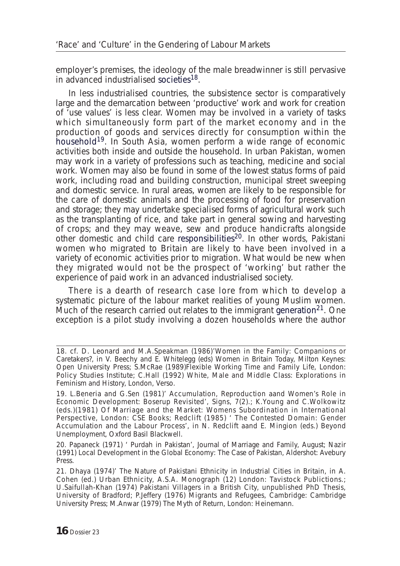employer's premises, the ideology of the male breadwinner is still pervasive in advanced industrialised societies<sup>18</sup>.

In less industrialised countries, the subsistence sector is comparatively large and the demarcation between 'productive' work and work for creation of 'use values' is less clear. Women may be involved in a variety of tasks which simultaneously form part of the market economy and in the production of goods and services directly for consumption within the household<sup>19</sup>. In South Asia, women perform a wide range of economic activities both inside and outside the household. In urban Pakistan, women may work in a variety of professions such as teaching, medicine and social work. Women may also be found in some of the lowest status forms of paid work, including road and building construction, municipal street sweeping and domestic service. In rural areas, women are likely to be responsible for the care of domestic animals and the processing of food for preservation and storage; they may undertake specialised forms of agricultural work such as the transplanting of rice, and take part in general sowing and harvesting of crops; and they may weave, sew and produce handicrafts alongside other domestic and child care responsibilities<sup>20</sup>. In other words, Pakistani women who migrated to Britain are likely to have been involved in a variety of economic activities prior to migration. What would be new when they migrated would not be the prospect of 'working' but rather the experience of paid work in an advanced industrialised society.

There is a dearth of research case lore from which to develop a systematic picture of the labour market realities of young Muslim women. Much of the research carried out relates to the immigrant generation<sup>21</sup>. One exception is a pilot study involving a dozen households where the author

<sup>18.</sup> cf. D. Leonard and M.A.Speakman (1986)'Women in the Family: Companions or Caretakers?, in V. Beechy and E. Whitelegg (eds) Women in Britain Today, Milton Keynes: Open University Press; S.McRae (1989)Flexible Working Time and Family Life, London: Policy Studies Institute; C.Hall (1992) White, Male and Middle Class: Explorations in Feminism and History, London, Verso.

<sup>19.</sup> L.Beneria and G.Sen (1981)' Accumulation, Reproduction aand Women's Role in Economic Development: Boserup Revisited', Signs, 7(2).; K.Young and C.Wolkowitz (eds.)(1981) Of Marriage and the Market: Womens Subordination in International Perspective, London: CSE Books; Redclift (1985) ' The Contested Domain: Gender Accumulation and the Labour Process', in N. Redclift aand E. Mingion (eds.) Beyond Unemployment, Oxford Basil Blackwell.

<sup>20.</sup> Papaneck (1971) ' Purdah in Pakistan', Journal of Marriage and Family, August; Nazir (1991) Local Development in the Global Economy: The Case of Pakistan, Aldershot: Avebury Press.

<sup>21.</sup> Dhaya (1974)' The Nature of Pakistani Ethnicity in Industrial Cities in Britain, in A. Cohen (ed.) Urban Ethnicity, A.S.A. Monograph (12) London: Tavistock Publictions.; U.Saifullah-Khan (1974) Pakistani Villagers in a British City, unpublished PhD Thesis, University of Bradford; P.Jeffery (1976) Migrants and Refugees, Cambridge: Cambridge University Press; M.Anwar (1979) The Myth of Return, London: Heinemann.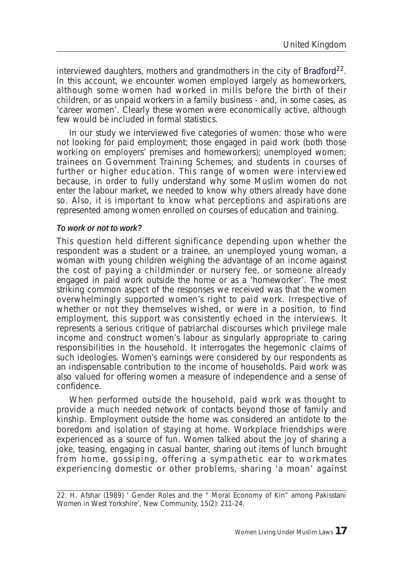interviewed daughters, mothers and grandmothers in the city of Bradford<sup>22</sup>. In this account, we encounter women employed largely as homeworkers, although some women had worked in mills before the birth of their children, or as unpaid workers in a family business - and, in some cases, as 'career women'. Clearly these women were economically active, although few would be included in formal statistics.

In our study we interviewed five categories of women: those who were not looking for paid employment; those engaged in paid work (both those working on employers' premises and homeworkers); unemployed women; trainees on Government Training Schemes; and students in courses of further or higher education. This range of women were interviewed because, in order to fully understand why some Muslim women do not enter the labour market, we needed to know why others already have done so. Also, it is important to know what perceptions and aspirations are represented among women enrolled on courses of education and training.

#### **To work or not to work?**

This question held different significance depending upon whether the respondent was a student or a trainee, an unemployed young woman, a woman with young children weighing the advantage of an income against the cost of paying a childminder or nursery fee, or someone already engaged in paid work outside the home or as a 'homeworker'. The most striking common aspect of the responses we received was that the women overwhelmingly supported women's right to paid work. Irrespective of whether or not they themselves wished, or were in a position, to find employment, this support was consistently echoed in the interviews. It represents a serious critique of patriarchal discourses which privilege male income and construct women's labour as singularly appropriate to caring responsibilities in the household. It interrogates the hegemonic claims of such ideologies. Women's earnings were considered by our respondents as an indispensable contribution to the income of households. Paid work was also valued for offering women a measure of independence and a sense of confidence.

When performed outside the household, paid work was thought to provide a much needed network of contacts beyond those of family and kinship. Employment outside the home was considered an antidote to the boredom and isolation of staying at home. Workplace friendships were experienced as a source of fun. Women talked about the joy of sharing a joke, teasing, engaging in casual banter, sharing out items of lunch brought from home, gossiping, offering a sympathetic ear to workmates experiencing domestic or other problems, sharing 'a moan' against

<sup>22.</sup> H. Afshar (1989) ' Gender Roles and the " Moral Economy of Kin" among Pakisstani Women in West Yorkshire', New Community, 15(2): 211-24.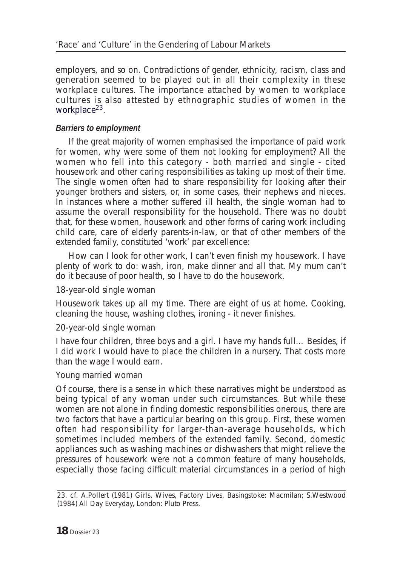employers, and so on. Contradictions of gender, ethnicity, racism, class and generation seemed to be played out in all their complexity in these workplace cultures. The importance attached by women to workplace cultures is also attested by ethnographic studies of women in the workplace<sup>23</sup>.

### **Barriers to employment**

If the great majority of women emphasised the importance of paid work for women, why were some of them not looking for employment? All the women who fell into this category - both married and single - cited housework and other caring responsibilities as taking up most of their time. The single women often had to share responsibility for looking after their younger brothers and sisters, or, in some cases, their nephews and nieces. In instances where a mother suffered ill health, the single woman had to assume the overall responsibility for the household. There was no doubt that, for these women, housework and other forms of caring work including child care, care of elderly parents-in-law, or that of other members of the extended family, constituted 'work' par excellence:

How can I look for other work, I can't even finish my housework. I have plenty of work to do: wash, iron, make dinner and all that. My mum can't do it because of poor health, so I have to do the housework.

### *18-year-old single woman*

Housework takes up all my time. There are eight of us at home. Cooking, cleaning the house, washing clothes, ironing - it never finishes.

### *20-year-old single woman*

I have four children, three boys and a girl. I have my hands full… Besides, if I did work I would have to place the children in a nursery. That costs more than the wage I would earn.

### *Young married woman*

Of course, there is a sense in which these narratives might be understood as being typical of any woman under such circumstances. But while these women are not alone in finding domestic responsibilities onerous, there are two factors that have a particular bearing on this group. First, these women often had responsibility for larger-than-average households, which sometimes included members of the extended family. Second, domestic appliances such as washing machines or dishwashers that might relieve the pressures of housework were not a common feature of many households, especially those facing difficult material circumstances in a period of high

<sup>23.</sup> cf. A.Pollert (1981) Girls, Wives, Factory Lives, Basingstoke: Macmilan; S.Westwood (1984) All Day Everyday, London: Pluto Press.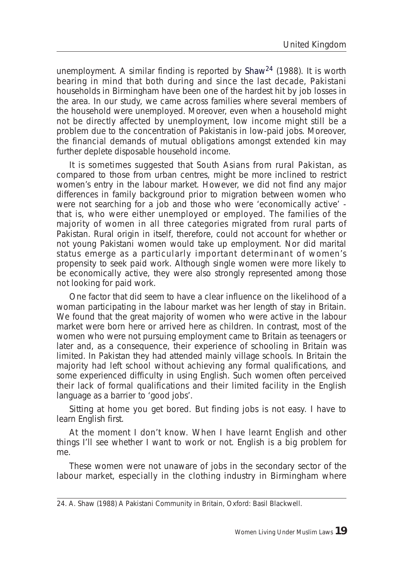unemployment. A similar finding is reported by Shaw<sup>24</sup> (1988). It is worth bearing in mind that both during and since the last decade, Pakistani households in Birmingham have been one of the hardest hit by job losses in the area. In our study, we came across families where several members of the household were unemployed. Moreover, even when a household might not be directly affected by unemployment, low income might still be a problem due to the concentration of Pakistanis in low-paid jobs. Moreover, the financial demands of mutual obligations amongst extended kin may further deplete disposable household income.

It is sometimes suggested that South Asians from rural Pakistan, as compared to those from urban centres, might be more inclined to restrict women's entry in the labour market. However, we did not find any major differences in family background prior to migration between women who were not searching for a job and those who were 'economically active' that is, who were either unemployed or employed. The families of the majority of women in all three categories migrated from rural parts of Pakistan. Rural origin in itself, therefore, could not account for whether or not young Pakistani women would take up employment. Nor did marital status emerge as a particularly important determinant of women's propensity to seek paid work. Although single women were more likely to be economically active, they were also strongly represented among those not looking for paid work.

One factor that did seem to have a clear influence on the likelihood of a woman participating in the labour market was her length of stay in Britain. We found that the great majority of women who were active in the labour market were born here or arrived here as children. In contrast, most of the women who were not pursuing employment came to Britain as teenagers or later and, as a consequence, their experience of schooling in Britain was limited. In Pakistan they had attended mainly village schools. In Britain the majority had left school without achieving any formal qualifications, and some experienced difficulty in using English. Such women often perceived their lack of formal qualifications and their limited facility in the English language as a barrier to 'good jobs'.

Sitting at home you get bored. But finding jobs is not easy. I have to learn English first.

At the moment I don't know. When I have learnt English and other things I'll see whether I want to work or not. English is a big problem for me.

These women were not unaware of jobs in the secondary sector of the labour market, especially in the clothing industry in Birmingham where

<sup>24.</sup> A. Shaw (1988) A Pakistani Community in Britain, Oxford: Basil Blackwell.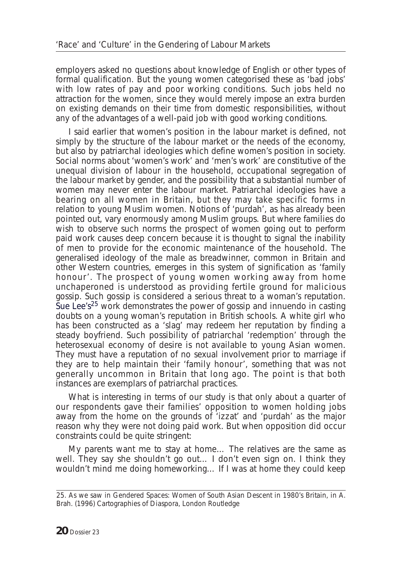employers asked no questions about knowledge of English or other types of formal qualification. But the young women categorised these as 'bad jobs' with low rates of pay and poor working conditions. Such jobs held no attraction for the women, since they would merely impose an extra burden on existing demands on their time from domestic responsibilities, without any of the advantages of a well-paid job with good working conditions.

I said earlier that women's position in the labour market is defined, not simply by the structure of the labour market or the needs of the economy, but also by patriarchal ideologies which define women's position in society. Social norms about 'women's work' and 'men's work' are constitutive of the unequal division of labour in the household, occupational segregation of the labour market by gender, and the possibility that a substantial number of women may never enter the labour market. Patriarchal ideologies have a bearing on all women in Britain, but they may take specific forms in relation to young Muslim women. Notions of 'purdah', as has already been pointed out, vary enormously among Muslim groups. But where families do wish to observe such norms the prospect of women going out to perform paid work causes deep concern because it is thought to signal the inability of men to provide for the economic maintenance of the household. The generalised ideology of the male as breadwinner, common in Britain and other Western countries, emerges in this system of signification as 'family honour'. The prospect of young women working away from home unchaperoned is understood as providing fertile ground for malicious gossip. Such gossip is considered a serious threat to a woman's reputation. Sue Lee's<sup>25</sup> work demonstrates the power of gossip and innuendo in casting doubts on a young woman's reputation in British schools. A white girl who has been constructed as a 'slag' may redeem her reputation by finding a steady boyfriend. Such possibility of patriarchal 'redemption' through the heterosexual economy of desire is not available to young Asian women. They must have a reputation of no sexual involvement prior to marriage if they are to help maintain their 'family honour', something that was not generally uncommon in Britain that long ago. The point is that both instances are exemplars of patriarchal practices.

What is interesting in terms of our study is that only about a quarter of our respondents gave their families' opposition to women holding jobs away from the home on the grounds of 'izzat' and 'purdah' as the major reason why they were not doing paid work. But when opposition did occur constraints could be quite stringent:

My parents want me to stay at home… The relatives are the same as well. They say she shouldn't go out… I don't even sign on. I think they wouldn't mind me doing homeworking… If I was at home they could keep

<sup>25.</sup> As we saw in Gendered Spaces: Women of South Asian Descent in 1980's Britain, in A. Brah. (1996) Cartographies of Diaspora, London Routledge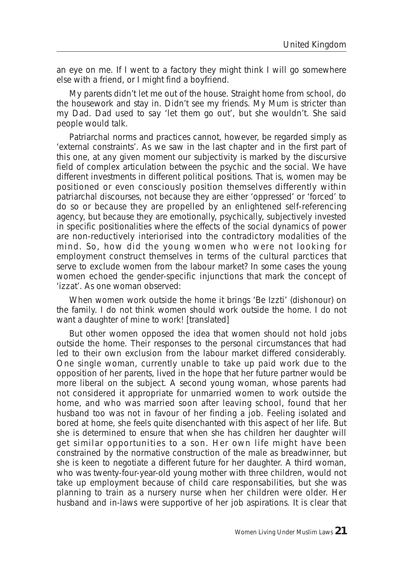an eye on me. If I went to a factory they might think I will go somewhere else with a friend, or I might find a boyfriend.

My parents didn't let me out of the house. Straight home from school, do the housework and stay in. Didn't see my friends. My Mum is stricter than my Dad. Dad used to say 'let them go out', but she wouldn't. She said people would talk.

Patriarchal norms and practices cannot, however, be regarded simply as 'external constraints'. As we saw in the last chapter and in the first part of this one, at any given moment our subjectivity is marked by the discursive field of complex articulation between the psychic and the social. We have different investments in different political positions. That is, women may be positioned or even consciously position themselves differently within patriarchal discourses, not because they are either 'oppressed' or 'forced' to do so or because they are propelled by an enlightened self-referencing agency, but because they are emotionally, psychically, subjectively invested in specific positionalities where the effects of the social dynamics of power are non-reductively interiorised into the contradictory modalities of the mind. So, how did the young women who were not looking for employment construct themselves in terms of the cultural parctices that serve to exclude women from the labour market? In some cases the young women echoed the gender-specific injunctions that mark the concept of 'izzat'. As one woman observed:

When women work outside the home it brings 'Be Izzti' (dishonour) on the family. I do not think women should work outside the home. I do not want a daughter of mine to work! [translated]

But other women opposed the idea that women should not hold jobs outside the home. Their responses to the personal circumstances that had led to their own exclusion from the labour market differed considerably. One single woman, currently unable to take up paid work due to the opposition of her parents, lived in the hope that her future partner would be more liberal on the subject. A second young woman, whose parents had not considered it appropriate for unmarried women to work outside the home, and who was married soon after leaving school, found that her husband too was not in favour of her finding a job. Feeling isolated and bored at home, she feels quite disenchanted with this aspect of her life. But she is determined to ensure that when she has children her daughter will get similar opportunities to a son. Her own life might have been constrained by the normative construction of the male as breadwinner, but she is keen to negotiate a different future for her daughter. A third woman, who was twenty-four-year-old young mother with three children, would not take up employment because of child care responsabilities, but she was planning to train as a nursery nurse when her children were older. Her husband and in-laws were supportive of her job aspirations. It is clear that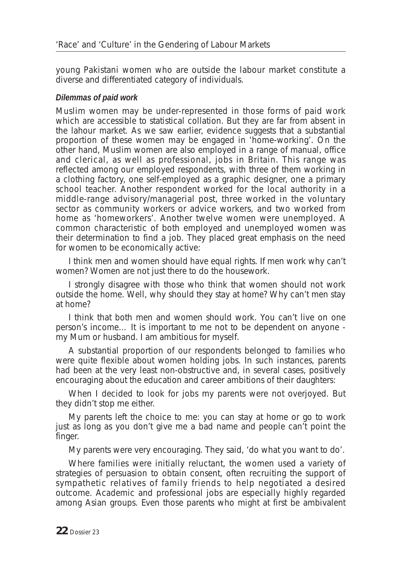young Pakistani women who are outside the labour market constitute a diverse and differentiated category of individuals.

#### **Dilemmas of paid work**

Muslim women may be under-represented in those forms of paid work which are accessible to statistical collation. But they are far from absent in the lahour market. As we saw earlier, evidence suggests that a substantial proportion of these women may be engaged in 'home-working'. On the other hand, Muslim women are also employed in a range of manual, office and clerical, as well as professional, jobs in Britain. This range was reflected among our employed respondents, with three of them working in a clothing factory, one self-employed as a graphic designer, one a primary school teacher. Another respondent worked for the local authority in a middle-range advisory/managerial post, three worked in the voluntary sector as community workers or advice workers, and two worked from home as 'homeworkers'. Another twelve women were unemployed. A common characteristic of both employed and unemployed women was their determination to find a job. They placed great emphasis on the need for women to be economically active:

I think men and women should have equal rights. If men work why can't women? Women are not just there to do the housework.

I strongly disagree with those who think that women should not work outside the home. Well, why should they stay at home? Why can't men stay at home?

I think that both men and women should work. You can't live on one person's income… It is important to me not to be dependent on anyone my Mum or husband. I am ambitious for myself.

A substantial proportion of our respondents belonged to families who were quite flexible about women holding jobs. In such instances, parents had been at the very least non-obstructive and, in several cases, positively encouraging about the education and career ambitions of their daughters:

When I decided to look for jobs my parents were not overjoyed. But they didn't stop me either.

My parents left the choice to me: you can stay at home or go to work just as long as you don't give me a bad name and people can't point the finger.

My parents were very encouraging. They said, 'do what you want to do'.

Where families were initially reluctant, the women used a variety of strategies of persuasion to obtain consent, often recruiting the support of sympathetic relatives of family friends to help negotiated a desired outcome. Academic and professional jobs are especially highly regarded among Asian groups. Even those parents who might at first be ambivalent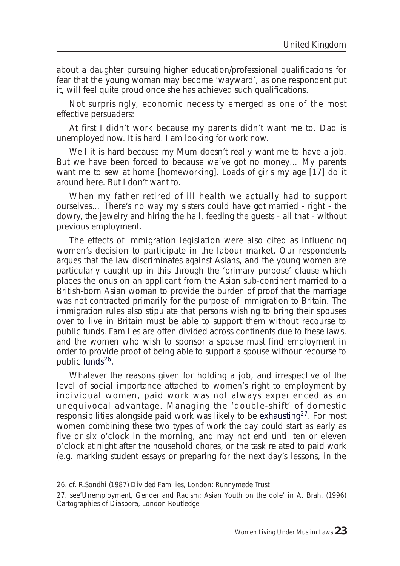about a daughter pursuing higher education/professional qualifications for fear that the young woman may become 'wayward', as one respondent put it, will feel quite proud once she has achieved such qualifications.

Not surprisingly, economic necessity emerged as one of the most effective persuaders:

At first I didn't work because my parents didn't want me to. Dad is unemployed now. It is hard. I am looking for work now.

Well it is hard because my Mum doesn't really want me to have a job. But we have been forced to because we've got no money… My parents want me to sew at home [homeworking]. Loads of girls my age [17] do it around here. But I don't want to.

When my father retired of ill health we actually had to support ourselves… There's no way my sisters could have got married - right - the dowry, the jewelry and hiring the hall, feeding the guests - all that - without previous employment.

The effects of immigration legislation were also cited as influencing women's decision to participate in the labour market. Our respondents argues that the law discriminates against Asians, and the young women are particularly caught up in this through the 'primary purpose' clause which places the onus on an applicant from the Asian sub-continent married to a British-born Asian woman to provide the burden of proof that the marriage was not contracted primarily for the purpose of immigration to Britain. The immigration rules also stipulate that persons wishing to bring their spouses over to live in Britain must be able to support them without recourse to public funds. Families are often divided across continents due to these laws, and the women who wish to sponsor a spouse must find employment in order to provide proof of being able to support a spouse withour recourse to public funds26.

Whatever the reasons given for holding a job, and irrespective of the level of social importance attached to women's right to employment by individual women, paid work was not always experienced as an unequivocal advantage. Managing the 'double-shift' of domestic responsibilities alongside paid work was likely to be exhausting<sup>27</sup>. For most women combining these two types of work the day could start as early as five or six o'clock in the morning, and may not end until ten or eleven o'clock at night after the household chores, or the task related to paid work (e.g. marking student essays or preparing for the next day's lessons, in the

<sup>26.</sup> cf. R.Sondhi (1987) Divided Families, London: Runnymede Trust

<sup>27.</sup> see'Unemployment, Gender and Racism: Asian Youth on the dole' in A. Brah. (1996) Cartographies of Diaspora, London Routledge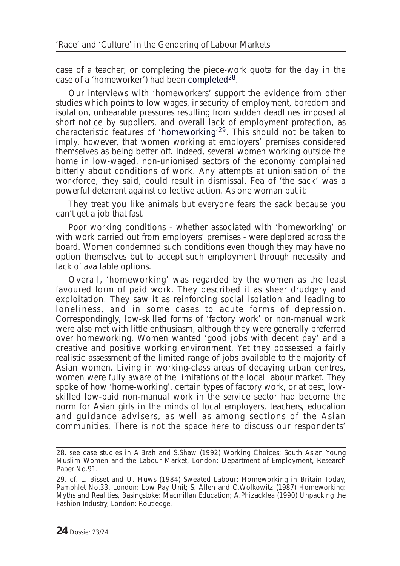case of a teacher; or completing the piece-work quota for the day in the case of a 'homeworker') had been completed<sup>28</sup>.

Our interviews with 'homeworkers' support the evidence from other studies which points to low wages, insecurity of employment, boredom and isolation, unbearable pressures resulting from sudden deadlines imposed at short notice by suppliers, and overall lack of employment protection, as characteristic features of 'homeworking'<sup>29</sup>. This should not be taken to imply, however, that women working at employers' premises considered themselves as being better off. Indeed, several women working outside the home in low-waged, non-unionised sectors of the economy complained bitterly about conditions of work. Any attempts at unionisation of the workforce, they said, could result in dismissal. Fea of 'the sack' was a powerful deterrent against collective action. As one woman put it:

They treat you like animals but everyone fears the sack because you can't get a job that fast.

Poor working conditions - whether associated with 'homeworking' or with work carried out from employers' premises - were deplored across the board. Women condemned such conditions even though they may have no option themselves but to accept such employment through necessity and lack of available options.

Overall, 'homeworking' was regarded by the women as the least favoured form of paid work. They described it as sheer drudgery and exploitation. They saw it as reinforcing social isolation and leading to loneliness, and in some cases to acute forms of depression. Correspondingly, low-skilled forms of 'factory work' or non-manual work were also met with little enthusiasm, although they were generally preferred over homeworking. Women wanted 'good jobs with decent pay' and a creative and positive working environment. Yet they possessed a fairly realistic assessment of the limited range of jobs available to the majority of Asian women. Living in working-class areas of decaying urban centres, women were fully aware of the limitations of the local labour market. They spoke of how 'home-working', certain types of factory work, or at best, lowskilled low-paid non-manual work in the service sector had become the norm for Asian girls in the minds of local employers, teachers, education and guidance advisers, as well as among sections of the Asian communities. There is not the space here to discuss our respondents'

<sup>28.</sup> see case studies in A.Brah and S.Shaw (1992) Working Choices; South Asian Young Muslim Women and the Labour Market, London: Department of Employment, Research Paper No.91.

<sup>29.</sup> cf. L. Bisset and U. Huws (1984) Sweated Labour: Homeworking in Britain Today, Pamphlet No.33, London: Low Pay Unit; S. Allen and C.Wolkowitz (1987) Homeworking: Myths and Realities, Basingstoke: Macmillan Education; A.Phizacklea (1990) Unpacking the Fashion Industry, London: Routledge.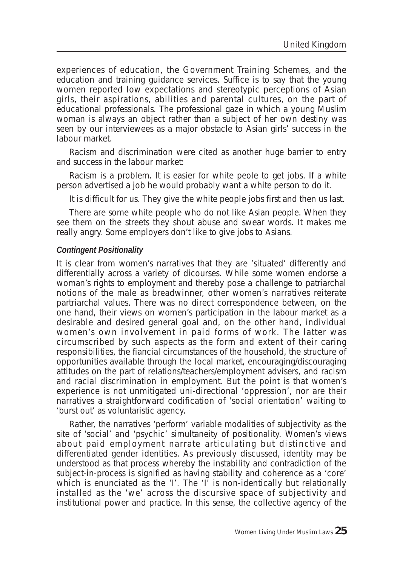experiences of education, the Government Training Schemes, and the education and training guidance services. Suffice is to say that the young women reported low expectations and stereotypic perceptions of Asian girls, their aspirations, abilities and parental cultures, on the part of educational professionals. The professional gaze in which a young Muslim woman is always an object rather than a subject of her own destiny was seen by our interviewees as a major obstacle to Asian girls' success in the labour market.

Racism and discrimination were cited as another huge barrier to entry and success in the labour market:

Racism is a problem. It is easier for white peole to get jobs. If a white person advertised a job he would probably want a white person to do it.

It is difficult for us. They give the white people jobs first and then us last.

There are some white people who do not like Asian people. When they see them on the streets they shout abuse and swear words. It makes me really angry. Some employers don't like to give jobs to Asians.

### **Contingent Positionality**

It is clear from women's narratives that they are 'situated' differently and differentially across a variety of dicourses. While some women endorse a woman's rights to employment and thereby pose a challenge to patriarchal notions of the male as breadwinner, other women's narratives reiterate partriarchal values. There was no direct correspondence between, on the one hand, their views on women's participation in the labour market as a desirable and desired general goal and, on the other hand, individual women's own involvement in paid forms of work. The latter was circumscribed by such aspects as the form and extent of their caring responsibilities, the fiancial circumstances of the household, the structure of opportunities available through the local market, encouraging/discouraging attitudes on the part of relations/teachers/employment advisers, and racism and racial discrimination in employment. But the point is that women's experience is not unmitigated uni-directional 'oppression', nor are their narratives a straightforward codification of 'social orientation' waiting to 'burst out' as voluntaristic agency.

Rather, the narratives 'perform' variable modalities of subjectivity as the site of 'social' and 'psychic' simultaneity of positionality. Women's views about paid employment narrate articulating but distinctive and differentiated gender identities. As previously discussed, identity may be understood as that process whereby the instability and contradiction of the subject-in-process is signified as having stability and coherence as a 'core' which is enunciated as the 'I'. The 'I' is non-identically but relationally installed as the 'we' across the discursive space of subjectivity and institutional power and practice. In this sense, the collective agency of the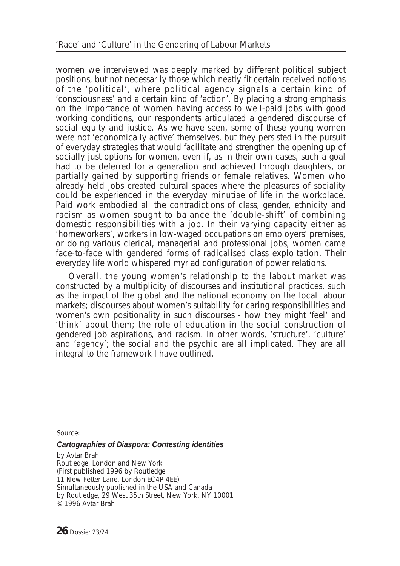women we interviewed was deeply marked by different political subject positions, but not necessarily those which neatly fit certain received notions of the 'political', where political agency signals a certain kind of 'consciousness' and a certain kind of 'action'. By placing a strong emphasis on the importance of women having access to well-paid jobs with good working conditions, our respondents articulated a gendered discourse of social equity and justice. As we have seen, some of these young women were not 'economically active' themselves, but they persisted in the pursuit of everyday strategies that would facilitate and strengthen the opening up of socially just options for women, even if, as in their own cases, such a goal had to be deferred for a generation and achieved through daughters, or partially gained by supporting friends or female relatives. Women who already held jobs created cultural spaces where the pleasures of sociality could be experienced in the everyday minutiae of life in the workplace. Paid work embodied all the contradictions of class, gender, ethnicity and racism as women sought to balance the 'double-shift' of combining domestic responsibilities with a job. In their varying capacity either as 'homeworkers', workers in low-waged occupations on employers' premises, or doing various clerical, managerial and professional jobs, women came face-to-face with gendered forms of radicalised class exploitation. Their everyday life world whispered myriad configuration of power relations.

Overall, the young women's relationship to the labout market was constructed by a multiplicity of discourses and institutional practices, such as the impact of the global and the national economy on the local labour markets; discourses about women's suitability for caring responsibilities and women's own positionality in such discourses - how they might 'feel' and 'think' about them; the role of education in the social construction of gendered job aspirations, and racism. In other words, 'structure', 'culture' and 'agency'; the social and the psychic are all implicated. They are all integral to the framework I have outlined.

Source:

#### **Cartographies of Diaspora: Contesting identities**

by Avtar Brah Routledge, London and New York (First published 1996 by Routledge 11 New Fetter Lane, London EC4P 4EE) Simultaneously published in the USA and Canada by Routledge, 29 West 35th Street, New York, NY 10001 © 1996 Avtar Brah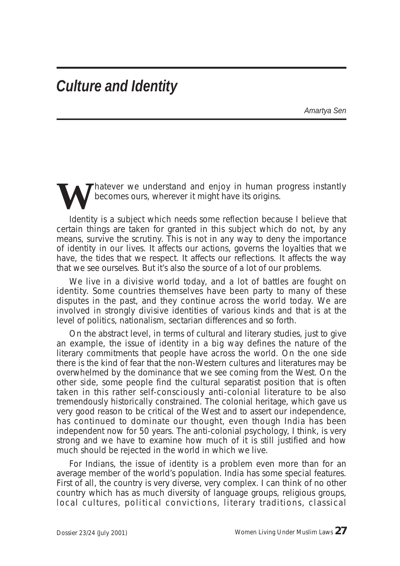Amartya Sen

**Thatever we understand and enjoy in human progress instantly** becomes ours, wherever it might have its origins.

Identity is a subject which needs some reflection because I believe that certain things are taken for granted in this subject which do not, by any means, survive the scrutiny. This is not in any way to deny the importance of identity in our lives. It affects our actions, governs the loyalties that we have, the tides that we respect. It affects our reflections. It affects the way that we see ourselves. But it's also the source of a lot of our problems.

We live in a divisive world today, and a lot of battles are fought on identity. Some countries themselves have been party to many of these disputes in the past, and they continue across the world today. We are involved in strongly divisive identities of various kinds and that is at the level of politics, nationalism, sectarian differences and so forth.

On the abstract level, in terms of cultural and literary studies, just to give an example, the issue of identity in a big way defines the nature of the literary commitments that people have across the world. On the one side there is the kind of fear that the non-Western cultures and literatures may be overwhelmed by the dominance that we see coming from the West. On the other side, some people find the cultural separatist position that is often taken in this rather self-consciously anti-colonial literature to be also tremendously historically constrained. The colonial heritage, which gave us very good reason to be critical of the West and to assert our independence, has continued to dominate our thought, even though India has been independent now for 50 years. The anti-colonial psychology, I think, is very strong and we have to examine how much of it is still justified and how much should be rejected in the world in which we live.

For Indians, the issue of identity is a problem even more than for an average member of the world's population. India has some special features. First of all, the country is very diverse, very complex. I can think of no other country which has as much diversity of language groups, religious groups, local cultures, political convictions, literary traditions, classical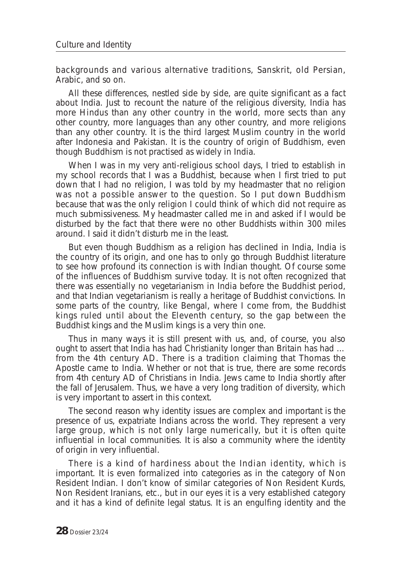backgrounds and various alternative traditions, Sanskrit, old Persian, Arabic, and so on.

All these differences, nestled side by side, are quite significant as a fact about India. Just to recount the nature of the religious diversity, India has more Hindus than any other country in the world, more sects than any other country, more languages than any other country, and more religions than any other country. It is the third largest Muslim country in the world after Indonesia and Pakistan. It is the country of origin of Buddhism, even though Buddhism is not practised as widely in India.

When I was in my very anti-religious school days, I tried to establish in my school records that I was a Buddhist, because when I first tried to put down that I had no religion, I was told by my headmaster that no religion was not a possible answer to the question. So I put down Buddhism because that was the only religion I could think of which did not require as much submissiveness. My headmaster called me in and asked if I would be disturbed by the fact that there were no other Buddhists within 300 miles around. I said it didn't disturb me in the least.

But even though Buddhism as a religion has declined in India, India is the country of its origin, and one has to only go through Buddhist literature to see how profound its connection is with Indian thought. Of course some of the influences of Buddhism survive today. It is not often recognized that there was essentially no vegetarianism in India before the Buddhist period, and that Indian vegetarianism is really a heritage of Buddhist convictions. In some parts of the country, like Bengal, where I come from, the Buddhist kings ruled until about the Eleventh century, so the gap between the Buddhist kings and the Muslim kings is a very thin one.

Thus in many ways it is still present with us, and, of course, you also ought to assert that India has had Christianity longer than Britain has had … from the 4th century AD. There is a tradition claiming that Thomas the Apostle came to India. Whether or not that is true, there are some records from 4th century AD of Christians in India. Jews came to India shortly after the fall of Jerusalem. Thus, we have a very long tradition of diversity, which is very important to assert in this context.

The second reason why identity issues are complex and important is the presence of us, expatriate Indians across the world. They represent a very large group, which is not only large numerically, but it is often quite influential in local communities. It is also a community where the identity of origin in very influential.

There is a kind of hardiness about the Indian identity, which is important. It is even formalized into categories as in the category of Non Resident Indian. I don't know of similar categories of Non Resident Kurds, Non Resident Iranians, etc., but in our eyes it is a very established category and it has a kind of definite legal status. It is an engulfing identity and the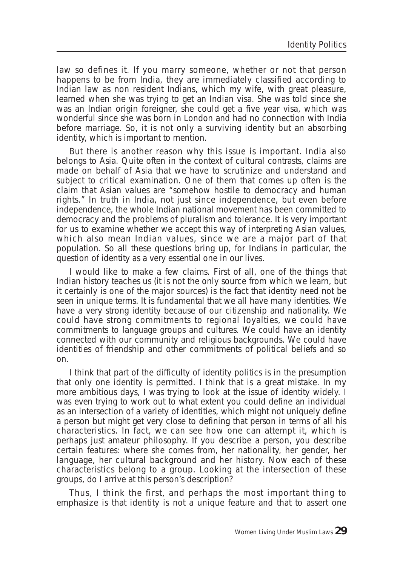law so defines it. If you marry someone, whether or not that person happens to be from India, they are immediately classified according to Indian law as non resident Indians, which my wife, with great pleasure, learned when she was trying to get an Indian visa. She was told since she was an Indian origin foreigner, she could get a five year visa, which was wonderful since she was born in London and had no connection with India before marriage. So, it is not only a surviving identity but an absorbing identity, which is important to mention.

But there is another reason why this issue is important. India also belongs to Asia. Quite often in the context of cultural contrasts, claims are made on behalf of Asia that we have to scrutinize and understand and subject to critical examination. One of them that comes up often is the claim that Asian values are "somehow hostile to democracy and human rights." In truth in India, not just since independence, but even before independence, the whole Indian national movement has been committed to democracy and the problems of pluralism and tolerance. It is very important for us to examine whether we accept this way of interpreting Asian values, which also mean Indian values, since we are a major part of that population. So all these questions bring up, for Indians in particular, the question of identity as a very essential one in our lives.

I would like to make a few claims. First of all, one of the things that Indian history teaches us (it is not the only source from which we learn, but it certainly is one of the major sources) is the fact that identity need not be seen in unique terms. It is fundamental that we all have many identities. We have a very strong identity because of our citizenship and nationality. We could have strong commitments to regional loyalties, we could have commitments to language groups and cultures. We could have an identity connected with our community and religious backgrounds. We could have identities of friendship and other commitments of political beliefs and so on.

I think that part of the difficulty of identity politics is in the presumption that only one identity is permitted. I think that is a great mistake. In my more ambitious days, I was trying to look at the issue of identity widely. I was even trying to work out to what extent you could define an individual as an intersection of a variety of identities, which might not uniquely define a person but might get very close to defining that person in terms of all his characteristics. In fact, we can see how one can attempt it, which is perhaps just amateur philosophy. If you describe a person, you describe certain features: where she comes from, her nationality, her gender, her language, her cultural background and her history. Now each of these characteristics belong to a group. Looking at the intersection of these groups, do I arrive at this person's description?

Thus, I think the first, and perhaps the most important thing to emphasize is that identity is not a unique feature and that to assert one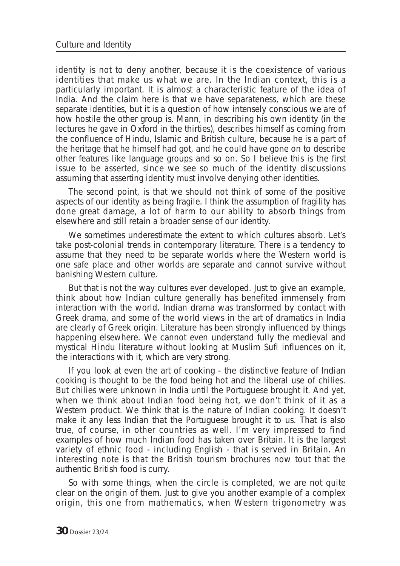identity is not to deny another, because it is the coexistence of various identities that make us what we are. In the Indian context, this is a particularly important. It is almost a characteristic feature of the idea of India. And the claim here is that we have separateness, which are these separate identities, but it is a question of how intensely conscious we are of how hostile the other group is. Mann, in describing his own identity (in the lectures he gave in Oxford in the thirties), describes himself as coming from the confluence of Hindu, Islamic and British culture, because he is a part of the heritage that he himself had got, and he could have gone on to describe other features like language groups and so on. So I believe this is the first issue to be asserted, since we see so much of the identity discussions assuming that asserting identity must involve denying other identities.

The second point, is that we should not think of some of the positive aspects of our identity as being fragile. I think the assumption of fragility has done great damage, a lot of harm to our ability to absorb things from elsewhere and still retain a broader sense of our identity.

We sometimes underestimate the extent to which cultures absorb. Let's take post-colonial trends in contemporary literature. There is a tendency to assume that they need to be separate worlds where the Western world is one safe place and other worlds are separate and cannot survive without banishing Western culture.

But that is not the way cultures ever developed. Just to give an example, think about how Indian culture generally has benefited immensely from interaction with the world. Indian drama was transformed by contact with Greek drama, and some of the world views in the art of dramatics in India are clearly of Greek origin. Literature has been strongly influenced by things happening elsewhere. We cannot even understand fully the medieval and mystical Hindu literature without looking at Muslim Sufi influences on it, the interactions with it, which are very strong.

If you look at even the art of cooking - the distinctive feature of Indian cooking is thought to be the food being hot and the liberal use of chilies. But chilies were unknown in India until the Portuguese brought it. And yet, when we think about Indian food being hot, we don't think of it as a Western product. We think that is the nature of Indian cooking. It doesn't make it any less Indian that the Portuguese brought it to us. That is also true, of course, in other countries as well. I'm very impressed to find examples of how much Indian food has taken over Britain. It is the largest variety of ethnic food - including English - that is served in Britain. An interesting note is that the British tourism brochures now tout that the authentic British food is curry.

So with some things, when the circle is completed, we are not quite clear on the origin of them. Just to give you another example of a complex origin, this one from mathematics, when Western trigonometry was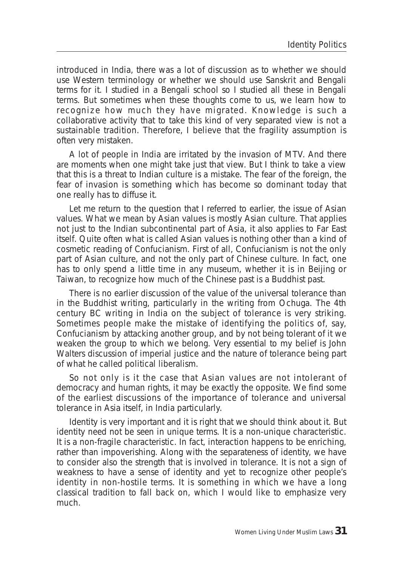introduced in India, there was a lot of discussion as to whether we should use Western terminology or whether we should use Sanskrit and Bengali terms for it. I studied in a Bengali school so I studied all these in Bengali terms. But sometimes when these thoughts come to us, we learn how to recognize how much they have migrated. Knowledge is such a collaborative activity that to take this kind of very separated view is not a sustainable tradition. Therefore, I believe that the fragility assumption is often very mistaken.

A lot of people in India are irritated by the invasion of MTV. And there are moments when one might take just that view. But I think to take a view that this is a threat to Indian culture is a mistake. The fear of the foreign, the fear of invasion is something which has become so dominant today that one really has to diffuse it.

Let me return to the question that I referred to earlier, the issue of Asian values. What we mean by Asian values is mostly Asian culture. That applies not just to the Indian subcontinental part of Asia, it also applies to Far East itself. Quite often what is called Asian values is nothing other than a kind of cosmetic reading of Confucianism. First of all, Confucianism is not the only part of Asian culture, and not the only part of Chinese culture. In fact, one has to only spend a little time in any museum, whether it is in Beijing or Taiwan, to recognize how much of the Chinese past is a Buddhist past.

There is no earlier discussion of the value of the universal tolerance than in the Buddhist writing, particularly in the writing from Ochuga. The 4th century BC writing in India on the subject of tolerance is very striking. Sometimes people make the mistake of identifying the politics of, say, Confucianism by attacking another group, and by not being tolerant of it we weaken the group to which we belong. Very essential to my belief is John Walters discussion of imperial justice and the nature of tolerance being part of what he called political liberalism.

So not only is it the case that Asian values are not intolerant of democracy and human rights, it may be exactly the opposite. We find some of the earliest discussions of the importance of tolerance and universal tolerance in Asia itself, in India particularly.

Identity is very important and it is right that we should think about it. But identity need not be seen in unique terms. It is a non-unique characteristic. It is a non-fragile characteristic. In fact, interaction happens to be enriching, rather than impoverishing. Along with the separateness of identity, we have to consider also the strength that is involved in tolerance. It is not a sign of weakness to have a sense of identity and yet to recognize other people's identity in non-hostile terms. It is something in which we have a long classical tradition to fall back on, which I would like to emphasize very much.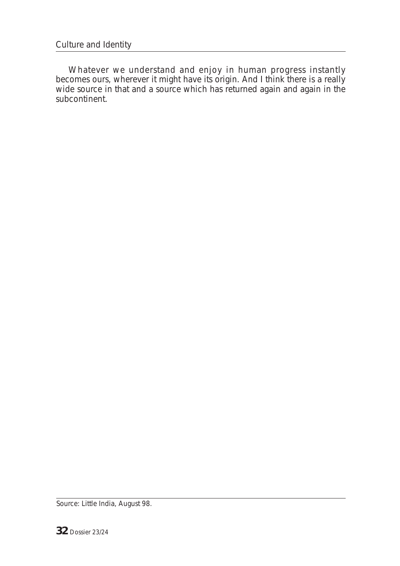Whatever we understand and enjoy in human progress instantly becomes ours, wherever it might have its origin. And I think there is a really wide source in that and a source which has returned again and again in the subcontinent.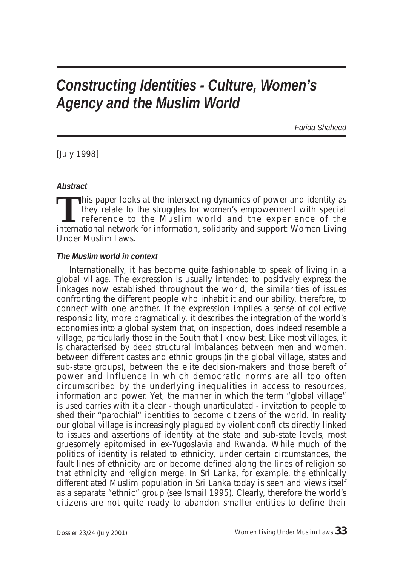# **Constructing Identities - Culture, Women's Agency and the Muslim World**

Farida Shaheed

[July 1998]

#### **Abstract**

This paper looks at the intersecting dynamics of power and identity as<br>they relate to the struggles for women's empowerment with special<br>reference to the Muslim world and the experience of the<br>international network for inf they relate to the struggles for women's empowerment with special reference to the Muslim world and the experience of the international network for information, solidarity and support: Women Living Under Muslim Laws.

#### **The Muslim world in context**

Internationally, it has become quite fashionable to speak of living in a global village. The expression is usually intended to positively express the linkages now established throughout the world, the similarities of issues confronting the different people who inhabit it and our ability, therefore, to connect with one another. If the expression implies a sense of collective responsibility, more pragmatically, it describes the integration of the world's economies into a global system that, on inspection, does indeed resemble a village, particularly those in the South that I know best. Like most villages, it is characterised by deep structural imbalances between men and women, between different castes and ethnic groups (in the global village, states and sub-state groups), between the elite decision-makers and those bereft of power and influence in which democratic norms are all too often circumscribed by the underlying inequalities in access to resources, information and power. Yet, the manner in which the term "global village" is used carries with it a clear - though unarticulated - invitation to people to shed their "parochial" identities to become citizens of the world. In reality our global village is increasingly plagued by violent conflicts directly linked to issues and assertions of identity at the state and sub-state levels, most gruesomely epitomised in ex-Yugoslavia and Rwanda. While much of the politics of identity is related to ethnicity, under certain circumstances, the fault lines of ethnicity are or become defined along the lines of religion so that ethnicity and religion merge. In Sri Lanka, for example, the ethnically differentiated Muslim population in Sri Lanka today is seen and views itself as a separate "ethnic" group (see Ismail 1995). Clearly, therefore the world's citizens are not quite ready to abandon smaller entities to define their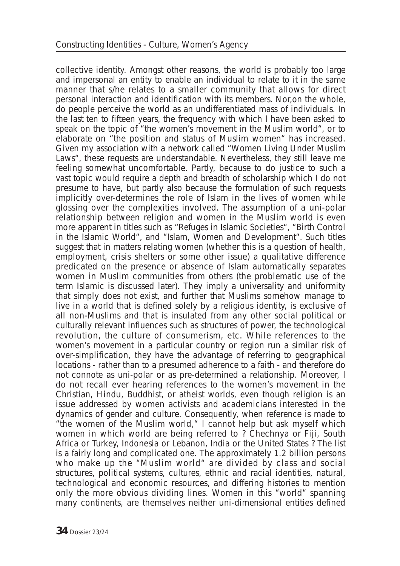collective identity. Amongst other reasons, the world is probably too large and impersonal an entity to enable an individual to relate to it in the same manner that s/he relates to a smaller community that allows for direct personal interaction and identification with its members. Nor,on the whole, do people perceive the world as an undifferentiated mass of individuals. In the last ten to fifteen years, the frequency with which I have been asked to speak on the topic of "the women's movement in the Muslim world", or to elaborate on "the position and status of Muslim women" has increased. Given my association with a network called "Women Living Under Muslim Laws", these requests are understandable. Nevertheless, they still leave me feeling somewhat uncomfortable. Partly, because to do justice to such a vast topic would require a depth and breadth of scholarship which I do not presume to have, but partly also because the formulation of such requests implicitly over-determines the role of Islam in the lives of women while glossing over the complexities involved. The assumption of a uni-polar relationship between religion and women in the Muslim world is even more apparent in titles such as "Refuges in Islamic Societies", "Birth Control in the Islamic World", and "Islam, Women and Development". Such titles suggest that in matters relating women (whether this is a question of health, employment, crisis shelters or some other issue) a qualitative difference predicated on the presence or absence of Islam automatically separates women in Muslim communities from others (the problematic use of the term Islamic is discussed later). They imply a universality and uniformity that simply does not exist, and further that Muslims somehow manage to live in a world that is defined solely by a religious identity, is exclusive of all non-Muslims and that is insulated from any other social political or culturally relevant influences such as structures of power, the technological revolution, the culture of consumerism, etc. While references to the women's movement in a particular country or region run a similar risk of over-simplification, they have the advantage of referring to geographical locations - rather than to a presumed adherence to a faith - and therefore do not connote as uni-polar or as pre-determined a relationship. Moreover, I do not recall ever hearing references to the women's movement in the Christian, Hindu, Buddhist, or atheist worlds, even though religion is an issue addressed by women activists and academicians interested in the dynamics of gender and culture. Consequently, when reference is made to "the women of the Muslim world," I cannot help but ask myself which women in which world are being referred to ? Chechnya or Fiji, South Africa or Turkey, Indonesia or Lebanon, India or the United States ? The list is a fairly long and complicated one. The approximately 1.2 billion persons who make up the "Muslim world" are divided by class and social structures, political systems, cultures, ethnic and racial identities, natural, technological and economic resources, and differing histories to mention only the more obvious dividing lines. Women in this "world" spanning many continents, are themselves neither uni-dimensional entities defined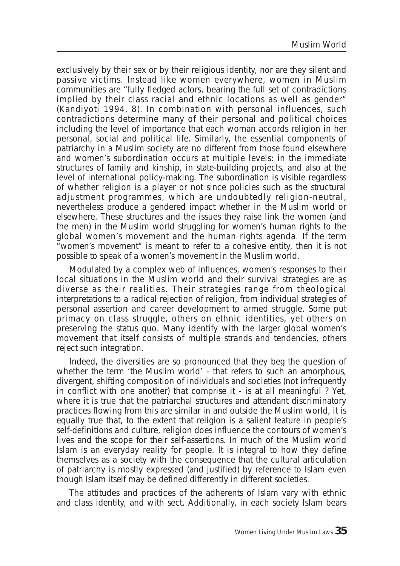exclusively by their sex or by their religious identity, nor are they silent and passive victims. Instead like women everywhere, women in Muslim communities are "fully fledged actors, bearing the full set of contradictions implied by their class racial and ethnic locations as well as gender" (Kandiyoti 1994, 8). In combination with personal influences, such contradictions determine many of their personal and political choices including the level of importance that each woman accords religion in her personal, social and political life. Similarly, the essential components of patriarchy in a Muslim society are no different from those found elsewhere and women's subordination occurs at multiple levels: in the immediate structures of family and kinship, in state-building projects, and also at the level of international policy-making. The subordination is visible regardless of whether religion is a player or not since policies such as the structural adjustment programmes, which are undoubtedly religion-neutral, nevertheless produce a gendered impact whether in the Muslim world or elsewhere. These structures and the issues they raise link the women (and the men) in the Muslim world struggling for women's human rights to the global women's movement and the human rights agenda. If the term "women's movement" is meant to refer to a cohesive entity, then it is not possible to speak of a women's movement in the Muslim world.

Modulated by a complex web of influences, women's responses to their local situations in the Muslim world and their survival strategies are as diverse as their realities. Their strategies range from theological interpretations to a radical rejection of religion, from individual strategies of personal assertion and career development to armed struggle. Some put primacy on class struggle, others on ethnic identities, yet others on preserving the status quo. Many identify with the larger global women's movement that itself consists of multiple strands and tendencies, others reject such integration.

Indeed, the diversities are so pronounced that they beg the question of whether the term 'the Muslim world' - that refers to such an amorphous, divergent, shifting composition of individuals and societies (not infrequently in conflict with one another) that comprise it - is at all meaningful ? Yet, where it is true that the patriarchal structures and attendant discriminatory practices flowing from this are similar in and outside the Muslim world, it is equally true that, to the extent that religion is a salient feature in people's self-definitions and culture, religion does influence the contours of women's lives and the scope for their self-assertions. In much of the Muslim world Islam is an everyday reality for people. It is integral to how they define themselves as a society with the consequence that the cultural articulation of patriarchy is mostly expressed (and justified) by reference to Islam even though Islam itself may be defined differently in different societies.

The attitudes and practices of the adherents of Islam vary with ethnic and class identity, and with sect. Additionally, in each society Islam bears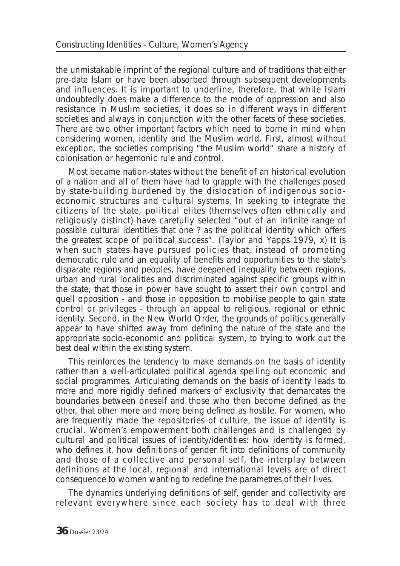the unmistakable imprint of the regional culture and of traditions that either pre-date Islam or have been absorbed through subsequent developments and influences. It is important to underline, therefore, that while Islam undoubtedly does make a difference to the mode of oppression and also resistance in Muslim societies, it does so in different ways in different societies and always in conjunction with the other facets of these societies. There are two other important factors which need to borne in mind when considering women, identity and the Muslim world. First, almost without exception, the societies comprising "the Muslim world" share a history of colonisation or hegemonic rule and control.

Most became nation-states without the benefit of an historical evolution of a nation and all of them have had to grapple with the challenges posed by state-building burdened by the dislocation of indigenous socioeconomic structures and cultural systems. In seeking to integrate the citizens of the state, political elites (themselves often ethnically and religiously distinct) have carefully selected "out of an infinite range of possible cultural identities that one ? as the political identity which offers the greatest scope of political success". (Taylor and Yapps 1979, x) It is when such states have pursued policies that, instead of promoting democratic rule and an equality of benefits and opportunities to the state's disparate regions and peoples, have deepened inequality between regions, urban and rural localities and discriminated against specific groups within the state, that those in power have sought to assert their own control and quell opposition - and those in opposition to mobilise people to gain state control or privileges - through an appeal to religious, regional or ethnic identity. Second, in the New World Order, the grounds of politics generally appear to have shifted away from defining the nature of the state and the appropriate socio-economic and political system, to trying to work out the best deal within the existing system.

This reinforces the tendency to make demands on the basis of identity rather than a well-articulated political agenda spelling out economic and social programmes. Articulating demands on the basis of identity leads to more and more rigidly defined markers of exclusivity that demarcates the boundaries between oneself and those who then become defined as the other, that other more and more being defined as hostile. For women, who are frequently made the repositories of culture, the issue of identity is crucial. Women's empowerment both challenges and is challenged by cultural and political issues of identity/identities: how identity is formed, who defines it, how definitions of gender fit into definitions of community and those of a collective and personal self, the interplay between definitions at the local, regional and international levels are of direct consequence to women wanting to redefine the parametres of their lives.

The dynamics underlying definitions of self, gender and collectivity are relevant everywhere since each society has to deal with three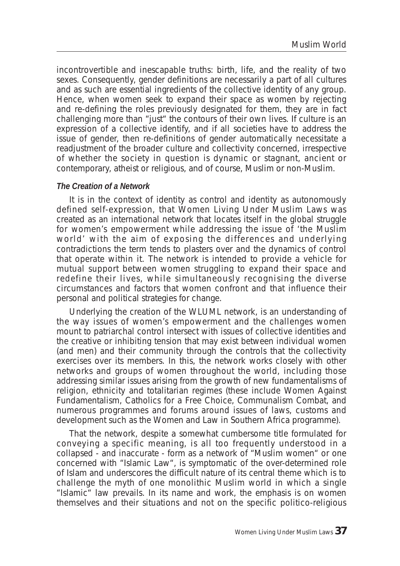incontrovertible and inescapable truths: birth, life, and the reality of two sexes. Consequently, gender definitions are necessarily a part of all cultures and as such are essential ingredients of the collective identity of any group. Hence, when women seek to expand their space as women by rejecting and re-defining the roles previously designated for them, they are in fact challenging more than "just" the contours of their own lives. If culture is an expression of a collective identify, and if all societies have to address the issue of gender, then re-definitions of gender automatically necessitate a readjustment of the broader culture and collectivity concerned, irrespective of whether the society in question is dynamic or stagnant, ancient or contemporary, atheist or religious, and of course, Muslim or non-Muslim.

## **The Creation of a Network**

It is in the context of identity as control and identity as autonomously defined self-expression, that Women Living Under Muslim Laws was created as an international network that locates itself in the global struggle for women's empowerment while addressing the issue of 'the Muslim world' with the aim of exposing the differences and underlying contradictions the term tends to plasters over and the dynamics of control that operate within it. The network is intended to provide a vehicle for mutual support between women struggling to expand their space and redefine their lives, while simultaneously recognising the diverse circumstances and factors that women confront and that influence their personal and political strategies for change.

Underlying the creation of the WLUML network, is an understanding of the way issues of women's empowerment and the challenges women mount to patriarchal control intersect with issues of collective identities and the creative or inhibiting tension that may exist between individual women (and men) and their community through the controls that the collectivity exercises over its members. In this, the network works closely with other networks and groups of women throughout the world, including those addressing similar issues arising from the growth of new fundamentalisms of religion, ethnicity and totalitarian regimes (these include Women Against Fundamentalism, Catholics for a Free Choice, Communalism Combat, and numerous programmes and forums around issues of laws, customs and development such as the Women and Law in Southern Africa programme).

That the network, despite a somewhat cumbersome title formulated for conveying a specific meaning, is all too frequently understood in a collapsed - and inaccurate - form as a network of "Muslim women" or one concerned with "Islamic Law", is symptomatic of the over-determined role of Islam and underscores the difficult nature of its central theme which is to challenge the myth of one monolithic Muslim world in which a single "Islamic" law prevails. In its name and work, the emphasis is on women themselves and their situations and not on the specific politico-religious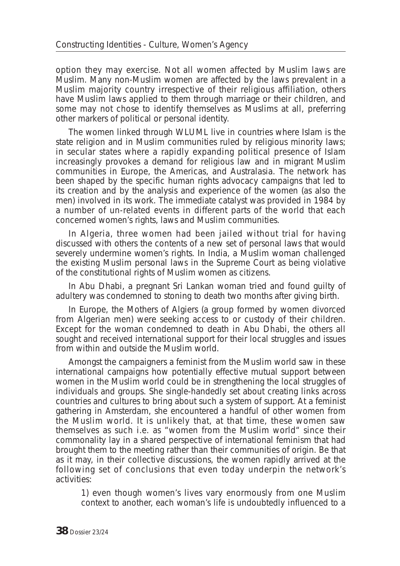option they may exercise. Not all women affected by Muslim laws are Muslim. Many non-Muslim women are affected by the laws prevalent in a Muslim majority country irrespective of their religious affiliation, others have Muslim laws applied to them through marriage or their children, and some may not chose to identify themselves as Muslims at all, preferring other markers of political or personal identity.

The women linked through WLUML live in countries where Islam is the state religion and in Muslim communities ruled by religious minority laws; in secular states where a rapidly expanding political presence of Islam increasingly provokes a demand for religious law and in migrant Muslim communities in Europe, the Americas, and Australasia. The network has been shaped by the specific human rights advocacy campaigns that led to its creation and by the analysis and experience of the women (as also the men) involved in its work. The immediate catalyst was provided in 1984 by a number of un-related events in different parts of the world that each concerned women's rights, laws and Muslim communities.

In Algeria, three women had been jailed without trial for having discussed with others the contents of a new set of personal laws that would severely undermine women's rights. In India, a Muslim woman challenged the existing Muslim personal laws in the Supreme Court as being violative of the constitutional rights of Muslim women as citizens.

In Abu Dhabi, a pregnant Sri Lankan woman tried and found guilty of adultery was condemned to stoning to death two months after giving birth.

In Europe, the Mothers of Algiers (a group formed by women divorced from Algerian men) were seeking access to or custody of their children. Except for the woman condemned to death in Abu Dhabi, the others all sought and received international support for their local struggles and issues from within and outside the Muslim world.

Amongst the campaigners a feminist from the Muslim world saw in these international campaigns how potentially effective mutual support between women in the Muslim world could be in strengthening the local struggles of individuals and groups. She single-handedly set about creating links across countries and cultures to bring about such a system of support. At a feminist gathering in Amsterdam, she encountered a handful of other women from the Muslim world. It is unlikely that, at that time, these women saw themselves as such i.e. as "women from the Muslim world" since their commonality lay in a shared perspective of international feminism that had brought them to the meeting rather than their communities of origin. Be that as it may, in their collective discussions, the women rapidly arrived at the following set of conclusions that even today underpin the network's activities:

1) even though women's lives vary enormously from one Muslim context to another, each woman's life is undoubtedly influenced to a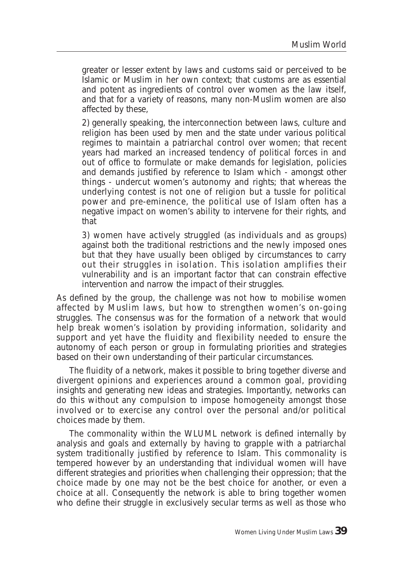greater or lesser extent by laws and customs said or perceived to be Islamic or Muslim in her own context; that customs are as essential and potent as ingredients of control over women as the law itself, and that for a variety of reasons, many non-Muslim women are also affected by these,

2) generally speaking, the interconnection between laws, culture and religion has been used by men and the state under various political regimes to maintain a patriarchal control over women; that recent years had marked an increased tendency of political forces in and out of office to formulate or make demands for legislation, policies and demands justified by reference to Islam which - amongst other things - undercut women's autonomy and rights; that whereas the underlying contest is not one of religion but a tussle for political power and pre-eminence, the political use of Islam often has a negative impact on women's ability to intervene for their rights, and that

3) women have actively struggled (as individuals and as groups) against both the traditional restrictions and the newly imposed ones but that they have usually been obliged by circumstances to carry out their struggles in isolation. This isolation amplifies their vulnerability and is an important factor that can constrain effective intervention and narrow the impact of their struggles.

As defined by the group, the challenge was not how to mobilise women affected by Muslim laws, but how to strengthen women's on-going struggles. The consensus was for the formation of a network that would help break women's isolation by providing information, solidarity and support and yet have the fluidity and flexibility needed to ensure the autonomy of each person or group in formulating priorities and strategies based on their own understanding of their particular circumstances.

The fluidity of a network, makes it possible to bring together diverse and divergent opinions and experiences around a common goal, providing insights and generating new ideas and strategies. Importantly, networks can do this without any compulsion to impose homogeneity amongst those involved or to exercise any control over the personal and/or political choices made by them.

The commonality within the WLUML network is defined internally by analysis and goals and externally by having to grapple with a patriarchal system traditionally justified by reference to Islam. This commonality is tempered however by an understanding that individual women will have different strategies and priorities when challenging their oppression; that the choice made by one may not be the best choice for another, or even a choice at all. Consequently the network is able to bring together women who define their struggle in exclusively secular terms as well as those who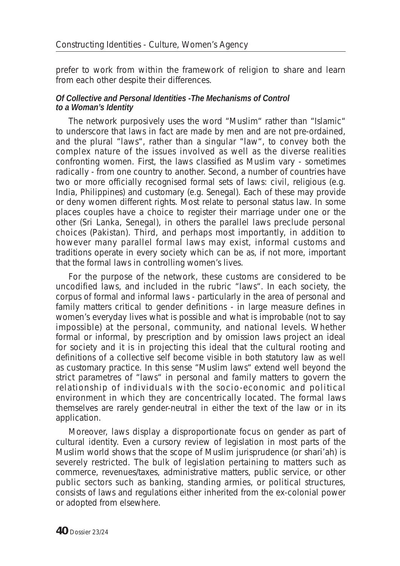prefer to work from within the framework of religion to share and learn from each other despite their differences.

#### **Of Collective and Personal Identities -The Mechanisms of Control to a Woman's Identity**

The network purposively uses the word "Muslim" rather than "Islamic" to underscore that laws in fact are made by men and are not pre-ordained, and the plural "laws", rather than a singular "law", to convey both the complex nature of the issues involved as well as the diverse realities confronting women. First, the laws classified as Muslim vary - sometimes radically - from one country to another. Second, a number of countries have two or more officially recognised formal sets of laws: civil, religious (e.g. India, Philippines) and customary (e.g. Senegal). Each of these may provide or deny women different rights. Most relate to personal status law. In some places couples have a choice to register their marriage under one or the other (Sri Lanka, Senegal), in others the parallel laws preclude personal choices (Pakistan). Third, and perhaps most importantly, in addition to however many parallel formal laws may exist, informal customs and traditions operate in every society which can be as, if not more, important that the formal laws in controlling women's lives.

For the purpose of the network, these customs are considered to be uncodified laws, and included in the rubric "laws". In each society, the corpus of formal and informal laws - particularly in the area of personal and family matters critical to gender definitions - in large measure defines in women's everyday lives what is possible and what is improbable (not to say impossible) at the personal, community, and national levels. Whether formal or informal, by prescription and by omission laws project an ideal for society and it is in projecting this ideal that the cultural rooting and definitions of a collective self become visible in both statutory law as well as customary practice. In this sense "Muslim laws" extend well beyond the strict parametres of "laws" in personal and family matters to govern the relationship of individuals with the socio-economic and political environment in which they are concentrically located. The formal laws themselves are rarely gender-neutral in either the text of the law or in its application.

Moreover, laws display a disproportionate focus on gender as part of cultural identity. Even a cursory review of legislation in most parts of the Muslim world shows that the scope of Muslim jurisprudence (or shari'ah) is severely restricted. The bulk of legislation pertaining to matters such as commerce, revenues/taxes, administrative matters, public service, or other public sectors such as banking, standing armies, or political structures, consists of laws and regulations either inherited from the ex-colonial power or adopted from elsewhere.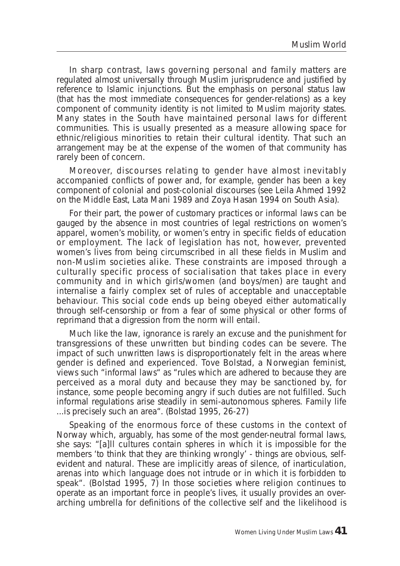In sharp contrast, laws governing personal and family matters are regulated almost universally through Muslim jurisprudence and justified by reference to Islamic injunctions. But the emphasis on personal status law (that has the most immediate consequences for gender-relations) as a key component of community identity is not limited to Muslim majority states. Many states in the South have maintained personal laws for different communities. This is usually presented as a measure allowing space for ethnic/religious minorities to retain their cultural identity. That such an arrangement may be at the expense of the women of that community has rarely been of concern.

Moreover, discourses relating to gender have almost inevitably accompanied conflicts of power and, for example, gender has been a key component of colonial and post-colonial discourses (see Leila Ahmed 1992 on the Middle East, Lata Mani 1989 and Zoya Hasan 1994 on South Asia).

For their part, the power of customary practices or informal laws can be gauged by the absence in most countries of legal restrictions on women's apparel, women's mobility, or women's entry in specific fields of education or employment. The lack of legislation has not, however, prevented women's lives from being circumscribed in all these fields in Muslim and non-Muslim societies alike. These constraints are imposed through a culturally specific process of socialisation that takes place in every community and in which girls/women (and boys/men) are taught and internalise a fairly complex set of rules of acceptable and unacceptable behaviour. This social code ends up being obeyed either automatically through self-censorship or from a fear of some physical or other forms of reprimand that a digression from the norm will entail.

Much like the law, ignorance is rarely an excuse and the punishment for transgressions of these unwritten but binding codes can be severe. The impact of such unwritten laws is disproportionately felt in the areas where gender is defined and experienced. Tove Bolstad, a Norwegian feminist, views such "informal laws" as "rules which are adhered to because they are perceived as a moral duty and because they may be sanctioned by, for instance, some people becoming angry if such duties are not fulfilled. Such informal regulations arise steadily in semi-autonomous spheres. Family life ...is precisely such an area". (Bolstad 1995, 26-27)

Speaking of the enormous force of these customs in the context of Norway which, arguably, has some of the most gender-neutral formal laws, she says: "[a]ll cultures contain spheres in which it is impossible for the members 'to think that they are thinking wrongly' - things are obvious, selfevident and natural. These are implicitly areas of silence, of inarticulation, arenas into which language does not intrude or in which it is forbidden to speak". (Bolstad 1995, 7) In those societies where religion continues to operate as an important force in people's lives, it usually provides an overarching umbrella for definitions of the collective self and the likelihood is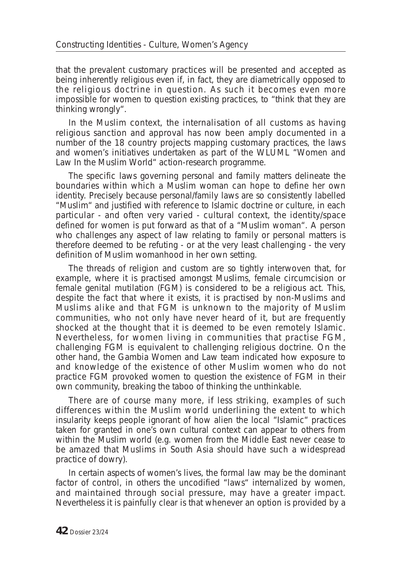that the prevalent customary practices will be presented and accepted as being inherently religious even if, in fact, they are diametrically opposed to the religious doctrine in question. As such it becomes even more impossible for women to question existing practices, to "think that they are thinking wrongly".

In the Muslim context, the internalisation of all customs as having religious sanction and approval has now been amply documented in a number of the 18 country projects mapping customary practices, the laws and women's initiatives undertaken as part of the WLUML "Women and Law In the Muslim World" action-research programme.

The specific laws governing personal and family matters delineate the boundaries within which a Muslim woman can hope to define her own identity. Precisely because personal/family laws are so consistently labelled "Muslim" and justified with reference to Islamic doctrine or culture, in each particular - and often very varied - cultural context, the identity/space defined for women is put forward as that of a "Muslim woman". A person who challenges any aspect of law relating to family or personal matters is therefore deemed to be refuting - or at the very least challenging - the very definition of Muslim womanhood in her own setting.

The threads of religion and custom are so tightly interwoven that, for example, where it is practised amongst Muslims, female circumcision or female genital mutilation (FGM) is considered to be a religious act. This, despite the fact that where it exists, it is practised by non-Muslims and Muslims alike and that FGM is unknown to the majority of Muslim communities, who not only have never heard of it, but are frequently shocked at the thought that it is deemed to be even remotely Islamic. Nevertheless, for women living in communities that practise FGM, challenging FGM is equivalent to challenging religious doctrine. On the other hand, the Gambia Women and Law team indicated how exposure to and knowledge of the existence of other Muslim women who do not practice FGM provoked women to question the existence of FGM in their own community, breaking the taboo of thinking the unthinkable.

There are of course many more, if less striking, examples of such differences within the Muslim world underlining the extent to which insularity keeps people ignorant of how alien the local "Islamic" practices taken for granted in one's own cultural context can appear to others from within the Muslim world (e.g. women from the Middle East never cease to be amazed that Muslims in South Asia should have such a widespread practice of dowry).

In certain aspects of women's lives, the formal law may be the dominant factor of control, in others the uncodified "laws" internalized by women, and maintained through social pressure, may have a greater impact. Nevertheless it is painfully clear is that whenever an option is provided by a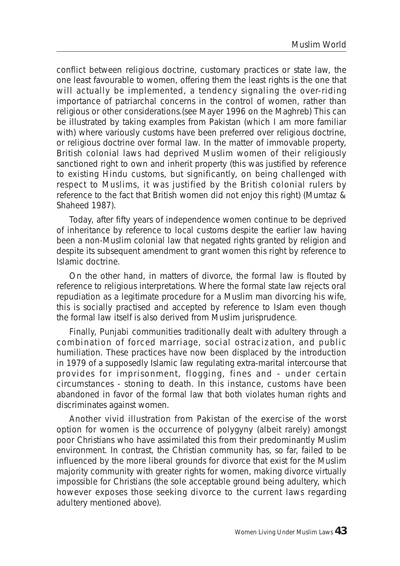conflict between religious doctrine, customary practices or state law, the one least favourable to women, offering them the least rights is the one that will actually be implemented, a tendency signaling the over-riding importance of patriarchal concerns in the control of women, rather than religious or other considerations.(see Mayer 1996 on the Maghreb) This can be illustrated by taking examples from Pakistan (which I am more familiar with) where variously customs have been preferred over religious doctrine, or religious doctrine over formal law. In the matter of immovable property, British colonial laws had deprived Muslim women of their religiously sanctioned right to own and inherit property (this was justified by reference to existing Hindu customs, but significantly, on being challenged with respect to Muslims, it was justified by the British colonial rulers by reference to the fact that British women did not enjoy this right) (Mumtaz & Shaheed 1987).

Today, after fifty years of independence women continue to be deprived of inheritance by reference to local customs despite the earlier law having been a non-Muslim colonial law that negated rights granted by religion and despite its subsequent amendment to grant women this right by reference to Islamic doctrine.

On the other hand, in matters of divorce, the formal law is flouted by reference to religious interpretations. Where the formal state law rejects oral repudiation as a legitimate procedure for a Muslim man divorcing his wife, this is socially practised and accepted by reference to Islam even though the formal law itself is also derived from Muslim jurisprudence.

Finally, Punjabi communities traditionally dealt with adultery through a combination of forced marriage, social ostracization, and public humiliation. These practices have now been displaced by the introduction in 1979 of a supposedly Islamic law regulating extra-marital intercourse that provides for imprisonment, flogging, fines and - under certain circumstances - stoning to death. In this instance, customs have been abandoned in favor of the formal law that both violates human rights and discriminates against women.

Another vivid illustration from Pakistan of the exercise of the worst option for women is the occurrence of polygyny (albeit rarely) amongst poor Christians who have assimilated this from their predominantly Muslim environment. In contrast, the Christian community has, so far, failed to be influenced by the more liberal grounds for divorce that exist for the Muslim majority community with greater rights for women, making divorce virtually impossible for Christians (the sole acceptable ground being adultery, which however exposes those seeking divorce to the current laws regarding adultery mentioned above).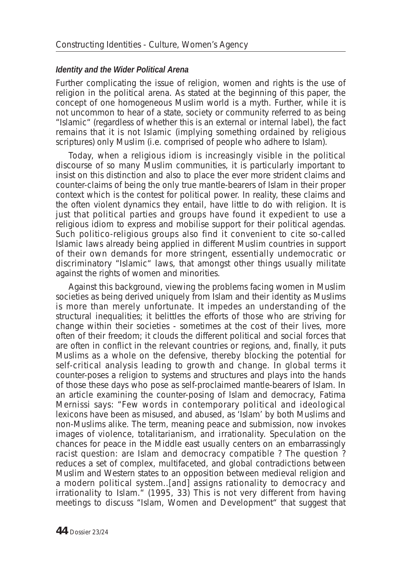## **Identity and the Wider Political Arena**

Further complicating the issue of religion, women and rights is the use of religion in the political arena. As stated at the beginning of this paper, the concept of one homogeneous Muslim world is a myth. Further, while it is not uncommon to hear of a state, society or community referred to as being "Islamic" (regardless of whether this is an external or internal label), the fact remains that it is not Islamic (implying something ordained by religious scriptures) only Muslim (i.e. comprised of people who adhere to Islam).

Today, when a religious idiom is increasingly visible in the political discourse of so many Muslim communities, it is particularly important to insist on this distinction and also to place the ever more strident claims and counter-claims of being the only true mantle-bearers of Islam in their proper context which is the contest for political power. In reality, these claims and the often violent dynamics they entail, have little to do with religion. It is just that political parties and groups have found it expedient to use a religious idiom to express and mobilise support for their political agendas. Such politico-religious groups also find it convenient to cite so-called Islamic laws already being applied in different Muslim countries in support of their own demands for more stringent, essentially undemocratic or discriminatory "Islamic" laws, that amongst other things usually militate against the rights of women and minorities.

Against this background, viewing the problems facing women in Muslim societies as being derived uniquely from Islam and their identity as Muslims is more than merely unfortunate. It impedes an understanding of the structural inequalities; it belittles the efforts of those who are striving for change within their societies - sometimes at the cost of their lives, more often of their freedom; it clouds the different political and social forces that are often in conflict in the relevant countries or regions, and, finally, it puts Muslims as a whole on the defensive, thereby blocking the potential for self-critical analysis leading to growth and change. In global terms it counter-poses a religion to systems and structures and plays into the hands of those these days who pose as self-proclaimed mantle-bearers of Islam. In an article examining the counter-posing of Islam and democracy, Fatima Mernissi says: "Few words in contemporary political and ideological lexicons have been as misused, and abused, as 'Islam' by both Muslims and non-Muslims alike. The term, meaning peace and submission, now invokes images of violence, totalitarianism, and irrationality. Speculation on the chances for peace in the Middle east usually centers on an embarrassingly racist question: are Islam and democracy compatible ? The question ? reduces a set of complex, multifaceted, and global contradictions between Muslim and Western states to an opposition between medieval religion and a modern political system..[and] assigns rationality to democracy and irrationality to Islam." (1995, 33) This is not very different from having meetings to discuss "Islam, Women and Development" that suggest that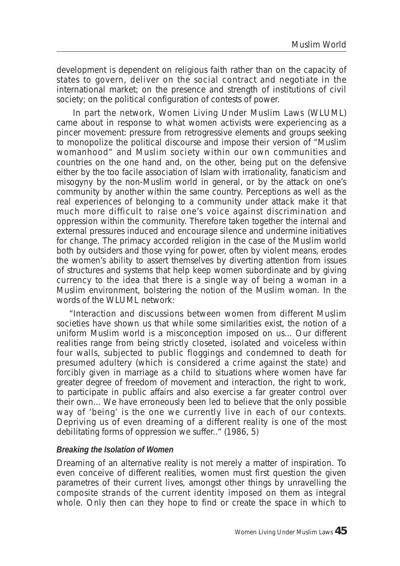development is dependent on religious faith rather than on the capacity of states to govern, deliver on the social contract and negotiate in the international market; on the presence and strength of institutions of civil society; on the political configuration of contests of power.

In part the network, Women Living Under Muslim Laws (WLUML) came about in response to what women activists were experiencing as a pincer movement: pressure from retrogressive elements and groups seeking to monopolize the political discourse and impose their version of "Muslim womanhood" and Muslim society within our own communities and countries on the one hand and, on the other, being put on the defensive either by the too facile association of Islam with irrationality, fanaticism and misogyny by the non-Muslim world in general, or by the attack on one's community by another within the same country. Perceptions as well as the real experiences of belonging to a community under attack make it that much more difficult to raise one's voice against discrimination and oppression within the community. Therefore taken together the internal and external pressures induced and encourage silence and undermine initiatives for change. The primacy accorded religion in the case of the Muslim world both by outsiders and those vying for power, often by violent means, erodes the women's ability to assert themselves by diverting attention from issues of structures and systems that help keep women subordinate and by giving currency to the idea that there is a single way of being a woman in a Muslim environment, bolstering the notion of the Muslim woman. In the words of the WI UML network:

"Interaction and discussions between women from different Muslim societies have shown us that while some similarities exist, the notion of a uniform Muslim world is a misconception imposed on us... Our different realities range from being strictly closeted, isolated and voiceless within four walls, subjected to public floggings and condemned to death for presumed adultery (which is considered a crime against the state) and forcibly given in marriage as a child to situations where women have far greater degree of freedom of movement and interaction, the right to work, to participate in public affairs and also exercise a far greater control over their own... We have erroneously been led to believe that the only possible way of 'being' is the one we currently live in each of our contexts. Depriving us of even dreaming of a different reality is one of the most debilitating forms of oppression we suffer.." (1986, 5)

### **Breaking the Isolation of Women**

Dreaming of an alternative reality is not merely a matter of inspiration. To even conceive of different realities, women must first question the given parametres of their current lives, amongst other things by unravelling the composite strands of the current identity imposed on them as integral whole. Only then can they hope to find or create the space in which to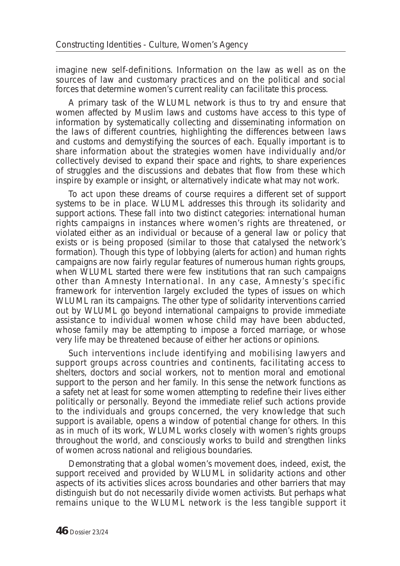imagine new self-definitions. Information on the law as well as on the sources of law and customary practices and on the political and social forces that determine women's current reality can facilitate this process.

A primary task of the WLUML network is thus to try and ensure that women affected by Muslim laws and customs have access to this type of information by systematically collecting and disseminating information on the laws of different countries, highlighting the differences between laws and customs and demystifying the sources of each. Equally important is to share information about the strategies women have individually and/or collectively devised to expand their space and rights, to share experiences of struggles and the discussions and debates that flow from these which inspire by example or insight, or alternatively indicate what may not work.

To act upon these dreams of course requires a different set of support systems to be in place. WLUML addresses this through its solidarity and support actions. These fall into two distinct categories: international human rights campaigns in instances where women's rights are threatened, or violated either as an individual or because of a general law or policy that exists or is being proposed (similar to those that catalysed the network's formation). Though this type of lobbying (alerts for action) and human rights campaigns are now fairly regular features of numerous human rights groups, when WLUML started there were few institutions that ran such campaigns other than Amnesty International. In any case, Amnesty's specific framework for intervention largely excluded the types of issues on which WLUML ran its campaigns. The other type of solidarity interventions carried out by WLUML go beyond international campaigns to provide immediate assistance to individual women whose child may have been abducted, whose family may be attempting to impose a forced marriage, or whose very life may be threatened because of either her actions or opinions.

Such interventions include identifying and mobilising lawyers and support groups across countries and continents, facilitating access to shelters, doctors and social workers, not to mention moral and emotional support to the person and her family. In this sense the network functions as a safety net at least for some women attempting to redefine their lives either politically or personally. Beyond the immediate relief such actions provide to the individuals and groups concerned, the very knowledge that such support is available, opens a window of potential change for others. In this as in much of its work, WLUML works closely with women's rights groups throughout the world, and consciously works to build and strengthen links of women across national and religious boundaries.

Demonstrating that a global women's movement does, indeed, exist, the support received and provided by WLUML in solidarity actions and other aspects of its activities slices across boundaries and other barriers that may distinguish but do not necessarily divide women activists. But perhaps what remains unique to the WLUML network is the less tangible support it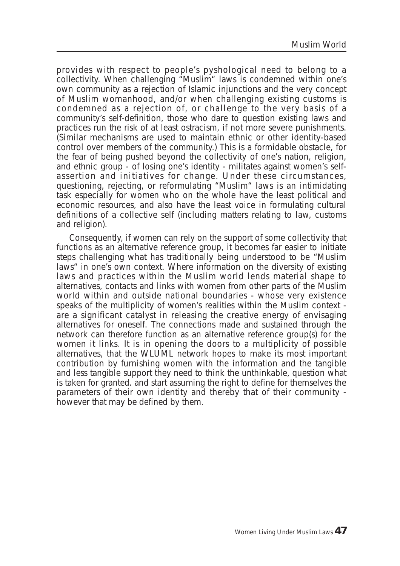provides with respect to people's pyshological need to belong to a collectivity. When challenging "Muslim" laws is condemned within one's own community as a rejection of Islamic injunctions and the very concept of Muslim womanhood, and/or when challenging existing customs is condemned as a rejection of, or challenge to the very basis of a community's self-definition, those who dare to question existing laws and practices run the risk of at least ostracism, if not more severe punishments. (Similar mechanisms are used to maintain ethnic or other identity-based control over members of the community.) This is a formidable obstacle, for the fear of being pushed beyond the collectivity of one's nation, religion, and ethnic group - of losing one's identity - militates against women's selfassertion and initiatives for change. Under these circumstances, questioning, rejecting, or reformulating "Muslim" laws is an intimidating task especially for women who on the whole have the least political and economic resources, and also have the least voice in formulating cultural definitions of a collective self (including matters relating to law, customs and religion).

Consequently, if women can rely on the support of some collectivity that functions as an alternative reference group, it becomes far easier to initiate steps challenging what has traditionally being understood to be "Muslim laws" in one's own context. Where information on the diversity of existing laws and practices within the Muslim world lends material shape to alternatives, contacts and links with women from other parts of the Muslim world within and outside national boundaries - whose very existence speaks of the multiplicity of women's realities within the Muslim context are a significant catalyst in releasing the creative energy of envisaging alternatives for oneself. The connections made and sustained through the network can therefore function as an alternative reference group(s) for the women it links. It is in opening the doors to a multiplicity of possible alternatives, that the WLUML network hopes to make its most important contribution by furnishing women with the information and the tangible and less tangible support they need to think the unthinkable, question what is taken for granted. and start assuming the right to define for themselves the parameters of their own identity and thereby that of their community however that may be defined by them.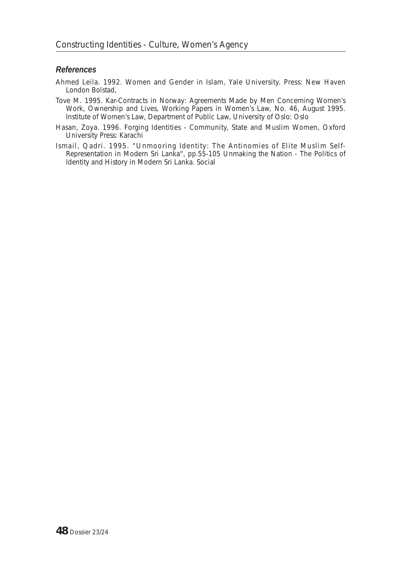#### **References**

- Ahmed Leila. 1992. Women and Gender in Islam, Yale University. Press: New Haven London Bolstad,
- Tove M. 1995. Kar-Contracts in Norway: Agreements Made by Men Concerning Women's Work, Ownership and Lives, Working Papers in Women's Law, No. 46, August 1995. Institute of Women's Law, Department of Public Law, University of Oslo: Oslo
- Hasan, Zoya. 1996. Forging Identities Community, State and Muslim Women, Oxford University Press: Karachi
- Ismail, Qadri. 1995. "Unmooring Identity: The Antinomies of Elite Muslim Self-Representation in Modern Sri Lanka", pp.55-105 Unmaking the Nation - The Politics of Identity and History in Modern Sri Lanka. Social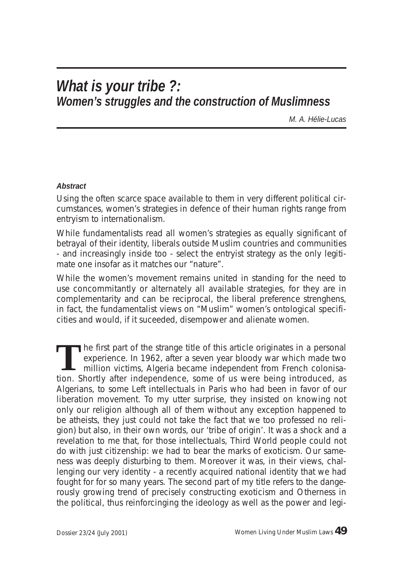# **What is your tribe ?: Women's struggles and the construction of Muslimness**

M. A. Hélie-Lucas

#### **Abstract**

*Using the often scarce space available to them in very different political circumstances, women's strategies in defence of their human rights range from entryism to internationalism.*

*While fundamentalists read all women's strategies as equally significant of betrayal of their identity, liberals outside Muslim countries and communities - and increasingly inside too - select the entryist strategy as the only legitimate one insofar as it matches our "nature".*

*While the women's movement remains united in standing for the need to use concommitantly or alternately all available strategies, for they are in complementarity and can be reciprocal, the liberal preference strenghens, in fact, the fundamentalist views on "Muslim" women's ontological specificities and would, if it suceeded, disempower and alienate women.*

The first part of the strange title of this article originates in a personal experience. In 1962, after a seven year bloody war which made two million victims, Algeria became independent from French colonisation. Shortly a experience. In 1962, after a seven year bloody war which made two million victims, Algeria became independent from French colonisation. Shortly after independence, some of us were being introduced, as Algerians, to some Left intellectuals in Paris who had been in favor of our liberation movement. To my utter surprise, they insisted on knowing not only our religion although all of them without any exception happened to be atheists, they just could not take the fact that we too professed no religion) but also, in their own words, our 'tribe of origin'. It was a shock and a revelation to me that, for those intellectuals, Third World people could not do with just citizenship: we had to bear the marks of exoticism. Our sameness was deeply disturbing to them. Moreover it was, in their views, challenging our very identity - a recently acquired national identity that we had fought for for so many years. The second part of my title refers to the dangerously growing trend of precisely constructing exoticism and Otherness in the political, thus reinforcinging the ideology as well as the power and legi-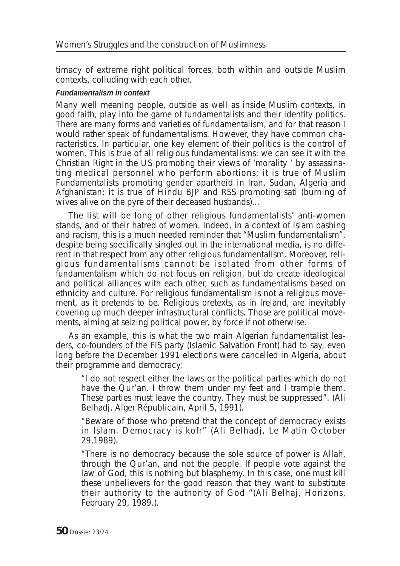timacy of extreme right political forces, both within and outside Muslim contexts, colluding with each other.

### **Fundamentalism in context**

Many well meaning people, outside as well as inside Muslim contexts, in good faith, play into the game of fundamentalists and their identity politics. There are many forms and varieties of fundamentalism, and for that reason I would rather speak of fundamentalisms. However, they have common characteristics. In particular, one key element of their politics is the control of women. This is true of all religious fundamentalisms: we can see it with the Christian Right in the US promoting their views of 'morality ' by assassinating medical personnel who perform abortions; it is true of Muslim Fundamentalists promoting gender apartheid in Iran, Sudan, Algeria and Afghanistan; it is true of Hindu BJP and RSS promoting sati (burning of wives alive on the pyre of their deceased husbands)...

The list will be long of other religious fundamentalists' anti-women stands, and of their hatred of women. Indeed, in a context of Islam bashing and racism, this is a much needed reminder that "Muslim fundamentalism", despite being specifically singled out in the international media, is no different in that respect from any other religious fundamentalism. Moreover, religious fundamentalisms cannot be isolated from other forms of fundamentalism which do not focus on religion, but do create ideological and political alliances with each other, such as fundamentalisms based on ethnicity and culture. For religious fundamentalism is not a religious movement, as it pretends to be. Religious pretexts, as in Ireland, are inevitably covering up much deeper infrastructural conflicts. Those are political movements, aiming at seizing political power, by force if not otherwise.

As an example, this is what the two main Algerian fundamentalist leaders, co-founders of the FIS party (Islamic Salvation Front) had to say, even long before the December 1991 elections were cancelled in Algeria, about their programme and democracy:

"I do not respect either the laws or the political parties which do not have the Qur'an. I throw them under my feet and I trample them. These parties must leave the country. They must be suppressed". (Ali Belhadj, Alger Républicain, April 5, 1991).

"Beware of those who pretend that the concept of democracy exists in Islam. Democracy is kofr" (Ali Belhadj, Le Matin October 29,1989).

"There is no democracy because the sole source of power is Allah, through the Qur'an, and not the people. If people vote against the law of God, this is nothing but blasphemy. In this case, one must kill these unbelievers for the good reason that they want to substitute their authority to the authority of God "(Ali Belhaj, Horizons, February 29, 1989.).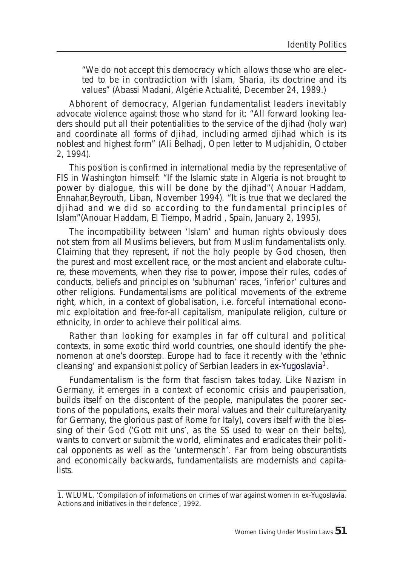"We do not accept this democracy which allows those who are elected to be in contradiction with Islam, Sharia, its doctrine and its values" (Abassi Madani, Algérie Actualité, December 24, 1989.)

Abhorent of democracy, Algerian fundamentalist leaders inevitably advocate violence against those who stand for it: "All forward looking leaders should put all their potentialities to the service of the djihad (holy war) and coordinate all forms of djihad, including armed djihad which is its noblest and highest form" (Ali Belhadj, Open letter to Mudjahidin, October 2, 1994).

This position is confirmed in international media by the representative of FIS in Washington himself: "If the Islamic state in Algeria is not brought to power by dialogue, this will be done by the djihad"( Anouar Haddam, Ennahar,Beyrouth, Liban, November 1994). "It is true that we declared the djihad and we did so according to the fundamental principles of Islam"(Anouar Haddam, El Tiempo, Madrid , Spain, January 2, 1995).

The incompatibility between 'Islam' and human rights obviously does not stem from all Muslims believers, but from Muslim fundamentalists only. Claiming that they represent, if not the holy people by God chosen, then the purest and most excellent race, or the most ancient and elaborate culture, these movements, when they rise to power, impose their rules, codes of conducts, beliefs and principles on 'subhuman' races, 'inferior' cultures and other religions. Fundamentalisms are political movements of the extreme right, which, in a context of globalisation, i.e. forceful international economic exploitation and free-for-all capitalism, manipulate religion, culture or ethnicity, in order to achieve their political aims.

Rather than looking for examples in far off cultural and political contexts, in some exotic third world countries, one should identify the phenomenon at one's doorstep. Europe had to face it recently with the 'ethnic cleansing' and expansionist policy of Serbian leaders in ex-Yugoslavia1.

Fundamentalism is the form that fascism takes today. Like Nazism in Germany, it emerges in a context of economic crisis and pauperisation, builds itself on the discontent of the people, manipulates the poorer sections of the populations, exalts their moral values and their culture(aryanity for Germany, the glorious past of Rome for Italy), covers itself with the blessing of their God ('Gott mit uns', as the SS used to wear on their belts), wants to convert or submit the world, eliminates and eradicates their political opponents as well as the 'untermensch'. Far from being obscurantists and economically backwards, fundamentalists are modernists and capitalists.

<sup>1.</sup> WLUML, 'Compilation of informations on crimes of war against women in ex-Yugoslavia. Actions and initiatives in their defence', 1992.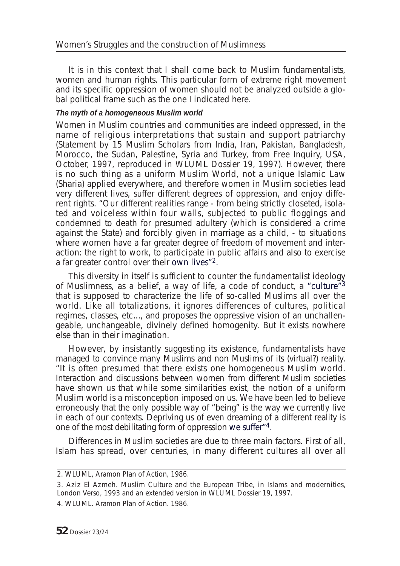It is in this context that I shall come back to Muslim fundamentalists, women and human rights. This particular form of extreme right movement and its specific oppression of women should not be analyzed outside a global political frame such as the one I indicated here.

### **The myth of a homogeneous Muslim world**

Women in Muslim countries and communities are indeed oppressed, in the name of religious interpretations that sustain and support patriarchy (Statement by 15 Muslim Scholars from India, Iran, Pakistan, Bangladesh, Morocco, the Sudan, Palestine, Syria and Turkey, from Free Inquiry, USA, October, 1997, reproduced in WLUML Dossier 19, 1997). However, there is no such thing as a uniform Muslim World, not a unique Islamic Law (Sharia) applied everywhere, and therefore women in Muslim societies lead very different lives, suffer different degrees of oppression, and enjoy different rights. "Our different realities range - from being strictly closeted, isolated and voiceless within four walls, subjected to public floggings and condemned to death for presumed adultery (which is considered a crime against the State) and forcibly given in marriage as a child, - to situations where women have a far greater degree of freedom of movement and interaction: the right to work, to participate in public affairs and also to exercise a far greater control over their own lives"2.

This diversity in itself is sufficient to counter the fundamentalist ideology of Muslimness, as a belief, a way of life, a code of conduct, a "culture"<sup>3</sup> that is supposed to characterize the life of so-called Muslims all over the world. Like all totalizations, it ignores differences of cultures, political regimes, classes, etc..., and proposes the oppressive vision of an unchallengeable, unchangeable, divinely defined homogenity. But it exists nowhere else than in their imagination.

However, by insistantly suggesting its existence, fundamentalists have managed to convince many Muslims and non Muslims of its (virtual?) reality. "It is often presumed that there exists one homogeneous Muslim world. Interaction and discussions between women from different Muslim societies have shown us that while some similarities exist, the notion of a uniform Muslim world is a misconception imposed on us. We have been led to believe erroneously that the only possible way of "being" is the way we currently live in each of our contexts. Depriving us of even dreaming of a different reality is one of the most debilitating form of oppression we suffer"4.

Differences in Muslim societies are due to three main factors. First of all, Islam has spread, over centuries, in many different cultures all over all

<sup>2.</sup> WLUML, Aramon Plan of Action, 1986.

<sup>3.</sup> Aziz El Azmeh. Muslim Culture and the European Tribe, in Islams and modernities, London Verso, 1993 and an extended version in WLUML Dossier 19, 1997. 4. WLUML. Aramon Plan of Action. 1986.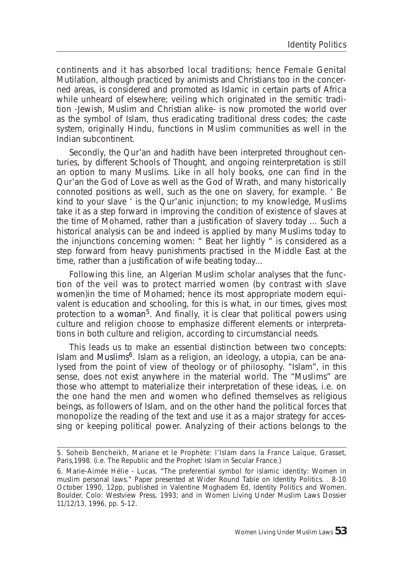continents and it has absorbed local traditions; hence Female Genital Mutilation, although practiced by animists and Christians too in the concerned areas, is considered and promoted as Islamic in certain parts of Africa while unheard of elsewhere; veiling which originated in the semitic tradition -Jewish, Muslim and Christian alike- is now promoted the world over as the symbol of Islam, thus eradicating traditional dress codes; the caste system, originally Hindu, functions in Muslim communities as well in the Indian subcontinent.

Secondly, the Qur'an and hadith have been interpreted throughout centuries, by different Schools of Thought, and ongoing reinterpretation is still an option to many Muslims. Like in all holy books, one can find in the Qur'an the God of Love as well as the God of Wrath, and many historically connoted positions as well, such as the one on slavery, for example. ' Be kind to your slave ' is the Qur'anic injunction; to my knowledge, Muslims take it as a step forward in improving the condition of existence of slaves at the time of Mohamed, rather than a justification of slavery today ... Such a historical analysis can be and indeed is applied by many Muslims today to the injunctions concerning women: " Beat her lightly " is considered as a step forward from heavy punishments practised in the Middle East at the time, rather than a justification of wife beating today...

Following this line, an Algerian Muslim scholar analyses that the function of the veil was to protect married women (by contrast with slave women)in the time of Mohamed; hence its most appropriate modern equivalent is education and schooling, for this is what, in our times, gives most protection to a woman<sup>5</sup>. And finally, it is clear that political powers using culture and religion choose to emphasize different elements or interpretations in both culture and religion, according to circumstancial needs.

This leads us to make an essential distinction between two concepts: Islam and Muslims<sup>6</sup>. Islam as a religion, an ideology, a utopia, can be analysed from the point of view of theology or of philosophy. "Islam", in this sense, does not exist anywhere in the material world. The "Muslims" are those who attempt to materialize their interpretation of these ideas, i.e. on the one hand the men and women who defined themselves as religious beings, as followers of Islam, and on the other hand the political forces that monopolize the reading of the text and use it as a major strategy for accessing or keeping political power. Analyzing of their actions belongs to the

<sup>5.</sup> Soheib Bencheikh, Mariane et le Prophète: l'Islam dans la France Laïque, Grasset, Paris,1998. (i.e. The Republic and the Prophet: Islam in Secular France.)

<sup>6.</sup> Marie-Aimée Hélie - Lucas. "The preferential symbol for islamic identity: Women in muslim personal laws." Paper presented at Wider Round Table on Identity Politics. . 8-10 October 1990, 12pp, published in Valentine Moghadem Ed, Identity Politics and Women. Boulder, Colo: Westview Press, 1993; and in Women Living Under Muslim Laws Dossier 11/12/13, 1996, pp. 5-12.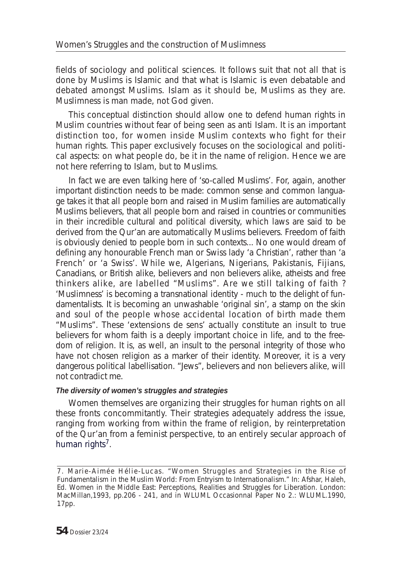fields of sociology and political sciences. It follows suit that not all that is done by Muslims is Islamic and that what is Islamic is even debatable and debated amongst Muslims. Islam as it should be, Muslims as they are. Muslimness is man made, not God given.

This conceptual distinction should allow one to defend human rights in Muslim countries without fear of being seen as anti Islam. It is an important distinction too, for women inside Muslim contexts who fight for their human rights. This paper exclusively focuses on the sociological and political aspects: on what people do, be it in the name of religion. Hence we are not here referring to Islam, but to Muslims.

In fact we are even talking here of 'so-called Muslims'. For, again, another important distinction needs to be made: common sense and common language takes it that all people born and raised in Muslim families are automatically Muslims believers, that all people born and raised in countries or communities in their incredible cultural and political diversity, which laws are said to be derived from the Qur'an are automatically Muslims believers. Freedom of faith is obviously denied to people born in such contexts... No one would dream of defining any honourable French man or Swiss lady 'a Christian', rather than 'a French' or 'a Swiss'. While we, Algerians, Nigerians, Pakistanis, Fijians, Canadians, or British alike, believers and non believers alike, atheists and free thinkers alike, are labelled "Muslims". Are we still talking of faith ? 'Muslimness' is becoming a transnational identity - much to the delight of fundamentalists. It is becoming an unwashable 'original sin', a stamp on the skin and soul of the people whose accidental location of birth made them "Muslims". These 'extensions de sens' actually constitute an insult to true believers for whom faith is a deeply important choice in life, and to the freedom of religion. It is, as well, an insult to the personal integrity of those who have not chosen religion as a marker of their identity. Moreover, it is a very dangerous political labellisation. "Jews", believers and non believers alike, will not contradict me.

### **The diversity of women's struggles and strategies**

Women themselves are organizing their struggles for human rights on all these fronts concommitantly. Their strategies adequately address the issue, ranging from working from within the frame of religion, by reinterpretation of the Qur'an from a feminist perspective, to an entirely secular approach of human rights<sup>7</sup>.

<sup>7.</sup> Marie-Aimée Hélie-Lucas. "Women Struggles and Strategies in the Rise of Fundamentalism in the Muslim World: From Entryism to Internationalism." In: Afshar, Haleh, Ed. Women in the Middle East: Perceptions, Realities and Struggles for Liberation. London: MacMillan,1993, pp.206 - 241, and in WLUML Occasionnal Paper No 2.: WLUML.1990, 17pp.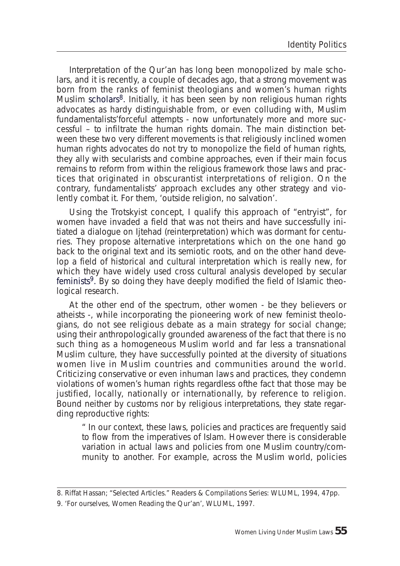Interpretation of the Qur'an has long been monopolized by male scholars, and it is recently, a couple of decades ago, that a strong movement was born from the ranks of feminist theologians and women's human rights Muslim scholars<sup>8</sup>. Initially, it has been seen by non religious human rights advocates as hardy distinguishable from, or even colluding with, Muslim fundamentalists'forceful attempts - now unfortunately more and more successful – to infiltrate the human rights domain. The main distinction between these two very different movements is that religiously inclined women human rights advocates do not try to monopolize the field of human rights, they ally with secularists and combine approaches, even if their main focus remains to reform from within the religious framework those laws and practices that originated in obscurantist interpretations of religion. On the contrary, fundamentalists' approach excludes any other strategy and violently combat it. For them, 'outside religion, no salvation'.

Using the Trotskyist concept, I qualify this approach of "entryist", for women have invaded a field that was not theirs and have successfully initiated a dialogue on Ijtehad (reinterpretation) which was dormant for centuries. They propose alternative interpretations which on the one hand go back to the original text and its semiotic roots, and on the other hand develop a field of historical and cultural interpretation which is really new, for which they have widely used cross cultural analysis developed by secular feminists<sup>9</sup>. By so doing they have deeply modified the field of Islamic theological research.

At the other end of the spectrum, other women - be they believers or atheists -, while incorporating the pioneering work of new feminist theologians, do not see religious debate as a main strategy for social change; using their anthropologically grounded awareness of the fact that there is no such thing as a homogeneous Muslim world and far less a transnational Muslim culture, they have successfully pointed at the diversity of situations women live in Muslim countries and communities around the world. Criticizing conservative or even inhuman laws and practices, they condemn violations of women's human rights regardless ofthe fact that those may be justified, locally, nationally or internationally, by reference to religion. Bound neither by customs nor by religious interpretations, they state regarding reproductive rights:

" In our context, these laws, policies and practices are frequently said to flow from the imperatives of Islam. However there is considerable variation in actual laws and policies from one Muslim country/community to another. For example, across the Muslim world, policies

<sup>8.</sup> Riffat Hassan; "Selected Articles." Readers & Compilations Series: WLUML, 1994, 47pp.

<sup>9. &#</sup>x27;For ourselves, Women Reading the Qur'an', WLUML, 1997.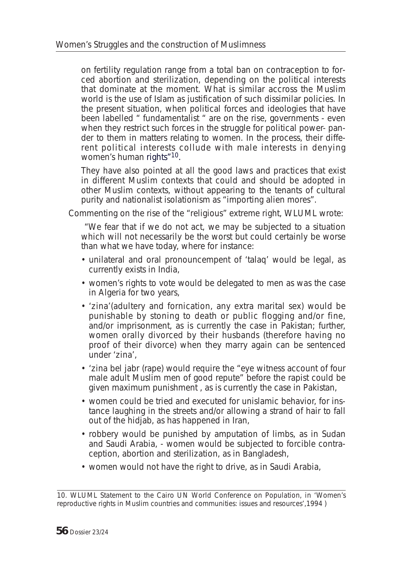on fertility regulation range from a total ban on contraception to forced abortion and sterilization, depending on the political interests that dominate at the moment. What is similar accross the Muslim world is the use of Islam as justification of such dissimilar policies. In the present situation, when political forces and ideologies that have been labelled " fundamentalist " are on the rise, governments - even when they restrict such forces in the struggle for political power- pander to them in matters relating to women. In the process, their different political interests collude with male interests in denying women's human rights"<sup>10</sup>.

They have also pointed at all the good laws and practices that exist in different Muslim contexts that could and should be adopted in other Muslim contexts, without appearing to the tenants of cultural purity and nationalist isolationism as "importing alien mores".

Commenting on the rise of the "religious" extreme right, WLUML wrote:

"We fear that if we do not act, we may be subjected to a situation which will not necessarily be the worst but could certainly be worse than what we have today, where for instance:

- unilateral and oral pronouncempent of 'talaq' would be legal, as currently exists in India,
- women's rights to vote would be delegated to men as was the case in Algeria for two years,
- 'zina'(adultery and fornication, any extra marital sex) would be punishable by stoning to death or public flogging and/or fine, and/or imprisonment, as is currently the case in Pakistan; further, women orally divorced by their husbands (therefore having no proof of their divorce) when they marry again can be sentenced under 'zina',
- 'zina bel jabr (rape) would require the "eye witness account of four male adult Muslim men of good repute" before the rapist could be given maximum punishment , as is currently the case in Pakistan,
- women could be tried and executed for unislamic behavior, for instance laughing in the streets and/or allowing a strand of hair to fall out of the hidjab, as has happened in Iran,
- robbery would be punished by amputation of limbs, as in Sudan and Saudi Arabia, - women would be subjected to forcible contraception, abortion and sterilization, as in Bangladesh,
- women would not have the right to drive, as in Saudi Arabia,

<sup>10.</sup> WLUML Statement to the Cairo UN World Conference on Population, in 'Women's reproductive rights in Muslim countries and communities: issues and resources',1994 )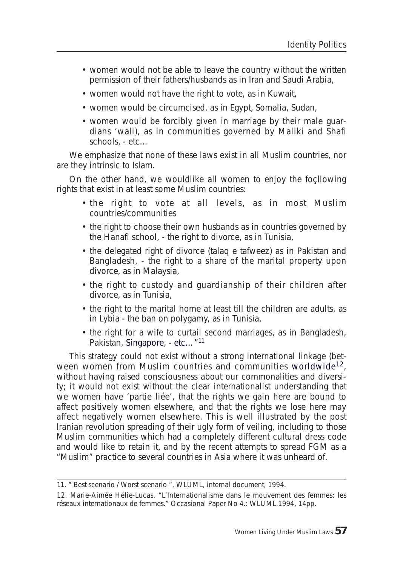- women would not be able to leave the country without the written permission of their fathers/husbands as in Iran and Saudi Arabia,
- women would not have the right to vote, as in Kuwait,
- women would be circumcised, as in Egypt, Somalia, Sudan,
- women would be forcibly given in marriage by their male guardians 'wali), as in communities governed by Maliki and Shafi schools, - etc…

We emphasize that none of these laws exist in all Muslim countries, nor are they intrinsic to Islam.

On the other hand, we wouldlike all women to enjoy the foçllowing rights that exist in at least some Muslim countries:

- the right to vote at all levels, as in most Muslim countries/communities
- the right to choose their own husbands as in countries governed by the Hanafi school, - the right to divorce, as in Tunisia,
- the delegated right of divorce (talaq e tafweez) as in Pakistan and Bangladesh, - the right to a share of the marital property upon divorce, as in Malaysia,
- the right to custody and guardianship of their children after divorce, as in Tunisia,
- the right to the marital home at least till the children are adults, as in Lybia - the ban on polygamy, as in Tunisia,
- the right for a wife to curtail second marriages, as in Bangladesh, Pakistan, Singapore, - etc…"11

This strategy could not exist without a strong international linkage (between women from Muslim countries and communities worldwide<sup>12</sup>, without having raised consciousness about our commonalities and diversity; it would not exist without the clear internationalist understanding that we women have 'partie liée', that the rights we gain here are bound to affect positively women elsewhere, and that the rights we lose here may affect negatively women elsewhere. This is well illustrated by the post Iranian revolution spreading of their ugly form of veiling, including to those Muslim communities which had a completely different cultural dress code and would like to retain it, and by the recent attempts to spread FGM as a "Muslim" practice to several countries in Asia where it was unheard of.

<sup>11. &</sup>quot; Best scenario / Worst scenario ", WLUML, internal document, 1994.

<sup>12.</sup> Marie-Aimée Hélie-Lucas. "L'Internationalisme dans le mouvement des femmes: les réseaux internationaux de femmes." Occasional Paper No 4.: WLUML.1994, 14pp.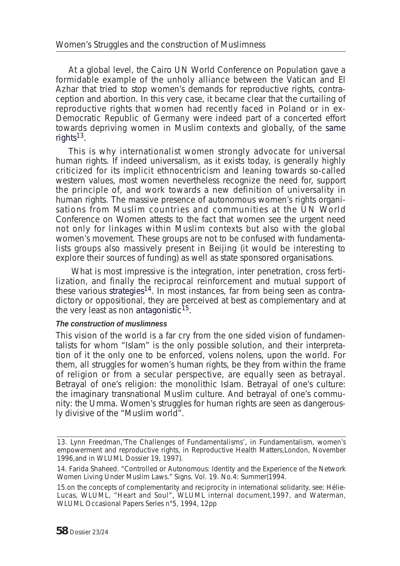At a global level, the Cairo UN World Conference on Population gave a formidable example of the unholy alliance between the Vatican and El Azhar that tried to stop women's demands for reproductive rights, contraception and abortion. In this very case, it became clear that the curtailing of reproductive rights that women had recently faced in Poland or in ex-Democratic Republic of Germany were indeed part of a concerted effort towards depriving women in Muslim contexts and globally, of the same rights<sup>13</sup>.

This is why internationalist women strongly advocate for universal human rights. If indeed universalism, as it exists today, is generally highly criticized for its implicit ethnocentricism and leaning towards so-called western values, most women nevertheless recognize the need for, support the principle of, and work towards a new definition of universality in human rights. The massive presence of autonomous women's rights organisations from Muslim countries and communities at the UN World Conference on Women attests to the fact that women see the urgent need not only for linkages within Muslim contexts but also with the global women's movement. These groups are not to be confused with fundamentalists groups also massively present in Beijing (it would be interesting to explore their sources of funding) as well as state sponsored organisations.

What is most impressive is the integration, inter penetration, cross fertilization, and finally the reciprocal reinforcement and mutual support of these various strategies<sup>14</sup>. In most instances, far from being seen as contradictory or oppositional, they are perceived at best as complementary and at the very least as non antagonistic<sup>15</sup>.

### **The construction of muslimness**

This vision of the world is a far cry from the one sided vision of fundamentalists for whom "Islam" is the only possible solution, and their interpretation of it the only one to be enforced, volens nolens, upon the world. For them, all struggles for women's human rights, be they from within the frame of religion or from a secular perspective, are equally seen as betrayal. Betrayal of one's religion: the monolithic Islam. Betrayal of one's culture: the imaginary transnational Muslim culture. And betrayal of one's community: the Umma. Women's struggles for human rights are seen as dangerously divisive of the "Muslim world".

<sup>13.</sup> Lynn Freedman,'The Challenges of Fundamentalisms', in Fundamentalism, women's empowerment and reproductive rights, in Reproductive Health Matters,London, November 1996,and in WLUML Dossier 19, 1997).

<sup>14.</sup> Farida Shaheed. "Controlled or Autonomous: Identity and the Experience of the Network Women Living Under Muslim Laws." Signs. Vol. 19. No.4: Summer(1994.

<sup>15.</sup>on the concepts of complementarity and reciprocity in international solidarity, see: Hélie-Lucas, WLUML, "Heart and Soul", WLUML internal document,1997, and Waterman, WLUML Occasional Papers Series n°5, 1994, 12pp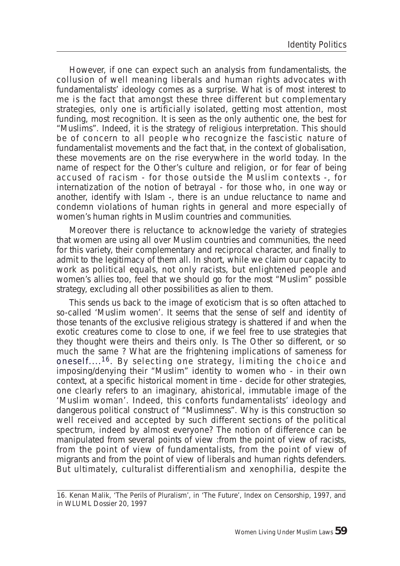However, if one can expect such an analysis from fundamentalists, the collusion of well meaning liberals and human rights advocates with fundamentalists' ideology comes as a surprise. What is of most interest to me is the fact that amongst these three different but complementary strategies, only one is artificially isolated, getting most attention, most funding, most recognition. It is seen as the only authentic one, the best for "Muslims". Indeed, it is the strategy of religious interpretation. This should be of concern to all people who recognize the fascistic nature of fundamentalist movements and the fact that, in the context of globalisation, these movements are on the rise everywhere in the world today. In the name of respect for the Other's culture and religion, or for fear of being accused of racism - for those outside the Muslim contexts -, for internatization of the notion of betrayal - for those who, in one way or another, identify with Islam -, there is an undue reluctance to name and condemn violations of human rights in general and more especially of women's human rights in Muslim countries and communities.

Moreover there is reluctance to acknowledge the variety of strategies that women are using all over Muslim countries and communities, the need for this variety, their complementary and reciprocal character, and finally to admit to the legitimacy of them all. In short, while we claim our capacity to work as political equals, not only racists, but enlightened people and women's allies too, feel that we should go for the most "Muslim" possible strategy, excluding all other possibilities as alien to them.

This sends us back to the image of exoticism that is so often attached to so-called 'Muslim women'. It seems that the sense of self and identity of those tenants of the exclusive religious strategy is shattered if and when the exotic creatures come to close to one, if we feel free to use strategies that they thought were theirs and theirs only. Is The Other so different, or so much the same ? What are the frightening implications of sameness for oneself....16. By selecting one strategy, limiting the choice and imposing/denying their "Muslim" identity to women who - in their own context, at a specific historical moment in time - decide for other strategies, one clearly refers to an imaginary, ahistorical, immutable image of the 'Muslim woman'. Indeed, this conforts fundamentalists' ideology and dangerous political construct of "Muslimness". Why is this construction so well received and accepted by such different sections of the political spectrum, indeed by almost everyone? The notion of difference can be manipulated from several points of view :from the point of view of racists, from the point of view of fundamentalists, from the point of view of migrants and from the point of view of liberals and human rights defenders. But ultimately, culturalist differentialism and xenophilia, despite the

<sup>16.</sup> Kenan Malik, 'The Perils of Pluralism', in 'The Future', Index on Censorship, 1997, and in WLUML Dossier 20, 1997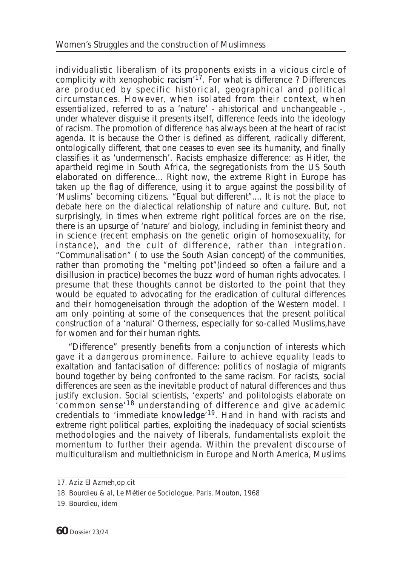individualistic liberalism of its proponents exists in a vicious circle of complicity with xenophobic racism<sup>'17</sup>. For what is difference? Differences are produced by specific historical, geographical and political circumstances. However, when isolated from their context, when essentialized, referred to as a 'nature' - ahistorical and unchangeable -, under whatever disguise it presents itself, difference feeds into the ideology of racism. The promotion of difference has always been at the heart of racist agenda. It is because the Other is defined as different, radically different, ontologically different, that one ceases to even see its humanity, and finally classifies it as 'undermensch'. Racists emphasize difference: as Hitler, the apartheid regime in South Africa, the segregationists from the US South elaborated on difference... Right now, the extreme Right in Europe has taken up the flag of difference, using it to argue against the possibility of 'Muslims' becoming citizens. "Equal but different".... It is not the place to debate here on the dialectical relationship of nature and culture. But, not surprisingly, in times when extreme right political forces are on the rise, there is an upsurge of 'nature' and biology, including in feminist theory and in science (recent emphasis on the genetic origin of homosexuality, for instance), and the cult of difference, rather than integration. "Communalisation" ( to use the South Asian concept) of the communities, rather than promoting the "melting pot"(indeed so often a failure and a disillusion in practice) becomes the buzz word of human rights advocates. I presume that these thoughts cannot be distorted to the point that they would be equated to advocating for the eradication of cultural differences and their homogeneisation through the adoption of the Western model. I am only pointing at some of the consequences that the present political construction of a 'natural' Otherness, especially for so-called Muslims,have for women and for their human rights.

"Difference" presently benefits from a conjunction of interests which gave it a dangerous prominence. Failure to achieve equality leads to exaltation and fantacisation of difference: politics of nostagia of migrants bound together by being confronted to the same racism. For racists, social differences are seen as the inevitable product of natural differences and thus justify exclusion. Social scientists, 'experts' and politologists elaborate on 'common sense'<sup>18</sup> understanding of difference and give academic credentials to 'immediate knowledge'19. Hand in hand with racists and extreme right political parties, exploiting the inadequacy of social scientists methodologies and the naivety of liberals, fundamentalists exploit the momentum to further their agenda. Within the prevalent discourse of multiculturalism and multiethnicism in Europe and North America, Muslims

<sup>17.</sup> Aziz El Azmeh,op.cit

<sup>18.</sup> Bourdieu & al, Le Métier de Sociologue, Paris, Mouton, 1968

<sup>19.</sup> Bourdieu, idem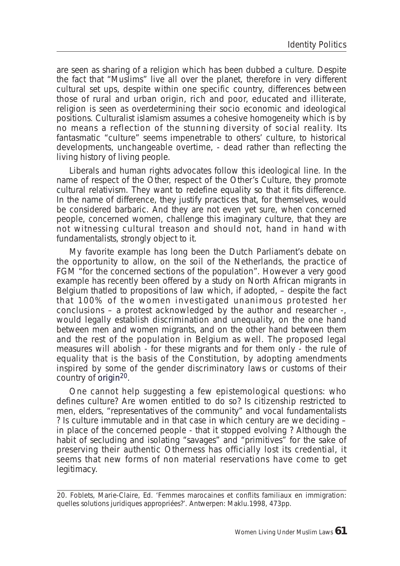are seen as sharing of a religion which has been dubbed a culture. Despite the fact that "Muslims" live all over the planet, therefore in very different cultural set ups, despite within one specific country, differences between those of rural and urban origin, rich and poor, educated and illiterate, religion is seen as overdetermining their socio economic and ideological positions. Culturalist islamism assumes a cohesive homogeneity which is by no means a reflection of the stunning diversity of social reality. Its fantasmatic "culture" seems impenetrable to others' culture, to historical developments, unchangeable overtime, - dead rather than reflecting the living history of living people.

Liberals and human rights advocates follow this ideological line. In the name of respect of the Other, respect of the Other's Culture, they promote cultural relativism. They want to redefine equality so that it fits difference. In the name of difference, they justify practices that, for themselves, would be considered barbaric. And they are not even yet sure, when concerned people, concerned women, challenge this imaginary culture, that they are not witnessing cultural treason and should not, hand in hand with fundamentalists, strongly object to it.

My favorite example has long been the Dutch Parliament's debate on the opportunity to allow, on the soil of the Netherlands, the practice of FGM "for the concerned sections of the population". However a very good example has recently been offered by a study on North African migrants in Belgium thatled to propositions of law which, if adopted, – despite the fact that 100% of the women investigated unanimous protested her conclusions – a protest acknowledged by the author and researcher -, would legally establish discrimination and unequality, on the one hand between men and women migrants, and on the other hand between them and the rest of the population in Belgium as well. The proposed legal measures will abolish - for these migrants and for them only - the rule of equality that is the basis of the Constitution, by adopting amendments inspired by some of the gender discriminatory laws or customs of their country of origin20.

One cannot help suggesting a few epistemological questions: who defines culture? Are women entitled to do so? Is citizenship restricted to men, elders, "representatives of the community" and vocal fundamentalists ? Is culture immutable and in that case in which century are we deciding – in place of the concerned people - that it stopped evolving ? Although the habit of secluding and isolating "savages" and "primitives" for the sake of preserving their authentic Otherness has officially lost its credential, it seems that new forms of non material reservations have come to get legitimacy.

<sup>20.</sup> Foblets, Marie-Claire, Ed. 'Femmes marocaines et conflits familiaux en immigration: quelles solutions juridiques appropriées?'. Antwerpen: Maklu.1998, 473pp.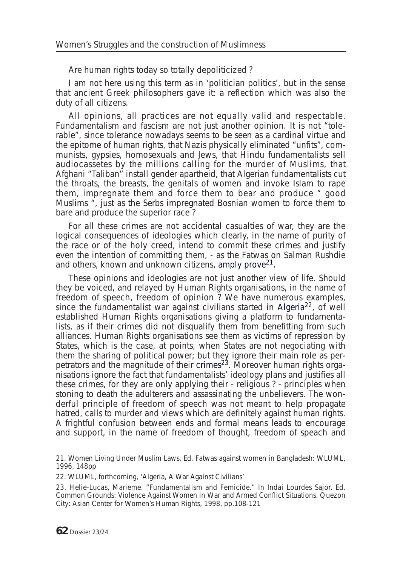Are human rights today so totally depoliticized ?

I am not here using this term as in 'politician politics', but in the sense that ancient Greek philosophers gave it: a reflection which was also the duty of all citizens.

All opinions, all practices are not equally valid and respectable. Fundamentalism and fascism are not just another opinion. It is not "tolerable", since tolerance nowadays seems to be seen as a cardinal virtue and the epitome of human rights, that Nazis physically eliminated "unfits", communists, gypsies, homosexuals and Jews, that Hindu fundamentalists sell audiocassetes by the millions calling for the murder of Muslims, that Afghani "Taliban" install gender apartheid, that Algerian fundamentalists cut the throats, the breasts, the genitals of women and invoke Islam to rape them, impregnate them and force them to bear and produce " good Muslims ", just as the Serbs impregnated Bosnian women to force them to bare and produce the superior race ?

For all these crimes are not accidental casualties of war, they are the logical consequences of ideologies which clearly, in the name of purity of the race or of the holy creed, intend to commit these crimes and justify even the intention of committing them, - as the Fatwas on Salman Rushdie and others, known and unknown citizens, amply prove<sup>21</sup>.

These opinions and ideologies are not just another view of life. Should they be voiced, and relayed by Human Rights organisations, in the name of freedom of speech, freedom of opinion ? We have numerous examples, since the fundamentalist war against civilians started in Algeria<sup>22</sup>, of well established Human Rights organisations giving a platform to fundamentalists, as if their crimes did not disqualify them from benefitting from such alliances. Human Rights organisations see them as victims of repression by States, which is the case, at points, when States are not negociating with them the sharing of political power; but they ignore their main role as perpetrators and the magnitude of their crimes<sup>23</sup>. Moreover human rights organisations ignore the fact that fundamentalists' ideology plans and justifies all these crimes, for they are only applying their - religious ? - principles when stoning to death the adulterers and assassinating the unbelievers. The wonderful principle of freedom of speech was not meant to help propagate hatred, calls to murder and views which are definitely against human rights. A frightful confusion between ends and formal means leads to encourage and support, in the name of freedom of thought, freedom of speach and

<sup>21.</sup> Women Living Under Muslim Laws, Ed. Fatwas against women in Bangladesh: WLUML, 1996, 148pp

<sup>22.</sup> WLUML, forthcoming, 'Algeria, A War Against Civilians'

<sup>23.</sup> Helie-Lucas, Marieme. "Fundamentalism and Femicide." In Indai Lourdes Sajor, Ed. Common Grounds: Violence Against Women in War and Armed Conflict Situations. Quezon City: Asian Center for Women's Human Rights, 1998, pp.108-121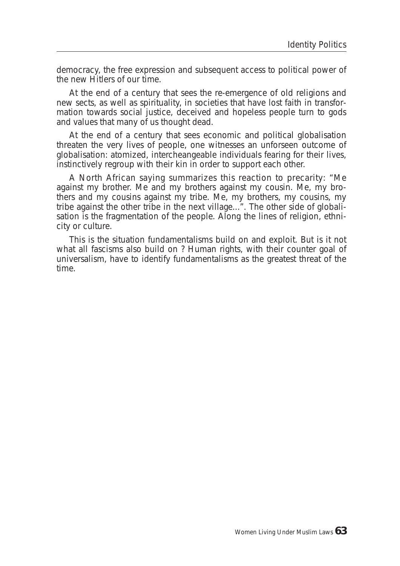democracy, the free expression and subsequent access to political power of the new Hitlers of our time.

At the end of a century that sees the re-emergence of old religions and new sects, as well as spirituality, in societies that have lost faith in transformation towards social justice, deceived and hopeless people turn to gods and values that many of us thought dead.

At the end of a century that sees economic and political globalisation threaten the very lives of people, one witnesses an unforseen outcome of globalisation: atomized, intercheangeable individuals fearing for their lives, instinctively regroup with their kin in order to support each other.

A North African saying summarizes this reaction to precarity: "Me against my brother. Me and my brothers against my cousin. Me, my brothers and my cousins against my tribe. Me, my brothers, my cousins, my tribe against the other tribe in the next village...". The other side of globalisation is the fragmentation of the people. Along the lines of religion, ethnicity or culture.

This is the situation fundamentalisms build on and exploit. But is it not what all fascisms also build on ? Human rights, with their counter goal of universalism, have to identify fundamentalisms as the greatest threat of the time.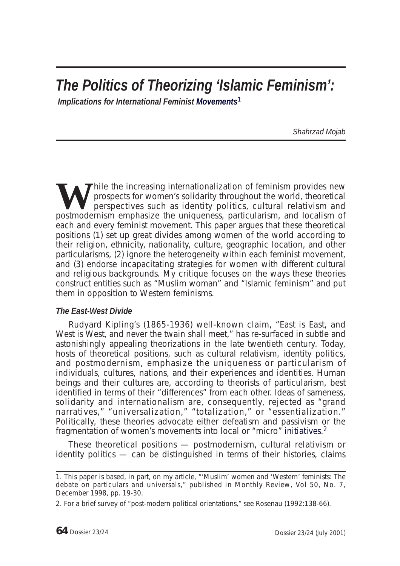**The Politics of Theorizing 'Islamic Feminism': Implications for International Feminist Movements<sup>1</sup>**

Shahrzad Mojab

While the increasing internationalization of feminism provides new<br>prospects for women's solidarity throughout the world, theoretical<br>perspectives such as identity politics, cultural relativism and<br>postmodernism emphasize prospects for women's solidarity throughout the world, theoretical perspectives such as identity politics, cultural relativism and postmodernism emphasize the uniqueness, particularism, and localism of each and every feminist movement. This paper argues that these theoretical positions (1) set up great divides among women of the world according to their religion, ethnicity, nationality, culture, geographic location, and other particularisms, (2) ignore the heterogeneity within each feminist movement, and (3) endorse incapacitating strategies for women with different cultural and religious backgrounds. My critique focuses on the ways these theories construct entities such as "Muslim woman" and "Islamic feminism" and put them in opposition to Western feminisms.

### **The East-West Divide**

Rudyard Kipling's (1865-1936) well-known claim, "East is East, and West is West, and never the twain shall meet," has re-surfaced in subtle and astonishingly appealing theorizations in the late twentieth century. Today, hosts of theoretical positions, such as cultural relativism, identity politics, and postmodernism, emphasize the uniqueness or particularism of individuals, cultures, nations, and their experiences and identities. Human beings and their cultures are, according to theorists of particularism, best identified in terms of their "differences" from each other. Ideas of sameness, solidarity and internationalism are, consequently, rejected as "grand narratives," "universalization," "totalization," or "essentialization." Politically, these theories advocate either defeatism and passivism or the fragmentation of women's movements into local or "micro" initiatives.2

These theoretical positions — postmodernism, cultural relativism or identity politics — can be distinguished in terms of their histories, claims

<sup>1.</sup> This paper is based, in part, on my article, "'Muslim' women and 'Western' feminists: The debate on particulars and universals," published in *Monthly Review*, Vol 50, No. 7, December 1998, pp. 19-30.

<sup>2.</sup> For a brief survey of "post-modern political orientations," see Rosenau (1992:138-66).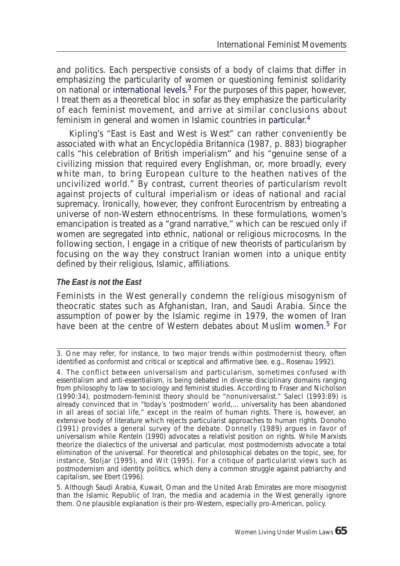and politics. Each perspective consists of a body of claims that differ in emphasizing the particularity of women or questioning feminist solidarity on national or international levels.<sup>3</sup> For the purposes of this paper, however, I treat them as a theoretical bloc in sofar as they emphasize the particularity of each feminist movement, and arrive at similar conclusions about feminism in general and women in Islamic countries in particular.4

Kipling's "East is East and West is West" can rather conveniently be associated with what an *Encyclopédia Britannica* (1987, p. 883) biographer calls "his celebration of British imperialism" and his "genuine sense of a civilizing mission that required every Englishman, or, more broadly, every white man, to bring European culture to the heathen natives of the uncivilized world." By contrast, current theories of particularism revolt against projects of cultural imperialism or ideas of national and racial supremacy. Ironically, however, they confront Eurocentrism by entreating a universe of non-Western ethnocentrisms. In these formulations, women's emancipation is treated as a "grand narrative," which can be rescued only if women are segregated into ethnic, national or religious microcosms. In the following section, I engage in a critique of new theorists of particularism by focusing on the way they construct Iranian women into a unique entity defined by their religious, Islamic, affiliations.

# **The East is not the East**

Feminists in the West generally condemn the religious misogynism of theocratic states such as Afghanistan, Iran, and Saudi Arabia. Since the assumption of power by the Islamic regime in 1979, the women of Iran have been at the centre of Western debates about Muslim women.<sup>5</sup> For

5. Although Saudi Arabia, Kuwait, Oman and the United Arab Emirates are more misogynist than the Islamic Republic of Iran, the media and academia in the West generally ignore them. One plausible explanation is their pro-Western, especially pro-American, policy.

<sup>3.</sup> One may refer, for instance, to two major trends within postmodernist theory, often identified as conformist and critical or sceptical and affirmative (see, e.g., Rosenau 1992).

<sup>4.</sup> The conflict between universalism and particularism, sometimes confused with essentialism and anti-essentialism, is being debated in diverse disciplinary domains ranging from philosophy to law to sociology and feminist studies. According to Fraser and Nicholson (1990:34), postmodern-feminist theory should be "nonuniversalist." Salecl (1993:89) is already convinced that in "today's 'postmodern' world,... universality has been abandoned in all areas of social life," except in the realm of human rights. There is, however, an extensive body of literature which rejects particularist approaches to human rights. Donoho (1991) provides a general survey of the debate. Donnelly (1989) argues in favor of universalism while Renteln (1990) advocates a relativist position on rights. While Marxists theorize the dialectics of the universal and particular, most postmodernists advocate a total elimination of the universal. For theoretical and philosophical debates on the topic, see, for instance, Stoljar (1995), and Wit (1995). For a critique of particularist views such as postmodernism and identity politics, which deny a common struggle against patriarchy and capitalism, see Ebert (1996).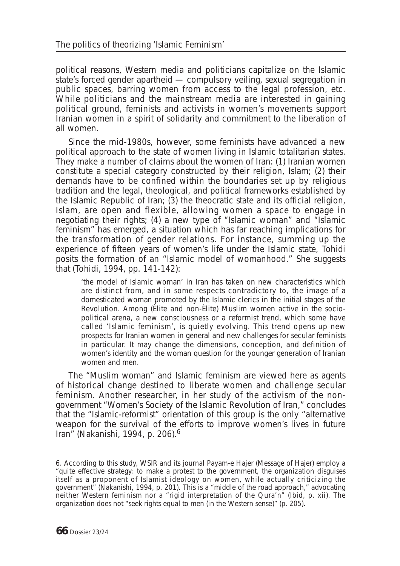political reasons, Western media and politicians capitalize on the Islamic state's forced gender apartheid — compulsory veiling, sexual segregation in public spaces, barring women from access to the legal profession, etc. While politicians and the mainstream media are interested in gaining political ground, feminists and activists in women's movements support Iranian women in a spirit of solidarity and commitment to the liberation of all women.

Since the mid-1980s, however, some feminists have advanced a new political approach to the state of women living in Islamic totalitarian states. They make a number of claims about the women of Iran: (1) Iranian women constitute a special category constructed by their religion, Islam; (2) their demands have to be confined within the boundaries set up by religious tradition and the legal, theological, and political frameworks established by the Islamic Republic of Iran; (3) the theocratic state and its official religion, Islam, are open and flexible, allowing women a space to engage in negotiating their rights; (4) a new type of "Islamic woman" and "Islamic feminism" has emerged, a situation which has far reaching implications for the transformation of gender relations. For instance, summing up the experience of fifteen years of women's life under the Islamic state, Tohidi posits the formation of an "Islamic model of womanhood." She suggests that (Tohidi, 1994, pp. 141-142):

'the model of Islamic woman' in Iran has taken on new characteristics which are distinct from, and in some respects contradictory to, the image of a domesticated woman promoted by the Islamic clerics in the initial stages of the Revolution. Among (Èlite and non-Èlite) Muslim women active in the sociopolitical arena, a new consciousness or a reformist trend, which some have called 'Islamic feminism', is quietly evolving. This trend opens up new prospects for Iranian women in general and new challenges for secular feminists in particular. It may change the dimensions, conception, and definition of women's identity and the woman question for the younger generation of Iranian women and men.

The "Muslim woman" and Islamic feminism are viewed here as agents of historical change destined to liberate women and challenge secular feminism. Another researcher, in her study of the activism of the nongovernment "Women's Society of the Islamic Revolution of Iran," concludes that the "Islamic-reformist" orientation of this group is the only "alternative weapon for the survival of the efforts to improve women's lives in future Iran" (Nakanishi, 1994, p. 206).6

<sup>6.</sup> According to this study, WSIR and its journal *Payam-e Hajer* (Message of Hajer) employ a "quite effective strategy: to make a protest to the government, the organization disguises itself as a proponent of Islamist ideology on women, while actually criticizing the government" (Nakanishi, 1994, p. 201). This is a "middle of the road approach," advocating neither Western feminism nor a "rigid interpretation of the Qura'n" (*Ibid*, p. xii). The organization does not "seek rights *equal* to men (in the Western sense)" (p. 205).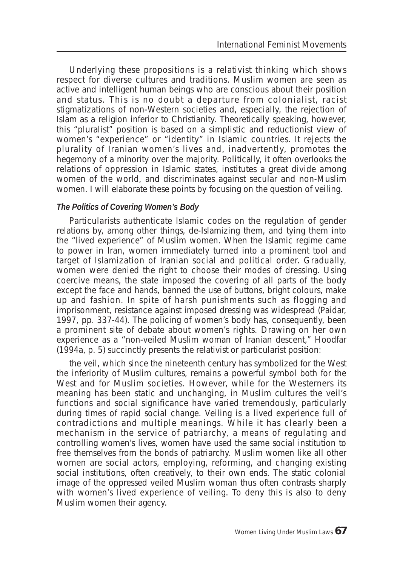Underlying these propositions is a relativist thinking which shows respect for diverse cultures and traditions. Muslim women are seen as active and intelligent human beings who are conscious about their position and status. This is no doubt a departure from colonialist, racist stigmatizations of non-Western societies and, especially, the rejection of Islam as a religion inferior to Christianity. Theoretically speaking, however, this "pluralist" position is based on a simplistic and reductionist view of women's "experience" or "identity" in Islamic countries. It rejects the plurality of Iranian women's lives and, inadvertently, promotes the hegemony of a minority over the majority. Politically, it often overlooks the relations of oppression in Islamic states, institutes a great divide among women of the world, and discriminates against secular and non-Muslim women. I will elaborate these points by focusing on the question of veiling.

# **The Politics of Covering Women's Body**

Particularists authenticate Islamic codes on the regulation of gender relations by, among other things, de-Islamizing them, and tying them into the "lived experience" of Muslim women. When the Islamic regime came to power in Iran, women immediately turned into a prominent tool and target of Islamization of Iranian social and political order. Gradually, women were denied the right to choose their modes of dressing. Using coercive means, the state imposed the covering of all parts of the body except the face and hands, banned the use of buttons, bright colours, make up and fashion. In spite of harsh punishments such as flogging and imprisonment, resistance against imposed dressing was widespread (Paidar, 1997, pp. 337-44). The policing of women's body has, consequently, been a prominent site of debate about women's rights. Drawing on her own experience as a "non-veiled Muslim woman of Iranian descent," Hoodfar (1994a, p. 5) succinctly presents the relativist or particularist position:

the veil, which since the nineteenth century has symbolized for the West the inferiority of Muslim cultures, remains a powerful symbol both for the West and for Muslim societies. However, while for the Westerners its meaning has been static and unchanging, in Muslim cultures the veil's functions and social significance have varied tremendously, particularly during times of rapid social change. Veiling is a lived experience full of contradictions and multiple meanings. While it has clearly been a mechanism in the service of patriarchy, a means of regulating and controlling women's lives, women have used the same social institution to free themselves from the bonds of patriarchy. Muslim women like all other women are social actors, employing, reforming, and changing existing social institutions, often creatively, to their own ends. The static colonial image of the oppressed veiled Muslim woman thus often contrasts sharply with women's lived experience of veiling. To deny this is also to deny Muslim women their agency.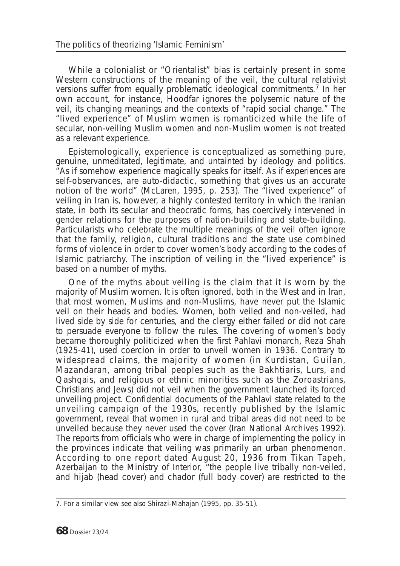While a colonialist or "Orientalist" bias is certainly present in some Western constructions of the meaning of the veil, the cultural relativist versions suffer from equally problematic ideological commitments.<sup>7</sup> In her own account, for instance, Hoodfar ignores the polysemic nature of the veil, its changing meanings and the contexts of "rapid social change." The "lived experience" of Muslim women is romanticized while the life of secular, non-veiling Muslim women and non-Muslim women is not treated as a relevant experience.

Epistemologically, experience is conceptualized as something pure, genuine, unmeditated, legitimate, and untainted by ideology and politics. "As if somehow experience magically speaks for itself. As if experiences are self-observances, are auto-didactic, something that gives us an accurate notion of the world" (McLaren, 1995, p. 253). The "lived experience" of veiling in Iran is, however, a highly contested territory in which the Iranian state, in both its secular and theocratic forms, has coercively intervened in gender relations for the purposes of nation-building and state-building. Particularists who celebrate the multiple meanings of the veil often ignore that the family, religion, cultural traditions and the state use combined forms of violence in order to cover women's body according to the codes of Islamic patriarchy. The inscription of veiling in the "lived experience" is based on a number of myths.

One of the myths about veiling is the claim that it is worn by the majority of Muslim women. It is often ignored, both in the West and in Iran, that most women, Muslims and non-Muslims, have never put the Islamic veil on their heads and bodies. Women, both veiled and non-veiled, had lived side by side for centuries, and the clergy either failed or did not care to persuade everyone to follow the rules. The covering of women's body became thoroughly politicized when the first Pahlavi monarch, Reza Shah (1925-41), used coercion in order to unveil women in 1936. Contrary to widespread claims, the majority of women (in Kurdistan, Guilan, Mazandaran, among tribal peoples such as the Bakhtiaris, Lurs, and Qashqais, and religious or ethnic minorities such as the Zoroastrians, Christians and Jews) did not veil when the government launched its forced unveiling project. Confidential documents of the Pahlavi state related to the unveiling campaign of the 1930s, recently published by the Islamic government, reveal that women in rural and tribal areas did not need to be unveiled because they never used the cover (Iran National Archives 1992). The reports from officials who were in charge of implementing the policy in the provinces indicate that veiling was primarily an urban phenomenon. According to one report dated August 20, 1936 from Tikan Tapeh, Azerbaijan to the Ministry of Interior, "the people live tribally non-veiled, and *hijab* (head cover) and *chador* (full body cover) are restricted to the

<sup>7.</sup> For a similar view see also Shirazi-Mahajan (1995, pp. 35-51).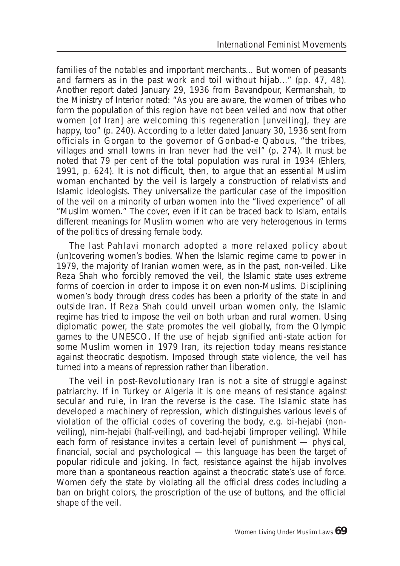families of the notables and important merchants... But women of peasants and farmers as in the past work and toil without hijab..." (pp. 47, 48). Another report dated January 29, 1936 from Bavandpour, Kermanshah, to the Ministry of Interior noted: "As you are aware, the women of tribes who form the population of this region have not been veiled and now that other women [of Iran] are welcoming this regeneration [unveiling], they are happy, too" (p. 240). According to a letter dated January 30, 1936 sent from officials in Gorgan to the governor of Gonbad-e Qabous, "the tribes, villages and small towns in Iran never had the veil" (p. 274). It must be noted that 79 per cent of the total population was rural in 1934 (Ehlers, 1991, p. 624). It is not difficult, then, to argue that an essential Muslim woman enchanted by the veil is largely a construction of relativists and Islamic ideologists. They universalize the particular case of the imposition of the veil on a minority of urban women into the "lived experience" of all "Muslim women." The cover, even if it can be traced back to Islam, entails different meanings for Muslim women who are very heterogenous in terms of the politics of dressing female body.

The last Pahlavi monarch adopted a more relaxed policy about (un)covering women's bodies. When the Islamic regime came to power in 1979, the majority of Iranian women were, as in the past, non-veiled. Like Reza Shah who forcibly removed the veil, the Islamic state uses extreme forms of coercion in order to impose it on even non-Muslims. Disciplining women's body through dress codes has been a priority of the state in and outside Iran. If Reza Shah could unveil urban women only, the Islamic regime has tried to impose the veil on both urban and rural women. Using diplomatic power, the state promotes the veil globally, from the Olympic games to the UNESCO. If the use of hejab signified anti-state action for some Muslim women in 1979 Iran, its rejection today means resistance against theocratic despotism. Imposed through state violence, the veil has turned into a means of repression rather than liberation.

The veil in post-Revolutionary Iran is not a site of struggle against patriarchy. If in Turkey or Algeria it is one means of resistance against secular and rule, in Iran the reverse is the case. The Islamic state has developed a machinery of repression, which distinguishes various levels of violation of the official codes of covering the body, e.g. *bi-hejabi* (nonveiling), *nim-hejabi* (half-veiling), and *bad-hejabi* (improper veiling). While each form of resistance invites a certain level of punishment — physical, financial, social and psychological — this language has been the target of popular ridicule and joking. In fact, resistance against the hijab involves more than a spontaneous reaction against a theocratic state's use of force. Women defy the state by violating all the official dress codes including a ban on bright colors, the proscription of the use of buttons, and the official shape of the veil.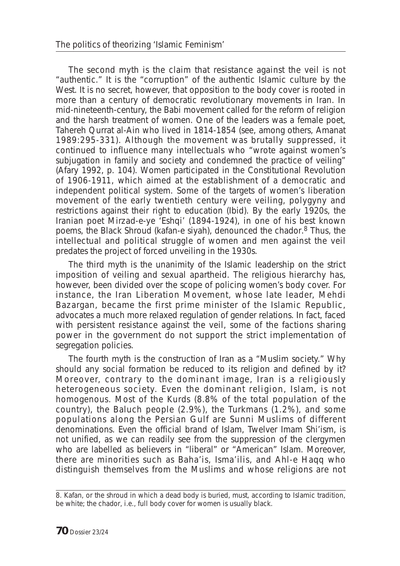The second myth is the claim that resistance against the veil is not "authentic." It is the "corruption" of the authentic Islamic culture by the West. It is no secret, however, that opposition to the body cover is rooted in more than a century of democratic revolutionary movements in Iran. In mid-nineteenth-century, the Babi movement called for the reform of religion and the harsh treatment of women. One of the leaders was a female poet, Tahereh Qurrat al-Ain who lived in 1814-1854 (see, among others, Amanat 1989:295-331). Although the movement was brutally suppressed, it continued to influence many intellectuals who "wrote against women's subiugation in family and society and condemned the practice of veiling" (Afary 1992, p. 104). Women participated in the Constitutional Revolution of 1906-1911, which aimed at the establishment of a democratic and independent political system. Some of the targets of women's liberation movement of the early twentieth century were veiling, polygyny and restrictions against their right to education (*Ibid*). By the early 1920s, the Iranian poet Mirzad-e-ye 'Eshqi' (1894-1924), in one of his best known poems, the *Black Shroud* (*kafan-e siyah*), denounced the *chador*. <sup>8</sup> Thus, the intellectual and political struggle of women and men against the veil predates the project of forced unveiling in the 1930s.

The third myth is the unanimity of the Islamic leadership on the strict imposition of veiling and sexual apartheid. The religious hierarchy has, however, been divided over the scope of policing women's body cover. For instance, the Iran Liberation Movement, whose late leader, Mehdi Bazargan, became the first prime minister of the Islamic Republic, advocates a much more relaxed regulation of gender relations. In fact, faced with persistent resistance against the veil, some of the factions sharing power in the government do not support the strict implementation of segregation policies.

The fourth myth is the construction of Iran as a "Muslim society." Why should any social formation be reduced to its religion and defined by it? Moreover, contrary to the dominant image, Iran is a religiously heterogeneous society. Even the dominant religion, Islam, is not homogenous. Most of the Kurds (8.8% of the total population of the country), the Baluch people (2.9%), the Turkmans (1.2%), and some populations along the Persian Gulf are Sunni Muslims of different denominations. Even the official brand of Islam, Twelver Imam Shi'ism, is not unified, as we can readily see from the suppression of the clergymen who are labelled as believers in "liberal" or "American" Islam. Moreover, there are minorities such as Baha'is, Isma'ilis, and Ahl-e Haqq who distinguish themselves from the Muslims and whose religions are not

<sup>8.</sup> *Kafan*, or the shroud in which a dead body is buried, must, according to Islamic tradition, be white; the *chador*, i.e., full body cover for women is usually black.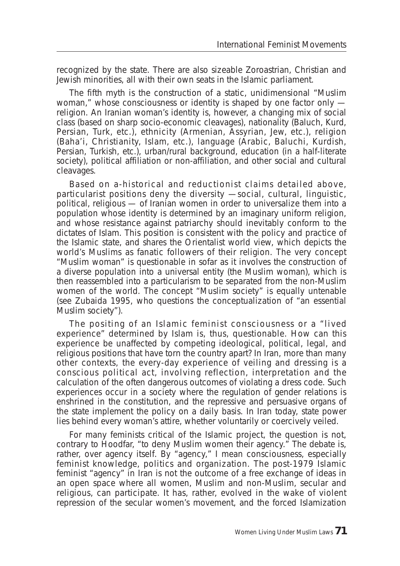recognized by the state. There are also sizeable Zoroastrian, Christian and Jewish minorities, all with their own seats in the Islamic parliament.

The fifth myth is the construction of a static, unidimensional "Muslim woman," whose consciousness or identity is shaped by one factor only religion. An Iranian woman's identity is, however, a changing mix of social class (based on sharp socio-economic cleavages), nationality (Baluch, Kurd, Persian, Turk, etc.), ethnicity (Armenian, Assyrian, Jew, etc.), religion (Baha'i, Christianity, Islam, etc.), language (Arabic, Baluchi, Kurdish, Persian, Turkish, etc.), urban/rural background, education (in a half-literate society), political affiliation or non-affiliation, and other social and cultural cleavages.

Based on a-historical and reductionist claims detailed above, particularist positions deny the diversity —social, cultural, linguistic, political, religious — of Iranian women in order to universalize them into a population whose identity is determined by an imaginary uniform religion, and whose resistance against patriarchy should inevitably conform to the dictates of Islam. This position is consistent with the policy and practice of the Islamic state, and shares the Orientalist world view, which depicts the world's Muslims as fanatic followers of their religion. The very concept "Muslim woman" is questionable in sofar as it involves the construction of a diverse population into a universal entity (the Muslim woman), which is then reassembled into a particularism to be separated from the non-Muslim women of the world. The concept "Muslim society" is equally untenable (see Zubaida 1995, who questions the conceptualization of "an essential Muslim society").

The positing of an Islamic feminist consciousness or a "lived experience" determined by Islam is, thus, questionable. How can this experience be unaffected by competing ideological, political, legal, and religious positions that have torn the country apart? In Iran, more than many other contexts, the every-day experience of veiling and dressing is a conscious political act, involving reflection, interpretation and the calculation of the often dangerous outcomes of violating a dress code. Such experiences occur in a society where the regulation of gender relations is enshrined in the constitution, and the repressive and persuasive organs of the state implement the policy on a daily basis. In Iran today, state power lies behind every woman's attire, whether voluntarily or coercively veiled.

For many feminists critical of the Islamic project, the question is not, contrary to Hoodfar, "to deny Muslim women their agency." The debate is, rather, over agency itself. By "agency," I mean consciousness, especially feminist knowledge, politics and organization. The post-1979 Islamic feminist "agency" in Iran is not the outcome of a free exchange of ideas in an open space where all women, Muslim and non-Muslim, secular and religious, can participate. It has, rather, evolved in the wake of violent repression of the secular women's movement, and the forced Islamization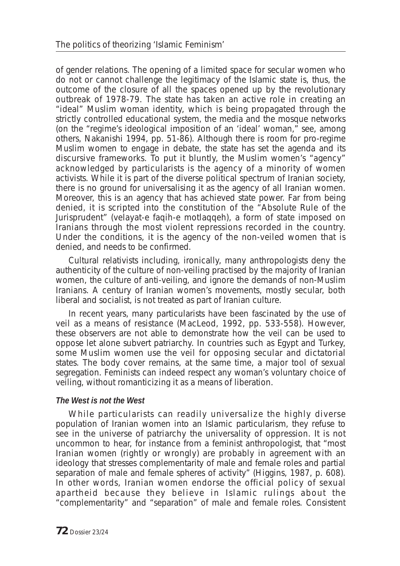of gender relations. The opening of a limited space for secular women who do not or cannot challenge the legitimacy of the Islamic state is, thus, the outcome of the closure of all the spaces opened up by the revolutionary outbreak of 1978-79. The state has taken an active role in creating an "ideal" Muslim woman identity, which is being propagated through the strictly controlled educational system, the media and the mosque networks (on the "regime's ideological imposition of an 'ideal' woman," see, among others, Nakanishi 1994, pp. 51-86). Although there is room for pro-regime Muslim women to engage in debate, the state has set the agenda and its discursive frameworks. To put it bluntly, the Muslim women's "agency" acknowledged by particularists is the agency of a minority of women activists. While it is part of the diverse political spectrum of Iranian society, there is no ground for universalising it as the agency of all Iranian women. Moreover, this is an agency that has achieved state power. Far from being denied, it is scripted into the constitution of the "Absolute Rule of the Jurisprudent" (*velayat-e faqih-e motlaqqeh*), a form of state imposed on Iranians through the most violent repressions recorded in the country. Under the conditions, it is the agency of the non-veiled women that is denied, and needs to be confirmed.

Cultural relativists including, ironically, many anthropologists deny the authenticity of the culture of non-veiling practised by the majority of Iranian women, the culture of anti-veiling, and ignore the demands of non-Muslim Iranians. A century of Iranian women's movements, mostly secular, both liberal and socialist, is not treated as part of Iranian culture.

In recent years, many particularists have been fascinated by the use of veil as a means of resistance (MacLeod, 1992, pp. 533-558). However, these observers are not able to demonstrate how the veil can be used to oppose let alone subvert patriarchy. In countries such as Egypt and Turkey, some Muslim women use the veil for opposing secular and dictatorial states. The body cover remains, at the same time, a major tool of sexual segregation. Feminists can indeed respect any woman's voluntary choice of veiling, without romanticizing it as a means of liberation.

# **The West is not the West**

While particularists can readily universalize the highly diverse population of Iranian women into an Islamic particularism, they refuse to see in the universe of patriarchy the universality of oppression. It is not uncommon to hear, for instance from a feminist anthropologist, that "most Iranian women (rightly or wrongly) are probably in agreement with an ideology that stresses complementarity of male and female roles and partial separation of male and female spheres of activity" (Higgins, 1987, p. 608). In other words, Iranian women endorse the official policy of sexual apartheid because they believe in Islamic rulings about the "complementarity" and "separation" of male and female roles. Consistent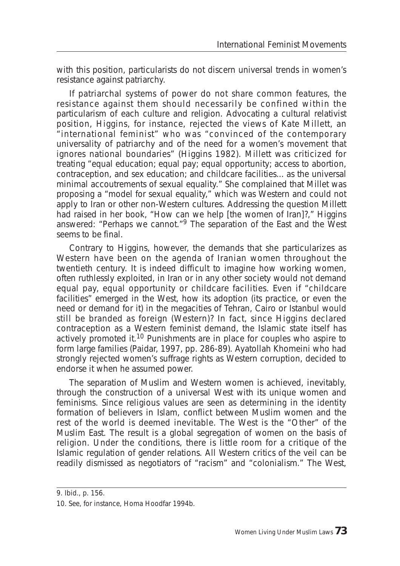with this position, particularists do not discern universal trends in women's resistance against patriarchy.

If patriarchal systems of power do not share common features, the resistance against them should necessarily be confined within the particularism of each culture and religion. Advocating a cultural relativist position, Higgins, for instance, rejected the views of Kate Millett, an "international feminist" who was "convinced of the contemporary universality of patriarchy and of the need for a women's movement that ignores national boundaries" (Higgins 1982). Millett was criticized for treating "equal education; equal pay; equal opportunity; access to abortion, contraception, and sex education; and childcare facilities... as the universal minimal accoutrements of sexual equality." She complained that Millet was proposing a "model for sexual equality," which was Western and could not apply to Iran or other non-Western cultures. Addressing the question Millett had raised in her book, "How can we help [the women of Iran]?," Higgins answered: "Perhaps we cannot."9 The separation of the East and the West seems to be final.

Contrary to Higgins, however, the demands that she particularizes as Western have been on the agenda of Iranian women throughout the twentieth century. It is indeed difficult to imagine how working women, often ruthlessly exploited, in Iran or in any other society would not demand equal pay, equal opportunity or childcare facilities. Even if "childcare facilities" emerged in the West, how its adoption (its practice, or even the need or demand for it) in the megacities of Tehran, Cairo or Istanbul would still be branded as foreign (Western)? In fact, since Higgins declared contraception as a Western feminist demand, the Islamic state itself has actively promoted it.<sup>10</sup> Punishments are in place for couples who aspire to form large families (Paidar, 1997, pp. 286-89). Ayatollah Khomeini who had strongly rejected women's suffrage rights as Western corruption, decided to endorse it when he assumed power.

The separation of Muslim and Western women is achieved, inevitably, through the construction of a universal West with its unique women and feminisms. Since religious values are seen as determining in the identity formation of believers in Islam, conflict between Muslim women and the rest of the world is deemed inevitable. The West is the "Other" of the Muslim East. The result is a global segregation of women on the basis of religion. Under the conditions, there is little room for a critique of the Islamic regulation of gender relations. All Western critics of the veil can be readily dismissed as negotiators of "racism" and "colonialism." The West,

<sup>9.</sup> Ibid., p. 156.

<sup>10.</sup> See, for instance, Homa Hoodfar 1994b.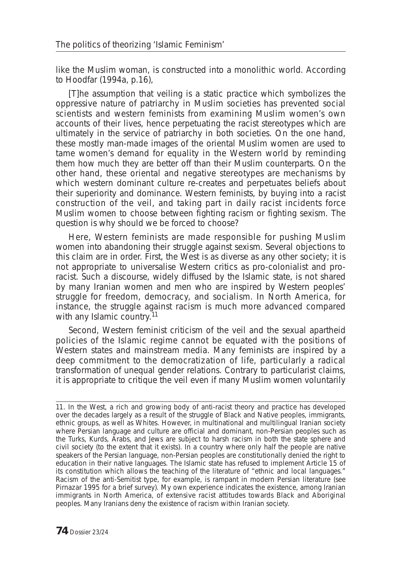like the Muslim woman, is constructed into a monolithic world. According to Hoodfar (1994a, p.16),

[T]he assumption that veiling is a static practice which symbolizes the oppressive nature of patriarchy in Muslim societies has prevented social scientists and western feminists from examining Muslim women's own accounts of their lives, hence perpetuating the racist stereotypes which are ultimately in the service of patriarchy in both societies. On the one hand, these mostly man-made images of the oriental Muslim women are used to tame women's demand for equality in the Western world by reminding them how much they are better off than their Muslim counterparts. On the other hand, these oriental and negative stereotypes are mechanisms by which western dominant culture re-creates and perpetuates beliefs about their superiority and dominance. Western feminists, by buying into a racist construction of the veil, and taking part in daily racist incidents force Muslim women to choose between fighting racism or fighting sexism. The question is why should we be forced to choose?

Here, Western feminists are made responsible for pushing Muslim women into abandoning their struggle against sexism. Several objections to this claim are in order. First, the West is as diverse as any other society; it is not appropriate to universalise Western critics as pro-colonialist and proracist. Such a discourse, widely diffused by the Islamic state, is not shared by many Iranian women and men who are inspired by Western peoples' struggle for freedom, democracy, and socialism. In North America, for instance, the struggle against racism is much more advanced compared with any Islamic country.<sup>11</sup>

Second, Western feminist criticism of the veil and the sexual apartheid policies of the Islamic regime cannot be equated with the positions of Western states and mainstream media. Many feminists are inspired by a deep commitment to the democratization of life, particularly a radical transformation of unequal gender relations. Contrary to particularist claims, it is appropriate to critique the veil even if many Muslim women voluntarily

<sup>11.</sup> In the West, a rich and growing body of anti-racist theory and practice has developed over the decades largely as a result of the struggle of Black and Native peoples, immigrants, ethnic groups, as well as Whites. However, in multinational and multilingual Iranian society where Persian language and culture are official and dominant, non-Persian peoples such as the Turks, Kurds, Arabs, and Jews are subject to harsh racism in both the state sphere and civil society (to the extent that it exists). In a country where only half the people are native speakers of the Persian language, non-Persian peoples are constitutionally denied the right to education in their native languages. The Islamic state has refused to implement Article 15 of its constitution which allows the teaching of the literature of "ethnic and local languages." Racism of the anti-Semitist type, for example, is rampant in modern Persian literature (see Pirnazar 1995 for a brief survey). My own experience indicates the existence, among Iranian immigrants in North America, of extensive racist attitudes towards Black and Aboriginal peoples. Many Iranians deny the existence of racism within Iranian society.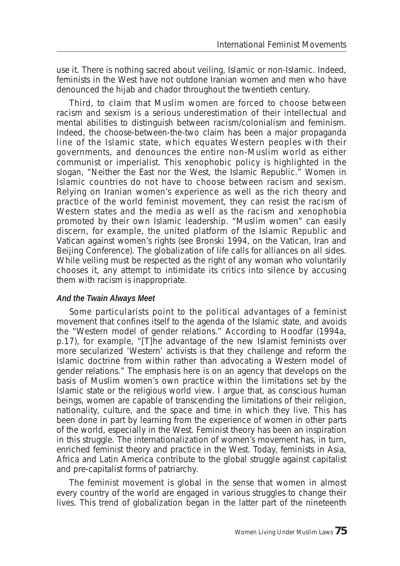use it. There is nothing sacred about veiling, Islamic or non-Islamic. Indeed, feminists in the West have not outdone Iranian women and men who have denounced the *hijab* and *chado*r throughout the twentieth century.

Third, to claim that Muslim women are forced to choose between racism and sexism is a serious underestimation of their intellectual and mental abilities to distinguish between racism/colonialism and feminism. Indeed, the choose-between-the-two claim has been a major propaganda line of the Islamic state, which equates Western peoples with their governments, and denounces the entire non-Muslim world as either communist or imperialist. This xenophobic policy is highlighted in the slogan, "Neither the East nor the West, the Islamic Republic." Women in Islamic countries do not have to choose between racism and sexism. Relying on Iranian women's experience as well as the rich theory and practice of the world feminist movement, they can resist the racism of Western states and the media as well as the racism and xenophobia promoted by their own Islamic leadership. "Muslim women" can easily discern, for example, the united platform of the Islamic Republic and Vatican against women's rights (see Bronski 1994, on the Vatican, Iran and Beijing Conference). The globalization of life calls for alliances on all sides. While veiling must be respected as the right of any woman who voluntarily chooses it, any attempt to intimidate its critics into silence by accusing them with racism is inappropriate.

# **And the Twain Always Meet**

Some particularists point to the political advantages of a feminist movement that confines itself to the agenda of the Islamic state, and avoids the "Western model of gender relations." According to Hoodfar (1994a, p.17), for example, "[T]he advantage of the new Islamist feminists over more secularized 'Western' activists is that they challenge and reform the Islamic doctrine from within rather than advocating a Western model of gender relations." The emphasis here is on an agency that develops on the basis of Muslim women's own practice within the limitations set by the Islamic state or the religious world view. I argue that, as conscious human beings, women are capable of transcending the limitations of their religion, nationality, culture, and the space and time in which they live. This has been done in part by learning from the experience of women in other parts of the world, especially in the West. Feminist theory has been an inspiration in this struggle. The internationalization of women's movement has, in turn, enriched feminist theory and practice in the West. Today, feminists in Asia, Africa and Latin America contribute to the global struggle against capitalist and pre-capitalist forms of patriarchy.

The feminist movement is global in the sense that women in almost every country of the world are engaged in various struggles to change their lives. This trend of globalization began in the latter part of the nineteenth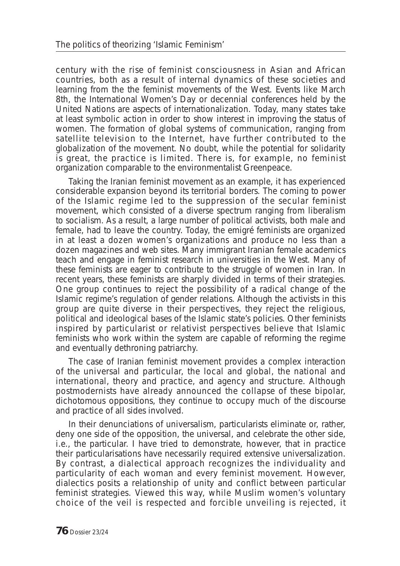century with the rise of feminist consciousness in Asian and African countries, both as a result of internal dynamics of these societies and learning from the the feminist movements of the West. Events like March 8th, the International Women's Day or decennial conferences held by the United Nations are aspects of internationalization. Today, many states take at least symbolic action in order to show interest in improving the status of women. The formation of global systems of communication, ranging from satellite television to the Internet, have further contributed to the globalization of the movement. No doubt, while the potential for solidarity is great, the practice is limited. There is, for example, no feminist organization comparable to the environmentalist Greenpeace.

Taking the Iranian feminist movement as an example, it has experienced considerable expansion beyond its territorial borders. The coming to power of the Islamic regime led to the suppression of the secular feminist movement, which consisted of a diverse spectrum ranging from liberalism to socialism. As a result, a large number of political activists, both male and female, had to leave the country. Today, the emigré feminists are organized in at least a dozen women's organizations and produce no less than a dozen magazines and web sites. Many immigrant Iranian female academics teach and engage in feminist research in universities in the West. Many of these feminists are eager to contribute to the struggle of women in Iran. In recent years, these feminists are sharply divided in terms of their strategies. One group continues to reject the possibility of a radical change of the Islamic regime's regulation of gender relations. Although the activists in this group are quite diverse in their perspectives, they reject the religious, political and ideological bases of the Islamic state's policies. Other feminists inspired by particularist or relativist perspectives believe that Islamic feminists who work within the system are capable of reforming the regime and eventually dethroning patriarchy.

The case of Iranian feminist movement provides a complex interaction of the universal and particular, the local and global, the national and international, theory and practice, and agency and structure. Although postmodernists have already announced the collapse of these bipolar, dichotomous oppositions, they continue to occupy much of the discourse and practice of all sides involved.

In their denunciations of universalism, particularists eliminate or, rather, deny one side of the opposition, the universal, and celebrate the other side, i.e., the particular. I have tried to demonstrate, however, that in practice their particularisations have necessarily required extensive universalization. By contrast, a dialectical approach recognizes the individuality and particularity of each woman and every feminist movement. However, dialectics posits a relationship of unity and conflict between particular feminist strategies. Viewed this way, while Muslim women's voluntary choice of the veil is respected and forcible unveiling is rejected, it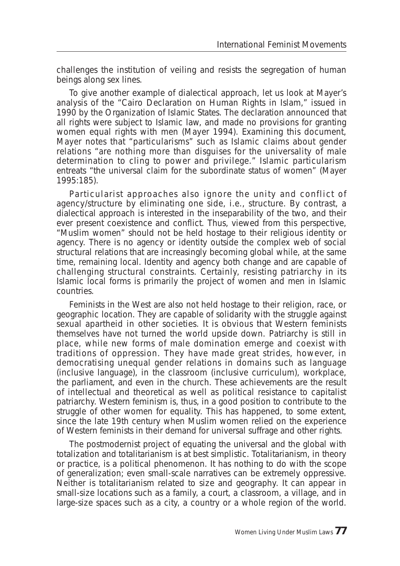challenges the institution of veiling and resists the segregation of human beings along sex lines.

To give another example of dialectical approach, let us look at Mayer's analysis of the "Cairo Declaration on Human Rights in Islam," issued in 1990 by the Organization of Islamic States. The declaration announced that all rights were subject to Islamic law, and made no provisions for granting women equal rights with men (Mayer 1994). Examining this document, Mayer notes that "particularisms" such as Islamic claims about gender relations "are nothing more than disguises for the universality of male determination to cling to power and privilege." Islamic particularism entreats "the universal claim for the subordinate status of women" (Mayer 1995:185).

Particularist approaches also ignore the unity and conflict of agency/structure by eliminating one side, i.e., structure. By contrast, a dialectical approach is interested in the inseparability of the two, and their ever present coexistence and conflict. Thus, viewed from this perspective, "Muslim women" should not be held hostage to their religious identity or agency. There is no agency or identity outside the complex web of social structural relations that are increasingly becoming global while, at the same time, remaining local. Identity and agency both change and are capable of challenging structural constraints. Certainly, resisting patriarchy in its Islamic local forms is primarily the project of women and men in Islamic countries.

Feminists in the West are also not held hostage to their religion, race, or geographic location. They are capable of solidarity with the struggle against sexual apartheid in other societies. It is obvious that Western feminists themselves have not turned the world upside down. Patriarchy is still in place, while new forms of male domination emerge and coexist with traditions of oppression. They have made great strides, however, in democratising unequal gender relations in domains such as language (inclusive language), in the classroom (inclusive curriculum), workplace, the parliament, and even in the church. These achievements are the result of intellectual and theoretical as well as political resistance to capitalist patriarchy. Western feminism is, thus, in a good position to contribute to the struggle of other women for equality. This has happened, to some extent, since the late 19th century when Muslim women relied on the experience of Western feminists in their demand for universal suffrage and other rights.

The postmodernist project of equating the universal and the global with totalization and totalitarianism is at best simplistic. Totalitarianism, in theory or practice, is a political phenomenon. It has nothing to do with the scope of generalization; even small-scale narratives can be extremely oppressive. Neither is totalitarianism related to size and geography. It can appear in small-size locations such as a family, a court, a classroom, a village, and in large-size spaces such as a city, a country or a whole region of the world.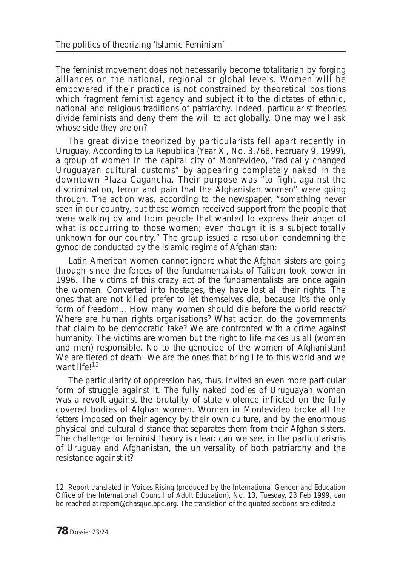The feminist movement does not necessarily become totalitarian by forging alliances on the national, regional or global levels. Women will be empowered if their practice is not constrained by theoretical positions which fragment feminist agency and subject it to the dictates of ethnic, national and religious traditions of patriarchy. Indeed, particularist theories divide feminists and deny them the will to act globally. One may well ask whose side they are on?

The great divide theorized by particularists fell apart recently in Uruguay. According to *La Republica* (Year XI, No. 3,768, February 9, 1999), a group of women in the capital city of Montevideo, "radically changed Uruguayan cultural customs" by appearing completely naked in the downtown Plaza Cagancha. Their purpose was "to fight against the discrimination, terror and pain that the Afghanistan women" were going through. The action was, according to the newspaper, "something never seen in our country, but these women received support from the people that were walking by and from people that wanted to express their anger of what is occurring to those women; even though it is a subject totally unknown for our country." The group issued a resolution condemning the gynocide conducted by the Islamic regime of Afghanistan:

Latin American women cannot ignore what the Afghan sisters are going through since the forces of the fundamentalists of Taliban took power in 1996. The victims of this crazy act of the fundamentalists are once again the women. Converted into hostages, they have lost all their rights. The ones that are not killed prefer to let themselves die, because it's the only form of freedom... How many women should die before the world reacts? Where are human rights organisations? What action do the governments that claim to be democratic take? We are confronted with a crime against humanity. The victims are women but the right to life makes us all (women and men) responsible. No to the genocide of the women of Afghanistan! We are tiered of death! We are the ones that bring life to this world and we want life!<sup>12</sup>

The particularity of oppression has, thus, invited an even more particular form of struggle against it. The fully naked bodies of Uruguayan women was a revolt against the brutality of state violence inflicted on the fully covered bodies of Afghan women. Women in Montevideo broke all the fetters imposed on their agency by their own culture, and by the enormous physical and cultural distance that separates them from their Afghan sisters. The challenge for feminist theory is clear: can we see, in the particularisms of Uruguay and Afghanistan, the universality of both patriarchy and the resistance against it?

<sup>12.</sup> Report translated in *Voices Rising* (produced by the International Gender and Education Office of the International Council of Adult Education), No. 13, Tuesday, 23 Feb 1999, can be reached at repem@chasque.apc.org. The translation of the quoted sections are edited.a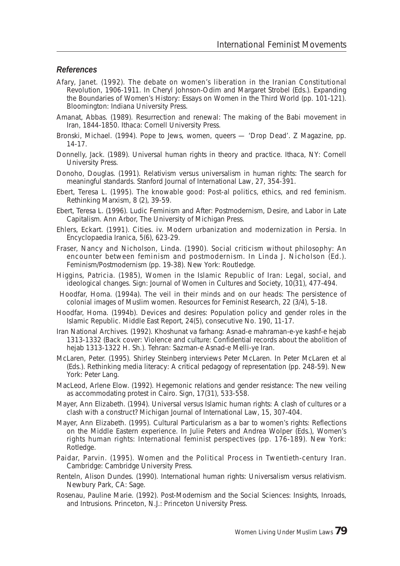#### **References**

- Afary, Janet. (1992). The debate on women's liberation in the Iranian Constitutional Revolution, 1906-1911. In Cheryl Johnson-Odim and Margaret Strobel (Eds.). *Expanding the Boundaries of Women's History: Essays on Women in the Third World* (pp. 101-121). Bloomington: Indiana University Press.
- Amanat, Abbas. (1989). *Resurrection and renewal: The making of the Babi movement in Iran, 1844-1850*. Ithaca: Cornell University Press.
- Bronski, Michael. (1994). Pope to Jews, women, queers 'Drop Dead'. *Z Magazine*, pp. 14-17.
- Donnelly, Jack. (1989). *Universal human rights in theory and practice*. Ithaca, NY: Cornell University Press.
- Donoho, Douglas. (1991). Relativism versus universalism in human rights: The search for meaningful standards. *Stanford Journal of International Law*, 27, 354-391.
- Ebert, Teresa L. (1995). The knowable good: Post-al politics, ethics, and red feminism. *Rethinking Marxism*, 8 (2), 39-59.
- Ebert, Teresa L. (1996). *Ludic Feminism and After: Postmodernism, Desire, and Labor in Late Capitalism*. Ann Arbor, The University of Michigan Press.
- Ehlers, Eckart. (1991). Cities. iv. Modern urbanization and modernization in Persia. In *Encyclopaedia Iranica*, 5(6), 623-29.
- Fraser, Nancy and Nicholson, Linda. (1990). Social criticism without philosophy: An encounter between feminism and postmodernism. In Linda J. Nicholson (Ed.). *Feminism/Postmodernism* (pp. 19-38). New York: Routledge.
- Higgins, Patricia. (1985), Women in the Islamic Republic of Iran: Legal, social, and ideological changes. *Sign: Journal of Women in Cultures and Society*, 10(31), 477-494.
- Hoodfar, Homa. (1994a). The veil in their minds and on our heads: The persistence of colonial images of Muslim women. *Resources for Feminist Research*, 22 (3/4), 5-18.
- Hoodfar, Homa. (1994b). Devices and desires: Population policy and gender roles in the Islamic Republic. *Middle East Report*, 24(5), consecutive No. 190, 11-17.
- Iran National Archives. (1992). *Khoshunat va farhang: Asnad-e mahraman-e-ye kashf-e hejab 1313-1332* (Back cover: *Violence and culture: Confidential records about the abolition of hejab 1313-1322 H. Sh.*). Tehran: Sazman-e Asnad-e Melli-ye Iran.
- McLaren, Peter. (1995). Shirley Steinberg interviews Peter McLaren. In Peter McLaren *et al* (Eds.). *Rethinking media literacy: A critical pedagogy of representation* (pp. 248-59). New York: Peter Lang.
- MacLeod, Arlene Elow. (1992). Hegemonic relations and gender resistance: The new veiling as accommodating protest in Cairo. *Sign*, 17(31), 533-558.
- Mayer, Ann Elizabeth. (1994). Universal versus Islamic human rights: A clash of cultures or a clash with a construct? *Michigan Journal of International Law*, 15, 307-404.
- Mayer, Ann Elizabeth. (1995). Cultural Particularism as a bar to women's rights: Reflections on the Middle Eastern experience. In Julie Peters and Andrea Wolper (Eds.), *Women's rights human rights: International feminist perspectives* (pp. 176-189). New York: Rotledge.
- Paidar, Parvin. (1995). *Women and the Political Process in Twentieth-century Iran*. Cambridge: Cambridge University Press.
- Renteln, Alison Dundes. (1990). *International human rights: Universalism versus relativism*. Newbury Park, CA: Sage.
- Rosenau, Pauline Marie. (1992). *Post-Modernism and the Social Sciences: Insights, Inroads, and Intrusions*. Princeton, N.J.: Princeton University Press.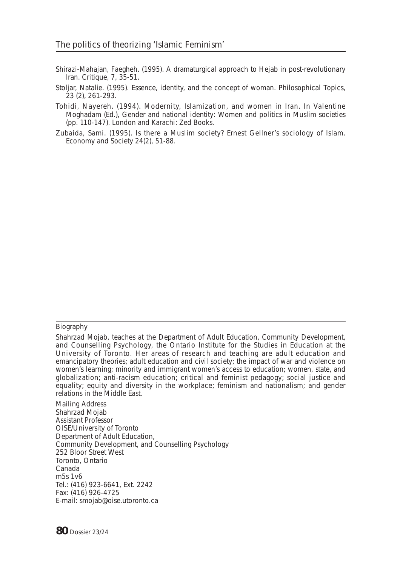- Shirazi-Mahajan, Faegheh. (1995). A dramaturgical approach to *Hejab* in post-revolutionary Iran. *Critique*, 7, 35-51.
- Stoljar, Natalie. (1995). Essence, identity, and the concept of woman. *Philosophical Topics*, 23 (2), 261-293.
- Tohidi, Nayereh. (1994). Modernity, Islamization, and women in Iran. In Valentine Moghadam (Ed.), *Gender and national identity: Women and politics in Muslim societies* (pp. 110-147). London and Karachi: Zed Books.
- Zubaida, Sami. (1995). Is there a Muslim society? Ernest Gellner's sociology of Islam. *Economy and Society* 24(2), 51-88.

Biography

Mailing Address Shahrzad Mojab Assistant Professor OISE/University of Toronto Department of Adult Education, Community Development, and Counselling Psychology 252 Bloor Street West Toronto, Ontario Canada m5s 1v6 Tel.: (416) 923-6641, Ext. 2242 Fax: (416) 926-4725 E-mail: smojab@oise.utoronto.ca

Shahrzad Mojab, teaches at the Department of Adult Education, Community Development, and Counselling Psychology, the Ontario Institute for the Studies in Education at the University of Toronto. Her areas of research and teaching are adult education and emancipatory theories; adult education and civil society; the impact of war and violence on women's learning; minority and immigrant women's access to education; women, state, and globalization; anti-racism education; critical and feminist pedagogy; social justice and equality; equity and diversity in the workplace; feminism and nationalism; and gender relations in the Middle East.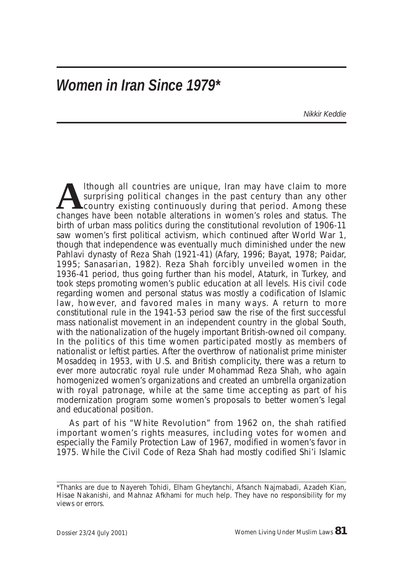# **Women in Iran Since 1979\***

Nikkir Keddie

Ithough all countries are unique, Iran may have claim to more<br>surprising political changes in the past century than any other<br>changes have been notable alterations in women's roles and status. The surprising political changes in the past century than any other country existing continuously during that period. Among these changes have been notable alterations in women's roles and status. The birth of urban mass politics during the constitutional revolution of 1906-11 saw women's first political activism, which continued after World War 1, though that independence was eventually much diminished under the new Pahlavi dynasty of Reza Shah (1921-41) (Afary, 1996; Bayat, 1978; Paidar, 1995; Sanasarian, 1982). Reza Shah forcibly unveiled women in the 1936-41 period, thus going further than his model, Ataturk, in Turkey, and took steps promoting women's public education at all levels. His civil code regarding women and personal status was mostly a codification of Islamic law, however, and favored males in many ways. A return to more constitutional rule in the 1941-53 period saw the rise of the first successful mass nationalist movement in an independent country in the global South, with the nationalization of the hugely important British-owned oil company. In the politics of this time women participated mostly as members of nationalist or leftist parties. After the overthrow of nationalist prime minister Mosaddeq in 1953, with U.S. and British complicity, there was a return to ever more autocratic royal rule under Mohammad Reza Shah, who again homogenized women's organizations and created an umbrella organization with royal patronage, while at the same time accepting as part of his modernization program some women's proposals to better women's legal and educational position.

As part of his "White Revolution" from 1962 on, the shah ratified important women's rights measures, including votes for women and especially the Family Protection Law of 1967, modified in women's favor in 1975. While the Civil Code of Reza Shah had mostly codified Shi'i Islamic

<sup>\*</sup>Thanks are due to Nayereh Tohidi, Elham Gheytanchi, Afsanch Najmabadi, Azadeh Kian, Hisae Nakanishi, and Mahnaz Afkhami for much help. They have no responsibility for my views or errors.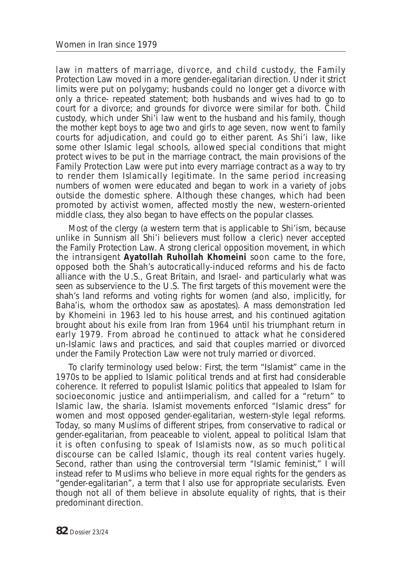law in matters of marriage, divorce, and child custody, the Family Protection Law moved in a more gender-egalitarian direction. Under it strict limits were put on polygamy; husbands could no longer get a divorce with only a thrice- repeated statement; both husbands and wives had to go to court for a divorce; and grounds for divorce were similar for both. Child custody, which under Shi'i law went to the husband and his family, though the mother kept boys to age two and girls to age seven, now went to family courts for adjudication, and could go to either parent. As Shi'i law, like some other Islamic legal schools, allowed special conditions that might protect wives to be put in the marriage contract, the main provisions of the Family Protection Law were put into every marriage contract as a way to try to render them Islamically legitimate. In the same period increasing numbers of women were educated and began to work in a variety of jobs outside the domestic sphere. Although these changes, which had been promoted by activist women, affected mostly the new, western-oriented middle class, they also began to have effects on the popular classes.

Most of the clergy (a western term that is applicable to Shi'ism, because unlike in Sunnism all Shi'i believers must follow a cleric) never accepted the Family Protection Law. A strong clerical opposition movement, in which the intransigent **Ayatollah Ruhollah Khomeini** soon came to the fore, opposed both the Shah's autocratically-induced reforms and his de facto alliance with the U.S., Great Britain, and Israel- and particularly what was seen as subservience to the U.S. The first targets of this movement were the shah's land reforms and voting rights for women (and also, implicitly, for Baha'is, whom the orthodox saw as apostates). A mass demonstration led by Khomeini in 1963 led to his house arrest, and his continued agitation brought about his exile from Iran from 1964 until his triumphant return in early 1979. From abroad he continued to attack what he considered un-Islamic laws and practices, and said that couples married or divorced under the Family Protection Law were not truly married or divorced.

To clarify terminology used below: First, the term "Islamist" came in the 1970s to be applied to Islamic political trends and at first had considerable coherence. It referred to populist Islamic politics that appealed to Islam for socioeconomic justice and antiimperialism, and called for a "return" to Islamic law, the sharia. Islamist movements enforced "Islamic dress" for women and most opposed gender-egalitarian, western-style legal reforms. Today, so many Muslims of different stripes, from conservative to radical or gender-egalitarian, from peaceable to violent, appeal to political Islam that it is often confusing to speak of Islamists now, as so much political discourse can be called Islamic, though its real content varies hugely. Second, rather than using the controversial term "Islamic feminist," I will instead refer to Muslims who believe in more equal rights for the genders as "gender-egalitarian", a term that I also use for appropriate secularists. Even though not all of them believe in absolute equality of rights, that is their predominant direction.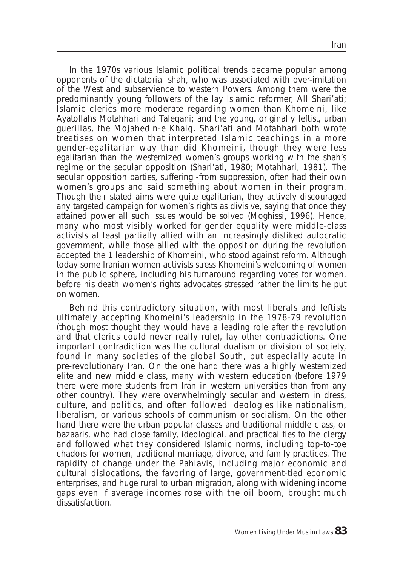In the 1970s various Islamic political trends became popular among opponents of the dictatorial shah, who was associated with over-imitation of the West and subservience to western Powers. Among them were the predominantly young followers of the lay Islamic reformer, All Shari'ati; Islamic clerics more moderate regarding women than Khomeini, like Ayatollahs Motahhari and Taleqani; and the young, originally leftist, urban guerillas, the Mojahedin-e Khalq. Shari'ati and Motahhari both wrote treatises on women that interpreted Islamic teachings in a more gender-egalitarian way than did Khomeini, though they were less egalitarian than the westernized women's groups working with the shah's regime or the secular opposition (Shari'ati, 1980; Motahhari, 1981). The secular opposition parties, suffering -from suppression, often had their own women's groups and said something about women in their program. Though their stated aims were quite egalitarian, they actively discouraged any targeted campaign for women's rights as divisive, saying that once they attained power all such issues would be solved (Moghissi, 1996). Hence, many who most visibly worked for gender equality were middle-class activists at least partially allied with an increasingly disliked autocratic government, while those allied with the opposition during the revolution accepted the 1 leadership of Khomeini, who stood against reform. Although today some Iranian women activists stress Khomeini's welcoming of women in the public sphere, including his turnaround regarding votes for women, before his death women's rights advocates stressed rather the limits he put on women.

Behind this contradictory situation, with most liberals and leftists ultimately accepting Khomeini's leadership in the 1978-79 revolution (though most thought they would have a leading role after the revolution and that clerics could never really rule), lay other contradictions. One important contradiction was the cultural dualism or division of society, found in many societies of the global South, but especially acute in pre-revolutionary Iran. On the one hand there was a highly westernized elite and new middle class, many with western education (before 1979 there were more students from Iran in western universities than from any other country). They were overwhelmingly secular and western in dress, culture, and politics, and often followed ideologies like nationalism, liberalism, or various schools of communism or socialism. On the other hand there were the urban popular classes and traditional middle class, or bazaaris, who had close family, ideological, and practical ties to the clergy and followed what they considered Islamic norms, including top-to-toe chadors for women, traditional marriage, divorce, and family practices. The rapidity of change under the Pahlavis, including major economic and cultural dislocations, the favoring of large, government-tied economic enterprises, and huge rural to urban migration, along with widening income gaps even if average incomes rose with the oil boom, brought much dissatisfaction.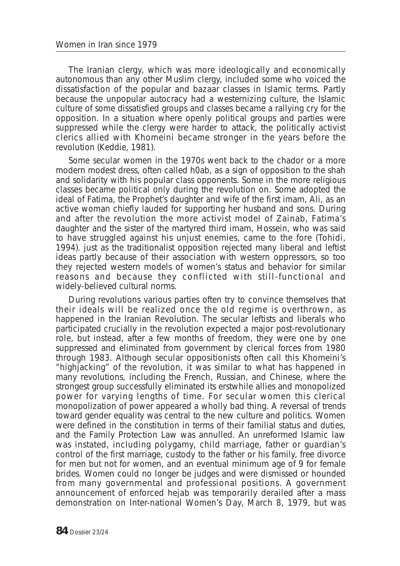The Iranian clergy, which was more ideologically and economically autonomous than any other Muslim clergy, included some who voiced the dissatisfaction of the popular and bazaar classes in Islamic terms. Partly because the unpopular autocracy had a westernizing culture, the Islamic culture of some dissatisfied groups and classes became a rallying cry for the opposition. In a situation where openly political groups and parties were suppressed while the clergy were harder to attack, the politically activist clerics allied with Khomeini became stronger in the years before the revolution (Keddie, 1981).

Some secular women in the 1970s went back to the chador or a more modern modest dress, often called *h0ab,* as a sign of opposition to the shah and solidarity with his popular class opponents. Some in the more religious classes became political only during the revolution on. Some adopted the ideal of Fatima, the Prophet's daughter and wife of the first imam, Ali, as an active woman chiefly lauded for supporting her husband and sons. During and after the revolution the more activist model of Zainab, Fatima's daughter and the sister of the martyred third imam, Hossein, who was said to have struggled against his unjust enemies, came to the fore (Tohidi, 1994). just as the traditionalist opposition rejected many liberal and leftist ideas partly because of their association with western oppressors, so too they rejected western models of women's status and behavior for similar reasons and because they conflicted with still-functional and widely-believed cultural norms.

During revolutions various parties often try to convince themselves that their ideals will be realized once the old regime is overthrown, as happened in the Iranian Revolution. The secular leftists and liberals who participated crucially in the revolution expected a major post-revolutionary role, but instead, after a few months of freedom, they were one by one suppressed and eliminated from government by clerical forces from 1980 through 1983. Although secular oppositionists often call this Khomeini's "highjacking" of the revolution, it was similar to what has happened in many revolutions, including the French, Russian, and Chinese, where the strongest group successfully eliminated its erstwhile allies and monopolized power for varying lengths of time. For secular women this clerical monopolization of power appeared a wholly bad thing. A reversal of trends toward gender equality was central to the new culture and politics. Women were defined in the constitution in terms of their familial status and duties, and the Family Protection Law was annulled. An unreformed Islamic law was instated, including polygamy, child marriage, father or guardian's control of the first marriage, custody to the father or his family, free divorce for men but not for women, and an eventual minimum age of 9 for female brides. Women could no longer be judges and were dismissed or hounded from many governmental and professional positions. A government announcement of enforced *hejab* was temporarily derailed after a mass demonstration on Inter-national Women's Day, March 8, 1979, but was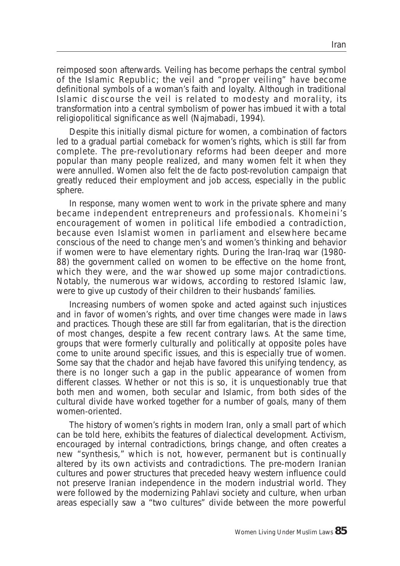reimposed soon afterwards. Veiling has become perhaps the central symbol of the Islamic Republic; the veil and "proper veiling" have become definitional symbols of a woman's faith and loyalty. Although in traditional Islamic discourse the veil is related to modesty and morality, its transformation into a central symbolism of power has imbued it with a total religiopolitical significance as well (Najmabadi, 1994).

Despite this initially dismal picture for women, a combination of factors led to a gradual partial comeback for women's rights, which is still far from complete. The pre-revolutionary reforms had been deeper and more popular than many people realized, and many women felt it when they were annulled. Women also felt the de facto post-revolution campaign that greatly reduced their employment and job access, especially in the public sphere.

In response, many women went to work in the private sphere and many became independent entrepreneurs and professionals. Khomeini's encouragement of women in political life embodied a contradiction, because even Islamist women in parliament and elsewhere became conscious of the need to change men's and women's thinking and behavior if women were to have elementary rights. During the Iran-Iraq war (1980- 88) the government called on women to be effective on the home front, which they were, and the war showed up some major contradictions. Notably, the numerous war widows, according to restored Islamic law, were to give up custody of their children to their husbands' families.

Increasing numbers of women spoke and acted against such injustices and in favor of women's rights, and over time changes were made in laws and practices. Though these are still far from egalitarian, that is the direction of most changes, despite a few recent contrary laws. At the same time, groups that were formerly culturally and politically at opposite poles have come to unite around specific issues, and this is especially true of women. Some say that the chador and *hejab* have favored this unifying tendency, as there is no longer such a gap in the public appearance of women from different classes. Whether or not this is so, it is unquestionably true that both men and women, both secular and Islamic, from both sides of the cultural divide have worked together for a number of goals, many of them women-oriented.

The history of women's rights in modern Iran, only a small part of which can be told here, exhibits the features of dialectical development. Activism, encouraged by internal contradictions, brings change, and often creates a new "synthesis," which is not, however, permanent but is continually altered by its own activists and contradictions. The pre-modern Iranian cultures and power structures that preceded heavy western influence could not preserve Iranian independence in the modern industrial world. They were followed by the modernizing Pahlavi society and culture, when urban areas especially saw a "two cultures" divide between the more powerful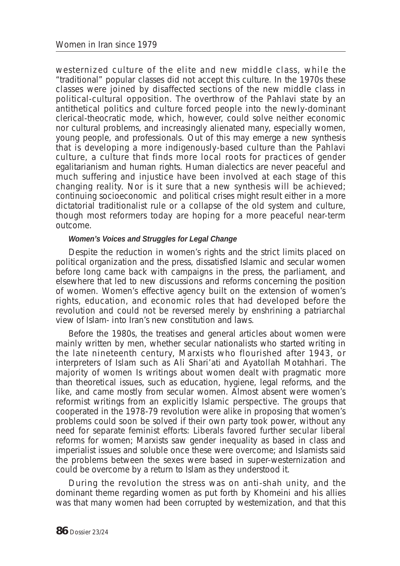westernized culture of the elite and new middle class, while the "traditional" popular classes did not accept this culture. In the 1970s these classes were joined by disaffected sections of the new middle class in political-cultural opposition. The overthrow of the Pahlavi state by an antithetical politics and culture forced people into the newly-dominant clerical-theocratic mode, which, however, could solve neither economic nor cultural problems, and increasingly alienated many, especially women, young people, and professionals. Out of this may emerge a new synthesis that is developing a more indigenously-based culture than the Pahlavi culture, a culture that finds more local roots for practices of gender egalitarianism and human rights. Human dialectics are never peaceful and much suffering and injustice have been involved at each stage of this changing reality. Nor is it sure that a new synthesis will be achieved; continuing socioeconomic and political crises might result either in a more dictatorial traditionalist rule or a collapse of the old system and culture, though most reformers today are hoping for a more peaceful near-term outcome.

## **Women's Voices and Struggles for Legal Change**

Despite the reduction in women's rights and the strict limits placed on political organization and the press, dissatisfied Islamic and secular women before long came back with campaigns in the press, the parliament, and elsewhere that led to new discussions and reforms concerning the position of women. Women's effective agency built on the extension of women's rights, education, and economic roles that had developed before the revolution and could not be reversed merely by enshrining a patriarchal view of Islam- into Iran's new constitution and laws.

Before the 1980s, the treatises and general articles about women were mainly written by men, whether secular nationalists who started writing in the late nineteenth century, Marxists who flourished after 1943, or interpreters of Islam such as Ali Shari'ati and Ayatollah Motahhari. The majority of women Is writings about women dealt with pragmatic more than theoretical issues, such as education, hygiene, legal reforms, and the like, and came mostly from secular women. Almost absent were women's reformist writings from an explicitly Islamic perspective. The groups that cooperated in the 1978-79 revolution were alike in proposing that women's problems could soon be solved if their own party took power, without any need for separate feminist efforts: Liberals favored further secular liberal reforms for women; Marxists saw gender inequality as based in class and imperialist issues and soluble once these were overcome; and Islamists said the problems between the sexes were based in super-westernization and could be overcome by a return to Islam as they understood it.

During the revolution the stress was on anti-shah unity, and the dominant theme regarding women as put forth by Khomeini and his allies was that many women had been corrupted by westemization, and that this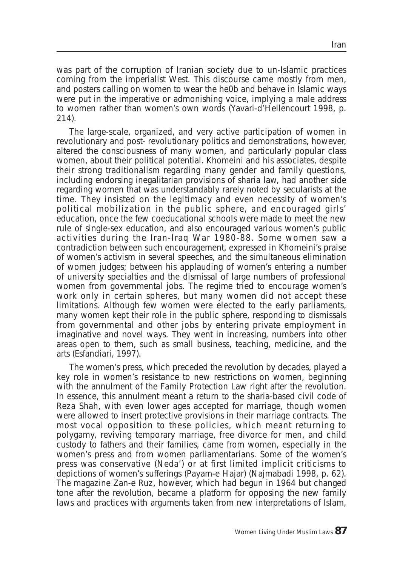was part of the corruption of Iranian society due to un-Islamic practices coming from the imperialist West. This discourse came mostly from men, and posters calling on women to wear the *he0b* and behave in Islamic ways were put in the imperative or admonishing voice, implying a male address to women rather than women's own words (Yavari-d'Hellencourt 1998, p. 214).

The large-scale, organized, and very active participation of women in revolutionary and post- revolutionary politics and demonstrations, however, altered the consciousness of many women, and particularly popular class women, about their political potential. Khomeini and his associates, despite their strong traditionalism regarding many gender and family questions, including endorsing inegalitarian provisions of sharia law, had another side regarding women that was understandably rarely noted by secularists at the time. They insisted on the legitimacy and even necessity of women's political mobilization in the public sphere, and encouraged girls' education, once the few coeducational schools were made to meet the new rule of single-sex education, and also encouraged various women's public activities during the Iran-Iraq War 1980-88. Some women saw a contradiction between such encouragement, expressed in Khomeini's praise of women's activism in several speeches, and the simultaneous elimination of women judges; between his applauding of women's entering a number of university specialties and the dismissal of large numbers of professional women from governmental jobs. The regime tried to encourage women's work only in certain spheres, but many women did not accept these limitations. Although few women were elected to the early parliaments, many women kept their role in the public sphere, responding to dismissals from governmental and other jobs by entering private employment in imaginative and novel ways. They went in increasing, numbers into other areas open to them, such as small business, teaching, medicine, and the arts (Esfandiari, 1997).

The women's press, which preceded the revolution by decades, played a key role in women's resistance to new restrictions on women, beginning with the annulment of the Family Protection Law right after the revolution. In essence, this annulment meant a return to the sharia-based civil code of Reza Shah, with even lower ages accepted for marriage, though women were allowed to insert protective provisions in their marriage contracts. The most vocal opposition to these policies, which meant returning to polygamy, reviving temporary marriage, free divorce for men, and child custody to fathers and their families, came from women, especially in the women's press and from women parliamentarians. Some of the women's press was conservative *(Neda')* or at first limited implicit criticisms to depictions of women's sufferings *(Payam-e Hajar)* (Najmabadi 1998, p. 62). The magazine *Zan-e* Ruz, however, which had begun in 1964 but changed tone after the revolution, became a platform for opposing the new family laws and practices with arguments taken from new interpretations of Islam,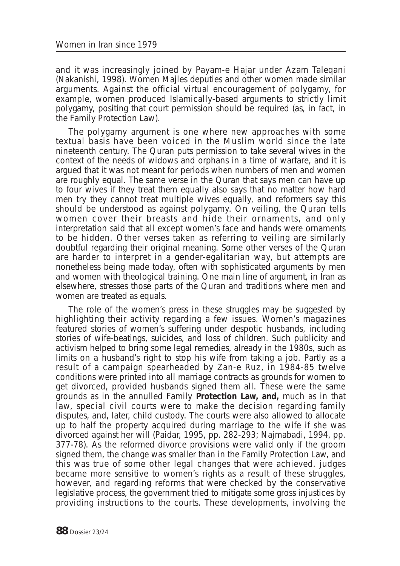and it was increasingly joined by *Payam-e Hajar* under Azam Taleqani (Nakanishi, 1998). Women Majles deputies and other women made similar arguments. Against the official virtual encouragement of polygamy, for example, women produced Islamically-based arguments to strictly limit polygamy, positing that court permission should be required (as, in fact, in the Family Protection Law).

The polygamy argument is one where new approaches with some textual basis have been voiced in the Muslim world since the late nineteenth century. The Quran puts permission to take several wives in the context of the needs of widows and orphans in a time of warfare, and it is argued that it was not meant for periods when numbers of men and women are roughly equal. The same verse in the Quran that says men can have up to four wives if they treat them equally also says that no matter how hard men try they cannot treat multiple wives equally, and reformers say this should be understood as against polygamy. On veiling, the Quran tells women cover their breasts and hide their ornaments, and only interpretation said that all except women's face and hands were ornaments to be hidden. Other verses taken as referring to veiling are similarly doubtful regarding their original meaning. Some other verses of the Quran are harder to interpret in a gender-egalitarian way, but attempts are nonetheless being made today, often with sophisticated arguments by men and women with theological training. One main line of argument, in Iran as elsewhere, stresses those parts of the Quran and traditions where men and women are treated as equals.

The role of the women's press in these struggles may be suggested by highlighting their activity regarding a few issues. Women's magazines featured stories of women's suffering under despotic husbands, including stories of wife-beatings, suicides, and loss of children. Such publicity and activism helped to bring some legal remedies, already in the 1980s, such as limits on a husband's right to stop his wife from taking a job. Partly as a result of a campaign spearheaded by *Zan-e Ruz,* in 1984-85 twelve conditions were printed into all marriage contracts as grounds for women to get divorced, provided husbands signed them all. These were the same grounds as in the annulled Family **Protection Law, and,** much as in that law, special civil courts were to make the decision regarding family disputes, and, later, child custody. The courts were also allowed to allocate up to half the property acquired during marriage to the wife if she was divorced against her will (Paidar, 1995, pp. 282-293; Najmabadi, 1994, pp. 377-78). As the reformed divorce provisions were valid only if the groom signed them, the change was smaller than in the Family Protection Law, and this was true of some other legal changes that were achieved. judges became more sensitive to women's rights as a result of these struggles, however, and regarding reforms that were checked by the conservative legislative process, the government tried to mitigate some gross injustices by providing instructions to the courts. These developments, involving the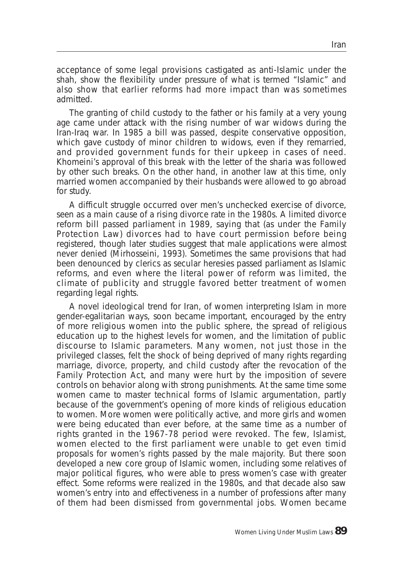acceptance of some legal provisions castigated as anti-Islamic under the shah, show the flexibility under pressure of what is termed "Islamic" and also show that earlier reforms had more impact than was sometimes admitted.

The granting of child custody to the father or his family at a very young age came under attack with the rising number of war widows during the Iran-Iraq war. In 1985 a bill was passed, despite conservative opposition, which gave custody of minor children to widows, even if they remarried, and provided government funds for their upkeep in cases of need. Khomeini's approval of this break with the letter of the sharia was followed by other such breaks. On the other hand, in another law at this time, only married women accompanied by their husbands were allowed to go abroad for study.

A difficult struggle occurred over men's unchecked exercise of divorce, seen as a main cause of a rising divorce rate in the 1980s. A limited divorce reform bill passed parliament in 1989, saying that (as under the Family Protection Law) divorces had to have court permission before being registered, though later studies suggest that male applications were almost never denied (Mirhosseini, 1993). Sometimes the same provisions that had been denounced by clerics as secular heresies passed parliament as Islamic reforms, and even where the literal power of reform was limited, the climate of publicity and struggle favored better treatment of women regarding legal rights.

A novel ideological trend for Iran, of women interpreting Islam in more gender-egalitarian ways, soon became important, encouraged by the entry of more religious women into the public sphere, the spread of religious education up to the highest levels for women, and the limitation of public discourse to Islamic parameters. Many women, not just those in the privileged classes, felt the shock of being deprived of many rights regarding marriage, divorce, property, and child custody after the revocation of the Family Protection Act, and many were hurt by the imposition of severe controls on behavior along with strong punishments. At the same time some women came to master technical forms of Islamic argumentation, partly because of the government's opening of more kinds of religious education to women. More women were politically active, and more girls and women were being educated than ever before, at the same time as a number of rights granted in the 1967-78 period were revoked. The few, Islamist, women elected to the first parliament were unable to get even timid proposals for women's rights passed by the male majority. But there soon developed a new core group of Islamic women, including some relatives of major political figures, who were able to press women's case with greater effect. Some reforms were realized in the 1980s, and that decade also saw women's entry into and effectiveness in a number of professions after many of them had been dismissed from governmental jobs. Women became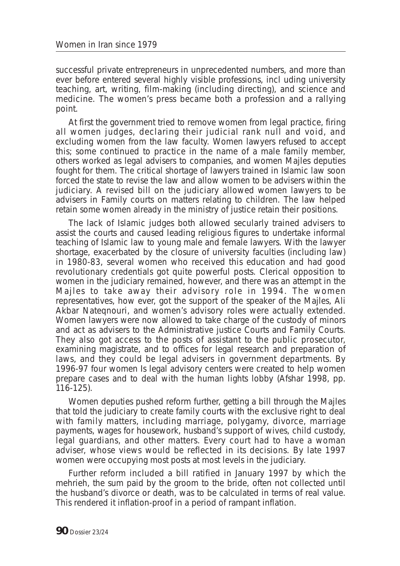successful private entrepreneurs in unprecedented numbers, and more than ever before entered several highly visible professions, incl uding university teaching, art, writing, film-making (including directing), and science and medicine. The women's press became both a profession and a rallying point.

At first the government tried to remove women from legal practice, firing all women judges, declaring their judicial rank null and void, and excluding women from the law faculty. Women lawyers refused to accept this; some continued to practice in the name of a male family member, others worked as legal advisers to companies, and women Majles deputies fought for them. The critical shortage of lawyers trained in Islamic law soon forced the state to revise the law and allow women to be advisers within the judiciary. A revised bill on the judiciary allowed women lawyers to be advisers in Family courts on matters relating to children. The law helped retain some women already in the ministry of justice retain their positions.

The lack of Islamic judges both allowed secularly trained advisers to assist the courts and caused leading religious figures to undertake informal teaching of Islamic law to young male and female lawyers. With the lawyer shortage, exacerbated by the closure of university faculties (including law) in 1980-83, several women who received this education and had good revolutionary credentials got quite powerful posts. Clerical opposition to women in the judiciary remained, however, and there was an attempt in the Majles to take away their advisory role in 1994. The women representatives, how ever, got the support of the speaker of the Majles, Ali Akbar Nateqnouri, and women's advisory roles were actually extended. Women lawyers were now allowed to take charge of the custody of minors and act as advisers to the Administrative justice Courts and Family Courts. They also got access to the posts of assistant to the public prosecutor, examining magistrate, and to offices for legal research and preparation of laws, and they could be legal advisers in government departments. By 1996-97 four women Is legal advisory centers were created to help women prepare cases and to deal with the human lights lobby (Afshar 1998, pp. 116-125).

Women deputies pushed reform further, getting a bill through the Majles that told the judiciary to create family courts with the exclusive right to deal with family matters, including marriage, polygamy, divorce, marriage payments, wages for housework, husband's support of wives, child custody, legal guardians, and other matters. Every court had to have a woman adviser, whose views would be reflected in its decisions. By late 1997 women were occupying most posts at most levels in the judiciary.

Further reform included a bill ratified in January 1997 by which the *mehrieh*, the sum paid by the groom to the bride, often not collected until the husband's divorce or death, was to be calculated in terms of real value. This rendered it inflation-proof in a period of rampant inflation.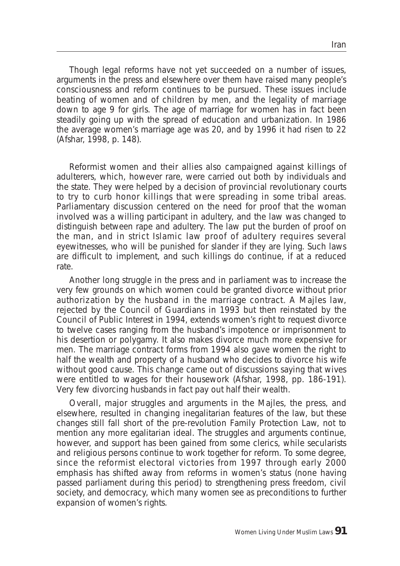Though legal reforms have not yet succeeded on a number of issues, arguments in the press and elsewhere over them have raised many people's consciousness and reform continues to be pursued. These issues include beating of women and of children by men, and the legality of marriage down to age 9 for girls. The age of marriage for women has in fact been steadily going up with the spread of education and urbanization. In 1986 the average women's marriage age was 20, and by 1996 it had risen to 22 (Afshar, 1998, p. 148).

Reformist women and their allies also campaigned against killings of adulterers, which, however rare, were carried out both by individuals and the state. They were helped by a decision of provincial revolutionary courts to try to curb honor killings that were spreading in some tribal areas. Parliamentary discussion centered on the need for proof that the woman involved was a willing participant in adultery, and the law was changed to distinguish between rape and adultery. The law put the burden of proof on the man, and in strict Islamic law proof of adultery requires several eyewitnesses, who will be punished for slander if they are lying. Such laws are difficult to implement, and such killings do continue, if at a reduced rate.

Another long struggle in the press and in parliament was to increase the very few grounds on which women could be granted divorce without prior authorization by the husband in the marriage contract. A Majles law, rejected by the Council of Guardians in 1993 but then reinstated by the Council of Public Interest in 1994, extends women's right to request divorce to twelve cases ranging from the husband's impotence or imprisonment to his desertion or polygamy. It also makes divorce much more expensive for men. The marriage contract forms from 1994 also gave women the right to half the wealth and property of a husband who decides to divorce his wife without good cause. This change came out of discussions saying that wives were entitled to wages for their housework (Afshar, 1998, pp. 186-191). Very few divorcing husbands in fact pay out half their wealth.

Overall, major struggles and arguments in the Majles, the press, and elsewhere, resulted in changing inegalitarian features of the law, but these changes still fall short of the pre-revolution Family Protection Law, not to mention any more egalitarian ideal. The struggles and arguments continue, however, and support has been gained from some clerics, while secularists and religious persons continue to work together for reform. To some degree, since the reformist electoral victories from 1997 through early 2000 emphasis has shifted away from reforms in women's status (none having passed parliament during this period) to strengthening press freedom, civil society, and democracy, which many women see as preconditions to further expansion of women's rights.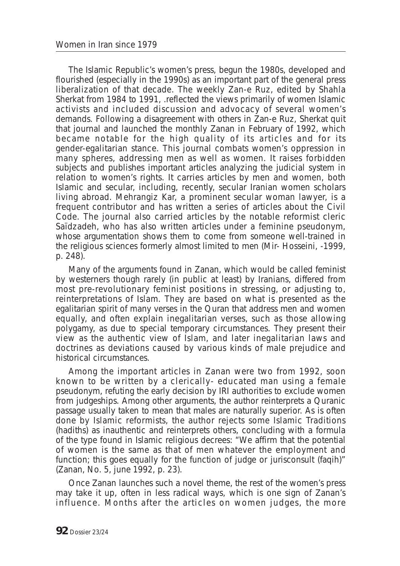The Islamic Republic's women's press, begun the 1980s, developed and flourished (especially in the 1990s) as an important part of the general press liberalization of that decade. The weekly *Zan-e Ruz,* edited by Shahla Sherkat from 1984 to 1991, .reflected the views primarily of women Islamic activists and included discussion and advocacy of several women's demands. Following a disagreement with others in *Zan-e Ruz,* Sherkat quit that journal and launched the monthly *Zanan* in February of 1992, which became notable for the high quality of its articles and for its gender-egalitarian stance. This journal combats women's oppression in many spheres, addressing men as well as women. It raises forbidden subjects and publishes important articles analyzing the judicial system in relation to women's rights. It carries articles by men and women, both Islamic and secular, including, recently, secular Iranian women scholars living abroad. Mehrangiz Kar, a prominent secular woman lawyer, is a frequent contributor and has written a series of articles about the Civil Code. The journal also carried articles by the notable reformist cleric Saïdzadeh, who has also written articles under a feminine pseudonym, whose argumentation shows them to come from someone well-trained in the religious sciences formerly almost limited to men (Mir- Hosseini, -1999, p. 248).

Many of the arguments found in *Zanan,* which would be called feminist by westerners though rarely (in public at least) by Iranians, differed from most pre-revolutionary feminist positions in stressing, or adjusting to, reinterpretations of Islam. They are based on what is presented as the egalitarian spirit of many verses in the Quran that address men and women equally, and often explain inegalitarian verses, such as those allowing polygamy, as due to special temporary circumstances. They present their view as the authentic view of Islam, and later inegalitarian laws and doctrines as deviations caused by various kinds of male prejudice and historical circumstances.

Among the important articles in *Zanan* were two from 1992, soon known to be written by a clerically- educated man using a female pseudonym, refuting the early decision by IRI authorities to exclude women from judgeships. Among other arguments, the author reinterprets a Quranic passage usually taken to mean that males are naturally superior. As is often done by Islamic reformists, the author rejects some Islamic Traditions *(hadiths)* as inauthentic and reinterprets others, concluding with a formula of the type found in Islamic religious decrees: "We affirm that the potential of women is the same as that of men whatever the employment and function; this goes equally for the function of judge or jurisconsult *(faqih)" (Zanan,* No. 5, june 1992, p. 23).

Once *Zanan* launches such a novel theme, the rest of the women's press may take it up, often in less radical ways, which is one sign of *Zanan's* influence. Months after the articles on women judges, the more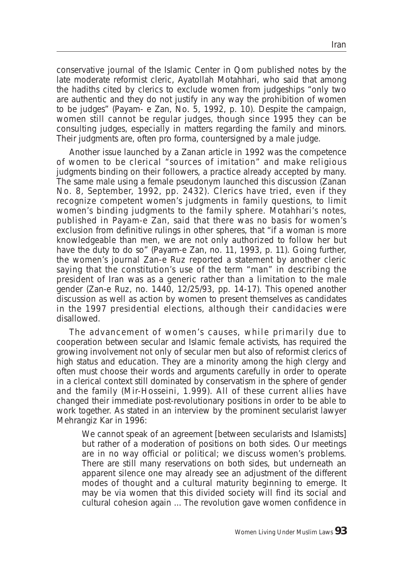conservative journal of the Islamic Center in Qom published notes by the late moderate reformist cleric, Ayatollah Motahhari, who said that among the *hadiths* cited by clerics to exclude women from judgeships "only two are authentic and they do not justify in any way the prohibition of women to be judges" *(Payam- e Zan, No.* 5, 1992, p. 10). Despite the campaign, women still cannot be regular judges, though since 1995 they can be consulting judges, especially in matters regarding the family and minors. Their judgments are, often pro forma, countersigned by a male judge.

Another issue launched by a *Zanan* article in 1992 was the competence of women to be clerical "sources of imitation" and make religious judgments binding on their followers, a practice already accepted by many. The same male using a female pseudonym launched this discussion *(Zanan* No. 8, September, 1992, pp. 2432). Clerics have tried, even if they recognize competent women's judgments in family questions, to limit women's binding judgments to the family sphere. Motahhari's notes, published in *Payam-e Zan,* said that there was no basis for women's exclusion from definitive rulings in other spheres, that "if a woman is more knowledgeable than men, we are not only authorized to follow her but have the duty to do so" *(Payam-e Zan,* no. 11, 1993, p. 11). Going further, the women's journal *Zan-e* Ruz reported a statement by another cleric saying that the constitution's use of the term "man" in describing the president of Iran was as a generic rather than a limitation to the male gender *(Zan-e* Ruz, no. 1440, 12/25/93, pp. 14-17). This opened another discussion as well as action by women to present themselves as candidates in the 1997 presidential elections, although their candidacies were disallowed.

The advancement of women's causes, while primarily due to cooperation between secular and Islamic female activists, has required the growing involvement not only of secular men but also of reformist clerics of high status and education. They are a minority among the high clergy and often must choose their words and arguments carefully in order to operate in a clerical context still dominated by conservatism in the sphere of gender and the family (Mir-Hosseini, 1.999). All of these current allies have changed their immediate post-revolutionary positions in order to be able to work together. As stated in an interview by the prominent secularist lawyer Mehrangiz Kar in 1996:

We cannot speak of an agreement [between secularists and Islamists] but rather of a moderation of positions on both sides. Our meetings are in no way official or political; we discuss women's problems. There are still many reservations on both sides, but underneath an apparent silence one may already see an adjustment of the different modes of thought and a cultural maturity beginning to emerge. It may be via women that this divided society will find its social and cultural cohesion again ... The revolution gave women confidence in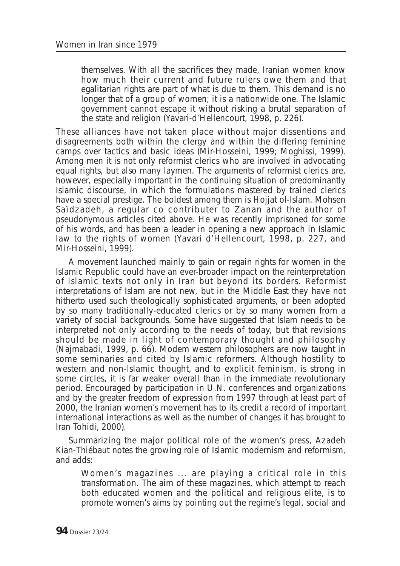themselves. With all the sacrifices they made, Iranian women know how much their current and future rulers owe them and that egalitarian rights are part of what is due to them. This demand is no longer that of a group of women; it is a nationwide one. The Islamic government cannot escape it without risking a brutal separation of the state and religion (Yavari-d'Hellencourt, 1998, p. 226).

These alliances have not taken place without major dissentions and disagreements both within the clergy and within the differing feminine camps over tactics and basic ideas (Mir-Hosseini, 1999; Moghissi, 1999). Among men it is not only reformist clerics who are involved in advocating equal rights, but also many laymen. The arguments of reformist clerics are, however, especially important in the continuing situation of predominantly Islamic discourse, in which the formulations mastered by trained clerics have a special prestige. The boldest among them is Hojjat ol-Islam. Mohsen Saïdzadeh, a regular co contributer to *Zanan* and the author of pseudonymous articles cited above. He was recently imprisoned for some of his words, and has been a leader in opening a new approach in Islamic law to the rights of women (Yavari d'Hellencourt, 1998, p. 227, and Mir-Hosseini, 1999).

A movement launched mainly to gain or regain rights for women in the Islamic Republic could have an ever-broader impact on the reinterpretation of Islamic texts not only in Iran but beyond its borders. Reformist interpretations of Islam are not new, but in the Middle East they have not hitherto used such theologically sophisticated arguments, or been adopted by so many traditionally-educated clerics or by so many women from a variety of social backgrounds. Some have suggested that Islam needs to be interpreted not only according to the needs of today, but that revisions should be made in light of contemporary thought and philosophy (Najmabadi, 1999, p. 66). Modem western philosophers are now taught in some seminaries and cited by Islamic reformers. Although hostility to western and non-Islamic thought, and to explicit feminism, is strong in some circles, it is far weaker overall than in the immediate revolutionary period. Encouraged by participation in U.N. conferences and organizations and by the greater freedom of expression from 1997 through at least part of 2000, the Iranian women's movement has to its credit a record of important international interactions as well as the number of changes it has brought to Iran Tohidi, 2000).

Summarizing the major political role of the women's press, Azadeh Kian-Thiébaut notes the growing role of Islamic modernism and reformism, and adds:

Women's magazines ... are playing a critical role in this transformation. The aim of these magazines, which attempt to reach both educated women and the political and religious elite, is to promote women's aims by pointing out the regime's legal, social and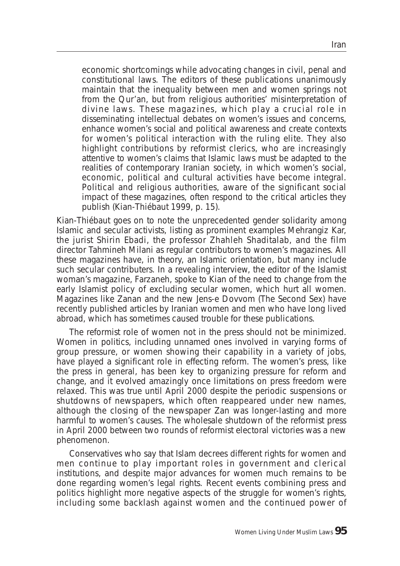economic shortcomings while advocating changes in civil, penal and constitutional laws. The editors of these publications unanimously maintain that the inequality between men and women springs not from the Qur'an, but from religious authorities' misinterpretation of divine laws. These magazines, which play a crucial role in disseminating intellectual debates on women's issues and concerns, enhance women's social and political awareness and create contexts for women's political interaction with the ruling elite. They also highlight contributions by reformist clerics, who are increasingly attentive to women's claims that Islamic laws must be adapted to the realities of contemporary Iranian society, in which women's social, economic, political and cultural activities have become integral. Political and religious authorities, aware of the significant social impact of these magazines, often respond to the critical articles they publish (Kian-Thiébaut 1999, p. 15).

Kian-Thiébaut goes on to note the unprecedented gender solidarity among Islamic and secular activists, listing as prominent examples Mehrangiz Kar, the jurist Shirin Ebadi, the professor Zhahleh Shaditalab, and the film director Tahmineh Milani as regular contributors to women's magazines. All these magazines have, in theory, an Islamic orientation, but many include such secular contributers. In a revealing interview, the editor of the Islamist woman's magazine, *Farzaneh,* spoke to Kian of the need to change from the early Islamist policy of excluding secular women, which hurt all women. Magazines like *Zanan* and the new *Jens-e Dovvom (The Second Sex)* have recently published articles by Iranian women and men who have long lived abroad, which has sometimes caused trouble for these publications.

The reformist role of women not in the press should not be minimized. Women in politics, including unnamed ones involved in varying forms of group pressure, or women showing their capability in a variety of jobs, have played a significant role in effecting reform. The women's press, like the press in general, has been key to organizing pressure for reform and change, and it evolved amazingly once limitations on press freedom were relaxed. This was true until April 2000 despite the periodic suspensions or shutdowns of newspapers, which often reappeared under new names, although the closing of the newspaper *Zan* was longer-lasting and more harmful to women's causes. The wholesale shutdown of the reformist press in April 2000 between two rounds of reformist electoral victories was a new phenomenon.

Conservatives who say that Islam decrees different rights for women and men continue to play important roles in government and clerical institutions, and despite major advances for women much remains to be done regarding women's legal rights. Recent events combining press and politics highlight more negative aspects of the struggle for women's rights, including some backlash against women and the continued power of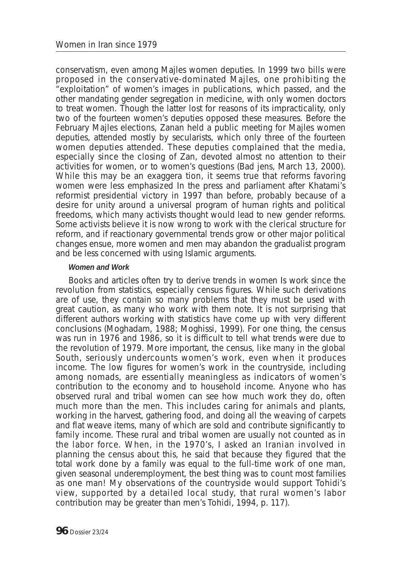conservatism, even among Majles women deputies. In 1999 two bills were proposed in the conservative-dominated Majles, one prohibiting the "exploitation" of women's images in publications, which passed, and the other mandating gender segregation in medicine, with only women doctors to treat women. Though the latter lost for reasons of its impracticality, only two of the fourteen women's deputies opposed these measures. Before the February Majles elections, *Zanan* held a public meeting for Majles women deputies, attended mostly by secularists, which only three of the fourteen women deputies attended. These deputies complained that the media, especially since the closing of *Zan,* devoted almost no attention to their activities for women, or to women's questions *(Bad jens,* March 13, 2000). While this may be an exaggera tion, it seems true that reforms favoring women were less emphasized In the press and parliament after Khatami's reformist presidential victory in 1997 than before, probably because of a desire for unity around a universal program of human rights and political freedoms, which many activists thought would lead to new gender reforms. Some activists believe it is now wrong to work with the clerical structure for reform, and if reactionary governmental trends grow or other major political changes ensue, more women and men may abandon the gradualist program and be less concerned with using Islamic arguments.

#### **Women and Work**

Books and articles often try to derive trends in women Is work since the revolution from statistics, especially census figures. While such derivations are of use, they contain so many problems that they must be used with great caution, as many who work with them note. It is not surprising that different authors working with statistics have come up with very different conclusions (Moghadam, 1988; Moghissi, 1999). For one thing, the census was run in 1976 and 1986, so it is difficult to tell what trends were due to the revolution of 1979. More important, the census, like many in the global South, seriously undercounts women's work, even when it produces income. The low figures for women's work in the countryside, including among nomads, are essentially meaningless as indicators of women's contribution to the economy and to household income. Anyone who has observed rural and tribal women can see how much work they do, often much more than the men. This includes caring for animals and plants, working in the harvest, gathering food, and doing all the weaving of carpets and flat weave items, many of which are sold and contribute significantly to family income. These rural and tribal women are usually not counted as in the labor force. When, in the 1970's, I asked an Iranian involved in planning the census about this, he said that because they figured that the total work done by a family was equal to the full-time work of one man, given seasonal underemployment, the best thing was to count most families as one man! My observations of the countryside would support Tohidi's view, supported by a detailed local study, that rural women's labor contribution may be greater than men's Tohidi, 1994, p. 117).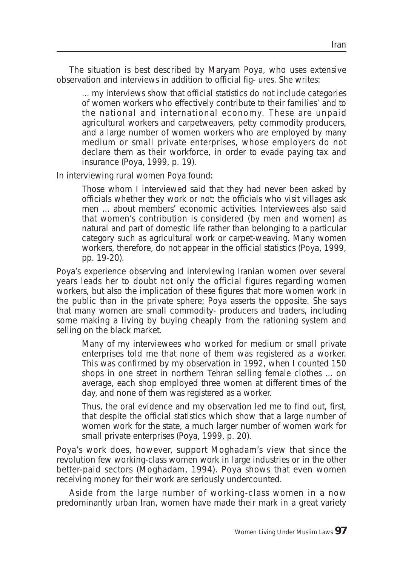The situation is best described by Maryam Poya, who uses extensive observation and interviews in addition to official fig- ures. She writes:

... my interviews show that official statistics do not include categories of women workers who effectively contribute to their families' and to the national and international economy. These are unpaid agricultural workers and carpetweavers, petty commodity producers, and a large number of women workers who are employed by many medium or small private enterprises, whose employers do not declare them as their workforce, in order to evade paying tax and insurance (Poya, 1999, p. 19).

In interviewing rural women Poya found:

Those whom I interviewed said that they had never been asked by officials whether they work or not: the officials who visit villages ask men ... about members' economic activities. Interviewees also said that women's contribution is considered (by men and women) as natural and part of domestic life rather than belonging to a particular category such as agricultural work or carpet-weaving. Many women workers, therefore, do not appear in the official statistics (Poya, 1999, pp. 19-20).

Poya's experience observing and interviewing Iranian women over several years leads her to doubt not only the official figures regarding women workers, but also the implication of these figures that more women work in the public than in the private sphere; Poya asserts the opposite. She says that many women are small commodity- producers and traders, including some making a living by buying cheaply from the rationing system and selling on the black market.

Many of my interviewees who worked for medium or small private enterprises told me that none of them was registered as a worker. This was confirmed by my observation in 1992, when I counted 150 shops in one street in northern Tehran selling female clothes ... on average, each shop employed three women at different times of the day, and none of them was registered as a worker.

Thus, the oral evidence and my observation led me to find out, first, that despite the official statistics which show that a large number of women work for the state, a much larger number of women work for small private enterprises (Poya, 1999, p. 20).

Poya's work does, however, support Moghadam's view that since the revolution few working-class women work in large industries or in the other better-paid sectors (Moghadam, 1994). Poya shows that even women receiving money for their work are seriously undercounted.

Aside from the large number of working-class women in a now predominantly urban Iran, women have made their mark in a great variety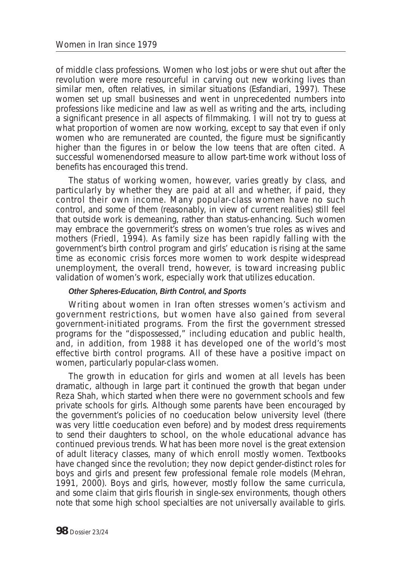of middle class professions. Women who lost jobs or were shut out after the revolution were more resourceful in carving out new working lives than similar men, often relatives, in similar situations (Esfandiari, 1997). These women set up small businesses and went in unprecedented numbers into professions like medicine and law as well as writing and the arts, including a significant presence in all aspects of filmmaking. I will not try to guess at what proportion of women are now working, except to say that even if only women who are remunerated are counted, the figure must be significantly higher than the figures in or below the low teens that are often cited. A successful womenendorsed measure to allow part-time work without loss of benefits has encouraged this trend.

The status of working women, however, varies greatly by class, and particularly by whether they are paid at all and whether, if paid, they control their own income. Many popular-class women have no such control, and some of them (reasonably, in view of current realities) still feel that outside work is demeaning, rather than status-enhancing. Such women may embrace the governmerit's stress on women's true roles as wives and mothers (Friedl, 1994). As family size has been rapidly falling with the government's birth control program and girls' education is rising at the same time as economic crisis forces more women to work despite widespread unemployment, the overall trend, however, is toward increasing public validation of women's work, especially work that utilizes education.

#### **Other Spheres-Education, Birth Control, and Sports**

Writing about women in Iran often stresses women's activism and government restrictions, but women have also gained from several government-initiated programs. From the first the government stressed programs for the "dispossessed," including education and public health, and, in addition, from 1988 it has developed one of the world's most effective birth control programs. All of these have a positive impact on women, particularly popular-class women.

The growth in education for girls and women at all levels has been dramatic, although in large part it continued the growth that began under Reza Shah, which started when there were no government schools and few private schools for girls. Although some parents have been encouraged by the government's policies of no coeducation below university level (there was very little coeducation even before) and by modest dress requirements to send their daughters to school, on the whole educational advance has continued previous trends. What has been more novel is the great extension of adult literacy classes, many of which enroll mostly women. Textbooks have changed since the revolution; they now depict gender-distinct roles for boys and girls and present few professional female role models (Mehran, 1991, 2000). Boys and girls, however, mostly follow the same curricula, and some claim that girls flourish in single-sex environments, though others note that some high school specialties are not universally available to girls.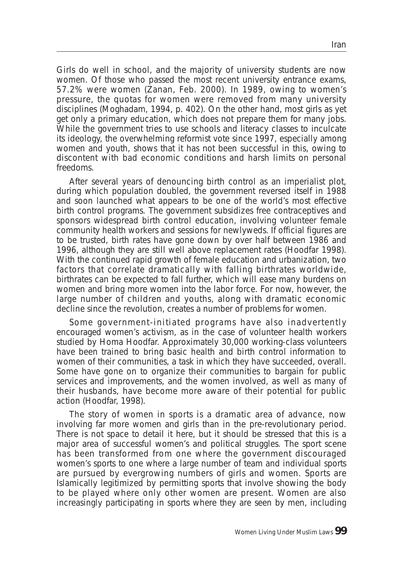Girls do well in school, and the majority of university students are now women. Of those who passed the most recent university entrance exams, 57.2% were women *(Zanan,* Feb. 2000). In 1989, owing to women's pressure, the quotas for women were removed from many university disciplines (Moghadam, 1994, p. 402). On the other hand, most girls as yet get only a primary education, which does not prepare them for many jobs. While the government tries to use schools and literacy classes to inculcate its ideology, the overwhelming reformist vote since 1997, especially among women and youth, shows that it has not been successful in this, owing to discontent with bad economic conditions and harsh limits on personal freedoms.

After several years of denouncing birth control as an imperialist plot, during which population doubled, the government reversed itself in 1988 and soon launched what appears to be one of the world's most effective birth control programs. The government subsidizes free contraceptives and sponsors widespread birth control education, involving volunteer female community health workers and sessions for newlyweds. If official figures are to be trusted, birth rates have gone down by over half between 1986 and 1996, although they are still well above replacement rates (Hoodfar 1998). With the continued rapid growth of female education and urbanization, two factors that correlate dramatically with falling birthrates worldwide, birthrates can be expected to fall further, which will ease many burdens on women and bring more women into the labor force. For now, however, the large number of children and youths, along with dramatic economic decline since the revolution, creates a number of problems for women.

Some government-initiated programs have also inadvertently encouraged women's activism, as in the case of volunteer health workers studied by Homa Hoodfar. Approximately 30,000 working-class volunteers have been trained to bring basic health and birth control information to women of their communities, a task in which they have succeeded, overall. Some have gone on to organize their communities to bargain for public services and improvements, and the women involved, as well as many of their husbands, have become more aware of their potential for public action (Hoodfar, 1998).

The story of women in sports is a dramatic area of advance, now involving far more women and girls than in the pre-revolutionary period. There is not space to detail it here, but it should be stressed that this is a major area of successful women's and political struggles. The sport scene has been transformed from one where the government discouraged women's sports to one where a large number of team and individual sports are pursued by evergrowing numbers of girls and women. Sports are Islamically legitimized by permitting sports that involve showing the body to be played where only other women are present. Women are also increasingly participating in sports where they are seen by men, including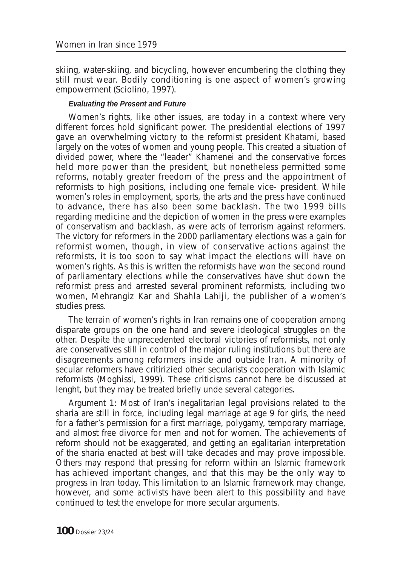skiing, water-skiing, and bicycling, however encumbering the clothing they still must wear. Bodily conditioning is one aspect of women's growing empowerment (Sciolino, 1997).

## **Evaluating the Present and Future**

Women's rights, like other issues, are today in a context where very different forces hold significant power. The presidential elections of 1997 gave an overwhelming victory to the reformist president Khatami, based largely on the votes of women and young people. This created a situation of divided power, where the "leader" Khamenei and the conservative forces held more power than the president, but nonetheless permitted some reforms, notably greater freedom of the press and the appointment of reformists to high positions, including one female vice- president. While women's roles in employment, sports, the arts and the press have continued to advance, there has also been some backlash. The two 1999 bills regarding medicine and the depiction of women in the press were examples of conservatism and backlash, as were acts of terrorism against reformers. The victory for reformers in the 2000 parliamentary elections was a gain for reformist women, though, in view of conservative actions against the reformists, it is too soon to say what impact the elections will have on women's rights. As this is written the reformists have won the second round of parliamentary elections while the conservatives have shut down the reformist press and arrested several prominent reformists, including two women, Mehrangiz Kar and Shahla Lahiji, the publisher of a women's studies press.

The terrain of women's rights in Iran remains one of cooperation among disparate groups on the one hand and severe ideological struggles on the other. Despite the unprecedented electoral victories of reformists, not only are conservatives still in control of the major ruling institutions but there are disagreements among reformers inside and outside Iran. A minority of secular reformers have critirizied other secularists cooperation with Islamic reformists (Moghissi, 1999). These criticisms cannot here be discussed at lenght, but they may be treated briefly unde several categories.

*Argument 1:* Most of Iran's inegalitarian legal provisions related to the sharia are still in force, including legal marriage at age 9 for girls, the need for a father's permission for a first marriage, polygamy, temporary marriage, and almost free divorce for men and not for women. The achievements of reform should not be exaggerated, and getting an egalitarian interpretation of the sharia enacted at best will take decades and may prove impossible. Others may respond that pressing for reform within an Islamic framework has achieved important changes, and that this may be the only way to progress in Iran today. This limitation to an Islamic framework may change, however, and some activists have been alert to this possibility and have continued to test the envelope for more secular arguments.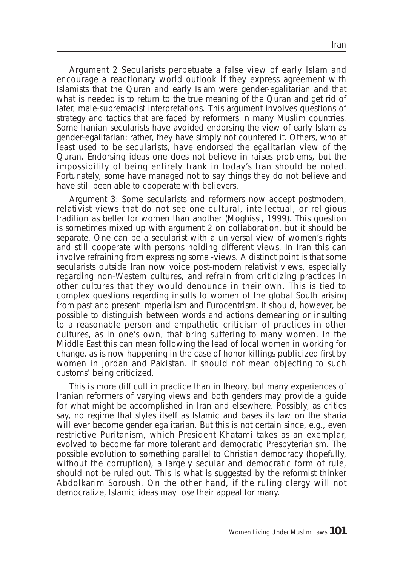*Argument 2* Secularists perpetuate a false view of early Islam and encourage a reactionary world outlook if they express agreement with Islamists that the Quran and early Islam were gender-egalitarian and that what is needed is to return to the true meaning of the Quran and get rid of later, male-supremacist interpretations. This argument involves questions of strategy and tactics that are faced by reformers in many Muslim countries. Some Iranian secularists have avoided endorsing the view of early Islam as gender-egalitarian; rather, they have simply not countered it. Others, who at least used to be secularists, have endorsed the egalitarian view of the Quran. Endorsing ideas one does not believe in raises problems, but the impossibility of being entirely frank in today's Iran should be noted. Fortunately, some have managed not to say things they do not believe and have still been able to cooperate with believers.

*Argument* 3: Some secularists and reformers now accept postmodem, relativist views that do not see one cultural, intellectual, or religious tradition as better for women than another (Moghissi, 1999). This question is sometimes mixed up with argument 2 on collaboration, but it should be separate. One can be a secularist with a universal view of women's rights and still cooperate with persons holding different views. In Iran this can involve refraining from expressing some -views. A distinct point is that some secularists outside Iran now voice post-modem relativist views, especially regarding non-Westem cultures, and refrain from criticizing practices in other cultures that they would denounce in their own. This is tied to complex questions regarding insults to women of the global South arising from past and present imperialism and Eurocentrism. It should, however, be possible to distinguish between words and actions demeaning or insulting to a reasonable person and empathetic criticism of practices in other cultures, as in one's own, that bring suffering to many women. In the Middle East this can mean following the lead of local women in working for change, as is now happening in the case of honor killings publicized first by women in Jordan and Pakistan. It should not mean objecting to such customs' being criticized.

This is more difficult in practice than in theory, but many experiences of Iranian reformers of varying views and both genders may provide a guide for what might be accomplished in Iran and elsewhere. Possibly, as critics say, no regime that styles itself as Islamic and bases its law on the sharia will ever become gender egalitarian. But this is not certain since, e.g., even restrictive Puritanism, which President Khatami takes as an exemplar, evolved to become far more tolerant and democratic Presbyterianism. The possible evolution to something parallel to Christian democracy (hopefully, without the corruption), a largely secular and democratic form of rule, should not be ruled out. This is what is suggested by the reformist thinker Abdolkarim Soroush. On the other hand, if the ruling clergy will not democratize, Islamic ideas may lose their appeal for many.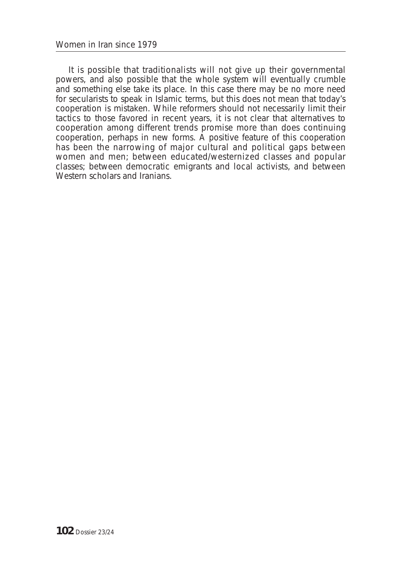It is possible that traditionalists will not give up their governmental powers, and also possible that the whole system will eventually crumble and something else take its place. In this case there may be no more need for secularists to speak in Islamic terms, but this does not mean that today's cooperation is mistaken. While reformers should not necessarily limit their tactics to those favored in recent years, it is not clear that alternatives to cooperation among different trends promise more than does continuing cooperation, perhaps in new forms. A positive feature of this cooperation has been the narrowing of major cultural and political gaps between women and men; between educated/westernized classes and popular classes; between democratic emigrants and local activists, and between Western scholars and Iranians.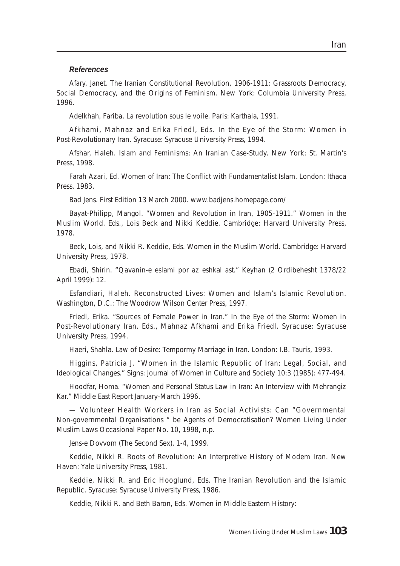#### **References**

Afary, Janet. *The Iranian Constitutional Revolution, 1906-1911: Grassroots Democracy, Social Democracy, and the Origins of Feminism.* New York: Columbia University Press, 1996.

Adelkhah, Fariba. *La revolution sous le voile.* Paris: Karthala, 1991.

Afkhami, Mahnaz and Erika Friedl, Eds. *In the Eye of the Storm: Women in Post-Revolutionary Iran.* Syracuse: Syracuse University Press, 1994.

Afshar, Haleh. *Islam and Feminisms: An Iranian Case-Study.* New York: St. Martin's Press, 1998.

Farah Azari, Ed. *Women of Iran: The Conflict with Fundamentalist Islam.* London: Ithaca Press, 1983.

*Bad Jens.* First Edition 13 March 2000. www.badjens.homepage.com/

Bayat-Philipp, Mangol. "Women and Revolution in Iran, 1905-1911." *Women in the Muslim World.* Eds., Lois Beck and Nikki Keddie. Cambridge: Harvard University Press, 1978.

Beck, Lois, and Nikki R. Keddie, Eds. *Women in the Muslim World.* Cambridge: Harvard University Press, 1978.

Ebadi, Shirin. *"Qavanin-e eslami por az eshkal ast." Keyhan (2 Ordibehesht* 1378/22 April 1999): 12.

Esfandiari, Haleh. *Reconstructed Lives: Women and Islam's Islamic Revolution.* Washington, D.C.: The Woodrow Wilson Center Press, 1997.

Friedl, Erika. "Sources of Female Power in Iran." *In the Eye of the Storm: Women in Post-Revolutionary Iran.* Eds., Mahnaz Afkhami and Erika Friedl. Syracuse: Syracuse University Press, 1994.

Haeri, Shahla. *Law of Desire: Tempormy Marriage in Iran.* London: I.B. Tauris, 1993.

Higgins, Patricia J. "Women in the Islamic Republic of Iran: Legal, Social, and Ideological Changes." *Signs: Journal of Women in Culture and Society* 10:3 (1985): 477-494.

Hoodfar, Homa. "Women and Personal Status Law in Iran: An Interview with Mehrangiz Kar." *Middle East Report* January-March 1996.

*— Volunteer Health Workers in Iran as Social Activists: Can "Governmental Non-governmental Organisations " be Agents of Democratisation?* Women Living Under Muslim Laws Occasional Paper No. 10, 1998, n.p.

*Jens-e Dovvom (The Second Sex),* 1-4, 1999.

Keddie, Nikki R. *Roots of Revolution: An Interpretive History of Modem Iran.* New Haven: Yale University Press, 1981.

Keddie, Nikki R. and Eric Hooglund, Eds. *The Iranian Revolution and the Islamic Republic.* Syracuse: Syracuse University Press, 1986.

Keddie, Nikki R. and Beth Baron, Eds. *Women in Middle Eastern History:*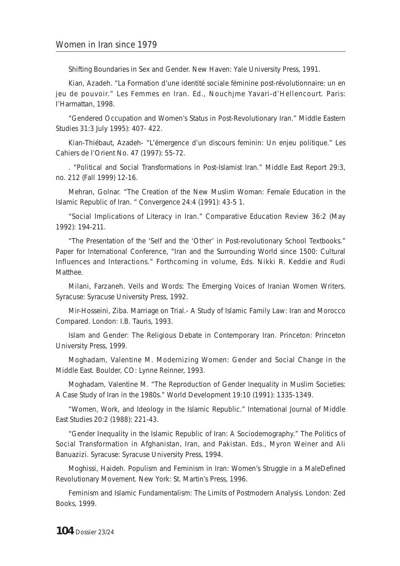*Shifting Boundaries in Sex and Gender.* New Haven: Yale University Press, 1991.

Kian, Azadeh. "La Formation d'une identité sociale féminine post-révolutionnaire: un en jeu de pouvoir." *Les Femmes en Iran.* Ed., Nouchjme Yavari-d'Hellencourt. Paris: I'Harmattan, 1998.

"Gendered Occupation and Women's Status in Post-Revolutionary Iran." *Middle Eastern Studies* 31:3 July 1995): 407- 422.

Kian-Thiébaut, Azadeh- "L'émergence d'un discours feminin: Un enjeu politique." *Les Cahiers de l'Orient* No. 47 (1997): 55-72.

. "Political and Social Transformations in Post-Islamist Iran." *Middle East Report* 29:3, no. 212 (Fall 1999) 12-16.

Mehran, Golnar. "The Creation of the New Muslim Woman: Female Education in the Islamic Republic of Iran. " Convergence 24:4 (1991): 43-5 1.

"Social Implications of Literacy in Iran." *Comparative Education Review* 36:2 (May 1992): 194-211.

"The Presentation of the 'Self and the 'Other' in Post-revolutionary School Textbooks." Paper for International Conference, "Iran and the Surrounding World since 1500: Cultural Influences and Interactions." Forthcoming in volume, Eds. Nikki R. Keddie and Rudi Matthee.

Milani, Farzaneh. *Veils and Words: The Emerging Voices of Iranian Women Writers.* Syracuse: Syracuse University Press, 1992.

Mir-Hosseini, Ziba. *Marriage on Trial.- A Study of Islamic Family Law: Iran and Morocco Compared.* London: I.B. Tauris, 1993.

*Islam and Gender: The Religious Debate in Contemporary Iran. Princeton: Princeton* University Press, 1999.

Moghadam, Valentine M. *Modernizing Women: Gender and Social Change in the Middle East.* Boulder, CO: Lynne Reinner, 1993.

Moghadam, Valentine M. "The Reproduction of Gender Inequality in Muslim Societies: A Case Study of Iran in the 1980s." *World Development* 19:10 (1991): 1335-1349.

"Women, Work, and Ideology in the Islamic Republic." *International Journal of Middle East Studies* 20:2 (1988): 221-43.

"Gender Inequality in the Islamic Republic of Iran: A Sociodemography." *The Politics of Social Transformation in Afghanistan, Iran, and Pakistan.* Eds., Myron Weiner and Ali Banuazizi. Syracuse: Syracuse University Press, 1994.

Moghissi, Haideh. *Populism and Feminism in Iran: Women's Struggle in a MaleDefined Revolutionary Movement.* New York: St. Martin's Press, 1996.

*Feminism and Islamic Fundamentalism: The Limits of Postmodern Analysis.* London: Zed Books, 1999.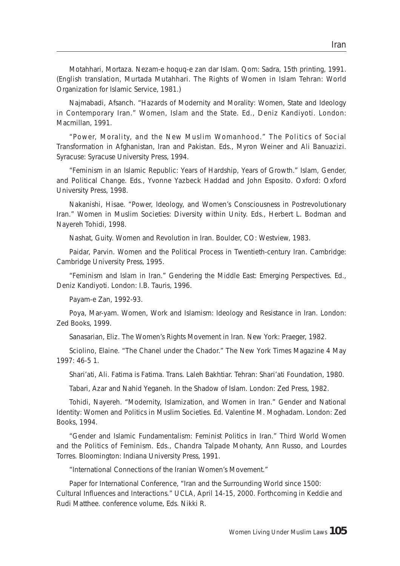Motahhari, Mortaza. *Nezam-e hoquq-e zan dar Islam.* Qom: Sadra, 15th printing, 1991. (English translation, Murtada Mutahhari. *The Rights of Women in Islam* Tehran: World Organization for Islamic Service, 1981.)

Najmabadi, Afsanch. "Hazards of Modernity and Morality: Women, State and Ideology in Contemporary Iran." *Women, Islam and the State.* Ed., Deniz Kandiyoti. London: Macmillan, 1991.

"Power, Morality, and the New Muslim Womanhood." *The Politics of Social Transformation in Afghanistan, Iran and Pakistan.* Eds., Myron Weiner and Ali Banuazizi. Syracuse: Syracuse University Press, 1994.

"Feminism in an Islamic Republic: Years of Hardship, Years of Growth." *Islam, Gender, and Political Change.* Eds., Yvonne Yazbeck Haddad and John Esposito. Oxford: Oxford University Press, 1998.

Nakanishi, Hisae. "Power, Ideology, and Women's Consciousness in Postrevolutionary Iran." *Women in Muslim Societies: Diversity within Unity.* Eds., Herbert L. Bodman and Nayereh Tohidi, 1998.

Nashat, Guity. *Women and Revolution in Iran.* Boulder, CO: Westview, 1983.

Paidar, Parvin. *Women and the Political Process in Twentieth-century Iran.* Cambridge: Cambridge University Press, 1995.

"Feminism and Islam in Iran." *Gendering the Middle East: Emerging Perspectives.* Ed., Deniz Kandiyoti. London: I.B. Tauris, 1996.

*Payam-e Zan,* 1992-93.

Poya, Mar-yam. *Women, Work and Islamism: Ideology and Resistance in Iran. London:* Zed Books, 1999.

Sanasarian, Eliz. *The Women's Rights Movement in Iran.* New York: Praeger, 1982.

Sciolino, Elaine. "The Chanel under the Chador." *The New York Times Magazine 4* May 1997: 46-5 1.

Shari'ati, Ali. *Fatima is Fatima.* Trans. Laleh Bakhtiar. Tehran: Shari'ati Foundation, 1980.

Tabari, Azar and Nahid Yeganeh. *In the Shadow of Islam.* London: Zed Press, 1982.

Tohidi, Nayereh. "Modernity, Islamization, and Women in Iran." *Gender and National Identity: Women and Politics in Muslim Societies.* Ed. Valentine M. Moghadam. London: Zed Books, 1994.

"Gender and Islamic Fundamentalism: Feminist Politics in Iran." *Third World Women and the Politics of Feminism.* Eds., Chandra Talpade Mohanty, Ann Russo, and Lourdes Torres. Bloomington: Indiana University Press, 1991.

"International Connections of the Iranian Women's Movement."

Paper for International Conference, "Iran and the Surrounding World since 1500: Cultural Influences and Interactions." UCLA, April 14-15, 2000. Forthcoming in Keddie and Rudi Matthee. conference volume, Eds. Nikki R.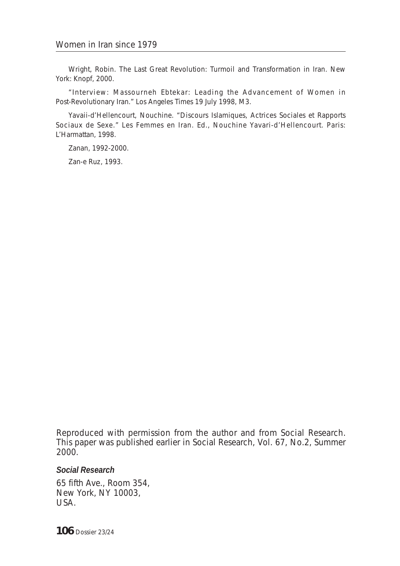Wright, Robin. *The Last Great Revolution: Turmoil and Transformation in Iran.* New York: Knopf, 2000.

"Interview: Massourneh Ebtekar: Leading the Advancement of Women in Post-Revolutionary Iran." *Los Angeles Times* 19 July 1998, M3.

Yavaii-d'Hellencourt, Nouchine. "Discours Islamiques, Actrices Sociales et Rapports Sociaux de Sexe." *Les Femmes en Iran.* Ed., Nouchine Yavari-d'Hellencourt. Paris: L'Harmattan, 1998.

*Zanan,* 1992-2000.

*Zan-e Ruz,* 1993.

Reproduced with permission from the author and from Social Research. This paper was published earlier in Social Research, Vol. 67, No.2, Summer 2000.

#### **Social Research**

65 fifth Ave., Room 354, New York, NY 10003, USA.

**106** Dossier 23/24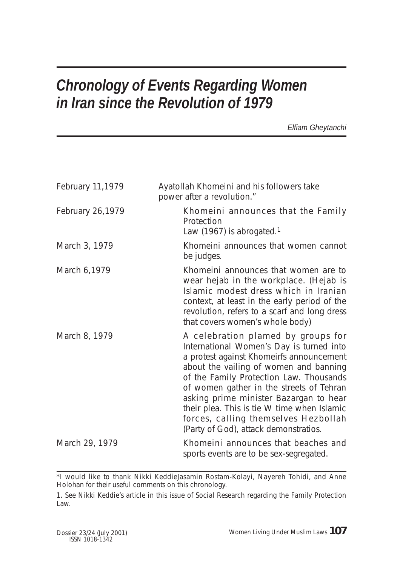# **Chronology of Events Regarding Women in Iran since the Revolution of 1979**

Elfiam Gheytanchi

| February 11, 1979 | Ayatollah Khomeini and his followers take<br>power after a revolution."                                                                                                                                                                                                                                                                                                                                                               |
|-------------------|---------------------------------------------------------------------------------------------------------------------------------------------------------------------------------------------------------------------------------------------------------------------------------------------------------------------------------------------------------------------------------------------------------------------------------------|
| February 26,1979  | Khomeini announces that the Family<br>Protection<br>Law (1967) is abrogated. <sup>1</sup>                                                                                                                                                                                                                                                                                                                                             |
| March 3, 1979     | Khomeini announces that women cannot<br>be judges.                                                                                                                                                                                                                                                                                                                                                                                    |
| March 6,1979      | Khomeini announces that women are to<br>wear hejab in the workplace. (Hejab is<br>Islamic modest dress which in Iranian<br>context, at least in the early period of the<br>revolution, refers to a scarf and long dress<br>that covers women's whole body)                                                                                                                                                                            |
| March 8, 1979     | A celebration plamed by groups for<br>International Women's Day is turned into<br>a protest against Khomeirfs announcement<br>about the vailing of women and banning<br>of the Family Protection Law. Thousands<br>of women gather in the streets of Tehran<br>asking prime minister Bazargan to hear<br>their plea. This is tie W time when Islamic<br>forces, calling themselves Hezbollah<br>(Party of God), attack demonstratios. |
| March 29, 1979    | Khomeini announces that beaches and<br>sports events are to be sex-segregated.                                                                                                                                                                                                                                                                                                                                                        |

\*I would like to thank Nikki KeddieJasamin Rostam-Kolayi, Nayereh Tohidi, and Anne Holohan for their useful comments on this chronology.

1. See Nikki Keddie's article in this issue of Social Research regarding the Family Protection Law.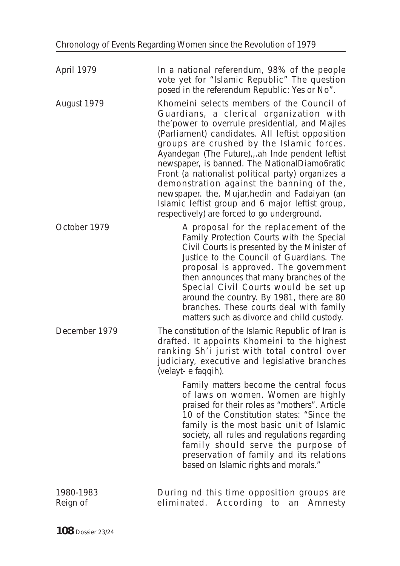| April 1979            | In a national referendum, 98% of the people<br>vote yet for "Islamic Republic" The question<br>posed in the referendum Republic: Yes or No".                                                                                                                                                                                                                                                                                                                                                                                                                                                      |
|-----------------------|---------------------------------------------------------------------------------------------------------------------------------------------------------------------------------------------------------------------------------------------------------------------------------------------------------------------------------------------------------------------------------------------------------------------------------------------------------------------------------------------------------------------------------------------------------------------------------------------------|
| August 1979           | Khomeini selects members of the Council of<br>Guardians, a clerical organization with<br>the'power to overrule presidential, and Majles<br>(Parliament) candidates. All leftist opposition<br>groups are crushed by the Islamic forces.<br>Ayandegan (The Future), ah Inde pendent leftist<br>newspaper, is banned. The NationalDiamo6ratic<br>Front (a nationalist political party) organizes a<br>demonstration against the banning of the,<br>newspaper. the, Mujar, hedin and Fadaiyan (an<br>Islamic leftist group and 6 major leftist group,<br>respectively) are forced to go underground. |
| October 1979          | A proposal for the replacement of the<br>Family Protection Courts with the Special<br>Civil Courts is presented by the Minister of<br>Justice to the Council of Guardians. The<br>proposal is approved. The government<br>then announces that many branches of the<br>Special Civil Courts would be set up<br>around the country. By 1981, there are 80<br>branches. These courts deal with family<br>matters such as divorce and child custody.                                                                                                                                                  |
| December 1979         | The constitution of the Islamic Republic of Iran is<br>drafted. It appoints Khomeini to the highest<br>ranking Sh'i jurist with total control over<br>judiciary, executive and legislative branches<br>(velayt- e faqqih).                                                                                                                                                                                                                                                                                                                                                                        |
|                       | Family matters become the central focus<br>of laws on women. Women are highly<br>praised for their roles as "mothers". Article<br>10 of the Constitution states: "Since the<br>family is the most basic unit of Islamic<br>society, all rules and regulations regarding<br>family should serve the purpose of<br>preservation of family and its relations<br>based on Islamic rights and morals."                                                                                                                                                                                                 |
| 1980-1983<br>Reign of | During nd this time opposition groups are<br>eliminated. According to an Amnesty                                                                                                                                                                                                                                                                                                                                                                                                                                                                                                                  |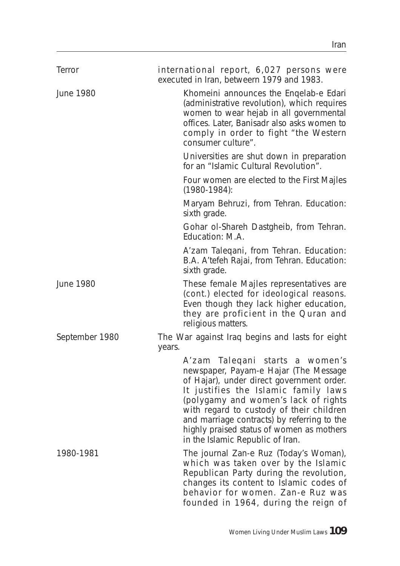| Terror           | international report, 6,027 persons were<br>executed in Iran, betweern 1979 and 1983.                                                                                                                                                                                                                                                                                             |
|------------------|-----------------------------------------------------------------------------------------------------------------------------------------------------------------------------------------------------------------------------------------------------------------------------------------------------------------------------------------------------------------------------------|
| <b>June 1980</b> | Khomeini announces the <i>Enqelab-e Edari</i><br>(administrative revolution), which requires<br>women to wear <i>hejab</i> in all governmental<br>offices. Later, Banisadr also asks women to<br>comply in order to fight "the Western<br>consumer culture".                                                                                                                      |
|                  | Universities are shut down in preparation<br>for an "Islamic Cultural Revolution".                                                                                                                                                                                                                                                                                                |
|                  | Four women are elected to the First Majles<br>$(1980 - 1984)$ :                                                                                                                                                                                                                                                                                                                   |
|                  | Maryam Behruzi, from Tehran. Education:<br>sixth grade.                                                                                                                                                                                                                                                                                                                           |
|                  | Gohar ol-Shareh Dastgheib, from Tehran.<br>Education: M.A.                                                                                                                                                                                                                                                                                                                        |
|                  | A'zam Talegani, from Tehran. Education:<br>B.A. A'tefeh Rajai, from Tehran. Education:<br>sixth grade.                                                                                                                                                                                                                                                                            |
| <b>June 1980</b> | These female Majles representatives are<br>(cont.) elected for ideological reasons.<br>Even though they lack higher education,<br>they are proficient in the Quran and<br>religious matters.                                                                                                                                                                                      |
| September 1980   | The War against Iraq begins and lasts for eight<br>years.                                                                                                                                                                                                                                                                                                                         |
|                  | A'zam Talegani starts a women's<br>newspaper, Payam-e Hajar (The Message<br>of Hajar), under direct government order.<br>It justifies the Islamic family laws<br>(polygamy and women's lack of rights<br>with regard to custody of their children<br>and marriage contracts) by referring to the<br>highly praised status of women as mothers<br>in the Islamic Republic of Iran. |
| 1980-1981        | The journal Zan-e Ruz (Today's Woman),<br>which was taken over by the Islamic<br>Republican Party during the revolution,<br>changes its content to Islamic codes of<br>behavior for women. Zan-e Ruz was<br>founded in 1964, during the reign of                                                                                                                                  |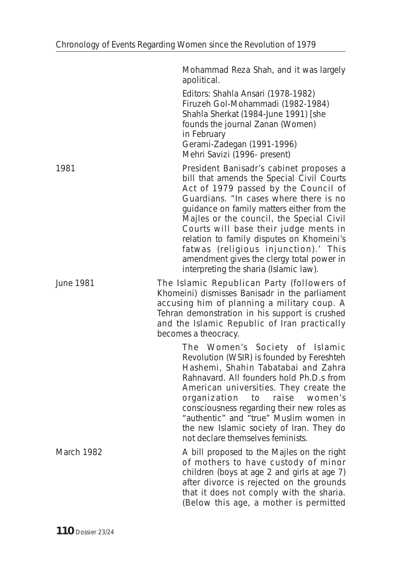Mohammad Reza Shah, and it was largely apolitical.

Editors: Shahla Ansari (1978-1982) Firuzeh Gol-Mohammadi (1982-1984) Shahla Sherkat (1984-June 1991) [she founds the journal *Zanan (Women)*  in February Gerami-Zadegan (1991-1996) Mehri Savizi (1996- present)

1981 President Banisadr's cabinet proposes a bill that amends the Special Civil Courts Act of 1979 passed by the Council of Guardians. "In cases where there is no guidance on family matters either from the Majles or the council, the Special Civil Courts will base their judge ments in relation to family disputes on Khomeini's fatwas (religious injunction).' This amendment gives the clergy total power in interpreting the sharia (Islamic law).

June 1981 The *Islamic Republican Party* (followers of Khomeini) dismisses Banisadr in the parliament accusing him of planning a military coup. A Tehran demonstration in his support is crushed and the Islamic Republic of Iran practically becomes a theocracy.

> The Women's Society of Islamic Revolution (WSIR) is founded by Fereshteh Hashemi, Shahin Tabatabai and Zahra Rahnavard. All founders hold Ph.D.s from American universities. They create the organization to raise women's consciousness regarding their new roles as "authentic" and "true" Muslim women in the new Islamic society of Iran. They do not declare themselves feminists.

March 1982 A bill proposed to the Majles on the right of mothers to have custody of minor children (boys at age 2 and girls at age 7) after divorce is rejected on the grounds that it does not comply with the sharia. (Below this age, a mother is permitted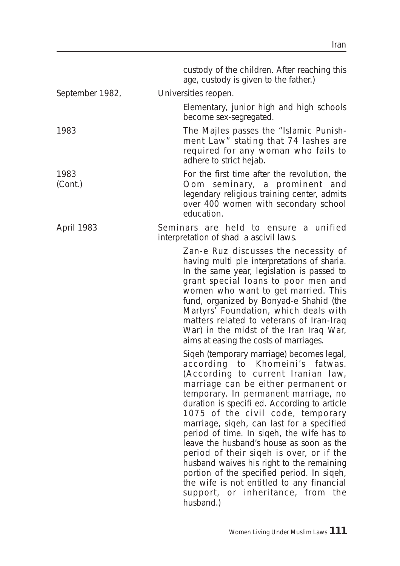|                 | custody of the children. After reaching this<br>age, custody is given to the father.)                                                                                                                                                                                                                                                                                                                                                                                                                                                                                                                                                                              |
|-----------------|--------------------------------------------------------------------------------------------------------------------------------------------------------------------------------------------------------------------------------------------------------------------------------------------------------------------------------------------------------------------------------------------------------------------------------------------------------------------------------------------------------------------------------------------------------------------------------------------------------------------------------------------------------------------|
| September 1982, | Universities reopen.                                                                                                                                                                                                                                                                                                                                                                                                                                                                                                                                                                                                                                               |
|                 | Elementary, junior high and high schools<br>become sex-segregated.                                                                                                                                                                                                                                                                                                                                                                                                                                                                                                                                                                                                 |
| 1983            | The Majles passes the "Islamic Punish-<br>ment Law" stating that 74 lashes are<br>required for any woman who fails to<br>adhere to strict hejab.                                                                                                                                                                                                                                                                                                                                                                                                                                                                                                                   |
| 1983<br>(Cont.) | For the first time after the revolution, the<br>Oom seminary, a prominent and<br>legendary religious training center, admits<br>over 400 women with secondary school<br>education.                                                                                                                                                                                                                                                                                                                                                                                                                                                                                 |
| April 1983      | Seminars are held to ensure a unified<br>interpretation of shad a ascivil laws.                                                                                                                                                                                                                                                                                                                                                                                                                                                                                                                                                                                    |
|                 | Zan-e Ruz discusses the necessity of<br>having multi ple interpretations of sharia.<br>In the same year, legislation is passed to<br>grant special loans to poor men and<br>women who want to get married. This<br>fund, organized by Bonyad-e Shahid (the<br>Martyrs' Foundation, which deals with<br>matters related to veterans of Iran-Iraq<br>War) in the midst of the Iran Iraq War,<br>aims at easing the costs of marriages.                                                                                                                                                                                                                               |
|                 | Siqeh (temporary marriage) becomes legal,<br>according to Khomeini's fatwas.<br>(According to current Iranian law,<br>marriage can be either permanent or<br>temporary. In permanent marriage, no<br>duration is specifi ed. According to article<br>1075 of the civil code, temporary<br>marriage, sigeh, can last for a specified<br>period of time. In sigeh, the wife has to<br>leave the husband's house as soon as the<br>period of their sigeh is over, or if the<br>husband waives his right to the remaining<br>portion of the specified period. In sigeh,<br>the wife is not entitled to any financial<br>support, or inheritance, from the<br>husband.) |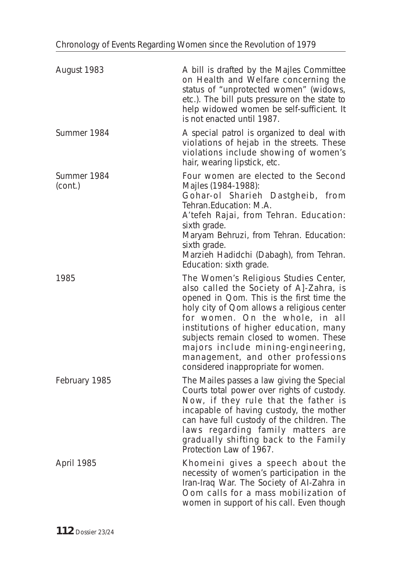| August 1983            | A bill is drafted by the Majles Committee<br>on Health and Welfare concerning the<br>status of "unprotected women" (widows,<br>etc.). The bill puts pressure on the state to<br>help widowed women be self-sufficient. It<br>is not enacted until 1987.                                                                                                                                                              |
|------------------------|----------------------------------------------------------------------------------------------------------------------------------------------------------------------------------------------------------------------------------------------------------------------------------------------------------------------------------------------------------------------------------------------------------------------|
| Summer 1984            | A special patrol is organized to deal with<br>violations of <i>hejab</i> in the streets. These<br>violations include showing of women's<br>hair, wearing lipstick, etc.                                                                                                                                                                                                                                              |
| Summer 1984<br>(cont.) | Four women are elected to the Second<br>Majles (1984-1988):<br>Gohar-ol Sharieh Dastgheib, from<br>Tehran. Education: M.A.<br>A'tefeh Rajai, from Tehran. Education:<br>sixth grade.<br>Maryam Behruzi, from Tehran. Education:<br>sixth grade.<br>Marzieh Hadidchi (Dabagh), from Tehran.<br>Education: sixth grade.                                                                                                |
| 1985                   | The Women's Religious Studies Center,<br>also called the Society of A]-Zahra, is<br>opened in Qom. This is the first time the<br>holy city of Qom allows a religious center<br>for women. On the whole, in all<br>institutions of higher education, many<br>subjects remain closed to women. These<br>majors include mining-engineering,<br>management, and other professions<br>considered inappropriate for women. |
| February 1985          | The Mailes passes a law giving the Special<br>Courts total power over rights of custody.<br>Now, if they rule that the father is<br>incapable of having custody, the mother<br>can have full custody of the children. The<br>laws regarding family matters are<br>gradually shifting back to the Family<br>Protection Law of 1967.                                                                                   |
| April 1985             | Khomeini gives a speech about the<br>necessity of women's participation in the<br>Iran-Iraq War. The Society of AI-Zahra in<br>Oom calls for a mass mobilization of<br>women in support of his call. Even though                                                                                                                                                                                                     |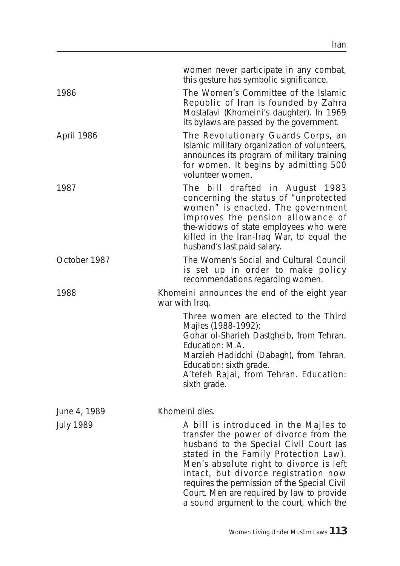|                  | women never participate in any combat,<br>this gesture has symbolic significance.                                                                                                                                                                                                                                                                  |
|------------------|----------------------------------------------------------------------------------------------------------------------------------------------------------------------------------------------------------------------------------------------------------------------------------------------------------------------------------------------------|
| 1986             | The Women's Committee of the Islamic<br>Republic of Iran is founded by Zahra<br>Mostafavi (Khomeini's daughter). In 1969<br>its bylaws are passed by the government.                                                                                                                                                                               |
| April 1986       | The Revolutionary Guards Corps, an<br>Islamic military organization of volunteers,<br>announces its program of military training<br>for women. It begins by admitting 500<br>volunteer women.                                                                                                                                                      |
| 1987             | The bill drafted in August 1983<br>concerning the status of "unprotected<br>women" is enacted. The government<br>improves the pension allowance of<br>the-widows of state employees who were<br>killed in the Iran-Iraq War, to equal the<br>husband's last paid salary.                                                                           |
| October 1987     | The Women's Social and Cultural Council<br>is set up in order to make policy<br>recommendations regarding women.                                                                                                                                                                                                                                   |
| 1988             | Khomeini announces the end of the eight year<br>war with Iraq.                                                                                                                                                                                                                                                                                     |
|                  | Three women are elected to the Third<br>Majles (1988-1992):<br>Gohar ol-Sharieh Dastgheib, from Tehran.<br>Education: M.A.<br>Marzieh Hadidchi (Dabagh), from Tehran.<br>Education: sixth grade.<br>A'tefeh Rajai, from Tehran. Education:<br>sixth grade.                                                                                         |
| June 4, 1989     | Khomeini dies.                                                                                                                                                                                                                                                                                                                                     |
| <b>July 1989</b> | A bill is introduced in the Majles to<br>transfer the power of divorce from the<br>husband to the Special Civil Court (as<br>stated in the Family Protection Law).<br>Men's absolute right to divorce is left<br>intact, but divorce registration now<br>requires the permission of the Special Civil<br>Court. Men are required by law to provide |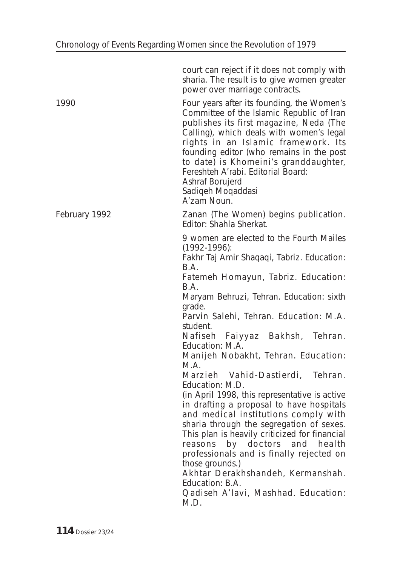|               | court can reject if it does not comply with<br>sharia. The result is to give women greater<br>power over marriage contracts.                                                                                                                                                                                                                                                                                                                                                                                                                                                                                                                                                                                                                                                                                                                                                              |
|---------------|-------------------------------------------------------------------------------------------------------------------------------------------------------------------------------------------------------------------------------------------------------------------------------------------------------------------------------------------------------------------------------------------------------------------------------------------------------------------------------------------------------------------------------------------------------------------------------------------------------------------------------------------------------------------------------------------------------------------------------------------------------------------------------------------------------------------------------------------------------------------------------------------|
| 1990          | Four years after its founding, the Women's<br>Committee of the Islamic Republic of Iran<br>publishes its first magazine, Neda (The<br>Calling), which deals with women's legal<br>rights in an Islamic framework. Its<br>founding editor (who remains in the post<br>to date) is Khomeini's granddaughter,<br>Fereshteh A'rabi. Editorial Board:<br>Ashraf Borujerd<br>Sadiqeh Moqaddasi<br>A'zam Noun.                                                                                                                                                                                                                                                                                                                                                                                                                                                                                   |
| February 1992 | Zanan (The Women) begins publication.<br>Editor: Shahla Sherkat.                                                                                                                                                                                                                                                                                                                                                                                                                                                                                                                                                                                                                                                                                                                                                                                                                          |
|               | 9 women are elected to the Fourth Mailes<br>$(1992 - 1996)$ :<br>Fakhr Taj Amir Shaqaqi, Tabriz. Education:<br>B.A.<br>Fatemeh Homayun, Tabriz. Education:<br>B.A.<br>Maryam Behruzi, Tehran. Education: sixth<br>grade.<br>Parvin Salehi, Tehran. Education: M.A.<br>student.<br>Nafiseh Faiyyaz Bakhsh, Tehran.<br>Education: M.A.<br>Manijeh Nobakht, Tehran. Education:<br>M.A.<br>Marzieh Vahid-Dastierdi, Tehran.<br>Education: M.D.<br>(in April 1998, this representative is active<br>in drafting a proposal to have hospitals<br>and medical institutions comply with<br>sharia through the segregation of sexes.<br>This plan is heavily criticized for financial<br>by doctors and<br>reasons<br>health<br>professionals and is finally rejected on<br>those grounds.)<br>Akhtar Derakhshandeh, Kermanshah.<br>Education: B.A.<br>Qadiseh A'lavi, Mashhad. Education:<br>M.D. |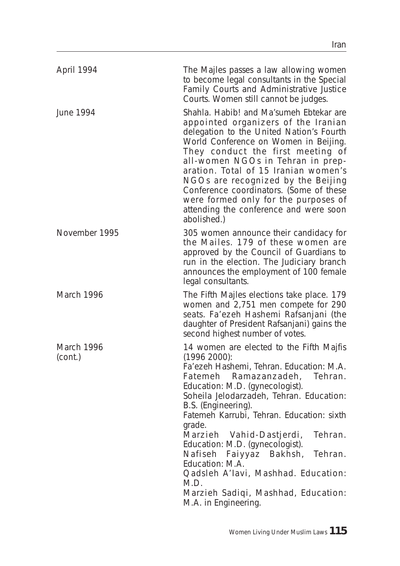| April 1994            | The Majles passes a law allowing women<br>to become legal consultants in the Special<br>Family Courts and Administrative Justice<br>Courts. Women still cannot be judges.                                                                                                                                                                                                                                                                                                                                                                                    |
|-----------------------|--------------------------------------------------------------------------------------------------------------------------------------------------------------------------------------------------------------------------------------------------------------------------------------------------------------------------------------------------------------------------------------------------------------------------------------------------------------------------------------------------------------------------------------------------------------|
| <b>June 1994</b>      | Shahla. Habib! and Ma'sumeh Ebtekar are<br>appointed organizers of the Iranian<br>delegation to the United Nation's Fourth<br>World Conference on Women in Beijing.<br>They conduct the first meeting of<br>all-women NGOs in Tehran in prep-<br>aration. Total of 15 Iranian women's<br>NGOs are recognized by the Beijing<br>Conference coordinators. (Some of these<br>were formed only for the purposes of<br>attending the conference and were soon<br>abolished.)                                                                                      |
| November 1995         | 305 women announce their candidacy for<br>the Mailes. 179 of these women are<br>approved by the Council of Guardians to<br>run in the election. The Judiciary branch<br>announces the employment of 100 female<br>legal consultants.                                                                                                                                                                                                                                                                                                                         |
| March 1996            | The Fifth Majles elections take place. 179<br>women and 2,751 men compete for 290<br>seats. Fa'ezeh Hashemi Rafsanjani (the<br>daughter of President Rafsanjani) gains the<br>second highest number of votes.                                                                                                                                                                                                                                                                                                                                                |
| March 1996<br>(cont.) | 14 women are elected to the Fifth Majfis<br>$(1996 2000)$ :<br>Fa'ezeh Hashemi, Tehran. Education: M.A.<br>Fatemeh Ramazanzadeh,<br>Tehran.<br>Education: M.D. (gynecologist).<br>Soheila Jelodarzadeh, Tehran. Education:<br>B.S. (Engineering).<br>Fatemeh Karrubi, Tehran. Education: sixth<br>grade.<br>Marzieh Vahid-Dastjerdi,<br>Tehran.<br>Education: M.D. (gynecologist).<br>Bakhsh,<br>Nafiseh Faiyyaz<br>Tehran.<br>Education: M.A.<br>Qadsleh A'lavi, Mashhad. Education:<br>M.D.<br>Marzieh Sadiqi, Mashhad, Education:<br>M.A. in Engineering. |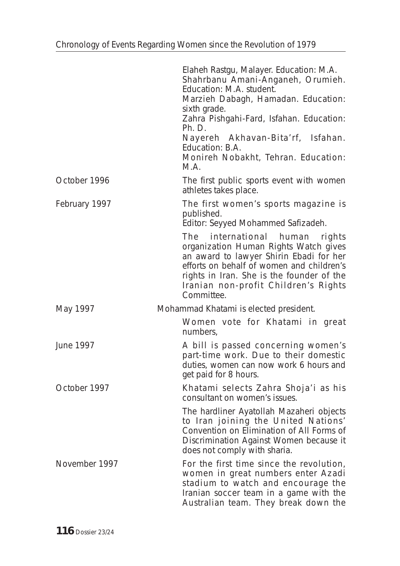|                  | Elaheh Rastgu, Malayer. Education: M.A.<br>Shahrbanu Amani-Anganeh, Orumieh.<br>Education: M.A. student.<br>Marzieh Dabagh, Hamadan. Education:<br>sixth grade.<br>Zahra Pishgahi-Fard, Isfahan. Education:<br>Ph. D.<br>Nayereh Akhavan-Bita'rf, Isfahan.<br>Education: B.A.<br>Monireh Nobakht, Tehran. Education:<br>M.A. |
|------------------|------------------------------------------------------------------------------------------------------------------------------------------------------------------------------------------------------------------------------------------------------------------------------------------------------------------------------|
| October 1996     | The first public sports event with women<br>athletes takes place.                                                                                                                                                                                                                                                            |
| February 1997    | The first women's sports magazine is<br>published.<br>Editor: Seyyed Mohammed Safizadeh.                                                                                                                                                                                                                                     |
|                  | The international human<br>rights<br>organization Human Rights Watch gives<br>an award to lawyer Shirin Ebadi for her<br>efforts on behalf of women and children's<br>rights in Iran. She is the founder of the<br>Iranian non-profit Children's Rights<br>Committee.                                                        |
| May 1997         | Mohammad Khatami is elected president.                                                                                                                                                                                                                                                                                       |
|                  | Women vote for Khatami in great<br>numbers,                                                                                                                                                                                                                                                                                  |
| <b>June 1997</b> | A bill is passed concerning women's<br>part-time work. Due to their domestic<br>duties, women can now work 6 hours and<br>get paid for 8 hours.                                                                                                                                                                              |
| October 1997     | Khatami selects Zahra Shoja'i as his<br>consultant on women's issues.                                                                                                                                                                                                                                                        |
|                  | The hardliner Ayatollah Mazaheri objects<br>to Iran joining the United Nations'<br>Convention on Elimination of All Forms of<br>Discrimination Against Women because it<br>does not comply with sharia.                                                                                                                      |
| November 1997    | For the first time since the revolution,<br>women in great numbers enter Azadi<br>stadium to watch and encourage the<br>Iranian soccer team in a game with the<br>Australian team. They break down the                                                                                                                       |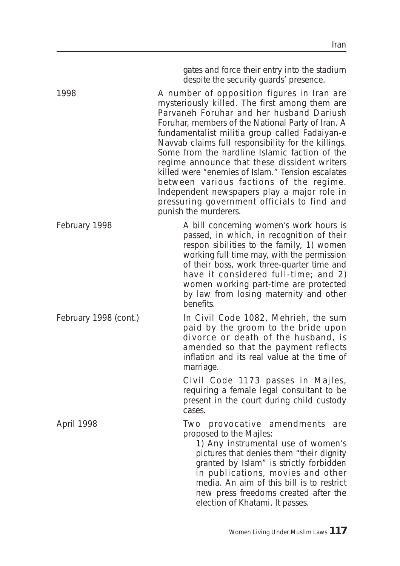gates and force their entry into the stadium despite the security guards' presence.

1998 **A** number of opposition figures in Iran are mysteriously killed. The first among them are Parvaneh Foruhar and her husband Dariush Foruhar, members of the National Party of Iran. A fundamentalist militia group called *Fadaiyan-e Navvab* claims full responsibility for the killings. Some from the hardline Islamic faction of the regime announce that these dissident writers killed were "enemies of Islam." Tension escalates between various factions of the regime. Independent newspapers play a major role in pressuring government officials to find and punish the murderers. February 1998 **A bill concerning women's work hours is** passed, in which, in recognition of their respon sibilities to the family, 1) women working full time may, with the permission of their boss, work three-quarter time and have it considered full-time; and 2) women working part-time are protected by law from losing maternity and other benefits. February 1998 (cont.) In Civil Code 1082, *Mehrieh, the* sum paid by the groom to the bride upon divorce or death of the husband, is amended so that the payment reflects inflation and its real value at the time of marriage. Civil Code 1173 passes in Majles, requiring a female legal consultant to be present in the court during child custody cases. April 1998 Two provocative amendments are proposed to the Majles: 1) Any instrumental use of women's

pictures that denies them "their dignity granted by Islam" is strictly forbidden in publications, movies and other media. An aim of this bill is to restrict new press freedoms created after the election of Khatami. It passes.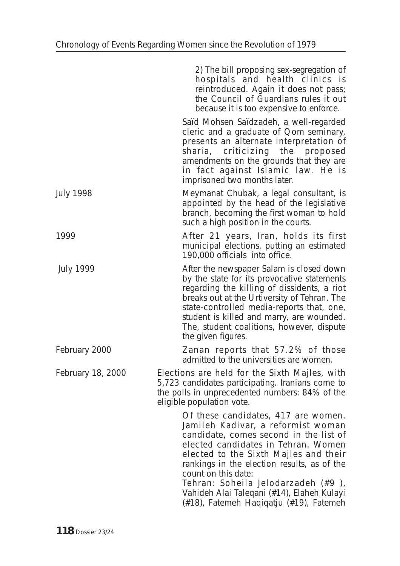2) The bill proposing sex-segregation of hospitals and health clinics is reintroduced. Again it does not pass; the Council of Guardians rules it out because it is too expensive to enforce. Saïd Mohsen Saïdzadeh, a well-regarded cleric and a graduate of Qom seminary, presents an alternate interpretation of sharia, criticizing the proposed amendments on the grounds that they are in fact against Islamic law. He is imprisoned two months later. July 1998 Meymanat Chubak, a legal consultant, is appointed by the head of the legislative branch, becoming the first woman to hold such a high position in the courts. 1999 After 21 years, Iran, holds its first municipal elections, putting an estimated 190,000 officials into office. July 1999 After the newspaper *Salam* is closed down by the state for its provocative statements regarding the killing of dissidents, a riot breaks out at the Urtiversity of Tehran. The state-controlled media-reports that, one, student is killed and marry, are wounded. The, student coalitions, however, dispute the given figures. February 2000 *Zanan* reports that 57.2% of those admitted to the universities are women. February 18, 2000 Elections are held for the Sixth Majles, with 5,723 candidates participating. Iranians come to the polls in unprecedented numbers: 84% of the eligible population vote. Of these candidates, 417 are women. Jamileh Kadivar, a reformist woman candidate, comes second in the list of elected candidates in Tehran. Women elected to the Sixth Majles and their rankings in the election results, as of the count on this date: Tehran: Soheila Jelodarzadeh (#9 ), Vahideh Alai Taleqani (#14), Elaheh Kulayi (#18), Fatemeh Haqiqatju (#19), Fatemeh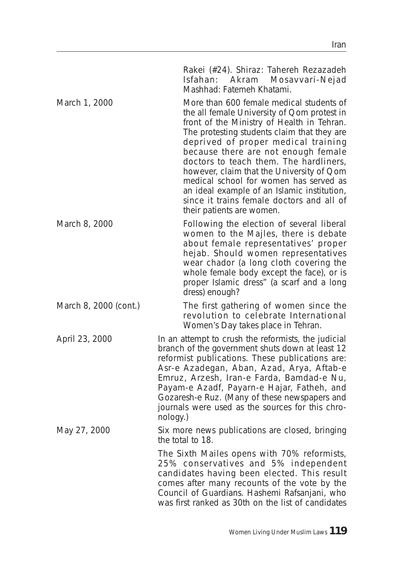Rakei (#24). Shiraz: Tahereh Rezazadeh

Isfahan: Akram Mosavvari-Nejad Mashhad: Fatemeh Khatami. March 1, 2000 More than 600 female medical students of the all female University of Qom protest in front of the Ministry of Health in Tehran. The protesting students claim that they are deprived of proper medical training because there are not enough female doctors to teach them. The hardliners, however, claim that the University of Qom medical school for women has served as an ideal example of an Islamic institution, since it trains female doctors and all of their patients are women. March 8, 2000 Following the election of several liberal women to the Majles, there is debate about female representatives' proper *hejab.* Should women representatives wear *chador* (a long cloth covering the whole female body except the face), or is proper Islamic dress" (a scarf and a long dress) enough? March 8, 2000 (cont.) The first gathering of women since the revolution to celebrate International Women's Day takes place in Tehran. April 23, 2000 In an attempt to crush the reformists, the judicial branch of the government shuts down at least 12 reformist publications. These publications are: *Asr-e Azadegan, Aban, Azad, Arya, Aftab-e Emruz, Arzesh, Iran-e Farda, Bamdad-e Nu, Payam-e Azadf, Payarn-e Hajar, Fatheh, and Gozaresh-e Ruz.* (Many of these newspapers and journals were used as the sources for this chronology.) May 27, 2000 Six more news publications are closed, bringing the total to 18. The Sixth Mailes opens with 70% reformists,

25% conservatives and 5% independent candidates having been elected. This result comes after many recounts of the vote by the Council of Guardians. Hashemi Rafsanjani, who was first ranked as 30th on the list of candidates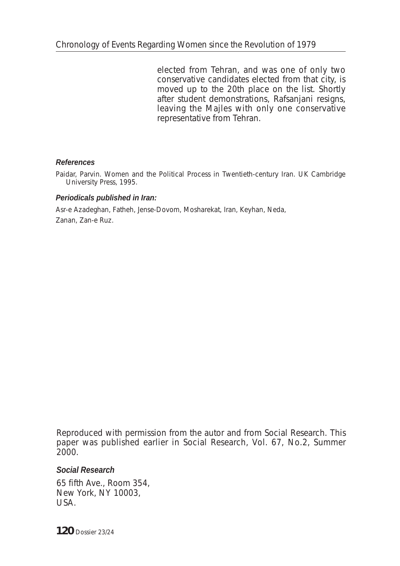elected from Tehran, and was one of only two conservative candidates elected from that city, is moved up to the 20th place on the list. Shortly after student demonstrations, Rafsanjani resigns, leaving the Majles with only one conservative representative from Tehran.

#### **References**

Paidar, Parvin. *Women and the Political Process in Twentieth-century Iran*. UK Cambridge University Press, 1995.

#### **Periodicals published in Iran:**

*Asr-e Azadeghan, Fatheh, Jense-Dovom, Mosharekat, Iran, Keyhan, Neda, Zanan, Zan-e Ruz.* 

Reproduced with permission from the autor and from Social Research. This paper was published earlier in Social Research, Vol. 67, No.2, Summer 2000.

# **Social Research**

65 fifth Ave., Room 354, New York, NY 10003, USA.

**120** Dossier 23/24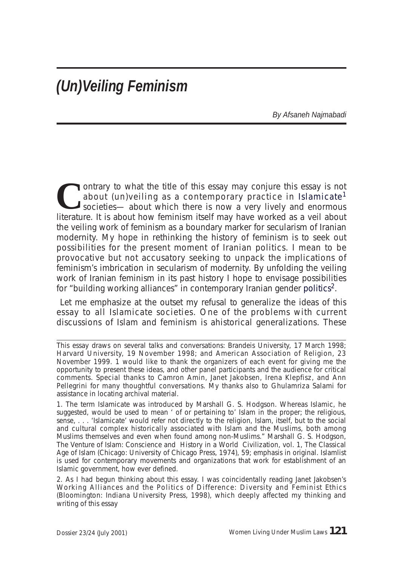By Afsaneh Najmabadi

Contrary to what the title of this essay may conjure this essay is not about (un)veiling as a contemporary practice in Islamicate<sup>1</sup> societies— about which there is now a very lively and enormous about (un)veiling as a contemporary practice in Islamicate<sup>1</sup> literature. It is about how feminism itself may have worked as a veil about the veiling work of feminism as a boundary marker for secularism of Iranian modernity. My hope in rethinking the history of feminism is to seek out possibilities for the present moment of Iranian politics. I mean to be provocative but not accusatory seeking to unpack the implications of feminism's imbrication in secularism of modernity. By unfolding the veiling work of Iranian feminism in its past history I hope to envisage possibilities for "building working alliances" in contemporary Iranian gender politics2.

Let me emphasize at the outset my refusal to generalize the ideas of this essay to all Islamicate societies. One of the problems with current discussions of Islam and feminism is ahistorical generalizations. These

This essay draws on several talks and conversations: Brandeis University, 17 March 1998; Harvard University, 19 November 1998; and American Association of Religion, 23 November 1999. 1 would like to thank the organizers of each event for giving me the opportunity to present these ideas, and other panel participants and the audience for critical comments. Special thanks to Camron Amin, Janet Jakobsen, Irena Klepfisz, and Ann Pellegrini for many thoughtful conversations. My thanks also to Ghulamriza Salami for assistance in locating archival material.

1. The term Islamicate was introduced by Marshall G. S. Hodgson. Whereas Islamic, he suggested, would be used to mean ' of or pertaining to' Islam in the proper; the religious, sense, . . . 'Islamicate' would refer not directly to the religion, Islam, itself, but to the social and cultural complex historically associated with Islam and the Muslims, both among Muslims themselves and even when found among non-Muslims." Marshall G. S. Hodgson, The Venture of Islam: Conscience and History in a World Civilization, vol. 1, The Classical Age of Islam (Chicago: University of Chicago Press, 1974), 59; emphasis in original. Islamlist is used for contemporary movements and organizations that work for establishment of an Islamic government, how ever defined.

2. As I had begun thinking about this essay. I was coincidentally reading Janet Jakobsen's Working Alliances and the Politics of Difference: Diversity and Feminist Ethics (Bloomington: Indiana University Press, 1998), which deeply affected my thinking and writing of this essay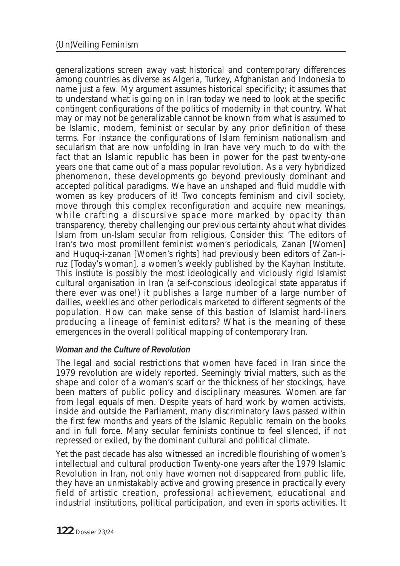generalizations screen away vast historical and contemporary differences among countries as diverse as Algeria, Turkey, Afghanistan and Indonesia to name just a few. My argument assumes historical specificity; it assumes that to understand what is going on in Iran today we need to look at the specific contingent configurations of the politics of modernity in that country. What may or may not be generalizable cannot be known from what is assumed to be Islamic, modern, feminist or secular by any prior definition of these terms. For instance the configurations of Islam feminism nationalism and secularism that are now unfolding in Iran have very much to do with the fact that an Islamic republic has been in power for the past twenty-one years one that came out of a mass popular revolution. As a very hybridized phenomenon, these developments go beyond previously dominant and accepted political paradigms. We have an unshaped and fluid muddle with women as key producers of it! Two concepts feminism and civil society, move through this complex reconfiguration and acquire new meanings, while crafting a discursive space more marked by opacity than transparency, thereby challenging our previous certainty ahout what divides Islam from un-lslam secular from religious. Consider this: 'The editors of Iran's two most promillent feminist women's periodicals, Zanan [Women] and Huquq-i-zanan [Women's rights] had previously been editors of Zan-iruz [Today's woman], a women's weekly published by the Kayhan Institute. This instiute is possibly the most ideologically and viciously rigid Islamist cultural organisation in Iran (a seif-conscious ideological state apparatus if there ever was one!) it publishes a large number of a large number of dailies, weeklies and other periodicals marketed to different segments of the population. How can make sense of this bastion of Islamist hard-liners producing a lineage of feminist editors? What is the meaning of these emergences in the overall political mapping of contemporary Iran.

# **Woman and the Culture of Revolution**

The legal and social restrictions that women have faced in Iran since the 1979 revolution are widely reported. Seemingly trivial matters, such as the shape and color of a woman's scarf or the thickness of her stockings, have been matters of public policy and disciplinary measures. Women are far from legal equals of men. Despite years of hard work by women activists, inside and outside the Parliament, many discriminatory laws passed within the first few months and years of the Islamic Republic remain on the books and in full force. Many secular feminists continue to feel silenced, if not repressed or exiled, by the dominant cultural and political climate.

Yet the past decade has also witnessed an incredible flourishing of women's intellectual and cultural production Twenty-one years after the 1979 Islamic Revolution in Iran, not only have women not disappeared from public life, they have an unmistakably active and growing presence in practically every field of artistic creation, professional achievement, educational and industrial institutions, political participation, and even in sports activities. It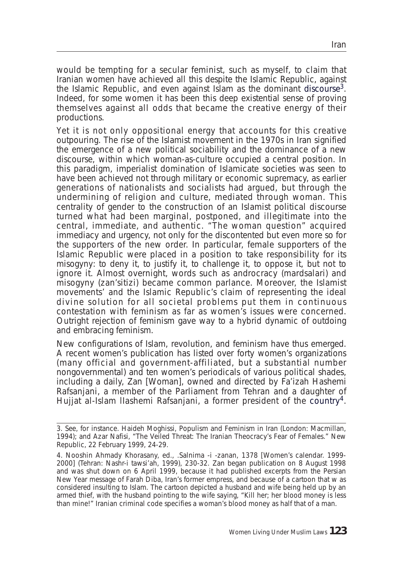would be tempting for a secular feminist, such as myself, to claim that Iranian women have achieved all this despite the Islamic Republic, against the Islamic Republic, and even against Islam as the dominant discourse<sup>3</sup>. Indeed, for some women it has been this deep existential sense of proving themselves against all odds that became the creative energy of their productions.

Yet it is not only oppositional energy that accounts for this creative outpouring. The rise of the Islamist movement in the 1970s in Iran signified the emergence of a new political sociability and the dominance of a new discourse, within which woman-as-culture occupied a central position. In this paradigm, imperialist domination of Islamicate societies was seen to have been achieved not through military or economic supremacy, as earlier generations of nationalists and socialists had argued, but through the undermining of religion and culture, mediated through woman. This centrality of gender to the construction of an Islamist political discourse turned what had been marginal, postponed, and illegitimate into the central, immediate, and authentic. "The woman question" acquired immediacy and urgency, not only for the discontented but even more so for the supporters of the new order. In particular, female supporters of the Islamic Republic were placed in a position to take responsibility for its misogyny: to deny it, to justify it, to challenge it, to oppose it, but not to ignore it. Almost overnight, words such as androcracy (mardsalari) and misogyny (zan'sitizi) became common parlance. Moreover, the Islamist movements' and the Islamic Republic's claim of representing the ideal divine solution for all societal problems put them in continuous contestation with feminism as far as women's issues were concerned. Outright rejection of feminism gave way to a hybrid dynamic of outdoing and embracing feminism.

New configurations of Islam, revolution, and feminism have thus emerged. A recent women's publication has listed over forty women's organizations (many official and government-affiliated, but a substantial number nongovernmental) and ten women's periodicals of various political shades, including a daily, Zan [Woman], owned and directed by Fa'izah Hashemi Rafsanjani, a member of the Parliament from Tehran and a daughter of Hujjat al-Islam lIashemi Rafsanjani, a former president of the country4.

<sup>3.</sup> See, for instance. Haideh Moghissi, Populism and Feminism in Iran (London: Macmillan, 1994); and Azar Nafisi, "The Veiled Threat: The Iranian Theocracy's Fear of Females." New Republic, 22 February 1999, 24-29.

<sup>4.</sup> Nooshin Ahmady Khorasany, ed., .Salnima -i -zanan, 1378 [Women's calendar. 1999- 2000] (Tehran: Nashr-i tawsi'ah, 1999), 230-32. Zan began publication on 8 August 1998 and was shut down on 6 April 1999, because it had published excerpts from the Persian New Year message of Farah Diba, Iran's former empress, and because of a cartoon that w as considered insulting to Islam. The cartoon depicted a husband and wife being held up by an armed thief, with the husband pointing to the wife saying, "Kill her; her blood money is less than mine!" Iranian criminal code specifies a woman's blood money as half that of a man.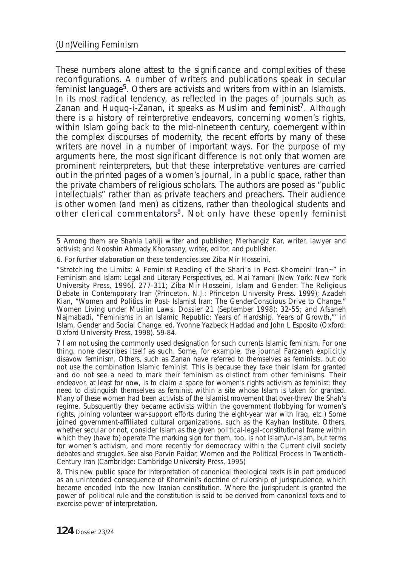These numbers alone attest to the significance and complexities of these reconfigurations. A number of writers and publications speak in secular feminist language<sup>5</sup>. Others are activists and writers from within an Islamists. In its most radical tendency, as reflected in the pages of journals such as Zanan and Hugug-i-Zanan, it speaks as Muslim and feminist<sup>7</sup>. Although there is a history of reinterpretive endeavors, concerning women's rights, within Islam going back to the mid-nineteenth century, coemergent within the complex discourses of modernity, the recent efforts by many of these writers are novel in a number of important ways. For the purpose of my arguments here, the most significant difference is not only that women are prominent reinterpreters, but that these interpretative ventures are carried out in the printed pages of a women's journal, in a public space, rather than the private chambers of religious scholars. The authors are posed as "public intellectuals" rather than as private teachers and preachers. Their audience is other women (and men) as citizens, rather than theological students and other clerical commentators<sup>8</sup>. Not only have these openly feminist

5 Among them are Shahla Lahiji writer and publisher; Merhangiz Kar, writer, lawyer and activist; and Nooshin Ahmady Khorasany, writer, editor, and publisher.

6. For further elaboration on these tendencies see Ziba Mir Hosseini,

"Stretching the Limits: A Feminist Reading of the Shari'a in Post-Khomeini Iran~" in Feminism and Islam: Legal and Literary Perspectives, ed. Mai Yamani (New York: New York University Press, 1996). 277-311; Ziba Mir Hosseini, Islam and Gender: The Religious Debate in Contemporary Iran (Princeton. N.J.: Princeton University Press. 1999); Azadeh Kian, "Women and Politics in Post- lslamist Iran: The GenderConscious Drive to Change." Women Living under Muslim Laws, Dossier 21 (September 1998): 32-55; and Afsaneh Najmabadi, "Feminisms in an Islamic Republic: Years of Hardship. Years of Growth,"' in Islam, Gender and Social Change. ed. Yvonne Yazbeck Haddad and John L Esposito (Oxford: Oxford University Press, 1998). 59-84.

7 I am not using the commonly used designation for such currents Islamic feminism. For one thing. none describes itself as such. Some, for example, the journal Farzaneh explicitly disavow feminism. Others, such as Zanan have referred to themselves as feminists. but do not use the combination Islamic feminist. This is because they take their Islam for granted and do not see a need to mark their feminism as distinct from other feminisms. Their endeavor, at least for now, is to claim a space for women's rights activism as feminist; they need to distinguish themselves as feminist within a site whose Islam is taken for granted. Many of these women had been activists of the Islamist movement that over-threw the Shah's regime. Subsquently they became activists within the government (lobbying for women's rights, joining volunteer war-support efforts during the eight-year war with Iraq, etc.) Some joined government-affiliated cultural organizations. such as the Kayhan Institute. Others, whether secular or not, consider Islam as the given political-legal-constitutional frame within which they (have to) operate The marking sign for them, too, is not Islam/un-Islam, but terms for women's activism, and more recently for democracy within the Current civil society debates and struggles. See also Parvin Paidar, Women and the Political Process in Twentieth-Century Iran (Cambridge: Cambridge University Press, 1995)

8. This new public space for interpretation of canonical theological texts is in part produced as an unintended consequence of Khomeini's doctrine of rulership of jurisprudence, which became encoded into the new Iranian constitution. Where the jurisprudent is granted the power of political rule and the constitution is said to be derived from canonical texts and to exercise power of interpretation.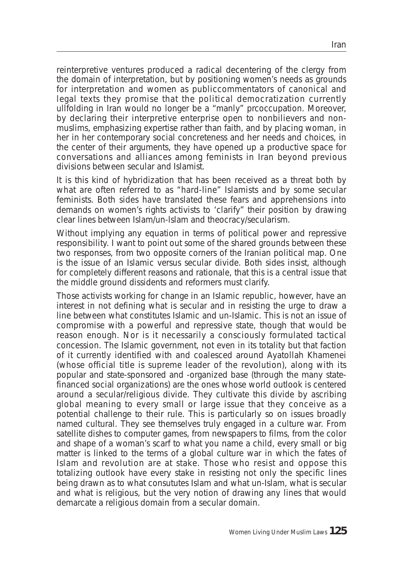reinterpretive ventures produced a radical decentering of the clergy from the domain of interpretation, but by positioning women's needs as grounds for interpretation and women as publiccommentators of canonical and legal texts they promise that the political democratization currently ullfolding in Iran would no longer be a "manly" prcoccupation. Moreover, by declaring their interpretive enterprise open to nonbilievers and nonmuslims, emphasizing expertise rather than faith, and by placing woman, in her in her contemporary social concreteness and her needs and choices, in the center of their arguments, they have opened up a productive space for conversations and alliances among feminists in Iran beyond previous divisions between secular and Islamist.

It is this kind of hybridization that has been received as a threat both by what are often referred to as "hard-line" Islamists and by some secular feminists. Both sides have translated these fears and apprehensions into demands on women's rights activists to 'clarify" their position by drawing clear lines between Islam/un-lslam and theocracy/secularism.

Without implying any equation in terms of political power and repressive responsibility. I want to point out some of the shared grounds between these two responses, from two opposite corners of the Iranian political map. One is the issue of an Islamic versus secular divide. Both sides insist, although for completely different reasons and rationale, that this is a central issue that the middle ground dissidents and reformers must clarify.

Those activists working for change in an Islamic republic, however, have an interest in not defining what is secular and in resisting the urge to draw a line between what constitutes Islamic and un-Islamic. This is not an issue of compromise with a powerful and repressive state, though that would be reason enough. Nor is it necessarily a consciously formulated tactical concession. The Islamic government, not even in its totality but that faction of it currently identified with and coalesced around Ayatollah Khamenei (whose official title is supreme leader of the revolution), along with its popular and state-sponsored and -organized base (through the many statefinanced social organizations) are the ones whose world outlook is centered around a secular/religious divide. They cultivate this divide by ascribing global meaning to every small or large issue that they conceive as a potential challenge to their rule. This is particularly so on issues broadly named cultural. They see themselves truly engaged in a culture war. From satellite dishes to computer games, from newspapers to films, from the color and shape of a woman's scarf to what you name a child, every small or big matter is linked to the terms of a global culture war in which the fates of Islam and revolution are at stake. Those who resist and oppose this totalizing outlook have every stake in resisting not only the specific lines being drawn as to what consututes Islam and what un-Islam, what is secular and what is religious, but the very notion of drawing any lines that would demarcate a religious domain from a secular domain.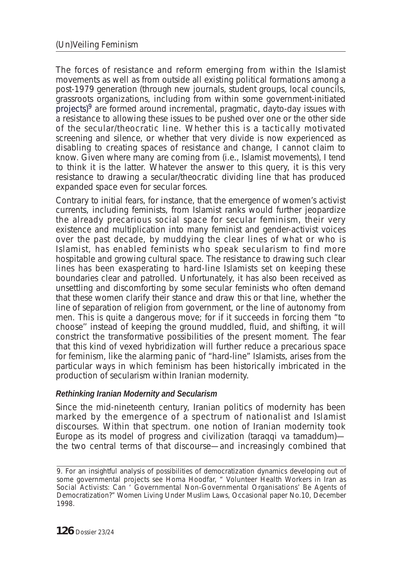The forces of resistance and reform emerging from within the Islamist movements as well as from outside all existing political formations among a post-1979 generation (through new journals, student groups, local councils, grassroots organizations, including from within some government-initiated projects)9 are formed around incremental, pragmatic, dayto-day issues with a resistance to allowing these issues to be pushed over one or the other side of the secular/theocratic line. Whether this is a tactically motivated screening and silence, or whether that very divide is now experienced as disabling to creating spaces of resistance and change, I cannot claim to know. Given where many are coming from (i.e., Islamist movements), I tend to think it is the latter. Whatever the answer to this query, it is this very resistance to drawing a secular/theocratic dividing line that has produced expanded space even for secular forces.

Contrary to initial fears, for instance, that the emergence of women's activist currents, including feminists, from Islamist ranks would further jeopardize the already precarious social space for secular feminism, their very existence and multiplication into many feminist and gender-activist voices over the past decade, by muddying the clear lines of what or who is Islamist, has enabled feminists who speak secularism to find more hospitable and growing cultural space. The resistance to drawing such clear lines has been exasperating to hard-line Islamists set on keeping these boundaries clear and patrolled. Unfortunately, it has also been received as unsettling and discomforting by some secular feminists who often demand that these women clarify their stance and draw this or that line, whether the line of separation of religion from government, or the line of autonomy from men. This is quite a dangerous move; for if it succeeds in forcing them "to choose'' instead of keeping the ground muddled, fluid, and shifting, it will constrict the transformative possibilities of the present moment. The fear that this kind of vexed hybridization will further reduce a precarious space for feminism, like the alarming panic of "hard-line" Islamists, arises from the particular ways in which feminism has been historically imbricated in the production of secularism within Iranian modernity.

# **Rethinking Iranian Modernity and Secularism**

Since the mid-nineteenth century, Iranian politics of modernity has been marked by the emergence of a spectrum of nationalist and Islamist discourses. Within that spectrum. one notion of Iranian modernity took Europe as its model of progress and civilization (taraqqi va tamaddum) the two central terms of that discourse—and increasingly combined that

<sup>9.</sup> For an insightful analysis of possibilities of democratization dynamics developing out of some governmental projects see Homa Hoodfar, " Volunteer Health Workers in Iran as Social Activists: Can ' Governmental Non-Governmental Organisations' Be Agents of Democratization?" Women Living Under Muslim Laws, Occasional paper No.10, December 1998.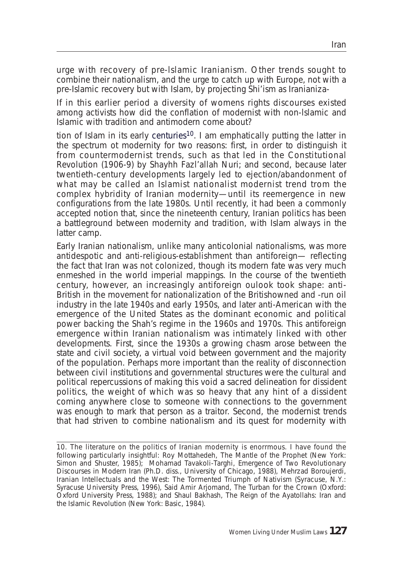urge with recovery of pre-lslamic Iranianism. Other trends sought to combine their nationalism, and the urge to catch up with Europe, not with a pre-Islamic recovery but with Islam, by projecting Shi'ism as Iranianiza-

If in this earlier period a diversity of womens rights discourses existed among activists how did the conflation of modernist with non-lslamic and Islamic with tradition and antimodern come about?

tion of Islam in its early centuries<sup>10</sup>. I am emphatically putting the latter in the spectrum ot modernity for two reasons: first, in order to distinguish it from countermodernist trends, such as that led in the Constitutional Revolution (1906-9) by Shayhh Fazl'allah Nuri; and second, because later twentieth-century developments largely led to ejection/abandonment of what may be called an Islamist nationalist modernist trend trom the complex hybridity of Iranian modernity—until its reemergence in new configurations from the late 1980s. Until recently, it had been a commonly accepted notion that, since the nineteenth century, Iranian politics has been a battleground between modernity and tradition, with Islam always in the latter camp.

Early Iranian nationalism, unlike many anticolonial nationalisms, was more antidespotic and anti-religious-establishment than antiforeign— reflecting the fact that Iran was not colonized, though its modern fate was very much enmeshed in the world imperial mappings. In the course of the twentieth century, however, an increasingly antiforeign oulook took shape: anti-British in the movement for nationalization of the Britishowned and -run oil industry in the late 1940s and early 1950s, and later anti-American with the emergence of the United States as the dominant economic and political power backing the Shah's regime in the 1960s and 1970s. This antiforeign emergence within Iranian nationalism was intimately linked with other developments. First, since the 1930s a growing chasm arose between the state and civil society, a virtual void between government and the majority of the population. Perhaps more important than the reality of disconnection between civil institutions and governmental structures were the cultural and political repercussions of making this void a sacred delineation for dissident politics, the weight of which was so heavy that any hint of a dissident coming anywhere close to someone with connections to the government was enough to mark that person as a traitor. Second, the modernist trends that had striven to combine nationalism and its quest for modernity with

<sup>10.</sup> The literature on the politics of Iranian modernity is enorrmous. I have found the following particularly insightful: Roy Mottahedeh, The Mantle of the Prophet (New York: Simon and Shuster, 1985); Mohamad Tavakoli-Targhi, Emergence of Two Revolutionary Discourses in Modern Iran (Ph.D. diss., University of Chicago, 1988), Mehrzad Boroujerdi, Iranian Intellectuals and the West: The Tormented Triumph of Nativism (Syracuse, N.Y.: Syracuse University Press, 1996), Said Amir Arjomand, The Turban for the Crown (Oxford: Oxford University Press, 1988); and Shaul Bakhash, The Reign of the Ayatollahs: Iran and the Islamic Revolution (New York: Basic, 1984).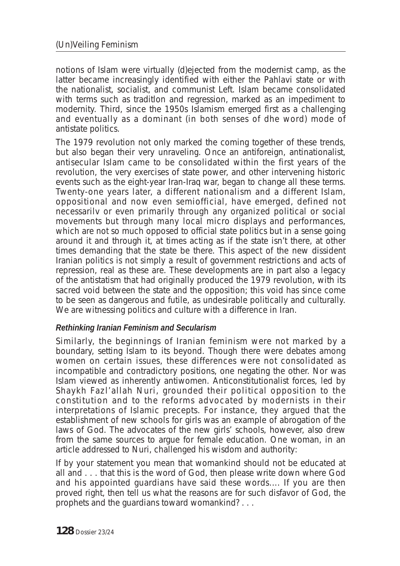notions of Islam were virtually (d)ejected from the modernist camp, as the latter became increasingly identified with either the Pahlavi state or with the nationalist, socialist, and communist Left. Islam became consolidated with terms such as traditlon and regression, marked as an impediment to modernity. Third, since the 1950s Islamism emerged first as a challenging and eventually as a dominant (in both senses of dhe word) mode of antistate politics.

The 1979 revolution not only marked the coming together of these trends, but also began their very unraveling. Once an antiforeign, antinationalist, antisecular Islam came to be consolidated within the first years of the revolution, the very exercises of state power, and other intervening historic events such as the eight-year Iran-Iraq war, began to change all these terms. Twenty-one years later, a different nationalism and a different Islam, oppositional and now even semiofficial, have emerged, defined not necessarilv or even primarily through any organized political or social movements but through many local micro displays and performances, which are not so much opposed to official state politics but in a sense going around it and through it, at times acting as if the state isn't there, at other times demanding that the state be there. This aspect of the new dissident Iranian politics is not simply a result of government restrictions and acts of repression, real as these are. These developments are in part also a legacy of the antistatism that had originally produced the 1979 revolution, with its sacred void between the state and the opposition; this void has since come to be seen as dangerous and futile, as undesirable politically and culturally. We are witnessing politics and culture with a difference in Iran.

# **Rethinking Iranian Feminism and Secularism**

Similarly, the beginnings of Iranian feminism were not marked by a boundary, setting Islam to its beyond. Though there were debates among women on certain issues, these differences were not consolidated as incompatible and contradictory positions, one negating the other. Nor was Islam viewed as inherently antiwomen. Anticonstitutionalist forces, led by Shaykh Fazl'allah Nuri, grounded their political opposition to the constitution and to the reforms advocated by modernists in their interpretations of Islamic precepts. For instance, they argued that the establishment of new schools for girls was an example of abrogation of the laws of God. The advocates of the new girls' schools, however, also drew from the same sources to argue for female education. One woman, in an article addressed to Nuri, challenged his wisdom and authority:

If by your statement you mean that womankind should not be educated at all and . . . that this is the word of God, then please write down where God and his appointed guardians have said these words.... If you are then proved right, then tell us what the reasons are for such disfavor of God, the prophets and the guardians toward womankind? . . .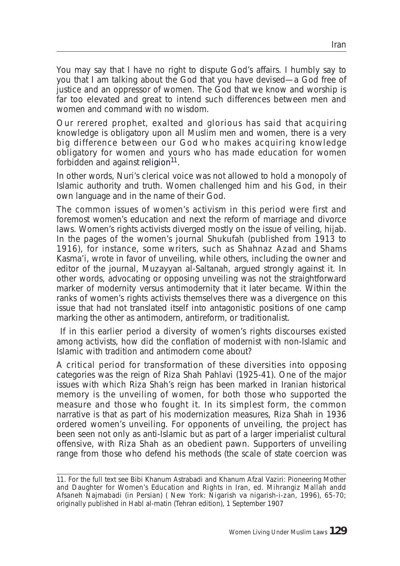You may say that I have no right to dispute God's affairs. I humbly say to you that I am talking about the God that you have devised—a God free of justice and an oppressor of women. The God that we know and worship is far too elevated and great to intend such differences between men and women and command with no wisdom.

Our rerered prophet, exalted and glorious has said that acquiring knowledge is obligatory upon all Muslim men and women, there is a very big difference between our God who makes acquiring knowledge obligatory for women and yours who has made education for women forbidden and against religion<sup>11</sup>.

In other words, Nuri's clerical voice was not allowed to hold a monopoly of Islamic authority and truth. Women challenged him and his God, in their own language and in the name of their God.

The common issues of women's activism in this period were first and foremost women's education and next the reform of marriage and divorce laws. Women's rights activists diverged mostly on the issue of veiling, hijab. In the pages of the women's journal Shukufah (published from 1913 to 1916), for instance, some writers, such as Shahnaz Azad and Shams Kasma'i, wrote in favor of unveiling, while others, including the owner and editor of the journal, Muzayyan al-Saltanah, argued strongly against it. In other words, advocating or opposing unveiling was not the straightforward marker of modernity versus antimodernity that it later became. Within the ranks of women's rights activists themselves there was a divergence on this issue that had not translated itself into antagonistic positions of one camp marking the other as antimodern, antireform, or traditionalist.

If in this earlier period a diversity of women's rights discourses existed among activists, how did the conflation of modernist with non-Islamic and Islamic with tradition and antimodern come about?

A critical period for transformation of these diversities into opposing categories was the reign of Riza Shah Pahlavi (1925-41). One of the major issues with which Riza Shah's reign has been marked in Iranian historical memory is the unveiling of women, for both those who supported the measure and those who fought it. In its simplest form, the common narrative is that as part of his modernization measures, Riza Shah in 1936 ordered women's unveiling. For opponents of unveiling, the project has been seen not only as anti-Islamic but as part of a larger imperialist cultural offensive, with Riza Shah as an obedient pawn. Supporters of unveiling range from those who defend his methods (the scale of state coercion was

<sup>11.</sup> For the full text see Bibi Khanum Astrabadi and Khanum Afzal Vaziri: Pioneering Mother and Daughter for Women's Education and Rights in Iran, ed. Mihrangiz Mallah andd Afsaneh Najmabadi (in Persian) ( New York: Nigarish va nigarish-i-zan, 1996), 65-70; originally published in Habl al-matin (Tehran edition), 1 September 1907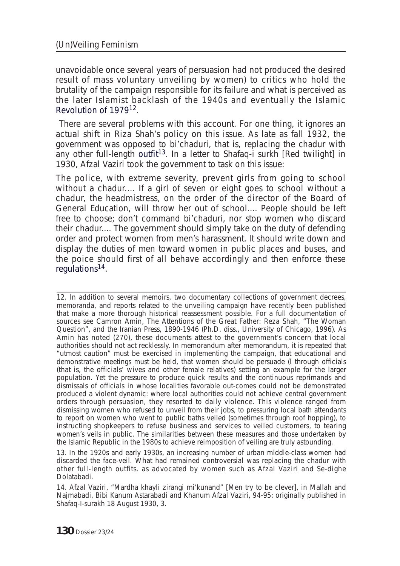unavoidable once several years of persuasion had not produced the desired result of mass voluntary unveiling by women) to critics who hold the brutality of the campaign responsible for its failure and what is perceived as the later Islamist backlash of the 1940s and eventually the Islamic Revolution of 197912.

There are several problems with this account. For one thing, it ignores an actual shift in Riza Shah's policy on this issue. As late as fall 1932, the government was opposed to bi'chaduri, that is, replacing the chadur with any other full-length outfit<sup>13</sup>. In a letter to Shafaq-i surkh [Red twilight] in 1930, Afzal Vaziri took the government to task on this issue:

The police, with extreme severity, prevent girls from going to school without a chadur.... If a girl of seven or eight goes to school without a chadur, the headmistress, on the order of the director of the Board of General Education, will throw her out of school.... People should be left free to choose; don't command bi'chaduri, nor stop women who discard their chadur.... The government should simpIy take on the duty of defending order and protect women from men's harassment. lt should write down and display the duties of men toward women in public places and buses, and the poice should first of all behave accordingly and then enforce these regulations<sup>14</sup>.

12. In addition to several memoirs, two documentary collections of government decrees, memoranda, and reports related to the unveiling campaign have recently been published that make a more thorough historical reassessment possible. For a full documentation of sources see Camron Amin, The Attentions of the Great Father: Reza Shah, "The Woman Question", and the Iranian Press, 1890-1946 (Ph.D. diss., University of Chicago, 1996). As Amin has noted (270), these documents attest to the government's concern that local authorities should not act recklessly. In memorandum after memorandum, it is repeated that "utmost caution" must be exercised in implementing the campaign, that educational and demonstrative meetings must be held, that women should be persuade (l through officials (that is, the officials' wives and other female relatives) setting an example for the larger population. Yet the pressure to produce quick results and the continuous reprimands and dismissals of officials in whose localities favorable out-comes could not be demonstrated produced a violent dynamic: where local authorities could not achieve central government orders through persuasion, they resorted to daily violence. This violence ranged from dismissing women who refused to unveil from their jobs, to pressuring local bath attendants to report on women who went to public baths veiled (sometimes through roof hopping), to instructing shopkeepers to refuse business and services to veiled customers, to tearing women's veils in public. The similarities between these measures and those undertaken by the Islamic Republic in the 1980s to achieve reimposition of veiling are truly astounding.

13. In the 1920s and early 1930s, an increasing number of urban mlddle-class women had discarded the face-veil. What had remained controversial was replacing the chadur with other full-length outfits. as advocated by women such as Afzal Vaziri and Se-dighe Dolatabadi.

14. Afzal Vaziri, "Mardha khayli zirangi mi'kunand" [Men try to be clever], in Mallah and Najmabadi, Bibi Kanum Astarabadi and Khanum Afzal Vaziri, 94-95: originally published in Shafaq-I-surakh 18 August 1930, 3.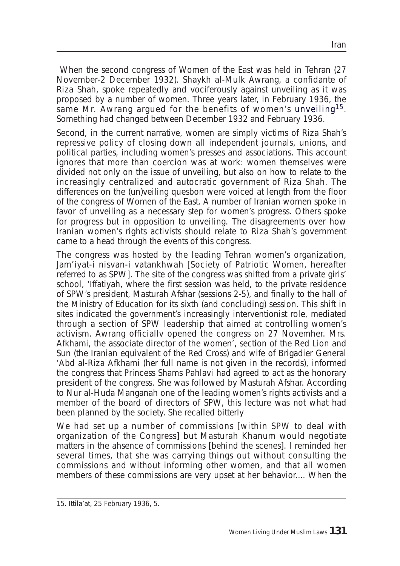When the second congress of Women of the East was held in Tehran (27 November-2 December 1932). Shaykh al-Mulk Awrang, a confidante of Riza Shah, spoke repeatedly and vociferously against unveiling as it was proposed by a number of women. Three years later, in February 1936, the same Mr. Awrang argued for the benefits of women's unveiling<sup>15</sup>. Something had changed between December 1932 and February 1936.

Second, in the current narrative, women are simply victims of Riza Shah's repressive policy of closing down all independent journals, unions, and political parties, including women's presses and associations. This account ignores that more than coercion was at work: women themselves were divided not only on the issue of unveiling, but also on how to relate to the increasingly centralized and autocratic government of Riza Shah. The differences on the (un)veiling quesbon were voiced at length from the floor of the congress of Women of the East. A number of Iranian women spoke in favor of unveiling as a necessary step for women's progress. Others spoke for progress but in opposition to unveiling. The disagreements over how Iranian women's rights activists should relate to Riza Shah's government came to a head through the events of this congress.

The congress was hosted by the leading Tehran women's organization, Jam'iyat-i nisvan-i vatankhwah [Society of Patriotic Women, hereafter referred to as SPW]. The site of the congress was shifted from a private girls' school, 'Iffatiyah, where the first session was held, to the private residence of SPW's president, Masturah Afshar (sessions 2-5), and finally to the hall of the Ministry of Education for its sixth (and concluding) session. This shift in sites indicated the government's increasingly interventionist role, mediated through a section of SPW leadership that aimed at controlling women's activism. Awrang officiallv opened the congress on 27 Novemher. Mrs. Afkhami, the associate director of the women', section of the Red Lion and Sun (the Iranian equivalent of the Red Cross) and wife of Brigadier General 'Abd al-Riza Afkhami (her full name is not given in the records), informed the congress that Princess Shams Pahlavi had agreed to act as the honorary president of the congress. She was followed by Masturah Afshar. According to Nur al-Huda Manganah one of the leading women's rights activists and a member of the board of directors of SPW, this lecture was not what had been planned by the society. She recalled bitterly

We had set up a number of commissions [within SPW to deal with organization of the Congress] but Masturah Khanum would negotiate matters in the ahsence of commissions [behind the scenes]. I reminded her several times, that she was carrying things out without consulting the commissions and without informing other women, and that all women members of these commissions are very upset at her behavior.... When the

<sup>15.</sup> Ittila'at, 25 February 1936, 5.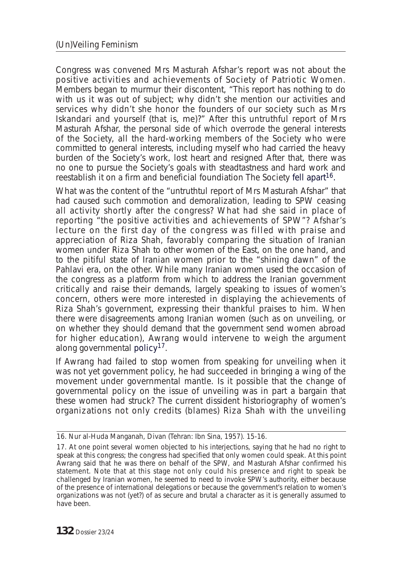Congress was convened Mrs Masturah Afshar's report was not about the positive activities and achievements of Society of Patriotic Women. Members began to murmur their discontent, "This report has nothing to do with us it was out of subject; why didn't she mention our activities and services why didn't she honor the founders of our society such as Mrs Iskandari and yourself (that is, me)?" After this untruthful report of Mrs Masturah Afshar, the personal side of which overrode the general interests of the Society, all the hard-working members of the Society who were committed to general interests, including myself who had carried the heavy burden of the Society's work, lost heart and resigned After that, there was no one to pursue the Society's goals with steadtastness and hard work and reestablish it on a firm and beneficial foundiation The Society fell apart<sup>16</sup>.

What was the content of the "untruthtul report of Mrs Masturah Afshar" that had caused such commotion and demoralization, leading to SPW ceasing all activity shortly after the congress? What had she said in place of reporting "the positive activities and achievements of SPW"? Afshar's lecture on the first day of the congress was filled with praise and appreciation of Riza Shah, favorably comparing the situation of Iranian women under Riza Shah to other women of the East, on the one hand, and to the pitiful state of Iranian women prior to the "shining dawn" of the Pahlavi era, on the other. While many Iranian women used the occasion of the congress as a platform from which to address the Iranian government critically and raise their demands, largely speaking to issues of women's concern, others were more interested in displaying the achievements of Riza Shah's government, expressing their thankful praises to him. When there were disagreements among Iranian women (such as on unveiling, or on whether they should demand that the government send women abroad for higher education), Awrang would intervene to weigh the argument along governmental policy<sup>17</sup>.

If Awrang had failed to stop women from speaking for unveiling when it was not yet government policy, he had succeeded in bringing a wing of the movement under governmental mantle. Is it possible that the change of governmental policy on the issue of unveiling was in part a bargain that these women had struck? The current dissident historiography of women's organizations not only credits (blames) Riza Shah with the unveiling

<sup>16.</sup> Nur al-Huda Manganah, Divan (Tehran: Ibn Sina, 1957). 15-16.

<sup>17.</sup> At one point several women objected to his interjections, saying that he had no right to speak at this congress; the congress had specified that only women could speak. At this point Awrang said that he was there on behalf of the SPW, and Masturah Afshar confirmed his statement. Note that at this stage not only could his presence and right to speak be challenged by Iranian women, he seemed to need to invoke SPW's authority, either because of the presence of international delegations or because the government's relation to women's organizations was not (yet?) of as secure and brutal a character as it is generally assumed to have been.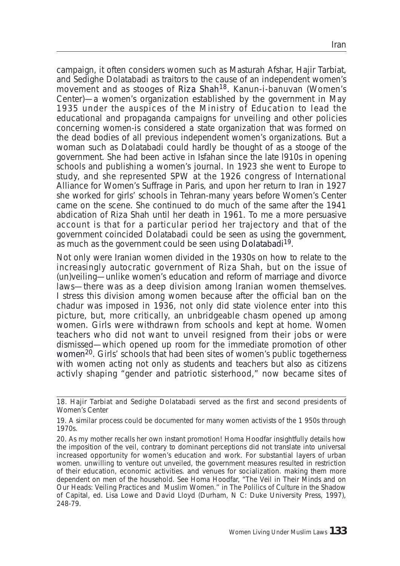campaign, it often considers women such as Masturah Afshar, Hajir Tarbiat, and Sedighe Dolatabadi as traitors to the cause of an independent women's movement and as stooges of Riza Shah<sup>18</sup>. Kanun-i-banuvan (Women's Center)—a women's organization established by the government in May 1935 under the auspices of the Ministry of Education to lead the educational and propaganda campaigns for unveiling and other policies concerning women-is considered a state organization that was formed on the dead bodies of all previous independent women's organizations. But a woman such as Dolatabadi could hardly be thought of as a stooge of the government. She had been active in Isfahan since the late l910s in opening schools and publishing a women's journal. In 1923 she went to Europe to study, and she represented SPW at the 1926 congress of International Alliance for Women's Suffrage in Paris, and upon her return to Iran in 1927 she worked for girls' schools in Tehran-many years before Women's Center came on the scene. She continued to do much of the same after the 1941 abdication of Riza Shah until her death in 1961. To me a more persuasive account is that for a particular period her trajectory and that of the government coincided Dolatabadi could be seen as using the government, as much as the government could be seen using Dolatabadi<sup>19</sup>.

Not only were Iranian women divided in the 1930s on how to relate to the increasingly autocratic government of Riza Shah, but on the issue of (un)veiling—unlike women's education and reform of marriage and divorce laws—there was as a deep division among lranian women themselves. I stress this division among women because after the official ban on the chadur was imposed in 1936, not only did state violence enter into this picture, but, more critically, an unbridgeable chasm opened up among women. Girls were withdrawn from schools and kept at home. Women teachers who did not want to unveil resigned from their jobs or were dismissed—which opened up room for the immediate promotion of other women<sup>20</sup>. Girls' schools that had been sites of women's public togetherness with women acting not only as students and teachers but also as citizens activly shaping "gender and patriotic sisterhood," now became sites of

<sup>18.</sup> Hajir Tarbiat and Sedighe Dolatabadi served as the first and second presidents of Women's Center

<sup>19.</sup> A similar process could be documented for many women activists of the 1 950s through 1970s.

<sup>20.</sup> As my mother recalls her own instant promotion! Homa Hoodfar insightfully details how the imposition of the veil, contrary to dominant perceptions did not translate into universal increased opportunity for women's education and work. For substantial layers of urban women. unwilling to venture out unveiled, the government measures resulted in restriction of their education, economic activities. and venues for socialization. making them more dependent on men of the household. See Homa Hoodfar, "The Veil in Their Minds and on Our Heads: Veiling Practices and Muslim Women.'' in The Polilics of Culture in the Shadow of Capital, ed. Lisa Lowe and David Lloyd (Durham, N C: Duke University Press, 1997), 248-79.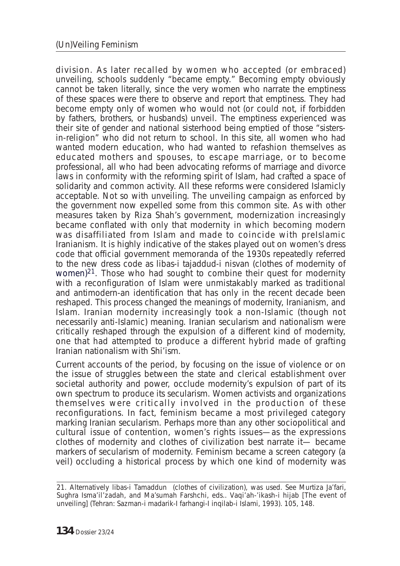division. As later recalled by women who accepted (or embraced) unveiling, schools suddenly "became empty." Becoming empty obviously cannot be taken literally, since the very women who narrate the emptiness of these spaces were there to observe and report that emptiness. They had become empty only of women who would not (or could not, if forbidden by fathers, brothers, or husbands) unveil. The emptiness experienced was their site of gender and national sisterhood being emptied of those "sistersin-religion" who did not return to school. In this site, all women who had wanted modern education, who had wanted to refashion themselves as educated mothers and spouses, to escape marriage, or to become professional, all who had been advocating reforms of marriage and divorce laws in conformity with the reforming spirit of Islam, had crafted a space of solidarity and common activity. All these reforms were considered Islamicly acceptable. Not so with unveiling. The unveiling campaign as enforced by the government now expelled some from this common site. As with other measures taken by Riza Shah's government, modernization increasingly became conflated with only that modernity in which becoming modern was disaffiliated from Islam and made to coincide with preIslamic Iranianism. It is highly indicative of the stakes played out on women's dress code that official government memoranda of the 1930s repeatedly referred to the new dress code as libas-i tajaddud-i nisvan (clothes of modernity of women)<sup>21</sup>. Those who had sought to combine their quest for modernity with a reconfiguration of Islam were unmistakably marked as traditional and antimodern-an identification that has only in the recent decade been reshaped. This process changed the meanings of modernity, Iranianism, and Islam. Iranian modernity increasingly took a non-Islamic (though not necessarily anti-Islamic) meaning. Iranian secularism and nationalism were critically reshaped through the expulsion of a different kind of modernity, one that had attempted to produce a different hybrid made of grafting Iranian nationalism with Shi'ism.

Current accounts of the period, by focusing on the issue of violence or on the issue of struggles between the state and clerical establishment over societal authority and power, occlude modernity's expulsion of part of its own spectrum to produce its secularism. Women activists and organizations themselves were critically involved in the production of these reconfigurations. In fact, feminism became a most privileged category marking Iranian secularism. Perhaps more than any other sociopolitical and cultural issue of contention, women's rights issues—as the expressions clothes of modernity and clothes of civilization best narrate it— became markers of secularism of modernity. Feminism became a screen category (a veil) occluding a historical process by which one kind of modernity was

<sup>21.</sup> Alternatively libas-i Tamaddun (clothes of civilization), was used. See Murtiza Ja'fari, Sughra Isma'il'zadah, and Ma'sumah Farshchi, eds.. Vaqi'ah-'ikash-i hijab [The event of unveiling] (Tehran: Sazman-i madarik-I farhangi-I inqilab-i Islami, 1993). 105, 148.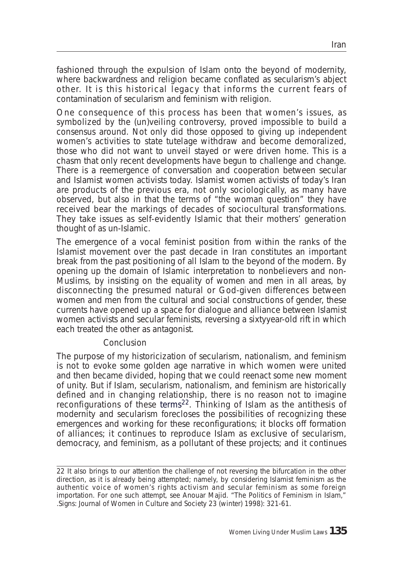One consequence of this process has been that women's issues, as symbolized by the (un)veiling controversy, proved impossible to build a consensus around. Not only did those opposed to giving up independent women's activities to state tutelage withdraw and become demoralized, those who did not want to unveil stayed or were driven home. This is a chasm that only recent developments have begun to challenge and change. There is a reemergence of conversation and cooperation between secular and Islamist women activists today. Islamist women activists of today's Iran are products of the previous era, not only sociologically, as many have observed, but also in that the terms of "the woman question" they have received bear the markings of decades of sociocultural transformations. They take issues as self-evidently Islamic that their mothers' generation thought of as un-Islamic.

The emergence of a vocal feminist position from within the ranks of the Islamist movement over the past decade in Iran constitutes an important break from the past positioning of all Islam to the beyond of the modern. By opening up the domain of Islamic interpretation to nonbelievers and non-Muslims, by insisting on the equality of women and men in all areas, by disconnecting the presumed natural or God-given differences between women and men from the cultural and social constructions of gender, these currents have opened up a space for dialogue and alliance between Islamist women activists and secular feminists, reversing a sixtyyear-old rift in which each treated the other as antagonist.

# Conclusion

The purpose of my historicization of secularism, nationalism, and feminism is not to evoke some golden age narrative in which women were united and then became divided, hoping that we could reenact some new moment of unity. But if Islam, secularism, nationalism, and feminism are historically defined and in changing relationship, there is no reason not to imagine reconfigurations of these terms<sup>22</sup>. Thinking of Islam as the antithesis of modernity and secularism forecloses the possibilities of recognizing these emergences and working for these reconfigurations; it blocks off formation of alliances; it continues to reproduce Islam as exclusive of secularism, democracy, and feminism, as a pollutant of these projects; and it continues

<sup>22</sup> It also brings to our attention the challenge of not reversing the bifurcation in the other direction, as it is already being attempted; namely, by considering Islamist feminism as the authentic voice of women's rights activism and secular feminism as some foreign importation. For one such attempt, see Anouar Majid. "The Politics of Feminism in Islam," .Signs: Journal of Women in Culture and Society 23 (winter) 1998): 321-61.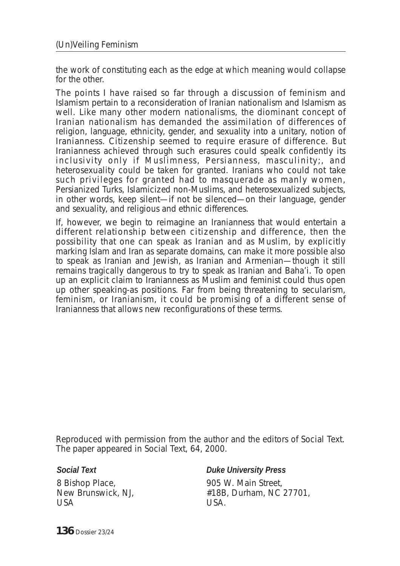the work of constituting each as the edge at which meaning would collapse for the other.

The points I have raised so far through a discussion of feminism and Islamism pertain to a reconsideration of Iranian nationalism and Islamism as well. Like many other modern nationalisms, the diominant concept of Iranian nationalism has demanded the assimilation of differences of religion, language, ethnicity, gender, and sexuality into a unitary, notion of Iranianness. Citizenship seemed to require erasure of difference. But Iranianness achieved through such erasures could spealk confidently its inclusivity only if Muslimness, Persianness, masculinity;, and heterosexuality could be taken for granted. Iranians who could not take such privileges for granted had to masquerade as manly women, Persianized Turks, Islamicized non-Muslims, and heterosexualized subjects, in other words, keep silent—if not be silenced—on their language, gender and sexuality, and religious and ethnic differences.

If, however, we begin to reimagine an Iranianness that would entertain a different relationship between citizenship and difference, then the possibility that one can speak as Iranian and as Muslim, by explicitly marking Islam and Iran as separate domains, can make it more possible also to speak as Iranian and Jewish, as Iranian and Armenian—though it still remains tragically dangerous to try to speak as Iranian and Baha'i. To open up an explicit claim to Iranianness as Muslim and feminist could thus open up other speaking-as positions. Far from being threatening to secularism, feminism, or Iranianism, it could be promising of a different sense of Iranianness that allows new reconfigurations of these terms.

Reproduced with permission from the author and the editors of Social Text. The paper appeared in Social Text, 64, 2000.

# **Social Text**

8 Bishop Place, New Brunswick, NJ, USA

# **Duke University Press**

905 W. Main Street, #18B, Durham, NC 27701, USA.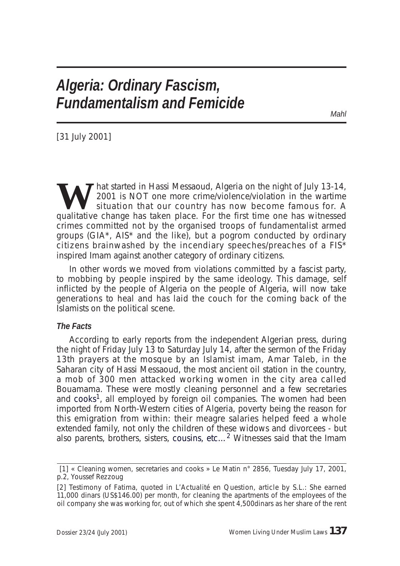# **Algeria: Ordinary Fascism, Fundamentalism and Femicide**

Mahl

[31 July 2001]

**T** hat started in Hassi Messaoud, Algeria on the night of July 13-14, 2001 is NOT one more crime/violence/violation in the wartime situation that our country has now become famous for. A qualitative change has taken place. For the first time one has witnessed crimes committed not by the organised troops of fundamentalist armed groups (GIA\*, AIS\* and the like), but a pogrom conducted by ordinary citizens brainwashed by the incendiary speeches/preaches of a FIS\* inspired Imam against another category of ordinary citizens.

In other words we moved from violations committed by a fascist party, to mobbing by people inspired by the same ideology. This damage, self inflicted by the people of Algeria on the people of Algeria, will now take generations to heal and has laid the couch for the coming back of the Islamists on the political scene.

# **The Facts**

According to early reports from the independent Algerian press, during the night of Friday July 13 to Saturday July 14, after the sermon of the Friday 13th prayers at the mosque by an Islamist imam, Amar Taleb, in the Saharan city of Hassi Messaoud, the most ancient oil station in the country, a mob of 300 men attacked working women in the city area called Bouamama. These were mostly cleaning personnel and a few secretaries and cooks<sup>1</sup>, all employed by foreign oil companies. The women had been imported from North-Western cities of Algeria, poverty being the reason for this emigration from within: their meagre salaries helped feed a whole extended family, not only the children of these widows and divorcees - but also parents, brothers, sisters, cousins, etc…<sup>2</sup> Witnesses said that the Imam

<sup>[1] «</sup> Cleaning women, secretaries and cooks » Le Matin n° 2856, Tuesday July 17, 2001, p.2, Youssef Rezzoug

<sup>[2]</sup> Testimony of Fatima, quoted in L'Actualité en Question, article by S.L.: She earned 11,000 dinars (US\$146.00) per month, for cleaning the apartments of the employees of the oil company she was working for, out of which she spent 4,500dinars as her share of the rent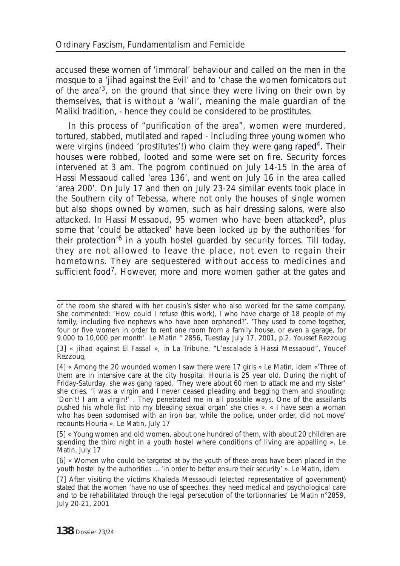accused these women of 'immoral' behaviour and called on the men in the mosque to a 'jihad against the Evil' and to 'chase the women fornicators out of the area'3, on the ground that since they were living on their own by themselves, that is without a 'wali', meaning the male guardian of the Maliki tradition, - hence they could be considered to be prostitutes.

In this process of "purification of the area", women were murdered, tortured, stabbed, mutilated and raped - including three young women who were virgins (indeed 'prostitutes'!) who claim they were gang raped<sup>4</sup>. Their houses were robbed, looted and some were set on fire. Security forces intervened at 3 am. The pogrom continued on July 14-15 in the area of Hassi Messaoud called 'area 136', and went on July 16 in the area called 'area 200'. On July 17 and then on July 23-24 similar events took place in the Southern city of Tebessa, where not only the houses of single women but also shops owned by women, such as hair dressing salons, were also attacked. In Hassi Messaoud, 95 women who have been attacked<sup>5</sup>, plus some that 'could be attacked' have been locked up by the authorities 'for their protection'<sup>6</sup> in a youth hostel guarded by security forces. Till today, they are not allowed to leave the place, not even to regain their hometowns. They are sequestered without access to medicines and sufficient food<sup>7</sup>. However, more and more women gather at the gates and

of the room she shared with her cousin's sister who also worked for the same company. She commented: 'How could I refuse (this work), I who have charge of 18 people of my family, including five nephews who have been orphaned?'. 'They used to come together, four or five women in order to rent one room from a family house, or even a garage, for 9,000 to 10,000 per month'. Le Matin ° 2856, Tuesday July 17, 2001, p.2, Youssef Rezzoug

<sup>[3] «</sup> jihad against El Fassal », in La Tribune, "L'escalade à Hassi Messaoud", Youcef Rezzoug,

<sup>[4] «</sup> Among the 20 wounded women I saw there were 17 girls » Le Matin, idem «'Three of them are in intensive care at the city hospital. Houria is 25 year old. During the night of Friday-Saturday, she was gang raped. 'They were about 60 men to attack me and my sister' she cries, 'I was a virgin and I never ceased pleading and begging them and shouting: 'Don't! I am a virgin!' . They penetrated me in all possible ways. One of the assailants pushed his whole fist into my bleeding sexual organ' she cries ». « I have seen a woman who has been sodomised with an iron bar, while the police, under order, did not move' recounts Houria ». Le Matin, July 17

<sup>[5] «</sup> Young women and old women, about one hundred of them, with about 20 children are spending the third night in a youth hostel where conditions of living are appalling ». Le Matin, July 17

<sup>[6] «</sup> Women who could be targeted at by the youth of these areas have been placed in the youth hostel by the authorities ... 'in order to better ensure their security' ». Le Matin, idem

<sup>[7]</sup> After visiting the victims Khaleda Messaoudi (elected representative of government) stated that the women 'have no use of speeches, they need medical and psychological care and to be rehabilitated through the legal persecution of the tortionnaries' Le Matin n°2859, July 20-21, 2001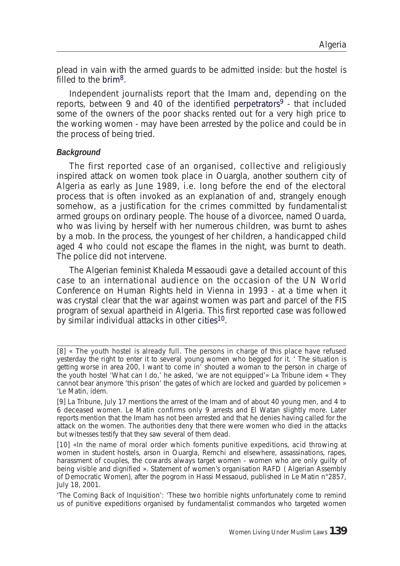plead in vain with the armed guards to be admitted inside: but the hostel is filled to the brim<sup>8</sup>.

Independent journalists report that the Imam and, depending on the reports, between 9 and 40 of the identified perpetrators<sup>9</sup> - that included some of the owners of the poor shacks rented out for a very high price to the working women - may have been arrested by the police and could be in the process of being tried.

# **Background**

The first reported case of an organised, collective and religiously inspired attack on women took place in Ouargla, another southern city of Algeria as early as June 1989, i.e. long before the end of the electoral process that is often invoked as an explanation of and, strangely enough somehow, as a justification for the crimes committed by fundamentalist armed groups on ordinary people. The house of a divorcee, named Ouarda, who was living by herself with her numerous children, was burnt to ashes by a mob. In the process, the youngest of her children, a handicapped child aged 4 who could not escape the flames in the night, was burnt to death. The police did not intervene.

The Algerian feminist Khaleda Messaoudi gave a detailed account of this case to an international audience on the occasion of the UN World Conference on Human Rights held in Vienna in 1993 - at a time when it was crystal clear that the war against women was part and parcel of the FIS program of sexual apartheid in Algeria. This first reported case was followed by similar individual attacks in other cities<sup>10</sup>.

[10] «In the name of moral order which foments punitive expeditions, acid throwing at women in student hostels, arson in Ouargla, Remchi and elsewhere, assassinations, rapes, harassment of couples, the cowards always target women - women who are only quilty of being visible and dignified ». Statement of women's organisation RAFD ( Algerian Assembly of Democratic Women), after the pogrom in Hassi Messaoud, published in Le Matin n°2857, July 18, 2001.

'The Coming Back of Inquisition': 'These two horrible nights unfortunately come to remind us of punitive expeditions organised by fundamentalist commandos who targeted women

<sup>[8] «</sup> The youth hostel is already full. The persons in charge of this place have refused yesterday the right to enter it to several young women who begged for it. ' The situation is getting worse in area 200, I want to come in' shouted a woman to the person in charge of the youth hostel 'What can I do,' he asked, 'we are not equipped'» La Tribune idem « They cannot bear anymore 'this prison' the gates of which are locked and guarded by policemen » 'Le Matin, idem.

<sup>[9]</sup> La Tribune, July 17 mentions the arrest of the Imam and of about 40 young men, and 4 to 6 deceased women. Le Matin confirms only 9 arrests and El Watan slightly more. Later reports mention that the Imam has not been arrested and that he denies having called for the attack on the women. The authorities deny that there were women who died in the attacks but witnesses testify that they saw several of them dead.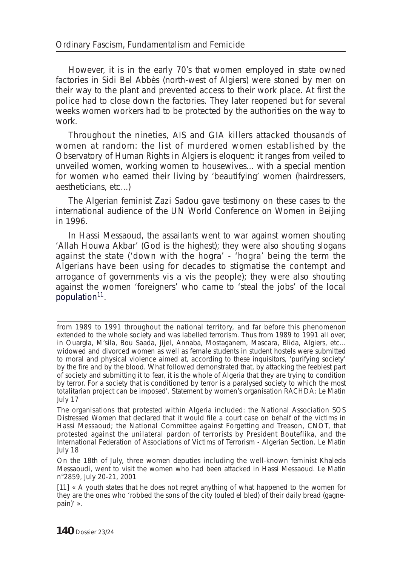However, it is in the early 70's that women employed in state owned factories in Sidi Bel Abbès (north-west of Algiers) were stoned by men on their way to the plant and prevented access to their work place. At first the police had to close down the factories. They later reopened but for several weeks women workers had to be protected by the authorities on the way to work.

Throughout the nineties, AIS and GIA killers attacked thousands of women at random: the list of murdered women established by the Observatory of Human Rights in Algiers is eloquent: it ranges from veiled to unveiled women, working women to housewives... with a special mention for women who earned their living by 'beautifying' women (hairdressers, aestheticians, etc...)

The Algerian feminist Zazi Sadou gave testimony on these cases to the international audience of the UN World Conference on Women in Beijing in 1996.

In Hassi Messaoud, the assailants went to war against women shouting 'Allah Houwa Akbar' (God is the highest); they were also shouting slogans against the state ('down with the hogra' - 'hogra' being the term the Algerians have been using for decades to stigmatise the contempt and arrogance of governments vis a vis the people); they were also shouting against the women 'foreigners' who came to 'steal the jobs' of the local population<sup>11</sup>.

from 1989 to 1991 throughout the national territory, and far before this phenomenon extended to the whole society and was labelled terrorism. Thus from 1989 to 1991 all over, in Ouargla, M'sila, Bou Saada, Jijel, Annaba, Mostaganem, Mascara, Blida, Algiers, etc... widowed and divorced women as well as female students in student hostels were submitted to moral and physical violence aimed at, according to these inquisitors, 'purifying society' by the fire and by the blood. What followed demonstrated that, by attacking the feeblest part of society and submitting it to fear, it is the whole of Algeria that they are trying to condition by terror. For a society that is conditioned by terror is a paralysed society to which the most totalitarian project can be imposed'. Statement by women's organisation RACHDA: Le Matin July 17

The organisations that protested within Algeria included: the National Association SOS Distressed Women that declared that it would file a court case on behalf of the victims in Hassi Messaoud; the National Committee against Forgetting and Treason, CNOT, that protested against the unilateral pardon of terrorists by President Bouteflika, and the International Federation of Associations of Victims of Terrorism - Algerian Section. Le Matin July 18

On the 18th of July, three women deputies including the well-known feminist Khaleda Messaoudi, went to visit the women who had been attacked in Hassi Messaoud. Le Matin n°2859, July 20-21, 2001

<sup>[11] «</sup> A youth states that he does not regret anything of what happened to the women for they are the ones who 'robbed the sons of the city (ouled el bled) of their daily bread (gagnepain)' ».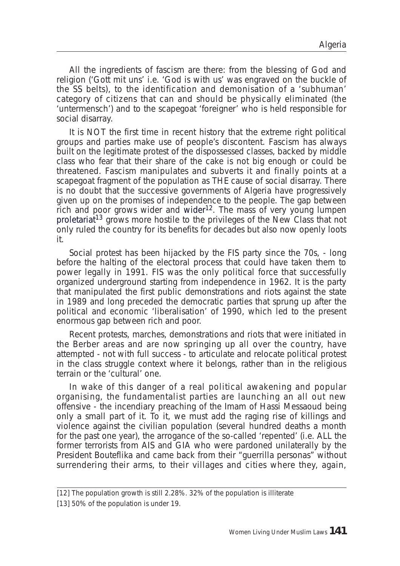All the ingredients of fascism are there: from the blessing of God and religion ('Gott mit uns' i.e. 'God is with us' was engraved on the buckle of the SS belts), to the identification and demonisation of a 'subhuman' category of citizens that can and should be physically eliminated (the 'untermensch') and to the scapegoat 'foreigner' who is held responsible for social disarray.

It is NOT the first time in recent history that the extreme right political groups and parties make use of people's discontent. Fascism has always built on the legitimate protest of the dispossessed classes, backed by middle class who fear that their share of the cake is not big enough or could be threatened. Fascism manipulates and subverts it and finally points at a scapegoat fragment of the population as THE cause of social disarray. There is no doubt that the successive governments of Algeria have progressively given up on the promises of independence to the people. The gap between rich and poor grows wider and wider<sup>12</sup>. The mass of very young lumpen proletariat<sup>13</sup> grows more hostile to the privileges of the New Class that not only ruled the country for its benefits for decades but also now openly loots it.

Social protest has been hijacked by the FIS party since the 70s, - long before the halting of the electoral process that could have taken them to power legally in 1991. FIS was the only political force that successfully organized underground starting from independence in 1962. It is the party that manipulated the first public demonstrations and riots against the state in 1989 and long preceded the democratic parties that sprung up after the political and economic 'liberalisation' of 1990, which led to the present enormous gap between rich and poor.

Recent protests, marches, demonstrations and riots that were initiated in the Berber areas and are now springing up all over the country, have attempted - not with full success - to articulate and relocate political protest in the class struggle context where it belongs, rather than in the religious terrain or the 'cultural' one.

In wake of this danger of a real political awakening and popular organising, the fundamentalist parties are launching an all out new offensive - the incendiary preaching of the Imam of Hassi Messaoud being only a small part of it. To it, we must add the raging rise of killings and violence against the civilian population (several hundred deaths a month for the past one year), the arrogance of the so-called 'repented' (i.e. ALL the former terrorists from AIS and GIA who were pardoned unilaterally by the President Bouteflika and came back from their "guerrilla personas" without surrendering their arms, to their villages and cities where they, again,

<sup>[12]</sup> The population growth is still 2.28%. 32% of the population is illiterate

<sup>[13] 50%</sup> of the population is under 19.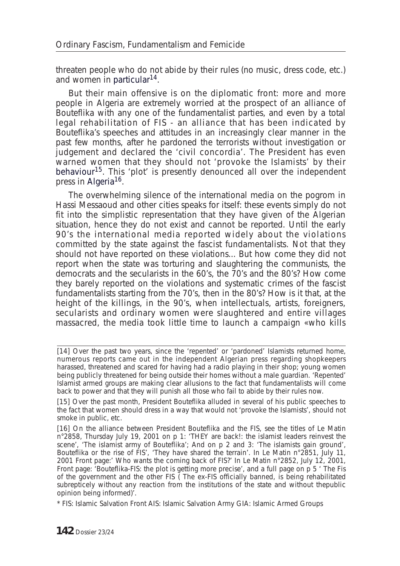threaten people who do not abide by their rules (no music, dress code, etc.) and women in particular14.

But their main offensive is on the diplomatic front: more and more people in Algeria are extremely worried at the prospect of an alliance of Bouteflika with any one of the fundamentalist parties, and even by a total legal rehabilitation of FIS - an alliance that has been indicated by Bouteflika's speeches and attitudes in an increasingly clear manner in the past few months, after he pardoned the terrorists without investigation or judgement and declared the 'civil concordia'. The President has even warned women that they should not 'provoke the Islamists' by their behaviour<sup>15</sup>. This 'plot' is presently denounced all over the independent press in Algeria<sup>16</sup>.

The overwhelming silence of the international media on the pogrom in Hassi Messaoud and other cities speaks for itself: these events simply do not fit into the simplistic representation that they have given of the Algerian situation, hence they do not exist and cannot be reported. Until the early 90's the international media reported widely about the violations committed by the state against the fascist fundamentalists. Not that they should not have reported on these violations... But how come they did not report when the state was torturing and slaughtering the communists, the democrats and the secularists in the 60's, the 70's and the 80's? How come they barely reported on the violations and systematic crimes of the fascist fundamentalists starting from the 70's, then in the 80's? How is it that, at the height of the killings, in the 90's, when intellectuals, artists, foreigners, secularists and ordinary women were slaughtered and entire villages massacred, the media took little time to launch a campaign «who kills

<sup>[14]</sup> Over the past two years, since the 'repented' or 'pardoned' Islamists returned home, numerous reports came out in the independent Algerian press regarding shopkeepers harassed, threatened and scared for having had a radio playing in their shop; young women being publicly threatened for being outside their homes without a male guardian. 'Repented' Islamist armed groups are making clear allusions to the fact that fundamentalists will come back to power and that they will punish all those who fail to abide by their rules now.

<sup>[15]</sup> Over the past month, President Bouteflika alluded in several of his public speeches to the fact that women should dress in a way that would not 'provoke the Islamists', should not smoke in public, etc.

<sup>[16]</sup> On the alliance between President Bouteflika and the FIS, see the titles of Le Matin n°2858, Thursday July 19, 2001 on p 1: 'THEY are back!: the islamist leaders reinvest the scene', 'The islamist army of Bouteflika'; And on p 2 and 3: 'The islamists gain ground', Bouteflika or the rise of FIS', 'They have shared the terrain'. In Le Matin n°2851, July 11, 2001 Front page:' Who wants the coming back of FIS?' In Le Matin n°2852, July 12, 2001, Front page: 'Bouteflika-FIS: the plot is getting more precise', and a full page on p 5 ' The Fis of the government and the other FIS ( The ex-FIS officially banned, is being rehabilitated subrepticely without any reaction from the institutions of the state and without thepublic opinion being informed)'.

<sup>\*</sup> FIS: Islamic Salvation Front AIS: Islamic Salvation Army GIA: Islamic Armed Groups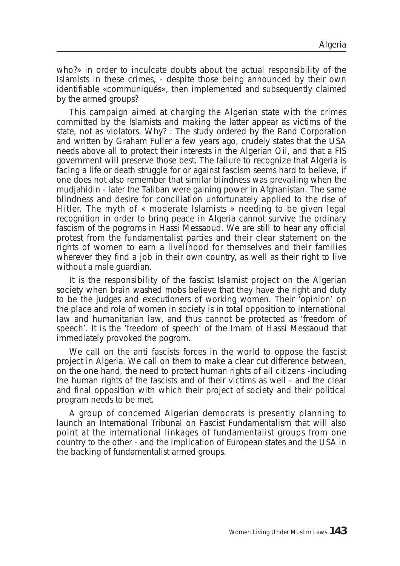who?» in order to inculcate doubts about the actual responsibility of the Islamists in these crimes, - despite those being announced by their own identifiable «communiqués», then implemented and subsequently claimed by the armed groups?

This campaign aimed at charging the Algerian state with the crimes committed by the Islamists and making the latter appear as victims of the state, not as violators. Why? : The study ordered by the Rand Corporation and written by Graham Fuller a few years ago, crudely states that the USA needs above all to protect their interests in the Algerian Oil, and that a FIS government will preserve those best. The failure to recognize that Algeria is facing a life or death struggle for or against fascism seems hard to believe, if one does not also remember that similar blindness was prevailing when the mudjahidin - later the Taliban were gaining power in Afghanistan. The same blindness and desire for conciliation unfortunately applied to the rise of Hitler. The myth of « moderate Islamists » needing to be given legal recognition in order to bring peace in Algeria cannot survive the ordinary fascism of the pogroms in Hassi Messaoud. We are still to hear any official protest from the fundamentalist parties and their clear statement on the rights of women to earn a livelihood for themselves and their families wherever they find a job in their own country, as well as their right to live without a male guardian.

It is the responsibility of the fascist Islamist project on the Algerian society when brain washed mobs believe that they have the right and duty to be the judges and executioners of working women. Their 'opinion' on the place and role of women in society is in total opposition to international law and humanitarian law, and thus cannot be protected as 'freedom of speech'. It is the 'freedom of speech' of the Imam of Hassi Messaoud that immediately provoked the pogrom.

We call on the anti fascists forces in the world to oppose the fascist project in Algeria. We call on them to make a clear cut difference between, on the one hand, the need to protect human rights of all citizens -including the human rights of the fascists and of their victims as well - and the clear and final opposition with which their project of society and their political program needs to be met.

A group of concerned Algerian democrats is presently planning to launch an International Tribunal on Fascist Fundamentalism that will also point at the international linkages of fundamentalist groups from one country to the other - and the implication of European states and the USA in the backing of fundamentalist armed groups.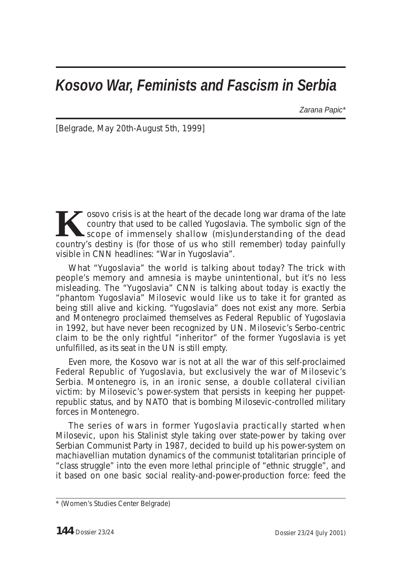# **Kosovo War, Feminists and Fascism in Serbia**

Zarana Papic\*

[Belgrade, May 20th-August 5th, 1999]

**Kosovo crisis is at the heart of the decade long war drama of the late<br>
scope of immensely shallow (mis)understanding of the dead<br>
scountry's destiny is (for those of us who still remember) today painfully** country that used to be called Yugoslavia. The symbolic sign of the country's destiny is (for those of us who still remember) today painfully visible in CNN headlines: "War in Yugoslavia".

What "Yugoslavia" the world is talking about today? The trick with people's memory and amnesia is maybe unintentional, but it's no less misleading. The "Yugoslavia" CNN is talking about today is exactly the "phantom Yugoslavia" Milosevic would like us to take it for granted as being still alive and kicking. "Yugoslavia" does not exist any more. Serbia and Montenegro proclaimed themselves as Federal Republic of Yugoslavia in 1992, but have never been recognized by UN. Milosevic's Serbo-centric claim to be the only rightful "inheritor" of the former Yugoslavia is yet unfulfilled, as its seat in the UN is still empty.

Even more, the Kosovo war is not at all the war of this self-proclaimed Federal Republic of Yugoslavia, but exclusively the war of Milosevic's Serbia. Montenegro is, in an ironic sense, a double collateral civilian victim: by Milosevic's power-system that persists in keeping her puppetrepublic status, and by NATO that is bombing Milosevic-controlled military forces in Montenegro.

The series of wars in former Yugoslavia practically started when Milosevic, upon his Stalinist style taking over state-power by taking over Serbian Communist Party in 1987, decided to build up his power-system on machiavellian mutation dynamics of the communist totalitarian principle of "class struggle" into the even more lethal principle of "ethnic struggle", and it based on one basic social reality-and-power-production force: feed the

<sup>\* (</sup>Women's Studies Center Belgrade)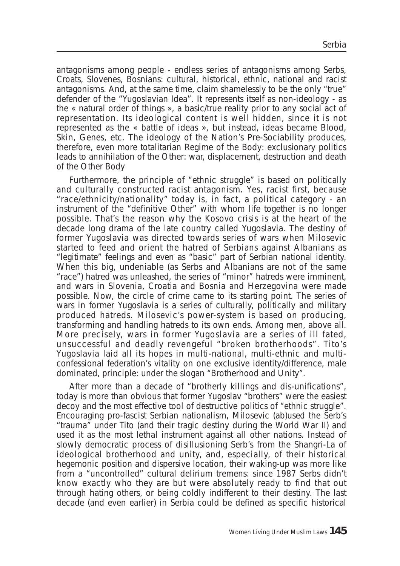antagonisms among people - endless series of antagonisms among Serbs, Croats, Slovenes, Bosnians: cultural, historical, ethnic, national and racist antagonisms. And, at the same time, claim shamelessly to be the only "true" defender of the "Yugoslavian Idea". It represents itself as non-ideology - as the « natural order of things », a basic/true reality prior to any social act of representation. Its ideological content is well hidden, since it is not represented as the « battle of ideas », but instead, ideas became Blood, Skin, Genes, etc. The ideology of the Nation's Pre-Sociability produces, therefore, even more totalitarian Regime of the Body: exclusionary politics leads to annihilation of the Other: war, displacement, destruction and death of the Other Body

Furthermore, the principle of "ethnic struggle" is based on politically and culturally constructed racist antagonism. Yes, racist first, because "race/ethnicity/nationality" today is, in fact, a political category - an instrument of the "definitive Other" with whom life together is no longer possible. That's the reason why the Kosovo crisis is at the heart of the decade long drama of the late country called Yugoslavia. The destiny of former Yugoslavia was directed towards series of wars when Milosevic started to feed and orient the hatred of Serbians against Albanians as "legitimate" feelings and even as "basic" part of Serbian national identity. When this big, undeniable (as Serbs and Albanians are not of the same "race") hatred was unleashed, the series of "minor" hatreds were imminent, and wars in Slovenia, Croatia and Bosnia and Herzegovina were made possible. Now, the circle of crime came to its starting point. The series of wars in former Yugoslavia is a series of culturally, politically and military produced hatreds. Milosevic's power-system is based on producing, transforming and handling hatreds to its own ends. Among men, above all. More precisely, wars in former Yugoslavia are a series of ill fated, unsuccessful and deadly revengeful "broken brotherhoods". Tito's Yugoslavia laid all its hopes in multi-national, multi-ethnic and multiconfessional federation's vitality on one exclusive identity/difference, male dominated, principle: under the slogan "Brotherhood and Unity".

After more than a decade of "brotherly killings and dis-unifications", today is more than obvious that former Yugoslav "brothers" were the easiest decoy and the most effective tool of destructive politics of "ethnic struggle". Encouraging pro-fascist Serbian nationalism, Milosevic (ab)used the Serb's "trauma" under Tito (and their tragic destiny during the World War II) and used it as the most lethal instrument against all other nations. Instead of slowly democratic process of disillusioning Serb's from the Shangri-La of ideological brotherhood and unity, and, especially, of their historical hegemonic position and dispersive location, their waking-up was more like from a "uncontrolled" cultural delirium tremens: since 1987 Serbs didn't know exactly who they are but were absolutely ready to find that out through hating others, or being coldly indifferent to their destiny. The last decade (and even earlier) in Serbia could be defined as specific historical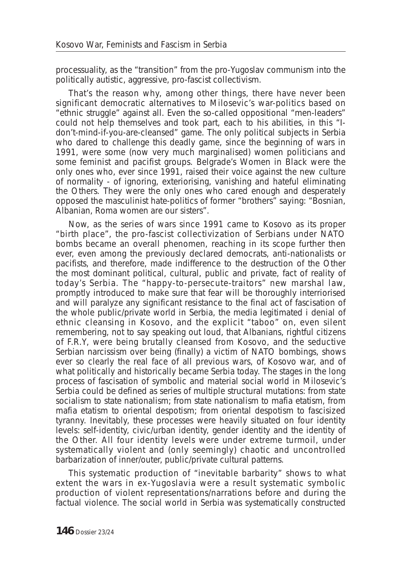processuality, as the "transition" from the pro-Yugoslav communism into the politically autistic, aggressive, pro-fascist collectivism.

That's the reason why, among other things, there have never been significant democratic alternatives to Milosevic's war-politics based on "ethnic struggle" against all. Even the so-called oppositional "men-leaders" could not help themselves and took part, each to his abilities, in this "Idon't-mind-if-you-are-cleansed" game. The only political subjects in Serbia who dared to challenge this deadly game, since the beginning of wars in 1991, were some (now very much marginalised) women politicians and some feminist and pacifist groups. Belgrade's Women in Black were the only ones who, ever since 1991, raised their voice against the new culture of normality - of ignoring, exteriorising, vanishing and hateful eliminating the Others. They were the only ones who cared enough and desperately opposed the masculinist hate-politics of former "brothers" saying: "Bosnian, Albanian, Roma women are our sisters".

Now, as the series of wars since 1991 came to Kosovo as its proper "birth place", the pro-fascist collectivization of Serbians under NATO bombs became an overall phenomen, reaching in its scope further then ever, even among the previously declared democrats, anti-nationalists or pacifists, and therefore, made indifference to the destruction of the Other the most dominant political, cultural, public and private, fact of reality of today's Serbia. The "happy-to-persecute-traitors" new marshal law, promptly introduced to make sure that fear will be thoroughly interriorised and will paralyze any significant resistance to the final act of fascisation of the whole public/private world in Serbia, the media legitimated i denial of ethnic cleansing in Kosovo, and the explicit "taboo" on, even silent remembering, not to say speaking out loud, that Albanians, rightful citizens of F.R.Y, were being brutally cleansed from Kosovo, and the seductive Serbian narcissism over being (finally) a victim of NATO bombings, shows ever so clearly the real face of all previous wars, of Kosovo war, and of what politically and historically became Serbia today. The stages in the long process of fascisation of symbolic and material social world in Milosevic's Serbia could be defined as series of multiple structural mutations: from state socialism to state nationalism; from state nationalism to mafia etatism, from mafia etatism to oriental despotism; from oriental despotism to fascisized tyranny. Inevitably, these processes were heavily situated on four identity levels: self-identity, civic/urban identity, gender identity and the identity of the Other. All four identity levels were under extreme turmoil, under systematically violent and (only seemingly) chaotic and uncontrolled barbarization of inner/outer, public/private cultural patterns.

This systematic production of "inevitable barbarity" shows to what extent the wars in ex-Yugoslavia were a result systematic symbolic production of violent representations/narrations before and during the factual violence. The social world in Serbia was systematically constructed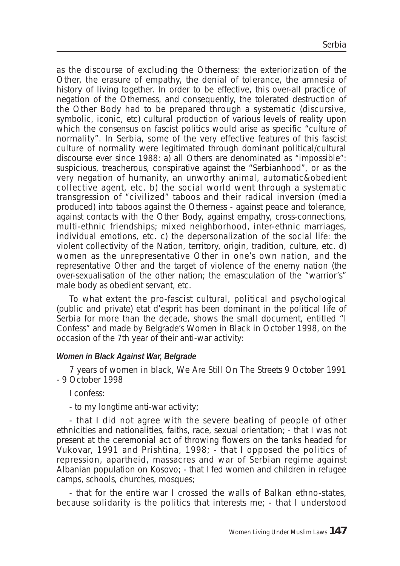as the discourse of excluding the Otherness: the exteriorization of the Other, the erasure of empathy, the denial of tolerance, the amnesia of history of living together. In order to be effective, this over-all practice of negation of the Otherness, and consequently, the tolerated destruction of the Other Body had to be prepared through a systematic (discursive, symbolic, iconic, etc) cultural production of various levels of reality upon which the consensus on fascist politics would arise as specific "culture of normality". In Serbia, some of the very effective features of this fascist culture of normality were legitimated through dominant political/cultural discourse ever since 1988: a) all Others are denominated as "impossible": suspicious, treacherous, conspirative against the "Serbianhood", or as the very negation of humanity, an unworthy animal, automatic&obedient collective agent, etc. b) the social world went through a systematic transgression of "civilized" taboos and their radical inversion (media produced) into taboos against the Otherness - against peace and tolerance, against contacts with the Other Body, against empathy, cross-connections, multi-ethnic friendships; mixed neighborhood, inter-ethnic marriages, individual emotions, etc. c) the depersonalization of the social life: the violent collectivity of the Nation, territory, origin, tradition, culture, etc. d) women as the unrepresentative Other in one's own nation, and the representative Other and the target of violence of the enemy nation (the over-sexualisation of the other nation; the emasculation of the "warrior's" male body as obedient servant, etc.

To what extent the pro-fascist cultural, political and psychological (public and private) etat d'esprit has been dominant in the political life of Serbia for more than the decade, shows the small document, entitled "I Confess" and made by Belgrade's Women in Black in October 1998, on the occasion of the 7th year of their anti-war activity:

#### **Women in Black Against War, Belgrade**

7 years of women in black, We Are Still On The Streets 9 October 1991 - 9 October 1998

I confess:

- to my longtime anti-war activity;

- that I did not agree with the severe beating of people of other ethnicities and nationalities, faiths, race, sexual orientation; - that I was not present at the ceremonial act of throwing flowers on the tanks headed for Vukovar, 1991 and Prishtina, 1998; - that I opposed the politics of repression, apartheid, massacres and war of Serbian regime against Albanian population on Kosovo; - that I fed women and children in refugee camps, schools, churches, mosques;

- that for the entire war I crossed the walls of Balkan ethno-states, because solidarity is the politics that interests me; - that I understood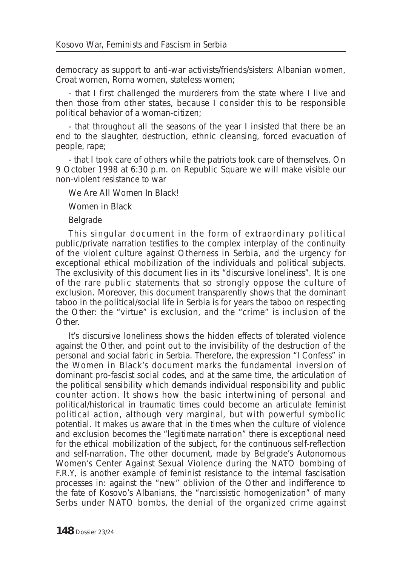democracy as support to anti-war activists/friends/sisters: Albanian women, Croat women, Roma women, stateless women;

- that I first challenged the murderers from the state where I live and then those from other states, because I consider this to be responsible political behavior of a woman-citizen;

- that throughout all the seasons of the year I insisted that there be an end to the slaughter, destruction, ethnic cleansing, forced evacuation of people, rape;

- that I took care of others while the patriots took care of themselves. On 9 October 1998 at 6:30 p.m. on Republic Square we will make visible our non-violent resistance to war

We Are All Women In Black!

Women in Black

Belgrade

This singular document in the form of extraordinary political public/private narration testifies to the complex interplay of the continuity of the violent culture against Otherness in Serbia, and the urgency for exceptional ethical mobilization of the individuals and political subjects. The exclusivity of this document lies in its "discursive loneliness". It is one of the rare public statements that so strongly oppose the culture of exclusion. Moreover, this document transparently shows that the dominant taboo in the political/social life in Serbia is for years the taboo on respecting the Other: the "virtue" is exclusion, and the "crime" is inclusion of the Other.

It's discursive loneliness shows the hidden effects of tolerated violence against the Other, and point out to the invisibility of the destruction of the personal and social fabric in Serbia. Therefore, the expression "I Confess" in the Women in Black's document marks the fundamental inversion of dominant pro-fascist social codes, and at the same time, the articulation of the political sensibility which demands individual responsibility and public counter action. It shows how the basic intertwining of personal and political/historical in traumatic times could become an articulate feminist political action, although very marginal, but with powerful symbolic potential. It makes us aware that in the times when the culture of violence and exclusion becomes the "legitimate narration" there is exceptional need for the ethical mobilization of the subject, for the continuous self-reflection and self-narration. The other document, made by Belgrade's Autonomous Women's Center Against Sexual Violence during the NATO bombing of F.R.Y, is another example of feminist resistance to the internal fascisation processes in: against the "new" oblivion of the Other and indifference to the fate of Kosovo's Albanians, the "narcissistic homogenization" of many Serbs under NATO bombs, the denial of the organized crime against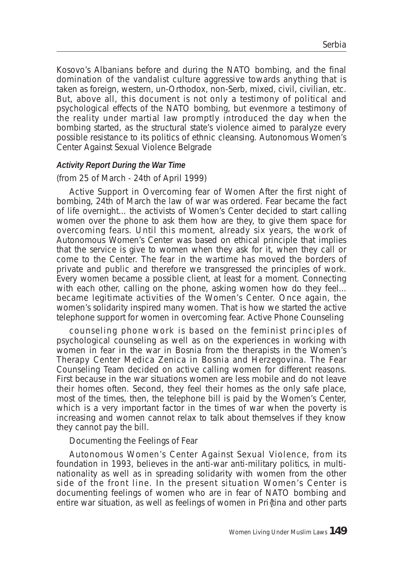Kosovo's Albanians before and during the NATO bombing, and the final domination of the vandalist culture aggressive towards anything that is taken as foreign, western, un-Orthodox, non-Serb, mixed, civil, civilian, etc. But, above all, this document is not only a testimony of political and psychological effects of the NATO bombing, but evenmore a testimony of the reality under martial law promptly introduced the day when the bombing started, as the structural state's violence aimed to paralyze every possible resistance to its politics of ethnic cleansing. Autonomous Women's Center Against Sexual Violence Belgrade

#### **Activity Report During the War Time**

#### (from 25 of March - 24th of April 1999)

Active Support in Overcoming fear of Women After the first night of bombing, 24th of March the law of war was ordered. Fear became the fact of life overnight... the activists of Women's Center decided to start calling women over the phone to ask them how are they, to give them space for overcoming fears. Until this moment, already six years, the work of Autonomous Women's Center was based on ethical principle that implies that the service is give to women when they ask for it, when they call or come to the Center. The fear in the wartime has moved the borders of private and public and therefore we transgressed the principles of work. Every women became a possible client, at least for a moment. Connecting with each other, calling on the phone, asking women how do they feel... became legitimate activities of the Women's Center. Once again, the women's solidarity inspired many women. That is how we started the active telephone support for women in overcoming fear. Active Phone Counseling

counseling phone work is based on the feminist principles of psychological counseling as well as on the experiences in working with women in fear in the war in Bosnia from the therapists in the Women's Therapy Center Medica Zenica in Bosnia and Herzegovina. The Fear Counseling Team decided on active calling women for different reasons. First because in the war situations women are less mobile and do not leave their homes often. Second, they feel their homes as the only safe place, most of the times, then, the telephone bill is paid by the Women's Center, which is a very important factor in the times of war when the poverty is increasing and women cannot relax to talk about themselves if they know they cannot pay the bill.

#### Documenting the Feelings of Fear

Autonomous Women's Center Against Sexual Violence, from its foundation in 1993, believes in the anti-war anti-military politics, in multinationality as well as in spreading solidarity with women from the other side of the front line. In the present situation Women's Center is documenting feelings of women who are in fear of NATO bombing and entire war situation, as well as feelings of women in Pri{tina and other parts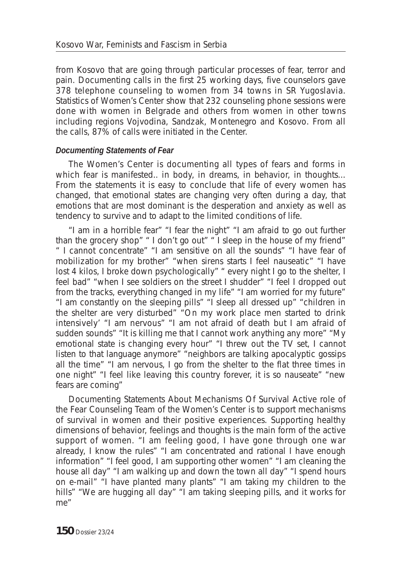from Kosovo that are going through particular processes of fear, terror and pain. Documenting calls in the first 25 working days, five counselors gave 378 telephone counseling to women from 34 towns in SR Yugoslavia. Statistics of Women's Center show that 232 counseling phone sessions were done with women in Belgrade and others from women in other towns including regions Vojvodina, Sandzak, Montenegro and Kosovo. From all the calls, 87% of calls were initiated in the Center.

# **Documenting Statements of Fear**

The Women's Center is documenting all types of fears and forms in which fear is manifested.. in body, in dreams, in behavior, in thoughts... From the statements it is easy to conclude that life of every women has changed, that emotional states are changing very often during a day, that emotions that are most dominant is the desperation and anxiety as well as tendency to survive and to adapt to the limited conditions of life.

"I am in a horrible fear" "I fear the night" "I am afraid to go out further than the grocery shop" " I don't go out" " I sleep in the house of my friend" " I cannot concentrate" "I am sensitive on all the sounds" "I have fear of mobilization for my brother" "when sirens starts I feel nauseatic" "I have lost 4 kilos, I broke down psychologically" " every night I go to the shelter, I feel bad" "when I see soldiers on the street I shudder" "I feel I dropped out from the tracks, everything changed in my life" "I am worried for my future" "I am constantly on the sleeping pills" "I sleep all dressed up" "children in the shelter are very disturbed" "On my work place men started to drink intensively' "I am nervous" "I am not afraid of death but I am afraid of sudden sounds" "It is killing me that I cannot work anything any more" "My emotional state is changing every hour" "I threw out the TV set, I cannot listen to that language anymore" "neighbors are talking apocalyptic gossips all the time" "I am nervous, I go from the shelter to the flat three times in one night" "I feel like leaving this country forever, it is so nauseate" "new fears are coming"

Documenting Statements About Mechanisms Of Survival Active role of the Fear Counseling Team of the Women's Center is to support mechanisms of survival in women and their positive experiences. Supporting healthy dimensions of behavior, feelings and thoughts is the main form of the active support of women. "I am feeling good, I have gone through one war already, I know the rules" "I am concentrated and rational I have enough information" "I feel good, I am supporting other women" "I am cleaning the house all day" "I am walking up and down the town all day" "I spend hours on e-mail" "I have planted many plants" "I am taking my children to the hills" "We are hugging all day" "I am taking sleeping pills, and it works for me"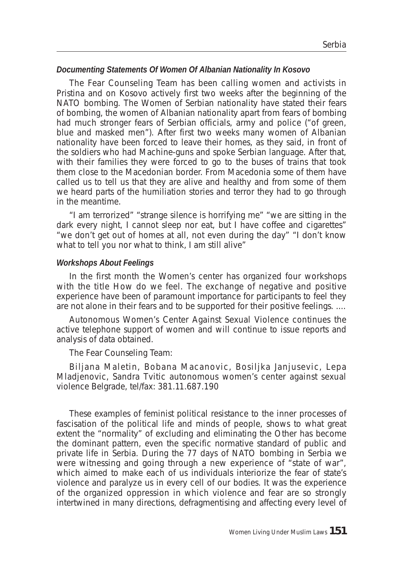#### **Documenting Statements Of Women Of Albanian Nationality In Kosovo**

The Fear Counseling Team has been calling women and activists in Pristina and on Kosovo actively first two weeks after the beginning of the NATO bombing. The Women of Serbian nationality have stated their fears of bombing, the women of Albanian nationality apart from fears of bombing had much stronger fears of Serbian officials, army and police ("of green, blue and masked men"). After first two weeks many women of Albanian nationality have been forced to leave their homes, as they said, in front of the soldiers who had Machine-guns and spoke Serbian language. After that, with their families they were forced to go to the buses of trains that took them close to the Macedonian border. From Macedonia some of them have called us to tell us that they are alive and healthy and from some of them we heard parts of the humiliation stories and terror they had to go through in the meantime.

"I am terrorized" "strange silence is horrifying me" "we are sitting in the dark every night, I cannot sleep nor eat, but I have coffee and cigarettes" "we don't get out of homes at all, not even during the day" "I don't know what to tell you nor what to think, I am still alive"

#### **Workshops About Feelings**

In the first month the Women's center has organized four workshops with the title How do we feel. The exchange of negative and positive experience have been of paramount importance for participants to feel they are not alone in their fears and to be supported for their positive feelings. ....

Autonomous Women's Center Against Sexual Violence continues the active telephone support of women and will continue to issue reports and analysis of data obtained.

The Fear Counseling Team:

Biljana Maletin, Bobana Macanovic, Bosiljka Janjusevic, Lepa Mladjenovic, Sandra Tvitic autonomous women's center against sexual violence Belgrade, tel/fax: 381.11.687.190

These examples of feminist political resistance to the inner processes of fascisation of the political life and minds of people, shows to what great extent the "normality" of excluding and eliminating the Other has become the dominant pattern, even the specific normative standard of public and private life in Serbia. During the 77 days of NATO bombing in Serbia we were witnessing and going through a new experience of "state of war", which aimed to make each of us individuals interiorize the fear of state's violence and paralyze us in every cell of our bodies. It was the experience of the organized oppression in which violence and fear are so strongly intertwined in many directions, defragmentising and affecting every level of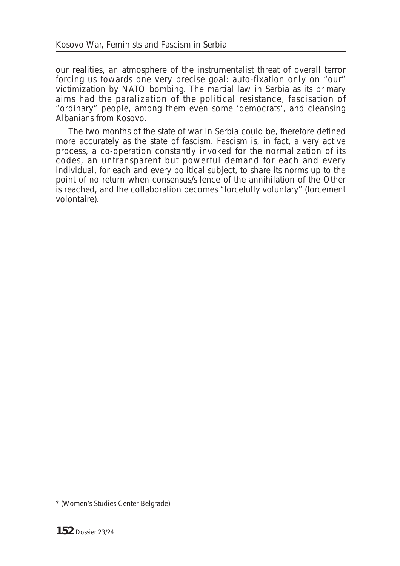our realities, an atmosphere of the instrumentalist threat of overall terror forcing us towards one very precise goal: auto-fixation only on "our" victimization by NATO bombing. The martial law in Serbia as its primary aims had the paralization of the political resistance, fascisation of "ordinary" people, among them even some 'democrats', and cleansing Albanians from Kosovo.

The two months of the state of war in Serbia could be, therefore defined more accurately as the state of fascism. Fascism is, in fact, a very active process, a co-operation constantly invoked for the normalization of its codes, an untransparent but powerful demand for each and every individual, for each and every political subject, to share its norms up to the point of no return when consensus/silence of the annihilation of the Other is reached, and the collaboration becomes "forcefully voluntary" (forcement volontaire).

<sup>\* (</sup>Women's Studies Center Belgrade)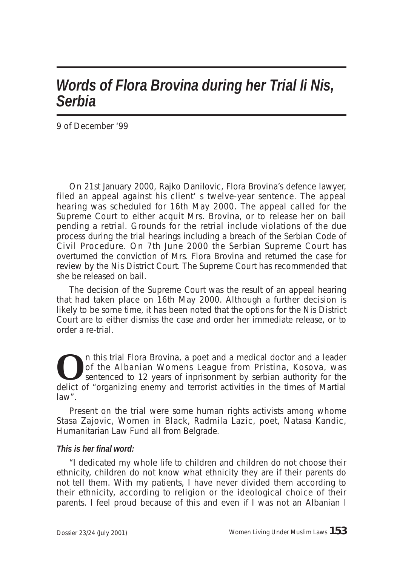# **Words of Flora Brovina during her Trial Ii Nis, Serbia**

9 of December '99

*On 21st January 2000, Rajko Danilovic, Flora Brovina's defence lawyer, filed an appeal against his client' s twelve-year sentence. The appeal hearing was scheduled for 16th May 2000. The appeal called for the Supreme Court to either acquit Mrs. Brovina, or to release her on bail pending a retrial. Grounds for the retrial include violations of the due process during the trial hearings including a breach of the Serbian Code of Civil Procedure. On 7th June 2000 the Serbian Supreme Court has overturned the conviction of Mrs. Flora Brovina and returned the case for review by the Nis District Court. The Supreme Court has recommended that she be released on bail.*

*The decision of the Supreme Court was the result of an appeal hearing that had taken place on 16th May 2000. Although a further decision is likely to be some time, it has been noted that the options for the Nis District Court are to either dismiss the case and order her immediate release, or to order a re-trial.*

In this trial Flora Brovina, a poet and a medical doctor and a leader<br>of the Albanian Womens League from Pristina, Kosova, was<br>sentenced to 12 years of inprisonment by serbian authority for the<br>delict of "organizing enemy of the Albanian Womens League from Pristina, Kosova, was sentenced to 12 years of inprisonment by serbian authority for the delict of "organizing enemy and terrorist activities in the times of Martial law".

Present on the trial were some human rights activists among whome Stasa Zajovic, Women in Black, Radmila Lazic, poet, Natasa Kandic, Humanitarian Law Fund all from Belgrade.

#### **This is her final word:**

"I dedicated my whole life to children and children do not choose their ethnicity, children do not know what ethnicity they are if their parents do not tell them. With my patients, I have never divided them according to their ethnicity, according to religion or the ideological choice of their parents. I feel proud because of this and even if I was not an Albanian I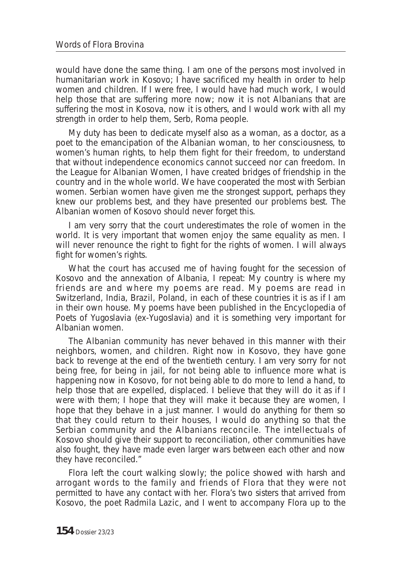would have done the same thing. I am one of the persons most involved in humanitarian work in Kosovo; I have sacrificed my health in order to help women and children. If I were free, I would have had much work, I would help those that are suffering more now; now it is not Albanians that are suffering the most in Kosova, now it is others, and I would work with all my strength in order to help them, Serb, Roma people.

My duty has been to dedicate myself also as a woman, as a doctor, as a poet to the emancipation of the Albanian woman, to her consciousness, to women's human rights, to help them fight for their freedom, to understand that without independence economics cannot succeed nor can freedom. In the League for Albanian Women, I have created bridges of friendship in the country and in the whole world. We have cooperated the most with Serbian women. Serbian women have given me the strongest support, perhaps they knew our problems best, and they have presented our problems best. The Albanian women of Kosovo should never forget this.

I am very sorry that the court underestimates the role of women in the world. It is very important that women enjoy the same equality as men. I will never renounce the right to fight for the rights of women. I will always fight for women's rights.

What the court has accused me of having fought for the secession of Kosovo and the annexation of Albania, I repeat: My country is where my friends are and where my poems are read. My poems are read in Switzerland, India, Brazil, Poland, in each of these countries it is as if I am in their own house. My poems have been published in the Encyclopedia of Poets of Yugoslavia (ex-Yugoslavia) and it is something very important for Albanian women.

The Albanian community has never behaved in this manner with their neighbors, women, and children. Right now in Kosovo, they have gone back to revenge at the end of the twentieth century. I am very sorry for not being free, for being in jail, for not being able to influence more what is happening now in Kosovo, for not being able to do more to lend a hand, to help those that are expelled, displaced. I believe that they will do it as if I were with them; I hope that they will make it because they are women, I hope that they behave in a just manner. I would do anything for them so that they could return to their houses, I would do anything so that the Serbian community and the Albanians reconcile. The intellectuals of Kosovo should give their support to reconciliation, other communities have also fought, they have made even larger wars between each other and now they have reconciled."

Flora left the court walking slowly; the police showed with harsh and arrogant words to the family and friends of Flora that they were not permitted to have any contact with her. Flora's two sisters that arrived from Kosovo, the poet Radmila Lazic, and I went to accompany Flora up to the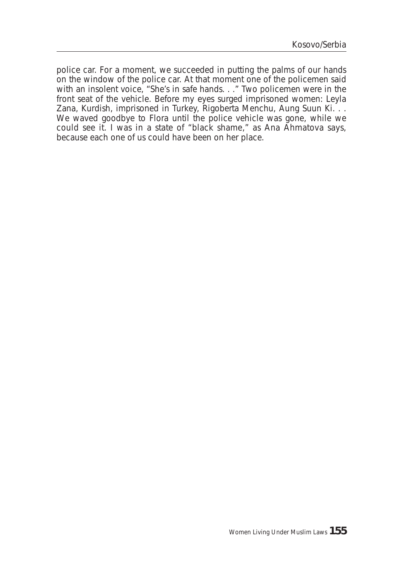police car. For a moment, we succeeded in putting the palms of our hands on the window of the police car. At that moment one of the policemen said with an insolent voice, "She's in safe hands. . ." Two policemen were in the front seat of the vehicle. Before my eyes surged imprisoned women: Leyla Zana, Kurdish, imprisoned in Turkey, Rigoberta Menchu, Aung Suun Ki. . . We waved goodbye to Flora until the police vehicle was gone, while we could see it. I was in a state of "black shame," as Ana Ahmatova says, because each one of us could have been on her place.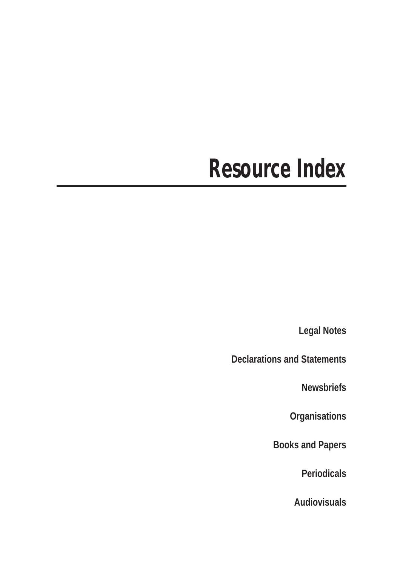# *Resource Index*

**Legal Notes**

**Declarations and Statements**

**Newsbriefs**

**Organisations**

**Books and Papers**

**Periodicals**

**Audiovisuals**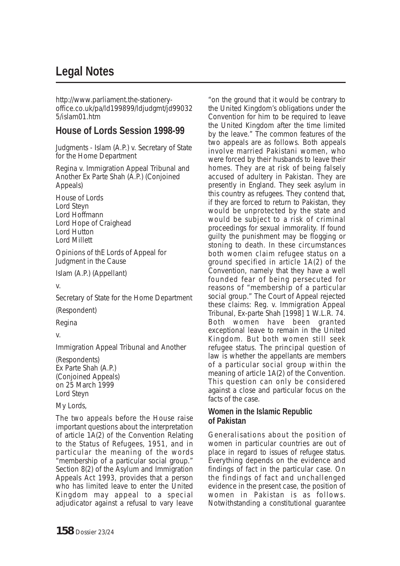# **Legal Notes**

http://www.parliament.the-stationeryoffice.co.uk/pa/ld199899/ldjudgmt/jd99032 5/islam01.htm

# **House of Lords Session 1998-99**

Judgments - Islam (A.P.) v. Secretary of State for the Home Department

Regina v. Immigration Appeal Tribunal and Another Ex Parte Shah (A.P.) (Conjoined Appeals)

House of Lords Lord Steyn Lord Hoffmann Lord Hope of Craighead Lord Hutton Lord Millett

Opinions of thE Lords of Appeal for Judgment in the Cause

Islam (A.P.) (Appellant)

v.

Secretary of State for the Home Department

(Respondent)

Regina

v.

Immigration Appeal Tribunal and Another

(Respondents) Ex Parte Shah (A.P.) (Conjoined Appeals) on 25 March 1999 Lord Steyn

#### My Lords,

The two appeals before the House raise important questions about the interpretation of article 1A(2) of the Convention Relating to the Status of Refugees, 1951, and in particular the meaning of the words "membership of a particular social group." Section 8(2) of the Asylum and Immigration Appeals Act 1993, provides that a person who has limited leave to enter the United Kingdom may appeal to a special adjudicator against a refusal to vary leave

"on the ground that it would be contrary to the United Kingdom's obligations under the Convention for him to be required to leave the United Kingdom after the time limited by the leave." The common features of the two appeals are as follows. Both appeals involve married Pakistani women, who were forced by their husbands to leave their homes. They are at risk of being falsely accused of adultery in Pakistan. They are presently in England. They seek asylum in this country as refugees. They contend that, if they are forced to return to Pakistan, they would be unprotected by the state and would be subject to a risk of criminal proceedings for sexual immorality. If found guilty the punishment may be flogging or stoning to death. In these circumstances both women claim refugee status on a ground specified in article 1A(2) of the Convention, namely that they have a well founded fear of being persecuted for reasons of "membership of a particular social group." The Court of Appeal rejected these claims: Reg. v. Immigration Appeal Tribunal, Ex-parte Shah [1998] 1 W.L.R. 74. Both women have been granted exceptional leave to remain in the United Kingdom. But both women still seek refugee status. The principal question of law is whether the appellants are members of a particular social group within the meaning of article 1A(2) of the Convention. This question can only be considered against a close and particular focus on the facts of the case.

#### **Women in the Islamic Republic of Pakistan**

Generalisations about the position of women in particular countries are out of place in regard to issues of refugee status. Everything depends on the evidence and findings of fact in the particular case. On the findings of fact and unchallenged evidence in the present case, the position of women in Pakistan is as follows. Notwithstanding a constitutional guarantee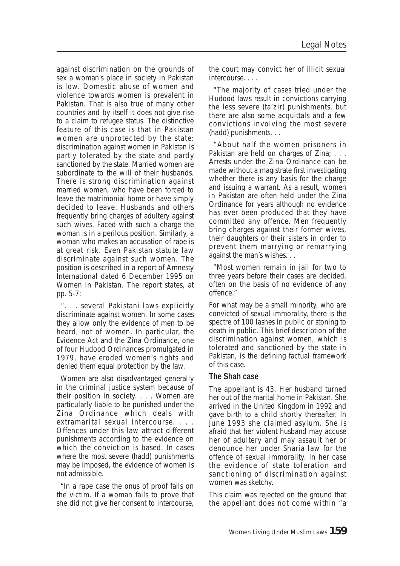against discrimination on the grounds of sex a woman's place in society in Pakistan is low. Domestic abuse of women and violence towards women is prevalent in Pakistan. That is also true of many other countries and by itself it does not give rise to a claim to refugee status. The distinctive feature of this case is that in Pakistan women are unprotected by the state: discrimination against women in Pakistan is partly tolerated by the state and partly sanctioned by the state. Married women are subordinate to the will of their husbands. There is strong discrimination against married women, who have been forced to leave the matrimonial home or have simply decided to leave. Husbands and others frequently bring charges of adultery against such wives. Faced with such a charge the woman is in a perilous position. Similarly, a woman who makes an accusation of rape is at great risk. Even Pakistan statute law discriminate against such women. The position is described in a report of Amnesty International dated 6 December 1995 on Women in Pakistan. The report states, at pp. 5-7:

". . . several Pakistani laws explicitly discriminate against women. In some cases they allow only the evidence of men to be heard, not of women. In particular, the Evidence Act and the Zina Ordinance, one of four Hudood Ordinances promulgated in 1979, have eroded women's rights and denied them equal protection by the law.

Women are also disadvantaged generally in the criminal justice system because of their position in society. . . . Women are particularly liable to be punished under the Zina Ordinance which deals with extramarital sexual intercourse. . . . Offences under this law attract different punishments according to the evidence on which the conviction is based. In cases where the most severe (hadd) punishments may be imposed, the evidence of women is not admissible.

"In a rape case the onus of proof falls on the victim. If a woman fails to prove that she did not give her consent to intercourse, the court may convict her of illicit sexual intercourse. . . .

"The majority of cases tried under the Hudood laws result in convictions carrying the less severe (ta'zir) punishments, but there are also some acquittals and a few convictions involving the most severe (hadd) punishments. . .

"About half the women prisoners in Pakistan are held on charges of Zina; . . . Arrests under the Zina Ordinance can be made without a magistrate first investigating whether there is any basis for the charge and issuing a warrant. As a result, women in Pakistan are often held under the Zina Ordinance for years although no evidence has ever been produced that they have committed any offence. Men frequently bring charges against their former wives, their daughters or their sisters in order to prevent them marrying or remarrying against the man's wishes. . .

"Most women remain in jail for two to three years before their cases are decided, often on the basis of no evidence of any offence."

For what may be a small minority, who are convicted of sexual immorality, there is the spectre of 100 lashes in public or stoning to death in public. This brief description of the discrimination against women, which is tolerated and sanctioned by the state in Pakistan, is the defining factual framework of this case.

#### **The Shah case**

The appellant is 43. Her husband turned her out of the marital home in Pakistan. She arrived in the United Kingdom in 1992 and gave birth to a child shortly thereafter. In June 1993 she claimed asylum. She is afraid that her violent husband may accuse her of adultery and may assault her or denounce her under Sharia law for the offence of sexual immorality. In her case the evidence of state toleration and sanctioning of discrimination against women was sketchy.

This claim was rejected on the ground that the appellant does not come within "a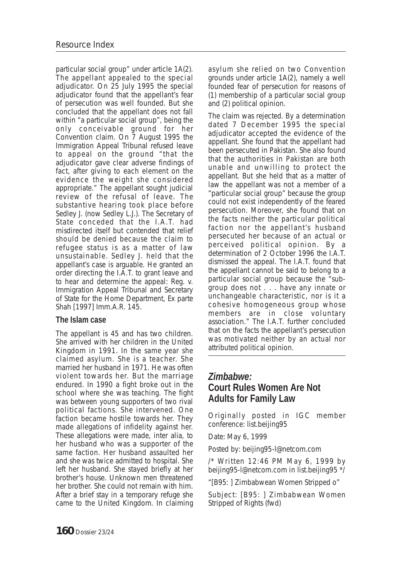particular social group" under article 1A(2). The appellant appealed to the special adjudicator. On 25 July 1995 the special adjudicator found that the appellant's fear of persecution was well founded. But she concluded that the appellant does not fall within "a particular social group", being the only conceivable ground for her Convention claim. On 7 August 1995 the Immigration Appeal Tribunal refused leave to appeal on the ground "that the adjudicator gave clear adverse findings of fact, after giving to each element on the evidence the weight she considered appropriate." The appellant sought judicial review of the refusal of leave. The substantive hearing took place before Sedley J. (now Sedley L.J.). The Secretary of State conceded that the I.A.T. had misdirected itself but contended that relief should be denied because the claim to refugee status is as a matter of law unsustainable. Sedley J. held that the appellant's case is arguable. He granted an order directing the I.A.T. to grant leave and to hear and determine the appeal: Reg. v. Immigration Appeal Tribunal and Secretary of State for the Home Department, Ex parte Shah [1997] Imm.A.R. 145.

#### **The Islam case**

The appellant is 45 and has two children. She arrived with her children in the United Kingdom in 1991. In the same year she claimed asylum. She is a teacher. She married her husband in 1971. He was often violent towards her. But the marriage endured. In 1990 a fight broke out in the school where she was teaching. The fight was between young supporters of two rival political factions. She intervened. One faction became hostile towards her. They made allegations of infidelity against her. These allegations were made, inter alia, to her husband who was a supporter of the same faction. Her husband assaulted her and she was twice admitted to hospital. She left her husband. She stayed briefly at her brother's house. Unknown men threatened her brother. She could not remain with him. After a brief stay in a temporary refuge she came to the United Kingdom. In claiming asylum she relied on two Convention grounds under article 1A(2), namely a well founded fear of persecution for reasons of (1) membership of a particular social group and (2) political opinion.

The claim was rejected. By a determination dated 7 December 1995 the special adjudicator accepted the evidence of the appellant. She found that the appellant had been persecuted in Pakistan. She also found that the authorities in Pakistan are both unable and unwilling to protect the appellant. But she held that as a matter of law the appellant was not a member of a "particular social group" because the group could not exist independently of the feared persecution. Moreover, she found that on the facts neither the particular political faction nor the appellant's husband persecuted her because of an actual or perceived political opinion. By a determination of 2 October 1996 the I.A.T. dismissed the appeal. The I.A.T. found that the appellant cannot be said to belong to a particular social group because the "subgroup does not . . . have any innate or unchangeable characteristic, nor is it a cohesive homogeneous group whose members are in close voluntary association." The I.A.T. further concluded that on the facts the appellant's persecution was motivated neither by an actual nor attributed political opinion.

# **Zimbabwe: Court Rules Women Are Not Adults for Family Law**

Originally posted in IGC member conference: list.beijing95

Date: May 6, 1999

Posted by: beijing95-l@netcom.com

/\* Written 12:46 PM May 6, 1999 by beijing95-l@netcom.com in list.beijing95 \*/

"[B95: ] Zimbabwean Women Stripped o"

Subject: [B95: ] Zimbabwean Women Stripped of Rights (fwd)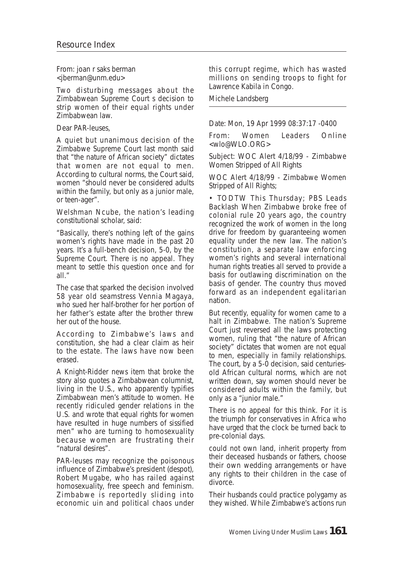From: joan r saks berman <jberman@unm.edu>

Two disturbing messages about the Zimbabwean Supreme Court s decision to strip women of their equal rights under Zimbabwean law.

Dear PAR-leuses,

A quiet but unanimous decision of the Zimbabwe Supreme Court last month said that "the nature of African society" dictates that women are not equal to men. According to cultural norms, the Court said, women "should never be considered adults within the family, but only as a junior male, or teen-ager".

Welshman Ncube, the nation's leading constitutional scholar, said:

"Basically, there's nothing left of the gains women's rights have made in the past 20 years. It's a full-bench decision, 5-0, by the Supreme Court. There is no appeal. They meant to settle this question once and for all."

The case that sparked the decision involved 58 year old seamstress Vennia Magaya, who sued her half-brother for her portion of her father's estate after the brother threw her out of the house.

According to Zimbabwe's laws and constitution, she had a clear claim as heir to the estate. The laws have now been erased.

A Knight-Ridder news item that broke the story also quotes a Zimbabwean columnist, living in the U.S., who apparently typifies Zimbabwean men's attitude to women. He recently ridiculed gender relations in the U.S. and wrote that equal rights for women have resulted in huge numbers of sissified men" who are turning to homosexuality because women are frustrating their "natural desires".

PAR-leuses may recognize the poisonous influence of Zimbabwe's president (despot), Robert Mugabe, who has railed against homosexuality, free speech and feminism. Zimbabwe is reportedly sliding into economic uin and political chaos under

this corrupt regime, which has wasted millions on sending troops to fight for Lawrence Kabila in Congo.

Michele Landsberg

Date: Mon, 19 Apr 1999 08:37:17 -0400

From: Women Leaders Online <wlo@WLO.ORG>

Subject: WOC Alert 4/18/99 - Zimbabwe Women Stripped of All Rights

WOC Alert 4/18/99 - Zimbabwe Women Stripped of All Rights;

• TODTW This Thursday; PBS Leads Backlash When Zimbabwe broke free of colonial rule 20 years ago, the country recognized the work of women in the long drive for freedom by guaranteeing women equality under the new law. The nation's constitution, a separate law enforcing women's rights and several international human rights treaties all served to provide a basis for outlawing discrimination on the basis of gender. The country thus moved forward as an independent egalitarian nation.

But recently, equality for women came to a halt in Zimbabwe. The nation's Supreme Court just reversed all the laws protecting women, ruling that "the nature of African society" dictates that women are not equal to men, especially in family relationships. The court, by a 5-0 decision, said centuriesold African cultural norms, which are not written down, say women should never be considered adults within the family, but only as a "junior male."

There is no appeal for this think. For it is the triumph for conservatives in Africa who have urged that the clock be turned back to pre-colonial days.

could not own land, inherit property from their deceased husbands or fathers, choose their own wedding arrangements or have any rights to their children in the case of divorce.

Their husbands could practice polygamy as they wished. While Zimbabwe's actions run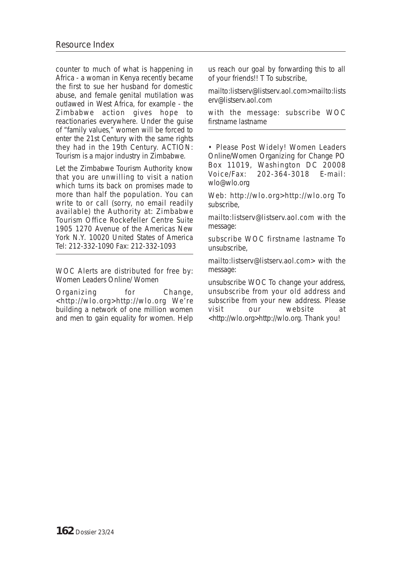counter to much of what is happening in Africa - a woman in Kenya recently became the first to sue her husband for domestic abuse, and female genital mutilation was outlawed in West Africa, for example - the Zimbabwe action gives hope to reactionaries everywhere. Under the guise of "family values," women will be forced to enter the 21st Century with the same rights they had in the 19th Century. ACTION: Tourism is a major industry in Zimbabwe.

Let the Zimbabwe Tourism Authority know that you are unwilling to visit a nation which turns its back on promises made to more than half the population. You can write to or call (sorry, no email readily available) the Authority at: Zimbabwe Tourism Office Rockefeller Centre Suite 1905 1270 Avenue of the Americas New York N.Y. 10020 United States of America Tel: 212-332-1090 Fax: 212-332-1093

WOC Alerts are distributed for free by: Women Leaders Online/ Women

Organizing for Change, <http://wlo.org>http://wlo.org We're building a network of one million women and men to gain equality for women. Help us reach our goal by forwarding this to all of your friends!! T To subscribe,

mailto:listserv@listserv.aol.com>mailto:lists erv@listserv.aol.com

with the message: subscribe WOC firstname lastname

• Please Post Widely! Women Leaders Online/Women Organizing for Change PO Box 11019, Washington DC 20008 Voice/Fax: 202-364-3018 E-mail: wlo@wlo.org

Web: http://wlo.org>http://wlo.org To subscribe,

mailto:listserv@listserv.aol.com with the message:

subscribe WOC firstname lastname To unsubscribe,

mailto:listserv@listserv.aol.com> with the message:

unsubscribe WOC To change your address, unsubscribe from your old address and subscribe from your new address. Please visit our website at <http://wlo.org>http://wlo.org. Thank you!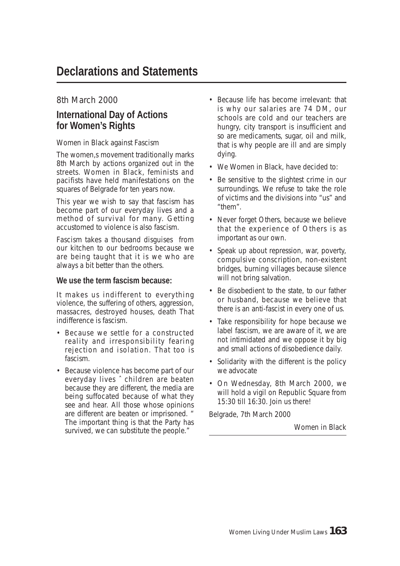#### 8th March 2000

# **International Day of Actions for Women's Rights**

Women in Black against Fascism

The women, s movement traditionally marks 8th March by actions organized out in the streets. Women in Black, feminists and pacifists have held manifestations on the squares of Belgrade for ten years now.

This year we wish to say that fascism has become part of our everyday lives and a method of survival for many. Getting accustomed to violence is also fascism.

Fascism takes a thousand disguises from our kitchen to our bedrooms because we are being taught that it is we who are always a bit better than the others.

#### **We use the term fascism because:**

It makes us indifferent to everything violence, the suffering of others, aggression, massacres, destroyed houses, death That indifference is fascism.

- Because we settle for a constructed reality and irresponsibility fearing rejection and isolation. That too is fascism.
- Because violence has become part of our everyday lives ˆ children are beaten because they are different, the media are being suffocated because of what they see and hear. All those whose opinions are different are beaten or imprisoned. " The important thing is that the Party has survived, we can substitute the people."
- Because life has become irrelevant: that is why our salaries are 74 DM, our schools are cold and our teachers are hungry, city transport is insufficient and so are medicaments, sugar, oil and milk, that is why people are ill and are simply dying.
- We Women in Black, have decided to:
- Be sensitive to the slightest crime in our surroundings. We refuse to take the role of victims and the divisions into "us" and "them".
- Never forget Others, because we believe that the experience of Others is as important as our own.
- Speak up about repression, war, poverty, compulsive conscription, non-existent bridges, burning villages because silence will not bring salvation.
- Be disobedient to the state, to our father or husband, because we believe that there is an anti-fascist in every one of us.
- Take responsibility for hope because we label fascism, we are aware of it, we are not intimidated and we oppose it by big and small actions of disobedience daily.
- Solidarity with the different is the policy we advocate
- On Wednesday, 8th March 2000, we will hold a vigil on Republic Square from 15:30 till 16:30. Join us there!

Belgrade, 7th March 2000

*Women in Black*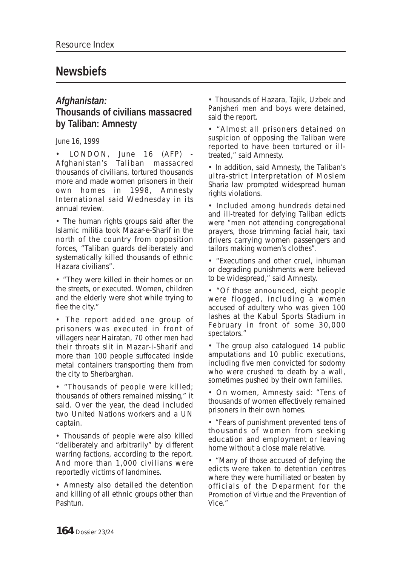# **Newsbiefs**

# **Afghanistan: Thousands of civilians massacred by Taliban: Amnesty**

June 16, 1999

• LONDON, June 16 (AFP) - Afghanistan's Taliban massacred thousands of civilians, tortured thousands more and made women prisoners in their own homes in 1998, Amnesty International said Wednesday in its annual review.

• The human rights groups said after the Islamic militia took Mazar-e-Sharif in the north of the country from opposition forces, "Taliban guards deliberately and systematically killed thousands of ethnic Hazara civilians".

• "They were killed in their homes or on the streets, or executed. Women, children and the elderly were shot while trying to flee the city."

• The report added one group of prisoners was executed in front of villagers near Hairatan, 70 other men had their throats slit in Mazar-i-Sharif and more than 100 people suffocated inside metal containers transporting them from the city to Sherbarghan.

• "Thousands of people were killed; thousands of others remained missing," it said. Over the year, the dead included two United Nations workers and a UN captain.

• Thousands of people were also killed "deliberately and arbitrarily" by different warring factions, according to the report. And more than 1,000 civilians were reportedly victims of landmines.

• Amnesty also detailed the detention and killing of all ethnic groups other than Pashtun.

• Thousands of Hazara, Tajik, Uzbek and Panjsheri men and boys were detained, said the report.

• "Almost all prisoners detained on suspicion of opposing the Taliban were reported to have been tortured or illtreated," said Amnesty.

• In addition, said Amnesty, the Taliban's ultra-strict interpretation of Moslem Sharia law prompted widespread human rights violations.

• Included among hundreds detained and ill-treated for defying Taliban edicts were "men not attending congregational prayers, those trimming facial hair, taxi drivers carrying women passengers and tailors making women's clothes".

• "Executions and other cruel, inhuman or degrading punishments were believed to be widespread," said Amnesty.

• "Of those announced, eight people were flogged, including a women accused of adultery who was given 100 lashes at the Kabul Sports Stadium in February in front of some 30,000 spectators."

• The group also catalogued 14 public amputations and 10 public executions, including five men convicted for sodomy who were crushed to death by a wall, sometimes pushed by their own families.

• On women, Amnesty said: "Tens of thousands of women effectively remained prisoners in their own homes.

• "Fears of punishment prevented tens of thousands of women from seeking education and employment or leaving home without a close male relative.

• "Many of those accused of defying the edicts were taken to detention centres where they were humiliated or beaten by officials of the Deparment for the Promotion of Virtue and the Prevention of Vice."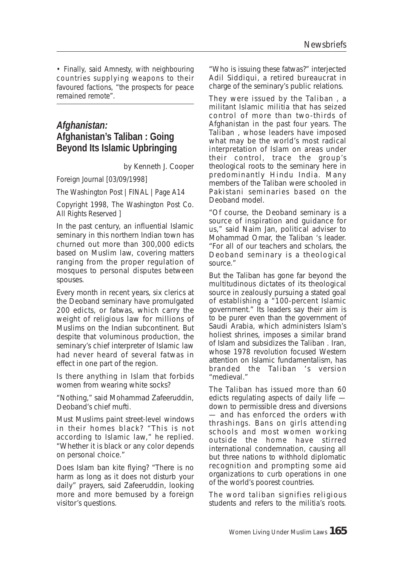• Finally, said Amnesty, with neighbouring countries supplying weapons to their favoured factions, "the prospects for peace remained remote".

# **Afghanistan: Afghanistan's Taliban : Going Beyond Its Islamic Upbringing**

*by Kenneth J. Cooper* 

Foreign Journal [03/09/1998]

The Washington Post | FINAL | Page A14

Copyright 1998, The Washington Post Co. All Rights Reserved ]

In the past century, an influential Islamic seminary in this northern Indian town has churned out more than 300,000 edicts based on Muslim law, covering matters ranging from the proper regulation of mosques to personal disputes between spouses.

Every month in recent years, six clerics at the Deoband seminary have promulgated 200 edicts, or fatwas, which carry the weight of religious law for millions of Muslims on the Indian subcontinent. But despite that voluminous production, the seminary's chief interpreter of Islamic law had never heard of several fatwas in effect in one part of the region.

Is there anything in Islam that forbids women from wearing white socks?

"Nothing," said Mohammad Zafeeruddin, Deoband's chief mufti.

Must Muslims paint street-level windows in their homes black? "This is not according to Islamic law," he replied. "Whether it is black or any color depends on personal choice."

Does Islam ban kite flying? "There is no harm as long as it does not disturb your daily" prayers, said Zafeeruddin, looking more and more bemused by a foreign visitor's questions.

"Who is issuing these fatwas?" interjected Adil Siddiqui, a retired bureaucrat in charge of the seminary's public relations.

They were issued by the Taliban , a militant Islamic militia that has seized control of more than two-thirds of Afghanistan in the past four years. The Taliban , whose leaders have imposed what may be the world's most radical interpretation of Islam on areas under their control, trace the group's theological roots to the seminary here in predominantly Hindu India. Many members of the Taliban were schooled in Pakistani seminaries based on the Deoband model.

"Of course, the Deoband seminary is a source of inspiration and guidance for us," said Naim Jan, political adviser to Mohammad Omar, the Taliban 's leader. "For all of our teachers and scholars, the Deoband seminary is a theological source."

But the Taliban has gone far beyond the multitudinous dictates of its theological source in zealously pursuing a stated goal of establishing a "100-percent Islamic government." Its leaders say their aim is to be purer even than the government of Saudi Arabia, which administers Islam's holiest shrines, imposes a similar brand of Islam and subsidizes the Taliban . Iran, whose 1978 revolution focused Western attention on Islamic fundamentalism, has branded the Taliban 's version "medieval."

The Taliban has issued more than 60 edicts regulating aspects of daily life down to permissible dress and diversions — and has enforced the orders with thrashings. Bans on girls attending schools and most women working outside the home have stirred international condemnation, causing all but three nations to withhold diplomatic recognition and prompting some aid organizations to curb operations in one of the world's poorest countries.

The word taliban signifies religious students and refers to the militia's roots.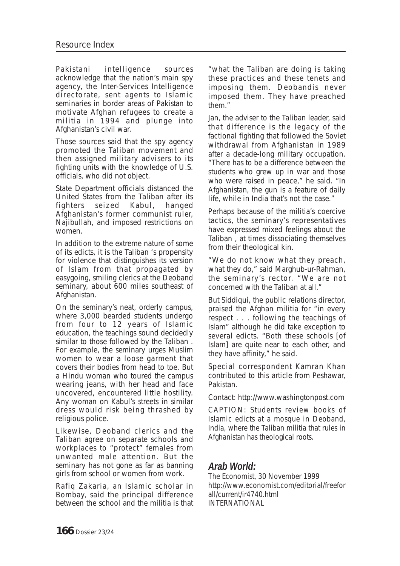Pakistani intelligence sources acknowledge that the nation's main spy agency, the Inter-Services Intelligence directorate, sent agents to Islamic seminaries in border areas of Pakistan to motivate Afghan refugees to create a militia in 1994 and plunge into Afghanistan's civil war.

Those sources said that the spy agency promoted the Taliban movement and then assigned military advisers to its fighting units with the knowledge of U.S. officials, who did not object.

State Department officials distanced the United States from the Taliban after its fighters seized Kabul, hanged Afghanistan's former communist ruler, Najibullah, and imposed restrictions on women.

In addition to the extreme nature of some of its edicts, it is the Taliban 's propensity for violence that distinguishes its version of Islam from that propagated by easygoing, smiling clerics at the Deoband seminary, about 600 miles southeast of Afghanistan.

On the seminary's neat, orderly campus, where 3,000 bearded students undergo from four to 12 years of Islamic education, the teachings sound decidedly similar to those followed by the Taliban . For example, the seminary urges Muslim women to wear a loose garment that covers their bodies from head to toe. But a Hindu woman who toured the campus wearing jeans, with her head and face uncovered, encountered little hostility. Any woman on Kabul's streets in similar dress would risk being thrashed by religious police.

Likewise, Deoband clerics and the Taliban agree on separate schools and workplaces to "protect" females from unwanted male attention. But the seminary has not gone as far as banning girls from school or women from work.

Rafiq Zakaria, an Islamic scholar in Bombay, said the principal difference between the school and the militia is that "what the Taliban are doing is taking these practices and these tenets and imposing them. Deobandis never imposed them. They have preached them."

Jan, the adviser to the Taliban leader, said that difference is the legacy of the factional fighting that followed the Soviet withdrawal from Afghanistan in 1989 after a decade-long military occupation. "There has to be a difference between the students who grew up in war and those who were raised in peace," he said. "In Afghanistan, the gun is a feature of daily life, while in India that's not the case."

Perhaps because of the militia's coercive tactics, the seminary's representatives have expressed mixed feelings about the Taliban , at times dissociating themselves from their theological kin.

"We do not know what they preach, what they do," said Marghub-ur-Rahman, the seminary's rector. "We are not concerned with the Taliban at all."

But Siddiqui, the public relations director, praised the Afghan militia for "in every respect . . . following the teachings of Islam" although he did take exception to several edicts. "Both these schools [of Islam] are quite near to each other, and they have affinity," he said.

Special correspondent Kamran Khan contributed to this article from Peshawar, Pakistan.

Contact: http://www.washingtonpost.com

CAPTION: Students review books of Islamic edicts at a mosque in Deoband, India, where the Taliban militia that rules in Afghanistan has theological roots.

# **Arab World:**

The Economist, 30 November 1999 http://www.economist.com/editorial/freefor all/current/ir4740.html INTERNATIONAL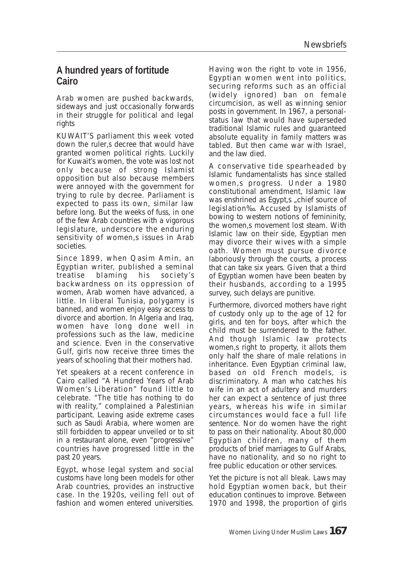# **A hundred years of fortitude Cairo**

Arab women are pushed backwards, sideways and just occasionally forwards in their struggle for political and legal rights

KUWAIT'S parliament this week voted down the ruler, s decree that would have granted women political rights. Luckily for Kuwait's women, the vote was lost not only because of strong Islamist opposition but also because members were annoyed with the government for trying to rule by decree. Parliament is expected to pass its own, similar law before long. But the weeks of fuss, in one of the few Arab countries with a vigorous legislature, underscore the enduring sensitivity of women, issues in Arab societies.

Since 1899, when Qasim Amin, an Egyptian writer, published a seminal treatise blaming his society's backwardness on its oppression of women, Arab women have advanced, a little. In liberal Tunisia, polygamy is banned, and women enjoy easy access to divorce and abortion. In Algeria and Iraq, women have long done well in professions such as the law, medicine and science. Even in the conservative Gulf, girls now receive three times the years of schooling that their mothers had.

Yet speakers at a recent conference in Cairo called "A Hundred Years of Arab Women's Liberation" found little to celebrate. "The title has nothing to do with reality," complained a Palestinian participant. Leaving aside extreme cases such as Saudi Arabia, where women are still forbidden to appear unveiled or to sit in a restaurant alone, even "progressive" countries have progressed little in the past 20 years.

Egypt, whose legal system and social customs have long been models for other Arab countries, provides an instructive case. In the 1920s, veiling fell out of fashion and women entered universities.

Having won the right to vote in 1956, Egyptian women went into politics, securing reforms such as an official (widely ignored) ban on female circumcision, as well as winning senior posts in government. In 1967, a personalstatus law that would have superseded traditional Islamic rules and guaranteed absolute equality in family matters was tabled. But then came war with Israel, and the law died.

A conservative tide spearheaded by Islamic fundamentalists has since stalled women, s progress. Under a 1980 constitutional amendment, Islamic law was enshrined as Egypt, s "chief source of" legislation‰. Accused by Islamists of bowing to western notions of femininity, the women's movement lost steam. With Islamic law on their side, Egyptian men may divorce their wives with a simple oath. Women must pursue divorce laboriously through the courts, a process that can take six years. Given that a third of Egyptian women have been beaten by their husbands, according to a 1995 survey, such delays are punitive.

Furthermore, divorced mothers have right of custody only up to the age of 12 for girls, and ten for boys, after which the child must be surrendered to the father. And though Islamic law protects women, s right to property, it allots them only half the share of male relations in inheritance. Even Egyptian criminal law, based on old French models, is discriminatory. A man who catches his wife in an act of adultery and murders her can expect a sentence of just three years, whereas his wife in similar circumstances would face a full life sentence. Nor do women have the right to pass on their nationality. About 80,000 Egyptian children, many of them products of brief marriages to Gulf Arabs, have no nationality, and so no right to free public education or other services.

Yet the picture is not all bleak. Laws may hold Egyptian women back, but their education continues to improve. Between 1970 and 1998, the proportion of girls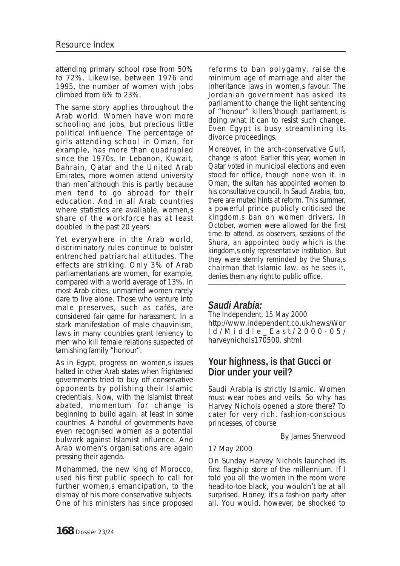attending primary school rose from 50% to 72%. Likewise, between 1976 and 1995, the number of women with jobs climbed from 6% to 23%.

The same story applies throughout the Arab world. Women have won more schooling and jobs, but precious little political influence. The percentage of girls attending school in Oman, for example, has more than quadrupled since the 1970s. In Lebanon, Kuwait, Bahrain, Qatar and the United Arab Emirates, more women attend university than men˜although this is partly because men tend to go abroad for their education. And in all Arab countries where statistics are available, women, s share of the workforce has at least doubled in the past 20 years.

Yet everywhere in the Arab world, discriminatory rules continue to bolster entrenched patriarchal attitudes. The effects are striking. Only 3% of Arab parliamentarians are women, for example, compared with a world average of 13%. In most Arab cities, unmarried women rarely dare to live alone. Those who venture into male preserves, such as cafés, are considered fair game for harassment. In a stark manifestation of male chauvinism, laws in many countries grant leniency to men who kill female relations suspected of tarnishing family "honour".

As in Egypt, progress on women, issues halted in other Arab states when frightened governments tried to buy off conservative opponents by polishing their Islamic credentials. Now, with the Islamist threat abated, momentum for change is beginning to build again, at least in some countries. A handful of governments have even recognised women as a potential bulwark against Islamist influence. And Arab women's organisations are again pressing their agenda.

Mohammed, the new king of Morocco, used his first public speech to call for further women, s emancipation, to the dismay of his more conservative subjects. One of his ministers has since proposed reforms to ban polygamy, raise the minimum age of marriage and alter the inheritance laws in women's favour. The Jordanian government has asked its parliament to change the light sentencing of "honour" killers˜though parliament is doing what it can to resist such change. Even Egypt is busy streamlining its divorce proceedings.

Moreover, in the arch-conservative Gulf, change is afoot. Earlier this year, women in Qatar voted in municipal elections and even stood for office, though none won it. In Oman, the sultan has appointed women to his consultative council. In Saudi Arabia, too, there are muted hints at reform. This summer, a powerful prince publicly criticised the kingdom's ban on women drivers. In October, women were allowed for the first time to attend, as observers, sessions of the Shura, an appointed body which is the kingdom's only representative institution. But they were sternly reminded by the Shura,s chairman that Islamic law, as he sees it, denies them any right to public office.

# **Saudi Arabia:**

The Independent, 15 May 2000 http://www.independent.co.uk/news/Wor ld/Middle\_East/2000-05/ harveynichols170500. shtml

# **Your highness, is that Gucci or Dior under your veil?**

Saudi Arabia is strictly Islamic. Women must wear robes and veils. So why has Harvey Nichols opened a store there? To cater for very rich, fashion-conscious princesses, of course

*By James Sherwood*

#### 17 May 2000

On Sunday Harvey Nichols launched its first flagship store of the millennium. If I told you all the women in the room wore head-to-toe black, you wouldn't be at all surprised. Honey, it's a fashion party after all. You would, however, be shocked to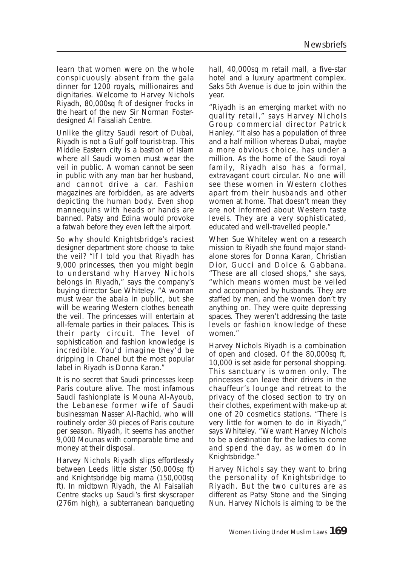learn that women were on the whole conspicuously absent from the gala dinner for 1200 royals, millionaires and dignitaries. Welcome to Harvey Nichols Riyadh, 80,000sq ft of designer frocks in the heart of the new Sir Norman Fosterdesigned Al Faisaliah Centre.

Unlike the glitzy Saudi resort of Dubai, Riyadh is not a Gulf golf tourist-trap. This Middle Eastern city is a bastion of Islam where all Saudi women must wear the veil in public. A woman cannot be seen in public with any man bar her husband, and cannot drive a car. Fashion magazines are forbidden, as are adverts depicting the human body. Even shop mannequins with heads or hands are banned. Patsy and Edina would provoke a fatwah before they even left the airport.

So why should Knightsbridge's raciest designer department store choose to take the veil? "If I told you that Riyadh has 9,000 princesses, then you might begin to understand why Harvey Nichols belongs in Riyadh," says the company's buying director Sue Whiteley. "A woman must wear the abaia in public, but she will be wearing Western clothes beneath the veil. The princesses will entertain at all-female parties in their palaces. This is their party circuit. The level of sophistication and fashion knowledge is incredible. You'd imagine they'd be dripping in Chanel but the most popular label in Riyadh is Donna Karan."

It is no secret that Saudi princesses keep Paris couture alive. The most infamous Saudi fashionplate is Mouna Al-Ayoub, the Lebanese former wife of Saudi businessman Nasser Al-Rachid, who will routinely order 30 pieces of Paris couture per season. Riyadh, it seems has another 9,000 Mounas with comparable time and money at their disposal.

Harvey Nichols Riyadh slips effortlessly between Leeds little sister (50,000sq ft) and Knightsbridge big mama (150,000sq ft). In midtown Riyadh, the Al Faisaliah Centre stacks up Saudi's first skyscraper (276m high), a subterranean banqueting

hall, 40,000sq m retail mall, a five-star hotel and a luxury apartment complex. Saks 5th Avenue is due to join within the year.

"Riyadh is an emerging market with no quality retail," says Harvey Nichols Group commercial director Patrick Hanley. "It also has a population of three and a half million whereas Dubai, maybe a more obvious choice, has under a million. As the home of the Saudi royal family, Riyadh also has a formal, extravagant court circular. No one will see these women in Western clothes apart from their husbands and other women at home. That doesn't mean they are not informed about Western taste levels. They are a very sophisticated, educated and well-travelled people."

When Sue Whiteley went on a research mission to Riyadh she found major standalone stores for Donna Karan, Christian Dior, Gucci and Dolce & Gabbana. "These are all closed shops," she says, "which means women must be veiled and accompanied by husbands. They are staffed by men, and the women don't try anything on. They were quite depressing spaces. They weren't addressing the taste levels or fashion knowledge of these women."

Harvey Nichols Riyadh is a combination of open and closed. Of the 80,000sq ft, 10,000 is set aside for personal shopping. This sanctuary is women only. The princesses can leave their drivers in the chauffeur's lounge and retreat to the privacy of the closed section to try on their clothes, experiment with make-up at one of 20 cosmetics stations. "There is very little for women to do in Riyadh," says Whiteley. "We want Harvey Nichols to be a destination for the ladies to come and spend the day, as women do in Knightsbridge."

Harvey Nichols say they want to bring the personality of Knightsbridge to Riyadh. But the two cultures are as different as Patsy Stone and the Singing Nun. Harvey Nichols is aiming to be the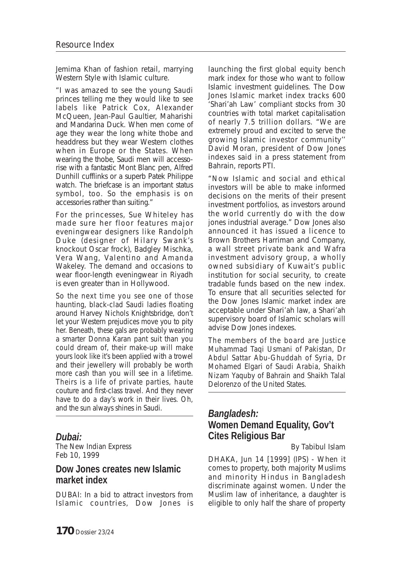Jemima Khan of fashion retail, marrying Western Style with Islamic culture.

"I was amazed to see the young Saudi princes telling me they would like to see labels like Patrick Cox, Alexander McQueen, Jean-Paul Gaultier, Maharishi and Mandarina Duck. When men come of age they wear the long white thobe and headdress but they wear Western clothes when in Europe or the States. When wearing the thobe, Saudi men will accessorise with a fantastic Mont Blanc pen, Alfred Dunhill cufflinks or a superb Patek Philippe watch. The briefcase is an important status symbol, too. So the emphasis is on accessories rather than suiting."

For the princesses, Sue Whiteley has made sure her floor features major eveningwear designers like Randolph Duke (designer of Hilary Swank's knockout Oscar frock), Badgley Mischka, Vera Wang, Valentino and Amanda Wakeley. The demand and occasions to wear floor-length eveningwear in Riyadh is even greater than in Hollywood.

So the next time you see one of those haunting, black-clad Saudi ladies floating around Harvey Nichols Knightsbridge, don't let your Western prejudices move you to pity her. Beneath, these gals are probably wearing a smarter Donna Karan pant suit than you could dream of, their make-up will make yours look like it's been applied with a trowel and their jewellery will probably be worth more cash than you will see in a lifetime. Theirs is a life of private parties, haute couture and first-class travel. And they never have to do a day's work in their lives. Oh, and the sun always shines in Saudi.

## **Dubai:**

The New Indian Express Feb 10, 1999

# **Dow Jones creates new Islamic market index**

DUBAI: In a bid to attract investors from Islamic countries, Dow Jones is launching the first global equity bench mark index for those who want to follow Islamic investment guidelines. The Dow Jones Islamic market index tracks 600 'Shari'ah Law' compliant stocks from 30 countries with total market capitalisation of nearly 7.5 trillion dollars. "We are extremely proud and excited to serve the growing Islamic investor community'' David Moran, president of Dow Jones indexes said in a press statement from Bahrain, reports PTI.

"Now Islamic and social and ethical investors will be able to make informed decisions on the merits of their present investment portfolios, as investors around the world currently do with the dow jones industrial average." Dow Jones also announced it has issued a licence to Brown Brothers Harriman and Company, a wall street private bank and Wafra investment advisory group, a wholly owned subsidiary of Kuwait's public institution for social security, to create tradable funds based on the new index. To ensure that all securities selected for the Dow Jones Islamic market index are acceptable under Shari'ah law, a Shari'ah supervisory board of Islamic scholars will advise Dow Jones indexes.

The members of the board are Justice Muhammad Taqi Usmani of Pakistan, Dr Abdul Sattar Abu-Ghuddah of Syria, Dr Mohamed Elgari of Saudi Arabia, Shaikh Nizam Yaquby of Bahrain and Shaikh Talal Delorenzo of the United States.

# **Bangladesh: Women Demand Equality, Gov't Cites Religious Bar**

#### *By Tabibul Islam*

DHAKA, Jun 14 [1999] (IPS) - When it comes to property, both majority Muslims and minority Hindus in Bangladesh discriminate against women. Under the Muslim law of inheritance, a daughter is eligible to only half the share of property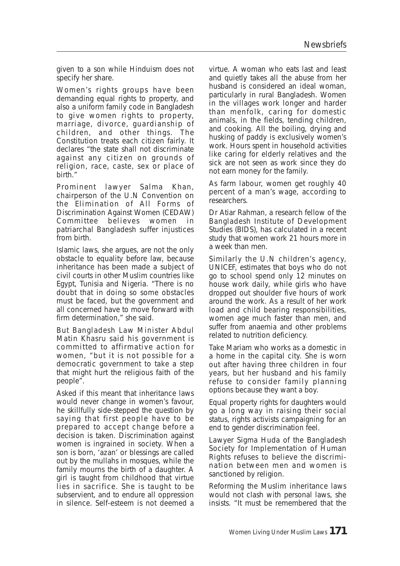given to a son while Hinduism does not specify her share.

Women's rights groups have been demanding equal rights to property, and also a uniform family code in Bangladesh to give women rights to property, marriage, divorce, guardianship of children, and other things. The Constitution treats each citizen fairly. It declares "the state shall not discriminate against any citizen on grounds of religion, race, caste, sex or place of birth."

Prominent lawyer Salma Khan, chairperson of the U.N Convention on the Elimination of All Forms of Discrimination Against Women (CEDAW) Committee believes women in patriarchal Bangladesh suffer injustices from birth.

Islamic laws, she argues, are not the only obstacle to equality before law, because inheritance has been made a subject of civil courts in other Muslim countries like Egypt, Tunisia and Nigeria. "There is no doubt that in doing so some obstacles must be faced, but the government and all concerned have to move forward with firm determination," she said.

But Bangladesh Law Minister Abdul Matin Khasru said his government is committed to affirmative action for women, "but it is not possible for a democratic government to take a step that might hurt the religious faith of the people".

Asked if this meant that inheritance laws would never change in women's favour, he skillfully side-stepped the question by saying that first people have to be prepared to accept change before a decision is taken. Discrimination against women is ingrained in society. When a son is born, 'azan' or blessings are called out by the mullahs in mosques, while the family mourns the birth of a daughter. A girl is taught from childhood that virtue lies in sacrifice. She is taught to be subservient, and to endure all oppression in silence. Self-esteem is not deemed a

virtue. A woman who eats last and least and quietly takes all the abuse from her husband is considered an ideal woman, particularly in rural Bangladesh. Women in the villages work longer and harder than menfolk, caring for domestic animals, in the fields, tending children, and cooking. All the boiling, drying and husking of paddy is exclusively women's work. Hours spent in household activities like caring for elderly relatives and the sick are not seen as work since they do not earn money for the family.

As farm labour, women get roughly 40 percent of a man's wage, according to researchers.

Dr Atiar Rahman, a research fellow of the Bangladesh Institute of Development Studies (BIDS), has calculated in a recent study that women work 21 hours more in a week than men.

Similarly the U.N children's agency, UNICEF, estimates that boys who do not go to school spend only 12 minutes on house work daily, while girls who have dropped out shoulder five hours of work around the work. As a result of her work load and child bearing responsibilities, women age much faster than men, and suffer from anaemia and other problems related to nutrition deficiency.

Take Mariam who works as a domestic in a home in the capital city. She is worn out after having three children in four years, but her husband and his family refuse to consider family planning options because they want a boy.

Equal property rights for daughters would go a long way in raising their social status, rights activists campaigning for an end to gender discrimination feel.

Lawyer Sigma Huda of the Bangladesh Society for Implementation of Human Rights refuses to believe the discrimination between men and women is sanctioned by religion.

Reforming the Muslim inheritance laws would not clash with personal laws, she insists. "It must be remembered that the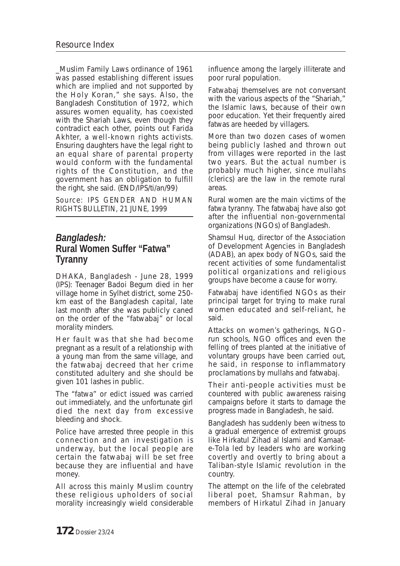\_Muslim Family Laws ordinance of 1961 was passed establishing different issues which are implied and not supported by the Holy Koran," she says. Also, the Bangladesh Constitution of 1972, which assures women equality, has coexisted with the Shariah Laws, even though they contradict each other, points out Farida Akhter, a well-known rights activists. Ensuring daughters have the legal right to an equal share of parental property would conform with the fundamental rights of the Constitution, and the government has an obligation to fulfill the right, she said. (END/IPS/ti/an/99)

Source: IPS GENDER AND HUMAN RIGHTS BULLETIN, 21 JUNE, 1999

# **Bangladesh: Rural Women Suffer "Fatwa" Tyranny**

DHAKA, Bangladesh - June 28, 1999 (IPS): Teenager Badoi Begum died in her village home in Sylhet district, some 250 km east of the Bangladesh capital, late last month after she was publicly caned on the order of the "fatwabaj" or local morality minders.

Her fault was that she had become pregnant as a result of a relationship with a young man from the same village, and the fatwabaj decreed that her crime constituted adultery and she should be given 101 lashes in public.

The "fatwa" or edict issued was carried out immediately, and the unfortunate girl died the next day from excessive bleeding and shock.

Police have arrested three people in this connection and an investigation is underway, but the local people are certain the fatwabaj will be set free because they are influential and have money.

All across this mainly Muslim country these religious upholders of social morality increasingly wield considerable

influence among the largely illiterate and poor rural population.

Fatwabaj themselves are not conversant with the various aspects of the "Shariah," the Islamic laws, because of their own poor education. Yet their frequently aired fatwas are heeded by villagers.

More than two dozen cases of women being publicly lashed and thrown out from villages were reported in the last two years. But the actual number is probably much higher, since mullahs (clerics) are the law in the remote rural areas.

Rural women are the main victims of the fatwa tyranny. The fatwabaj have also got after the influential non-governmental organizations (NGOs) of Bangladesh.

Shamsul Huq, director of the Association of Development Agencies in Bangladesh (ADAB), an apex body of NGOs, said the recent activities of some fundamentalist political organizations and religious groups have become a cause for worry.

Fatwabaj have identified NGOs as their principal target for trying to make rural women educated and self-reliant, he said.

Attacks on women's gatherings, NGOrun schools, NGO offices and even the felling of trees planted at the initiative of voluntary groups have been carried out, he said, in response to inflammatory proclamations by mullahs and fatwabaj.

Their anti-people activities must be countered with public awareness raising campaigns before it starts to damage the progress made in Bangladesh, he said.

Bangladesh has suddenly been witness to a gradual emergence of extremist groups like Hirkatul Zihad al Islami and Kamaate-Tola led by leaders who are working covertly and overtly to bring about a Taliban-style Islamic revolution in the country.

The attempt on the life of the celebrated liberal poet, Shamsur Rahman, by members of Hirkatul Zihad in January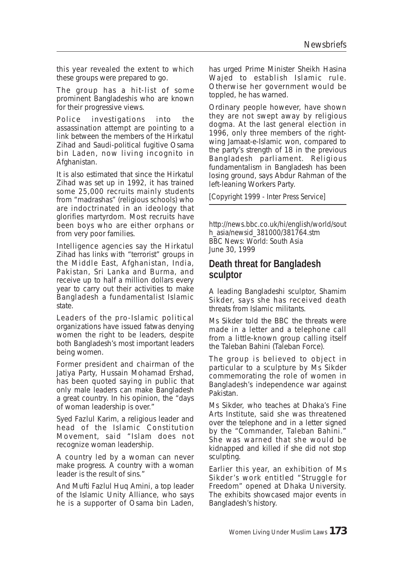this year revealed the extent to which these groups were prepared to go.

The group has a hit-list of some prominent Bangladeshis who are known for their progressive views.

Police investigations into the assassination attempt are pointing to a link between the members of the Hirkatul Zihad and Saudi-political fugitive Osama bin Laden, now living incognito in Afghanistan.

It is also estimated that since the Hirkatul Zihad was set up in 1992, it has trained some 25,000 recruits mainly students from "madrashas" (religious schools) who are indoctrinated in an ideology that glorifies martyrdom. Most recruits have been boys who are either orphans or from very poor families.

Intelligence agencies say the Hirkatul Zihad has links with "terrorist" groups in the Middle East, Afghanistan, India, Pakistan, Sri Lanka and Burma, and receive up to half a million dollars every year to carry out their activities to make Bangladesh a fundamentalist Islamic state.

Leaders of the pro-Islamic political organizations have issued fatwas denying women the right to be leaders, despite both Bangladesh's most important leaders being women.

Former president and chairman of the Jatiya Party, Hussain Mohamad Ershad, has been quoted saying in public that only male leaders can make Bangladesh a great country. In his opinion, the "days of woman leadership is over."

Syed Fazlul Karim, a religious leader and head of the Islamic Constitution Movement, said "Islam does not recognize woman leadership.

A country led by a woman can never make progress. A country with a woman leader is the result of sins."

And Mufti Fazlul Huq Amini, a top leader of the Islamic Unity Alliance, who says he is a supporter of Osama bin Laden,

has urged Prime Minister Sheikh Hasina Wajed to establish Islamic rule. Otherwise her government would be toppled, he has warned.

Ordinary people however, have shown they are not swept away by religious dogma. At the last general election in 1996, only three members of the rightwing Jamaat-e-Islamic won, compared to the party's strength of 18 in the previous Bangladesh parliament. Religious fundamentalism in Bangladesh has been losing ground, says Abdur Rahman of the left-leaning Workers Party.

[Copyright 1999 - Inter Press Service]

http://news.bbc.co.uk/hi/english/world/sout h\_asia/newsid\_381000/381764.stm BBC News: World: South Asia June 30, 1999

# **Death threat for Bangladesh sculptor**

A leading Bangladeshi sculptor, Shamim Sikder, says she has received death threats from Islamic militants.

Ms Sikder told the BBC the threats were made in a letter and a telephone call from a little-known group calling itself the Taleban Bahini (Taleban Force).

The group is believed to object in particular to a sculpture by Ms Sikder commemorating the role of women in Bangladesh's independence war against Pakistan.

Ms Sikder, who teaches at Dhaka's Fine Arts Institute, said she was threatened over the telephone and in a letter signed by the "Commander, Taleban Bahini." She was warned that she would be kidnapped and killed if she did not stop sculpting.

Earlier this year, an exhibition of Ms Sikder's work entitled "Struggle for Freedom" opened at Dhaka University. The exhibits showcased major events in Bangladesh's history.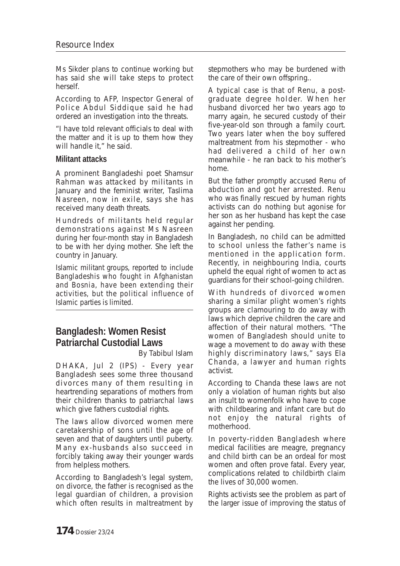Ms Sikder plans to continue working but has said she will take steps to protect herself.

According to AFP, Inspector General of Police Abdul Siddique said he had ordered an investigation into the threats.

"I have told relevant officials to deal with the matter and it is up to them how they will handle it," he said.

#### **Militant attacks**

A prominent Bangladeshi poet Shamsur Rahman was attacked by militants in January and the feminist writer, Taslima Nasreen, now in exile, says she has received many death threats.

Hundreds of militants held regular demonstrations against Ms Nasreen during her four-month stay in Bangladesh to be with her dying mother. She left the country in January.

Islamic militant groups, reported to include Bangladeshis who fought in Afghanistan and Bosnia, have been extending their activities, but the political influence of Islamic parties is limited.

# **Bangladesh: Women Resist Patriarchal Custodial Laws**

*By Tabibul Islam*

DHAKA, Jul 2 (IPS) - Every year Bangladesh sees some three thousand divorces many of them resulting in heartrending separations of mothers from their children thanks to patriarchal laws which give fathers custodial rights.

The laws allow divorced women mere caretakership of sons until the age of seven and that of daughters until puberty. Many ex-husbands also succeed in forcibly taking away their younger wards from helpless mothers.

According to Bangladesh's legal system, on divorce, the father is recognised as the legal guardian of children, a provision which often results in maltreatment by stepmothers who may be burdened with the care of their own offspring..

A typical case is that of Renu, a postgraduate degree holder. When her husband divorced her two years ago to marry again, he secured custody of their five-year-old son through a family court. Two years later when the boy suffered maltreatment from his stepmother - who had delivered a child of her own meanwhile - he ran back to his mother's home.

But the father promptly accused Renu of abduction and got her arrested. Renu who was finally rescued by human rights activists can do nothing but agonise for her son as her husband has kept the case against her pending.

In Bangladesh, no child can be admitted to school unless the father's name is mentioned in the application form. Recently, in neighbouring India, courts upheld the equal right of women to act as guardians for their school-going children.

With hundreds of divorced women sharing a similar plight women's rights groups are clamouring to do away with laws which deprive children the care and affection of their natural mothers. "The women of Bangladesh should unite to wage a movement to do away with these highly discriminatory laws," says Ela Chanda, a lawyer and human rights activist.

According to Chanda these laws are not only a violation of human rights but also an insult to womenfolk who have to cope with childbearing and infant care but do not enjoy the natural rights of motherhood.

In poverty-ridden Bangladesh where medical facilities are meagre, pregnancy and child birth can be an ordeal for most women and often prove fatal. Every year, complications related to childbirth claim the lives of 30,000 women.

Rights activists see the problem as part of the larger issue of improving the status of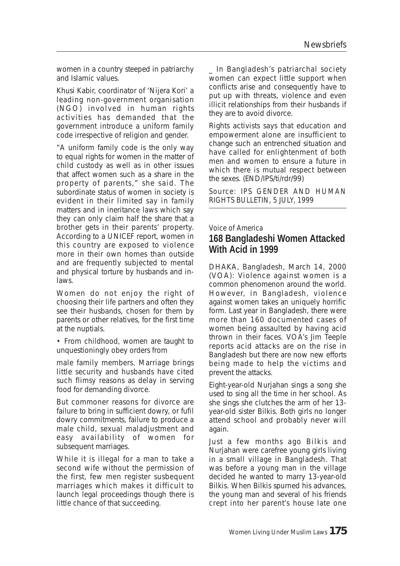women in a country steeped in patriarchy and Islamic values.

Khusi Kabir, coordinator of 'Nijera Kori' a leading non-government organisation (NGO) involved in human rights activities has demanded that the government introduce a uniform family code irrespective of religion and gender.

"A uniform family code is the only way to equal rights for women in the matter of child custody as well as in other issues that affect women such as a share in the property of parents," she said. The subordinate status of women in society is evident in their limited say in family matters and in ineritance laws which say they can only claim half the share that a brother gets in their parents' property. According to a UNICEF report, women in this country are exposed to violence more in their own homes than outside and are frequently subjected to mental and physical torture by husbands and inlaws.

Women do not enjoy the right of choosing their life partners and often they see their husbands, chosen for them by parents or other relatives, for the first time at the nuptials.

• From childhood, women are taught to unquestioningly obey orders from

male family members. Marriage brings little security and husbands have cited such flimsy reasons as delay in serving food for demanding divorce.

But commoner reasons for divorce are failure to bring in sufficient dowry, or fufil dowry commitments, failure to produce a male child, sexual maladjustment and easy availability of women for subsequent marriages.

While it is illegal for a man to take a second wife without the permission of the first, few men register susbequent marriages which makes it difficult to launch legal proceedings though there is little chance of that succeeding.

\_ In Bangladesh's patriarchal society women can expect little support when conflicts arise and consequently have to put up with threats, violence and even illicit relationships from their husbands if they are to avoid divorce.

Rights activists says that education and empowerment alone are insufficient to change such an entrenched situation and have called for enlightenment of both men and women to ensure a future in which there is mutual respect between the sexes. (END/IPS/ti/rdr/99)

Source: IPS GENDER AND HUMAN RIGHTS BULLETIN, 5 JULY, 1999

#### Voice of America

# **168 Bangladeshi Women Attacked With Acid in 1999**

DHAKA, Bangladesh, March 14, 2000 (VOA): Violence against women is a common phenomenon around the world. However, in Bangladesh, violence against women takes an uniquely horrific form. Last year in Bangladesh, there were more than 160 documented cases of women being assaulted by having acid thrown in their faces. VOA's Jim Teeple reports acid attacks are on the rise in Bangladesh but there are now new efforts being made to help the victims and prevent the attacks.

Eight-year-old Nurjahan sings a song she used to sing all the time in her school. As she sings she clutches the arm of her 13 year-old sister Bilkis. Both girls no longer attend school and probably never will again.

Just a few months ago Bilkis and Nurjahan were carefree young girls living in a small village in Bangladesh. That was before a young man in the village decided he wanted to marry 13-year-old Bilkis. When Bilkis spurned his advances, the young man and several of his friends crept into her parent's house late one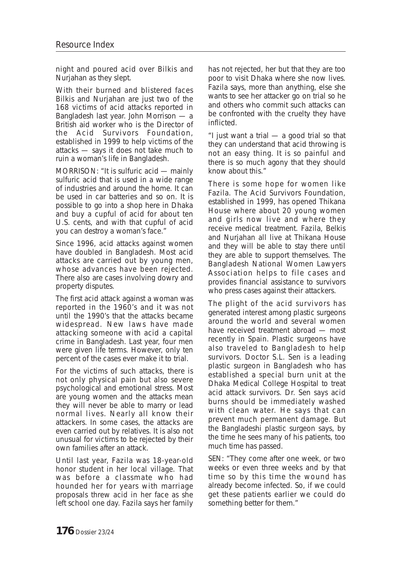night and poured acid over Bilkis and Nurjahan as they slept.

With their burned and blistered faces Bilkis and Nurjahan are just two of the 168 victims of acid attacks reported in Bangladesh last year. John Morrison — a British aid worker who is the Director of the Acid Survivors Foundation, established in 1999 to help victims of the attacks — says it does not take much to ruin a woman's life in Bangladesh.

MORRISON: "It is sulfuric acid — mainly sulfuric acid that is used in a wide range of industries and around the home. It can be used in car batteries and so on. It is possible to go into a shop here in Dhaka and buy a cupful of acid for about ten U.S. cents, and with that cupful of acid you can destroy a woman's face."

Since 1996, acid attacks against women have doubled in Bangladesh. Most acid attacks are carried out by young men, whose advances have been rejected. There also are cases involving dowry and property disputes.

The first acid attack against a woman was reported in the 1960's and it was not until the 1990's that the attacks became widespread. New laws have made attacking someone with acid a capital crime in Bangladesh. Last year, four men were given life terms. However, only ten percent of the cases ever make it to trial.

For the victims of such attacks, there is not only physical pain but also severe psychological and emotional stress. Most are young women and the attacks mean they will never be able to marry or lead normal lives. Nearly all know their attackers. In some cases, the attacks are even carried out by relatives. It is also not unusual for victims to be rejected by their own families after an attack.

Until last year, Fazila was 18-year-old honor student in her local village. That was before a classmate who had hounded her for years with marriage proposals threw acid in her face as she left school one day. Fazila says her family has not rejected, her but that they are too poor to visit Dhaka where she now lives. Fazila says, more than anything, else she wants to see her attacker go on trial so he and others who commit such attacks can be confronted with the cruelty they have inflicted.

"I just want a trial — a good trial so that they can understand that acid throwing is not an easy thing. It is so painful and there is so much agony that they should know about this."

There is some hope for women like Fazila. The Acid Survivors Foundation, established in 1999, has opened Thikana House where about 20 young women and girls now live and where they receive medical treatment. Fazila, Belkis and Nurjahan all live at Thikana House and they will be able to stay there until they are able to support themselves. The Bangladesh National Women Lawyers Association helps to file cases and provides financial assistance to survivors who press cases against their attackers.

The plight of the acid survivors has generated interest among plastic surgeons around the world and several women have received treatment abroad — most recently in Spain. Plastic surgeons have also traveled to Bangladesh to help survivors. Doctor S.L. Sen is a leading plastic surgeon in Bangladesh who has established a special burn unit at the Dhaka Medical College Hospital to treat acid attack survivors. Dr. Sen says acid burns should be immediately washed with clean water. He says that can prevent much permanent damage. But the Bangladeshi plastic surgeon says, by the time he sees many of his patients, too much time has passed.

SEN: "They come after one week, or two weeks or even three weeks and by that time so by this time the wound has already become infected. So, if we could get these patients earlier we could do something better for them."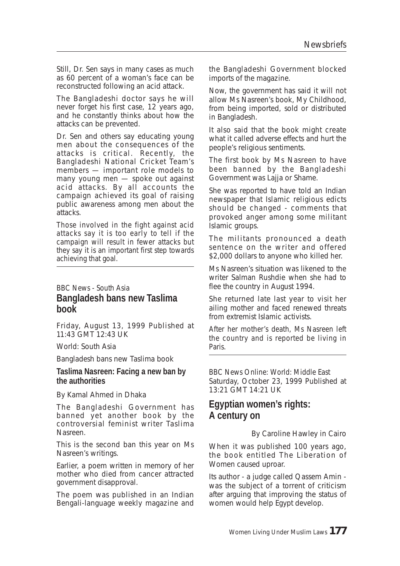Still, Dr. Sen says in many cases as much as 60 percent of a woman's face can be reconstructed following an acid attack.

The Bangladeshi doctor says he will never forget his first case, 12 years ago, and he constantly thinks about how the attacks can be prevented.

Dr. Sen and others say educating young men about the consequences of the attacks is critical. Recently, the Bangladeshi National Cricket Team's members — important role models to many young men — spoke out against acid attacks. By all accounts the campaign achieved its goal of raising public awareness among men about the attacks.

Those involved in the fight against acid attacks say it is too early to tell if the campaign will result in fewer attacks but they say it is an important first step towards achieving that goal.

### BBC News - South Asia **Bangladesh bans new Taslima book**

Friday, August 13, 1999 Published at 11:43 GMT 12:43 UK

World: South Asia

Bangladesh bans new Taslima book

#### **Taslima Nasreen: Facing a new ban by the authorities**

By Kamal Ahmed in Dhaka

The Bangladeshi Government has banned yet another book by the controversial feminist writer Taslima Nasreen.

This is the second ban this year on Ms Nasreen's writings.

Earlier, a poem written in memory of her mother who died from cancer attracted government disapproval.

The poem was published in an Indian Bengali-language weekly magazine and the Bangladeshi Government blocked imports of the magazine.

Now, the government has said it will not allow Ms Nasreen's book, My Childhood, from being imported, sold or distributed in Bangladesh.

It also said that the book might create what it called adverse effects and hurt the people's religious sentiments.

The first book by Ms Nasreen to have been banned by the Bangladeshi Government was Lajja or Shame.

She was reported to have told an Indian newspaper that Islamic religious edicts should be changed - comments that provoked anger among some militant Islamic groups.

The militants pronounced a death sentence on the writer and offered \$2,000 dollars to anyone who killed her.

Ms Nasreen's situation was likened to the writer Salman Rushdie when she had to flee the country in August 1994.

She returned late last year to visit her ailing mother and faced renewed threats from extremist Islamic activists.

After her mother's death, Ms Nasreen left the country and is reported be living in Paris.

BBC News Online: World: Middle East Saturday, October 23, 1999 Published at 13:21 GMT 14:21 UK

# **Egyptian women's rights: A century on**

#### *By Caroline Hawley in Cairo*

When it was published 100 years ago, the book entitled The Liberation of Women caused uproar.

Its author - a judge called Qassem Amin was the subject of a torrent of criticism after arguing that improving the status of women would help Egypt develop.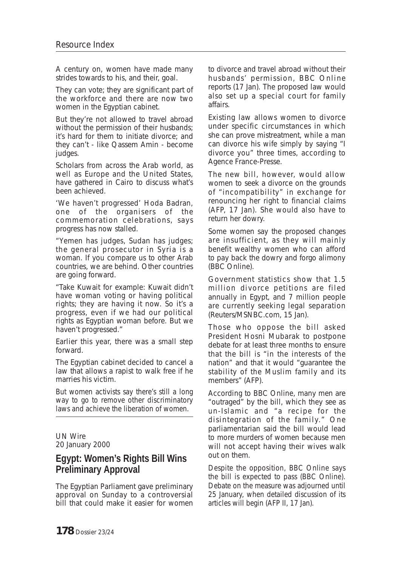A century on, women have made many strides towards to his, and their, goal.

They can vote; they are significant part of the workforce and there are now two women in the Egyptian cabinet.

But they're not allowed to travel abroad without the permission of their husbands; it's hard for them to initiate divorce; and they can't - like Qassem Amin - become judges.

Scholars from across the Arab world, as well as Europe and the United States, have gathered in Cairo to discuss what's been achieved.

'We haven't progressed' Hoda Badran, one of the organisers of the commemoration celebrations, says progress has now stalled.

"Yemen has judges, Sudan has judges; the general prosecutor in Syria is a woman. If you compare us to other Arab countries, we are behind. Other countries are going forward.

"Take Kuwait for example: Kuwait didn't have woman voting or having political rights; they are having it now. So it's a progress, even if we had our political rights as Egyptian woman before. But we haven't progressed."

Earlier this year, there was a small step forward.

The Egyptian cabinet decided to cancel a law that allows a rapist to walk free if he marries his victim.

But women activists say there's still a long way to go to remove other discriminatory laws and achieve the liberation of women.

#### UN Wire 20 January 2000

## **Egypt: Women's Rights Bill Wins Preliminary Approval**

The Egyptian Parliament gave preliminary approval on Sunday to a controversial bill that could make it easier for women to divorce and travel abroad without their husbands' permission, BBC Online reports (17 Jan). The proposed law would also set up a special court for family affairs.

Existing law allows women to divorce under specific circumstances in which she can prove mistreatment, while a man can divorce his wife simply by saying "I divorce you" three times, according to Agence France-Presse.

The new bill, however, would allow women to seek a divorce on the grounds of "incompatibility" in exchange for renouncing her right to financial claims (AFP, 17 Jan). She would also have to return her dowry.

Some women say the proposed changes are insufficient, as they will mainly benefit wealthy women who can afford to pay back the dowry and forgo alimony (BBC Online).

Government statistics show that 1.5 million divorce petitions are filed annually in Egypt, and 7 million people are currently seeking legal separation (Reuters/MSNBC.com, 15 Jan).

Those who oppose the bill asked President Hosni Mubarak to postpone debate for at least three months to ensure that the bill is "in the interests of the nation" and that it would "guarantee the stability of the Muslim family and its members" (AFP).

According to BBC Online, many men are "outraged" by the bill, which they see as un-Islamic and "a recipe for the disintegration of the family." One parliamentarian said the bill would lead to more murders of women because men will not accept having their wives walk out on them.

Despite the opposition, BBC Online says the bill is expected to pass (BBC Online). Debate on the measure was adjourned until 25 January, when detailed discussion of its articles will begin (AFP II, 17 Jan).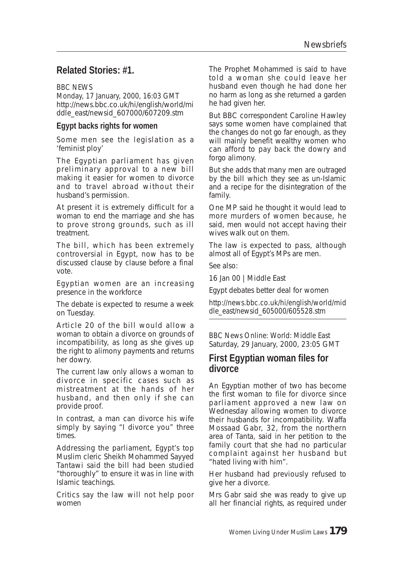# **Related Stories: #1.**

BBC NEWS

Monday, 17 January, 2000, 16:03 GMT http://news.bbc.co.uk/hi/english/world/mi ddle\_east/newsid\_607000/607209.stm

### **Egypt backs rights for women**

Some men see the legislation as a 'feminist ploy'

The Egyptian parliament has given preliminary approval to a new bill making it easier for women to divorce and to travel abroad without their husband's permission.

At present it is extremely difficult for a woman to end the marriage and she has to prove strong grounds, such as ill treatment.

The bill, which has been extremely controversial in Egypt, now has to be discussed clause by clause before a final vote.

Egyptian women are an increasing presence in the workforce

The debate is expected to resume a week on Tuesday.

Article 20 of the bill would allow a woman to obtain a divorce on grounds of incompatibility, as long as she gives up the right to alimony payments and returns her dowry.

The current law only allows a woman to divorce in specific cases such as mistreatment at the hands of her husband, and then only if she can provide proof.

In contrast, a man can divorce his wife simply by saying "I divorce you" three times.

Addressing the parliament, Egypt's top Muslim cleric Sheikh Mohammed Sayyed Tantawi said the bill had been studied "thoroughly" to ensure it was in line with Islamic teachings.

Critics say the law will not help poor women

The Prophet Mohammed is said to have told a woman she could leave her husband even though he had done her no harm as long as she returned a garden he had given her.

But BBC correspondent Caroline Hawley says some women have complained that the changes do not go far enough, as they will mainly benefit wealthy women who can afford to pay back the dowry and forgo alimony.

But she adds that many men are outraged by the bill which they see as un-Islamic and a recipe for the disintegration of the family.

One MP said he thought it would lead to more murders of women because, he said, men would not accept having their wives walk out on them.

The law is expected to pass, although almost all of Egypt's MPs are men.

See also:

16 Jan 00 | Middle East

Egypt debates better deal for women

http://news.bbc.co.uk/hi/english/world/mid dle\_east/newsid\_605000/605528.stm

BBC News Online: World: Middle East Saturday, 29 January, 2000, 23:05 GMT

## **First Egyptian woman files for divorce**

An Egyptian mother of two has become the first woman to file for divorce since parliament approved a new law on Wednesday allowing women to divorce their husbands for incompatibility. Waffa Mossaad Gabr, 32, from the northern area of Tanta, said in her petition to the family court that she had no particular complaint against her husband but "hated living with him".

Her husband had previously refused to give her a divorce.

Mrs Gabr said she was ready to give up all her financial rights, as required under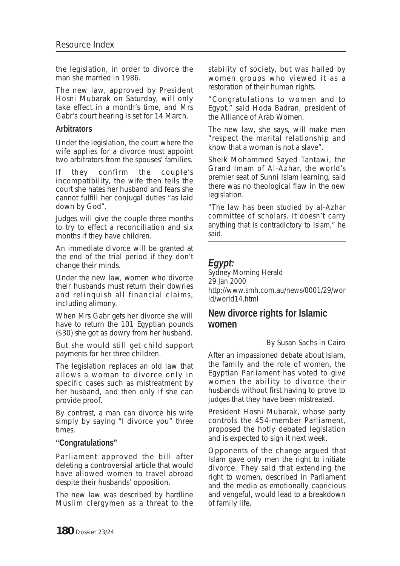the legislation, in order to divorce the man she married in 1986.

The new law, approved by President Hosni Mubarak on Saturday, will only take effect in a month's time, and Mrs Gabr's court hearing is set for 14 March.

### **Arbitrators**

Under the legislation, the court where the wife applies for a divorce must appoint two arbitrators from the spouses' families.

If they confirm the couple's incompatibility, the wife then tells the court she hates her husband and fears she cannot fulfill her conjugal duties "as laid down by God".

Judges will give the couple three months to try to effect a reconciliation and six months if they have children.

An immediate divorce will be granted at the end of the trial period if they don't change their minds.

Under the new law, women who divorce their husbands must return their dowries and relinquish all financial claims, including alimony.

When Mrs Gabr gets her divorce she will have to return the 101 Egyptian pounds (\$30) she got as dowry from her husband.

But she would still get child support payments for her three children.

The legislation replaces an old law that allows a woman to divorce only in specific cases such as mistreatment by her husband, and then only if she can provide proof.

By contrast, a man can divorce his wife simply by saying "I divorce you" three times.

### **"Congratulations"**

Parliament approved the bill after deleting a controversial article that would have allowed women to travel abroad despite their husbands' opposition.

The new law was described by hardline Muslim clergymen as a threat to the stability of society, but was hailed by women groups who viewed it as a restoration of their human rights.

"Congratulations to women and to Egypt," said Hoda Badran, president of the Alliance of Arab Women.

The new law, she says, will make men "respect the marital relationship and know that a woman is not a slave".

Sheik Mohammed Sayed Tantawi, the Grand Imam of Al-Azhar, the world's premier seat of Sunni Islam learning, said there was no theological flaw in the new legislation.

"The law has been studied by al-Azhar committee of scholars. It doesn't carry anything that is contradictory to Islam," he said.

# **Egypt:**

Sydney Morning Herald 29 Jan 2000 http://www.smh.com.au/news/0001/29/wor ld/world14.html

# **New divorce rights for Islamic women**

### *By Susan Sachs in Cairo*

After an impassioned debate about Islam, the family and the role of women, the Egyptian Parliament has voted to give women the ability to divorce their husbands without first having to prove to judges that they have been mistreated.

President Hosni Mubarak, whose party controls the 454-member Parliament, proposed the hotly debated legislation and is expected to sign it next week.

Opponents of the change argued that Islam gave only men the right to initiate divorce. They said that extending the right to women, described in Parliament and the media as emotionally capricious and vengeful, would lead to a breakdown of family life.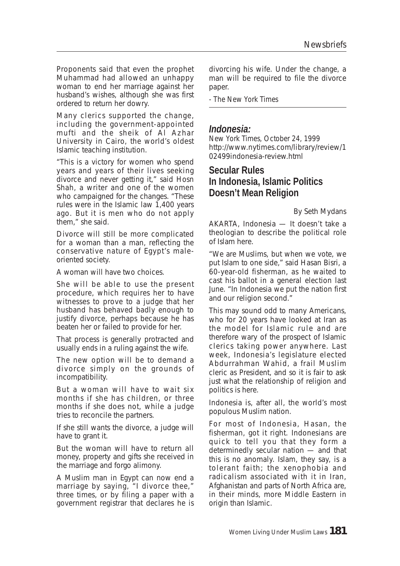Proponents said that even the prophet Muhammad had allowed an unhappy woman to end her marriage against her husband's wishes, although she was first ordered to return her dowry.

Many clerics supported the change, including the government-appointed mufti and the sheik of Al Azhar University in Cairo, the world's oldest Islamic teaching institution.

"This is a victory for women who spend years and years of their lives seeking divorce and never getting it," said Hosn Shah, a writer and one of the women who campaigned for the changes. "These rules were in the Islamic law 1,400 years ago. But it is men who do not apply them," she said.

Divorce will still be more complicated for a woman than a man, reflecting the conservative nature of Egypt's maleoriented society.

A woman will have two choices.

She will be able to use the present procedure, which requires her to have witnesses to prove to a judge that her husband has behaved badly enough to justify divorce, perhaps because he has beaten her or failed to provide for her.

That process is generally protracted and usually ends in a ruling against the wife.

The new option will be to demand a divorce simply on the grounds of incompatibility.

But a woman will have to wait six months if she has children, or three months if she does not, while a judge tries to reconcile the partners.

If she still wants the divorce, a judge will have to grant it.

But the woman will have to return all money, property and gifts she received in the marriage and forgo alimony.

A Muslim man in Egypt can now end a marriage by saying, "I divorce thee," three times, or by filing a paper with a government registrar that declares he is

divorcing his wife. Under the change, a man will be required to file the divorce paper.

- The New York Times

## **Indonesia:**

New York Times, October 24, 1999 http://www.nytimes.com/library/review/1 02499indonesia-review.html

# **Secular Rules In Indonesia, Islamic Politics Doesn't Mean Religion**

### *By Seth Mydans*

AKARTA, Indonesia — It doesn't take a theologian to describe the political role of Islam here.

"We are Muslims, but when we vote, we put Islam to one side," said Hasan Bisri, a 60-year-old fisherman, as he waited to cast his ballot in a general election last June. "In Indonesia we put the nation first and our religion second."

This may sound odd to many Americans, who for 20 years have looked at Iran as the model for Islamic rule and are therefore wary of the prospect of Islamic clerics taking power anywhere. Last week, Indonesia's legislature elected Abdurrahman Wahid, a frail Muslim cleric as President, and so it is fair to ask just what the relationship of religion and politics is here.

Indonesia is, after all, the world's most populous Muslim nation.

For most of Indonesia, Hasan, the fisherman, got it right. Indonesians are quick to tell you that they form a determinedly secular nation — and that this is no anomaly. Islam, they say, is a tolerant faith; the xenophobia and radicalism associated with it in Iran, Afghanistan and parts of North Africa are, in their minds, more Middle Eastern in origin than Islamic.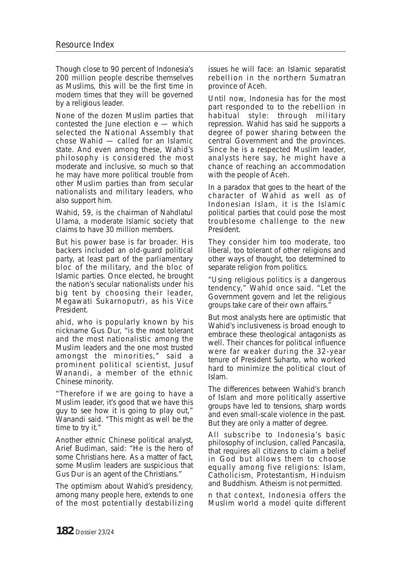Though close to 90 percent of Indonesia's 200 million people describe themselves as Muslims, this will be the first time in modern times that they will be governed by a religious leader.

None of the dozen Muslim parties that contested the June election e — which selected the National Assembly that chose Wahid — called for an Islamic state. And even among these, Wahid's philosophy is considered the most moderate and inclusive, so much so that he may have more political trouble from other Muslim parties than from secular nationalists and military leaders, who also support him.

Wahid, 59, is the chairman of Nahdlatul Ulama, a moderate Islamic society that claims to have 30 million members.

But his power base is far broader. His backers included an old-guard political party, at least part of the parliamentary bloc of the military, and the bloc of Islamic parties. Once elected, he brought the nation's secular nationalists under his big tent by choosing their leader, Megawati Sukarnoputri, as his Vice President.

ahid, who is popularly known by his nickname Gus Dur, "is the most tolerant and the most nationalistic among the Muslim leaders and the one most trusted amongst the minorities," said a prominent political scientist, Jusuf Wanandi, a member of the ethnic Chinese minority.

"Therefore if we are going to have a Muslim leader, it's good that we have this guy to see how it is going to play out," Wanandi said. "This might as well be the time to try it."

Another ethnic Chinese political analyst, Arief Budiman, said: "He is the hero of some Christians here. As a matter of fact, some Muslim leaders are suspicious that Gus Dur is an agent of the Christians."

The optimism about Wahid's presidency, among many people here, extends to one of the most potentially destabilizing issues he will face: an Islamic separatist rebellion in the northern Sumatran province of Aceh.

Until now, Indonesia has for the most part responded to to the rebellion in habitual style: through military repression. Wahid has said he supports a degree of power sharing between the central Government and the provinces. Since he is a respected Muslim leader, analysts here say, he might have a chance of reaching an accommodation with the people of Aceh.

In a paradox that goes to the heart of the character of Wahid as well as of Indonesian Islam, it is the Islamic political parties that could pose the most troublesome challenge to the new President.

They consider him too moderate, too liberal, too tolerant of other religions and other ways of thought, too determined to separate religion from politics.

"Using religious politics is a dangerous tendency," Wahid once said. "Let the Government govern and let the religious groups take care of their own affairs."

But most analysts here are optimistic that Wahid's inclusiveness is broad enough to embrace these theological antagonists as well. Their chances for political influence were far weaker during the 32-year tenure of President Suharto, who worked hard to minimize the political clout of Islam.

The differences between Wahid's branch of Islam and more politically assertive groups have led to tensions, sharp words and even small-scale violence in the past. But they are only a matter of degree.

All subscribe to Indonesia's basic philosophy of inclusion, called Pancasila, that requires all citizens to claim a belief in God but allows them to choose equally among five religions: Islam, Catholicism, Protestantism, Hinduism and Buddhism. Atheism is not permitted.

n that context, Indonesia offers the Muslim world a model quite different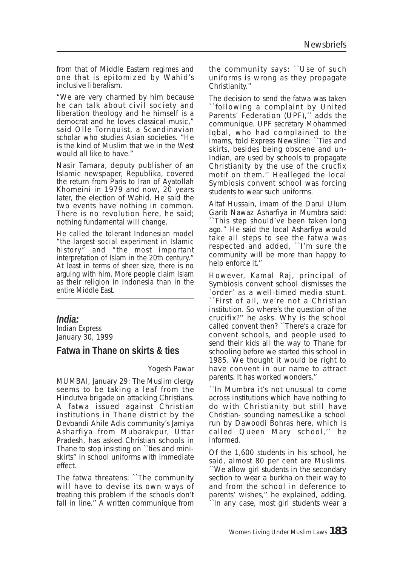from that of Middle Eastern regimes and one that is epitomized by Wahid's inclusive liberalism.

"We are very charmed by him because he can talk about civil society and liberation theology and he himself is a democrat and he loves classical music." said Olle Tornquist, a Scandinavian scholar who studies Asian societies. "He is the kind of Muslim that we in the West would all like to have."

Nasir Tamara, deputy publisher of an Islamic newspaper, Republika, covered the return from Paris to Iran of Ayatollah Khomeini in 1979 and now, 20 years later, the election of Wahid. He said the two events have nothing in common. There is no revolution here, he said; nothing fundamental will change.

He called the tolerant Indonesian model "the largest social experiment in Islamic history" and "the most important interpretation of Islam in the 20th century." At least in terms of sheer size, there is no arguing with him. More people claim Islam as their religion in Indonesia than in the entire Middle East.

## **India:**

Indian Express January 30, 1999

# **Fatwa in Thane on skirts & ties**

#### *Yogesh Pawar*

MUMBAI, January 29: The Muslim clergy seems to be taking a leaf from the Hindutva brigade on attacking Christians. A fatwa issued against Christian institutions in Thane district by the Devbandi Ahile Adis community's Jamiya Asharfiya from Mubarakpur, Uttar Pradesh, has asked Christian schools in Thane to stop insisting on ``ties and miniskirts'' in school uniforms with immediate effect.

The fatwa threatens: ``The community will have to devise its own ways of treating this problem if the schools don't fall in line." A written communique from

the community says: ``Use of such uniforms is wrong as they propagate Christianity.''

The decision to send the fatwa was taken ``following a complaint by United Parents' Federation (UPF)," adds the communique. UPF secretary Mohammed Iqbal, who had complained to the imams, told Express Newsline: ``Ties and skirts, besides being obscene and un-Indian, are used by schools to propagate Christianity by the use of the crucfix motif on them.'' Healleged the local Symbiosis convent school was forcing students to wear such uniforms.

Altaf Hussain, imam of the Darul Ulum Garib Nawaz Asharfiya in Mumbra said: ``This step should've been taken long ago.'' He said the local Asharfiya would take all steps to see the fatwa was respected and added, ``I'm sure the community will be more than happy to help enforce it.''

However, Kamal Raj, principal of Symbiosis convent school dismisses the `order' as a well-timed media stunt. ``First of all, we're not a Christian institution. So where's the question of the crucifix?'' he asks. Why is the school called convent then? ``There's a craze for convent schools, and people used to send their kids all the way to Thane for schooling before we started this school in 1985. We thought it would be right to have convent in our name to attract parents. It has worked wonders.''

``In Mumbra it's not unusual to come across institutions which have nothing to do with Christianity but still have Christian- sounding names.Like a school run by Dawoodi Bohras here, which is called Queen Mary school,'' he informed.

Of the 1,600 students in his school, he said, almost 80 per cent are Muslims. ``We allow girl students in the secondary section to wear a burkha on their way to and from the school in deference to parents' wishes,'' he explained, adding, ``In any case, most girl students wear a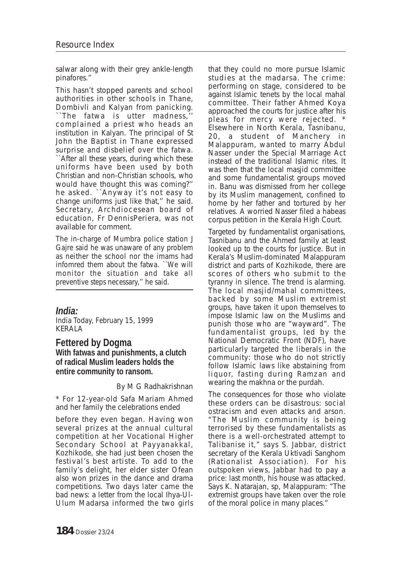salwar along with their grey ankle-length pinafores.''

This hasn't stopped parents and school authorities in other schools in Thane, Dombivli and Kalyan from panicking. ``The fatwa is utter madness,'' complained a priest who heads an institution in Kalyan. The principal of St John the Baptist in Thane expressed surprise and disbelief over the fatwa. ``After all these years, during which these uniforms have been used by both Christian and non-Christian schools, who would have thought this was coming?'' he asked. ``Anyway it's not easy to change uniforms just like that,'' he said. Secretary, Archdiocesean board of education, Fr DennisPeriera, was not available for comment.

The in-charge of Mumbra police station J Gajre said he was unaware of any problem as neither the school nor the imams had infomred them about the fatwa. ``We will monitor the situation and take all preventive steps necessary,'' he said.

## **India:**

India Today, February 15, 1999 KERALA

#### **Fettered by Dogma With fatwas and punishments, a clutch of radical Muslim leaders holds the entire community to ransom.**

#### *By M G Radhakrishnan*

\* For 12-year-old Safa Mariam Ahmed and her family the celebrations ended

before they even began. Having won several prizes at the annual cultural competition at her Vocational Higher Secondary School at Payyanakkal, Kozhikode, she had just been chosen the festival's best artiste. To add to the family's delight, her elder sister Ofean also won prizes in the dance and drama competitions. Two days later came the bad news: a letter from the local Ihya-Ul-Ulum Madarsa informed the two girls

that they could no more pursue Islamic studies at the madarsa. The crime: performing on stage, considered to be against Islamic tenets by the local mahal committee. Their father Ahmed Koya approached the courts for justice after his pleas for mercy were rejected. Elsewhere in North Kerala, Tasnibanu, 20, a student of Manchery in Malappuram, wanted to marry Abdul Nasser under the Special Marriage Act instead of the traditional Islamic rites. It was then that the local masiid committee and some fundamentalist groups moved in. Banu was dismissed from her college by its Muslim management, confined to home by her father and tortured by her relatives. A worried Nasser filed a habeas corpus petition in the Kerala High Court.

Targeted by fundamentalist organisations, Tasnibanu and the Ahmed family at least looked up to the courts for justice. But in Kerala's Muslim-dominated Malappuram district and parts of Kozhikode, there are scores of others who submit to the tyranny in silence. The trend is alarming. The local masjid/mahal committees, backed by some Muslim extremist groups, have taken it upon themselves to impose Islamic law on the Muslims and punish those who are "wayward". The fundamentalist groups, led by the National Democratic Front (NDF), have particularly targeted the liberals in the community: those who do not strictly follow Islamic laws like abstaining from liquor, fasting during Ramzan and wearing the makhna or the purdah.

The consequences for those who violate these orders can be disastrous: social ostracism and even attacks and arson. "The Muslim community is being terrorised by these fundamentalists as there is a well-orchestrated attempt to Talibanise it," says S. Jabbar, district secretary of the Kerala Uktivadi Sanghom (Rationalist Association). For his outspoken views, Jabbar had to pay a price: last month, his house was attacked. Says K. Natarajan, sp, Malappuram: "The extremist groups have taken over the role of the moral police in many places."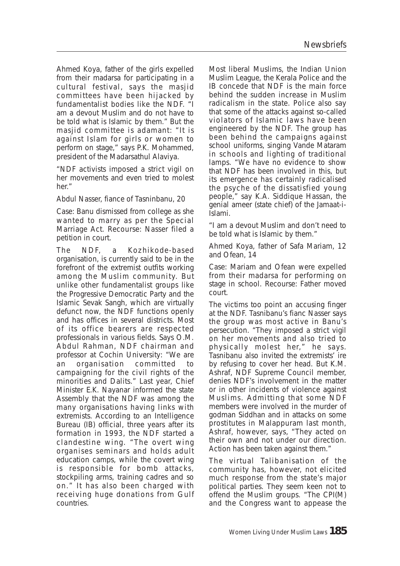Ahmed Koya, father of the girls expelled from their madarsa for participating in a cultural festival, says the masjid committees have been hijacked by fundamentalist bodies like the NDF. "I am a devout Muslim and do not have to be told what is Islamic by them." But the masjid committee is adamant: "It is against Islam for girls or women to perform on stage," says P.K. Mohammed, president of the Madarsathul Alaviya.

"NDF activists imposed a strict vigil on her movements and even tried to molest her."

Abdul Nasser, fiance of Tasninbanu, 20

Case: Banu dismissed from college as she wanted to marry as per the Special Marriage Act. Recourse: Nasser filed a petition in court.

The NDF, a Kozhikode-based organisation, is currently said to be in the forefront of the extremist outfits working among the Muslim community. But unlike other fundamentalist groups like the Progressive Democratic Party and the Islamic Sevak Sangh, which are virtually defunct now, the NDF functions openly and has offices in several districts. Most of its office bearers are respected professionals in various fields. Says O.M. Abdul Rahman, NDF chairman and professor at Cochin University: "We are an organisation committed to campaigning for the civil rights of the minorities and Dalits." Last year, Chief Minister E.K. Nayanar informed the state Assembly that the NDF was among the many organisations having links with extremists. According to an Intelligence Bureau (IB) official, three years after its formation in 1993, the NDF started a clandestine wing. "The overt wing organises seminars and holds adult education camps, while the covert wing is responsible for bomb attacks, stockpiling arms, training cadres and so on." It has also been charged with receiving huge donations from Gulf countries.

Most liberal Muslims, the Indian Union Muslim League, the Kerala Police and the IB concede that NDF is the main force behind the sudden increase in Muslim radicalism in the state. Police also say that some of the attacks against so-called violators of Islamic laws have been engineered by the NDF. The group has been behind the campaigns against school uniforms, singing Vande Mataram in schools and lighting of traditional lamps. "We have no evidence to show that NDF has been involved in this, but its emergence has certainly radicalised the psyche of the dissatisfied young people," say K.A. Siddique Hassan, the genial ameer (state chief) of the Jamaat-i-Islami.

"I am a devout Muslim and don't need to be told what is Islamic by them."

Ahmed Koya, father of Safa Mariam, 12 and Ofean, 14

Case: Mariam and Ofean were expelled from their madarsa for performing on stage in school. Recourse: Father moved court.

The victims too point an accusing finger at the NDF. Tasnibanu's fianc Nasser says the group was most active in Banu's persecution. "They imposed a strict vigil on her movements and also tried to physically molest her," he says. Tasnibanu also invited the extremists' ire by refusing to cover her head. But K.M. Ashraf, NDF Supreme Council member, denies NDF's involvement in the matter or in other incidents of violence against Muslims. Admitting that some NDF members were involved in the murder of godman Siddhan and in attacks on some prostitutes in Malappuram last month, Ashraf, however, says, "They acted on their own and not under our direction. Action has been taken against them."

The virtual Talibanisation of the community has, however, not elicited much response from the state's major political parties. They seem keen not to offend the Muslim groups. "The CPI(M) and the Congress want to appease the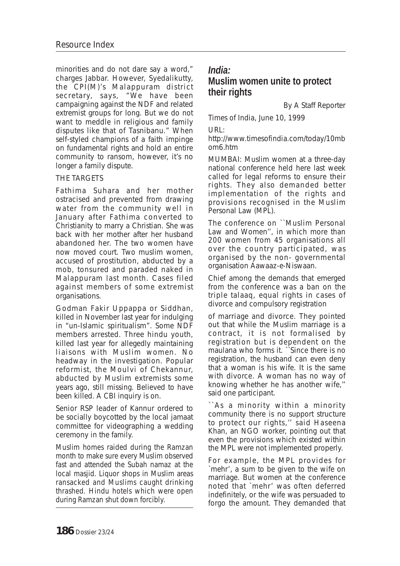minorities and do not dare say a word," charges Jabbar. However, Syedalikutty, the CPI(M)'s Malappuram district secretary, says, "We have been campaigning against the NDF and related extremist groups for long. But we do not want to meddle in religious and family disputes like that of Tasnibanu." When self-styled champions of a faith impinge on fundamental rights and hold an entire community to ransom, however, it's no longer a family dispute.

### THE TARGETS

Fathima Suhara and her mother ostracised and prevented from drawing water from the community well in January after Fathima converted to Christianity to marry a Christian. She was back with her mother after her husband abandoned her. The two women have now moved court. Two muslim women, accused of prostitution, abducted by a mob, tonsured and paraded naked in Malappuram last month. Cases filed against members of some extremist organisations.

Godman Fakir Uppappa or Siddhan, killed in November last year for indulging in "un-Islamic spiritualism". Some NDF members arrested. Three hindu youth, killed last year for allegedly maintaining liaisons with Muslim women. No headway in the investigation. Popular reformist, the Moulvi of Chekannur, abducted by Muslim extremists some years ago, still missing. Believed to have been killed. A CBI inquiry is on.

Senior RSP leader of Kannur ordered to be socially boycotted by the local jamaat committee for videographing a wedding ceremony in the family.

Muslim homes raided during the Ramzan month to make sure every Muslim observed fast and attended the Subah namaz at the local masjid. Liquor shops in Muslim areas ransacked and Muslims caught drinking thrashed. Hindu hotels which were open during Ramzan shut down forcibly.

# **India: Muslim women unite to protect their rights**

*By A Staff Reporter*

Times of India, June 10, 1999

URL:

http://www.timesofindia.com/today/10mb om6.htm

MUMBAI: Muslim women at a three-day national conference held here last week called for legal reforms to ensure their rights. They also demanded better implementation of the rights and provisions recognised in the Muslim Personal Law (MPL).

The conference on ``Muslim Personal Law and Women'', in which more than 200 women from 45 organisations all over the country participated, was organised by the non- governmental organisation Aawaaz-e-Niswaan.

Chief among the demands that emerged from the conference was a ban on the triple talaaq, equal rights in cases of divorce and compulsory registration

of marriage and divorce. They pointed out that while the Muslim marriage is a contract, it is not formalised by registration but is dependent on the maulana who forms it. ``Since there is no registration, the husband can even deny that a woman is his wife. It is the same with divorce. A woman has no way of knowing whether he has another wife,'' said one participant.

``As a minority within a minority community there is no support structure to protect our rights,'' said Haseena Khan, an NGO worker, pointing out that even the provisions which existed within the MPL were not implemented properly.

For example, the MPL provides for `mehr', a sum to be given to the wife on marriage. But women at the conference noted that `mehr' was often deferred indefinitely, or the wife was persuaded to forgo the amount. They demanded that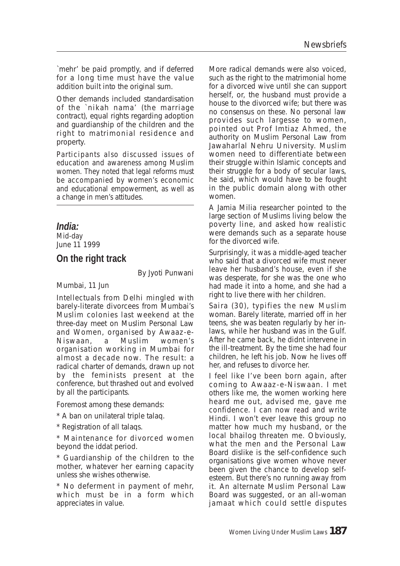`mehr' be paid promptly, and if deferred for a long time must have the value addition built into the original sum.

Other demands included standardisation of the `nikah nama' (the marriage contract), equal rights regarding adoption and guardianship of the children and the right to matrimonial residence and property.

Participants also discussed issues of education and awareness among Muslim women. They noted that legal reforms must be accompanied by women's economic and educational empowerment, as well as a change in men's attitudes.

# **India:**

Mid-day June 11 1999

# **On the right track**

*By Jyoti Punwani*

Mumbai, 11 Jun

Intellectuals from Delhi mingled with barely-literate divorcees from Mumbai's Muslim colonies last weekend at the three-day meet on Muslim Personal Law and Women, organised by Awaaz-e-Niswaan, a Muslim women's organisation working in Mumbai for almost a decade now. The result: a radical charter of demands, drawn up not by the feminists present at the conference, but thrashed out and evolved by all the participants.

Foremost among these demands:

- \* A ban on unilateral triple talaq.
- \* Registration of all talaqs.
- \* Maintenance for divorced women beyond the iddat period.

\* Guardianship of the children to the mother, whatever her earning capacity unless she wishes otherwise.

\* No deferment in payment of mehr, which must be in a form which appreciates in value.

More radical demands were also voiced, such as the right to the matrimonial home for a divorced wive until she can support herself, or, the husband must provide a house to the divorced wife; but there was no consensus on these. No personal law provides such largesse to women, pointed out Prof Imtiaz Ahmed, the authority on Muslim Personal Law from Jawaharlal Nehru University. Muslim women need to differentiate between their struggle within Islamic concepts and their struggle for a body of secular laws, he said, which would have to be fought in the public domain along with other women.

A Jamia Milia researcher pointed to the large section of Muslims living below the poverty line, and asked how realistic were demands such as a separate house for the divorced wife.

Surprisingly, it was a middle-aged teacher who said that a divorced wife must never leave her husband's house, even if she was desperate, for she was the one who had made it into a home, and she had a right to live there with her children.

Saira (30), typifies the new Muslim woman. Barely literate, married off in her teens, she was beaten regularly by her inlaws, while her husband was in the Gulf. After he came back, he didnt intervene in the ill-treatment. By the time she had four children, he left his job. Now he lives off her, and refuses to divorce her.

I feel like I've been born again, after coming to Awaaz-e-Niswaan. I met others like me, the women working here heard me out, advised me, gave me confidence. I can now read and write Hindi. I won't ever leave this group no matter how much my husband, or the local bhailog threaten me. Obviously, what the men and the Personal Law Board dislike is the self-confidence such organisations give women whove never been given the chance to develop selfesteem. But there's no running away from it. An alternate Muslim Personal Law Board was suggested, or an all-woman jamaat which could settle disputes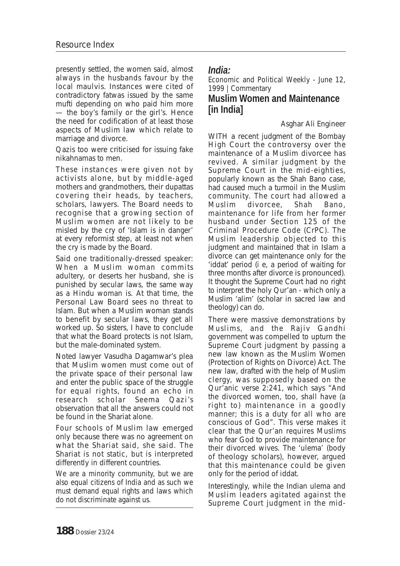presently settled, the women said, almost always in the husbands favour by the local maulvis. Instances were cited of contradictory fatwas issued by the same mufti depending on who paid him more — the boy's family or the girl's. Hence the need for codification of at least those aspects of Muslim law which relate to marriage and divorce.

Qazis too were criticised for issuing fake nikahnamas to men.

These instances were given not by activists alone, but by middle-aged mothers and grandmothers, their dupattas covering their heads, by teachers, scholars, lawyers. The Board needs to recognise that a growing section of Muslim women are not likely to be misled by the cry of 'Islam is in danger' at every reformist step, at least not when the cry is made by the Board.

Said one traditionally-dressed speaker: When a Muslim woman commits adultery, or deserts her husband, she is punished by secular laws, the same way as a Hindu woman is. At that time, the Personal Law Board sees no threat to Islam. But when a Muslim woman stands to benefit by secular laws, they get all worked up. So sisters, I have to conclude that what the Board protects is not Islam, but the male-dominated system.

Noted lawyer Vasudha Dagamwar's plea that Muslim women must come out of the private space of their personal law and enter the public space of the struggle for equal rights, found an echo in research scholar Seema Qazi's observation that all the answers could not be found in the Shariat alone.

Four schools of Muslim law emerged only because there was no agreement on what the Shariat said, she said. The Shariat is not static, but is interpreted differently in different countries.

We are a minority community, but we are also equal citizens of India and as such we must demand equal rights and laws which do not discriminate against us.

# **India:**

Economic and Political Weekly - June 12, 1999 | Commentary

## **Muslim Women and Maintenance [in India]**

### *Asghar Ali Engineer*

WITH a recent judgment of the Bombay High Court the controversy over the maintenance of a Muslim divorcee has revived. A similar judgment by the Supreme Court in the mid-eighties, popularly known as the Shah Bano case, had caused much a turmoil in the Muslim community. The court had allowed a Muslim divorcee, Shah Bano, maintenance for life from her former husband under Section 125 of the Criminal Procedure Code (CrPC). The Muslim leadership objected to this judgment and maintained that in Islam a divorce can get maintenance only for the 'iddat' period (i e, a period of waiting for three months after divorce is pronounced). It thought the Supreme Court had no right to interpret the holy Qur'an - which only a Muslim 'alim' (scholar in sacred law and theology) can do.

There were massive demonstrations by Muslims, and the Rajiv Gandhi government was compelled to upturn the Supreme Court judgment by passing a new law known as the Muslim Women (Protection of Rights on Divorce) Act. The new law, drafted with the help of Muslim clergy, was supposedly based on the Qur'anic verse 2:241, which says "And the divorced women, too, shall have (a right to) maintenance in a goodly manner; this is a duty for all who are conscious of God". This verse makes it clear that the Qur'an requires Muslims who fear God to provide maintenance for their divorced wives. The 'ulema' (body of theology scholars), however, argued that this maintenance could be given only for the period of iddat.

Interestingly, while the Indian ulema and Muslim leaders agitated against the Supreme Court judgment in the mid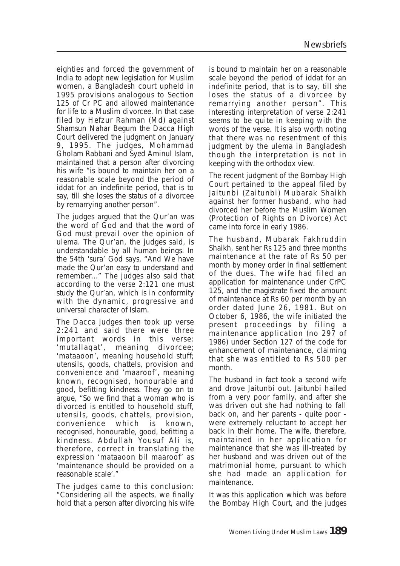eighties and forced the government of India to adopt new legislation for Muslim women, a Bangladesh court upheld in 1995 provisions analogous to Section 125 of Cr PC and allowed maintenance for life to a Muslim divorcee. In that case filed by Hefzur Rahman (Md) against Shamsun Nahar Begum the Dacca High Court delivered the judgment on January 9, 1995. The judges, Mohammad Gholam Rabbani and Syed Aminul Islam, maintained that a person after divorcing his wife "is bound to maintain her on a reasonable scale beyond the period of iddat for an indefinite period, that is to say, till she loses the status of a divorcee by remarrying another person".

The judges argued that the Qur'an was the word of God and that the word of God must prevail over the opinion of ulema. The Qur'an, the judges said, is understandable by all human beings. In the 54th 'sura' God says, "And We have made the Qur'an easy to understand and remember..." The judges also said that according to the verse 2:121 one must study the Qur'an, which is in conformity with the dynamic, progressive and universal character of Islam.

The Dacca judges then took up verse 2:241 and said there were three important words in this verse: 'mutallaqat', meaning divorcee; 'mataaoon', meaning household stuff; utensils, goods, chattels, provision and convenience and 'maaroof', meaning known, recognised, honourable and good, befitting kindness. They go on to argue, "So we find that a woman who is divorced is entitled to household stuff, utensils, goods, chattels, provision,<br>convenience which is known, convenience which is known, recognised, honourable, good, befitting a kindness. Abdullah Yousuf Ali is, therefore, correct in translating the expression 'mataaoon bil maaroof' as 'maintenance should be provided on a reasonable scale'."

The judges came to this conclusion: "Considering all the aspects, we finally hold that a person after divorcing his wife

is bound to maintain her on a reasonable scale beyond the period of iddat for an indefinite period, that is to say, till she loses the status of a divorcee by remarrying another person". This interesting interpretation of verse 2:241 seems to be quite in keeping with the words of the verse. It is also worth noting that there was no resentment of this judgment by the ulema in Bangladesh though the interpretation is not in keeping with the orthodox view.

The recent judgment of the Bombay High Court pertained to the appeal filed by Jaitunbi (Zaitunbi) Mubarak Shaikh against her former husband, who had divorced her before the Muslim Women (Protection of Rights on Divorce) Act came into force in early 1986.

The husband, Mubarak Fakhruddin Shaikh, sent her Rs 125 and three months maintenance at the rate of Rs 50 per month by money order in final settlement of the dues. The wife had filed an application for maintenance under CrPC 125, and the magistrate fixed the amount of maintenance at Rs 60 per month by an order dated June 26, 1981. But on October 6, 1986, the wife initiated the present proceedings by filing a maintenance application (no 297 of 1986) under Section 127 of the code for enhancement of maintenance, claiming that she was entitled to Rs 500 per month.

The husband in fact took a second wife and drove Jaitunbi out. Jaitunbi hailed from a very poor family, and after she was driven out she had nothing to fall back on, and her parents - quite poor were extremely reluctant to accept her back in their home. The wife, therefore, maintained in her application for maintenance that she was ill-treated by her husband and was driven out of the matrimonial home, pursuant to which she had made an application for maintenance.

It was this application which was before the Bombay High Court, and the judges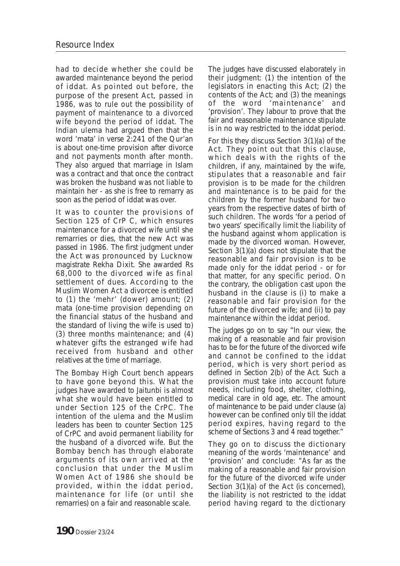had to decide whether she could be awarded maintenance beyond the period of iddat. As pointed out before, the purpose of the present Act, passed in 1986, was to rule out the possibility of payment of maintenance to a divorced wife beyond the period of iddat. The Indian ulema had argued then that the word 'mata' in verse 2:241 of the Qur'an is about one-time provision after divorce and not payments month after month. They also argued that marriage in Islam was a contract and that once the contract was broken the husband was not liable to maintain her - as she is free to remarry as soon as the period of iddat was over.

It was to counter the provisions of Section 125 of CrP C, which ensures maintenance for a divorced wife until she remarries or dies, that the new Act was passed in 1986. The first judgment under the Act was pronounced by Lucknow magistrate Rekha Dixit. She awarded Rs 68,000 to the divorced wife as final settlement of dues. According to the Muslim Women Act a divorcee is entitled to (1) the 'mehr' (dower) amount; (2) mata (one-time provision depending on the financial status of the husband and the standard of living the wife is used to) (3) three months maintenance; and (4) whatever gifts the estranged wife had received from husband and other relatives at the time of marriage.

The Bombay High Court bench appears to have gone beyond this. What the judges have awarded to Jaitunbi is almost what she would have been entitled to under Section 125 of the CrPC. The intention of the ulema and the Muslim leaders has been to counter Section 125 of CrPC and avoid permanent liability for the husband of a divorced wife. But the Bombay bench has through elaborate arguments of its own arrived at the conclusion that under the Muslim Women Act of 1986 she should be provided, within the iddat period, maintenance for life (or until she remarries) on a fair and reasonable scale.

The judges have discussed elaborately in their judgment: (1) the intention of the legislators in enacting this Act; (2) the contents of the Act; and (3) the meanings of the word 'maintenance' and 'provision'. They labour to prove that the fair and reasonable maintenance stipulate is in no way restricted to the iddat period.

For this they discuss Section 3(1)(a) of the Act. They point out that this clause, which deals with the rights of the children, if any, maintained by the wife, stipulates that a reasonable and fair provision is to be made for the children and maintenance is to be paid for the children by the former husband for two years from the respective dates of birth of such children. The words 'for a period of two years' specifically limit the liability of the husband against whom application is made by the divorced woman. However, Section 3(1)(a) does not stipulate that the reasonable and fair provision is to be made only for the iddat period - or for that matter, for any specific period. On the contrary, the obligation cast upon the husband in the clause is (i) to make a reasonable and fair provision for the future of the divorced wife; and (ii) to pay maintenance within the iddat period.

The judges go on to say "In our view, the making of a reasonable and fair provision has to be for the future of the divorced wife and cannot be confined to the iddat period, which is very short period as defined in Section 2(b) of the Act. Such a provision must take into account future needs, including food, shelter, clothing, medical care in old age, etc. The amount of maintenance to be paid under clause (a) however can be confined only till the iddat period expires, having regard to the scheme of Sections 3 and 4 read together."

They go on to discuss the dictionary meaning of the words 'maintenance' and 'provision' and conclude: "As far as the making of a reasonable and fair provision for the future of the divorced wife under Section 3(1)(a) of the Act (is concerned). the liability is not restricted to the iddat period having regard to the dictionary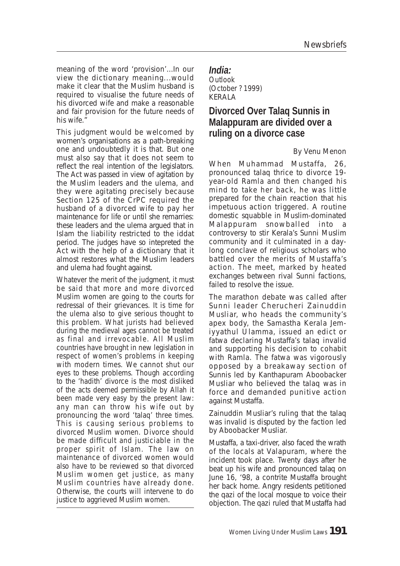meaning of the word 'provision'...In our view the dictionary meaning...would make it clear that the Muslim husband is required to visualise the future needs of his divorced wife and make a reasonable and fair provision for the future needs of his wife."

This judgment would be welcomed by women's organisations as a path-breaking one and undoubtedly it is that. But one must also say that it does not seem to reflect the real intention of the legislators. The Act was passed in view of agitation by the Muslim leaders and the ulema, and they were agitating precisely because Section 125 of the CrPC required the husband of a divorced wife to pay her maintenance for life or until she remarries: these leaders and the ulema argued that in Islam the liability restricted to the iddat period. The judges have so intepreted the Act with the help of a dictionary that it almost restores what the Muslim leaders and ulema had fought against.

Whatever the merit of the judgment, it must be said that more and more divorced Muslim women are going to the courts for redressal of their grievances. It is time for the ulema also to give serious thought to this problem. What jurists had believed during the medieval ages cannot be treated as final and irrevocable. All Muslim countries have brought in new legislation in respect of women's problems in keeping with modern times. We cannot shut our eyes to these problems. Though according to the 'hadith' divorce is the most disliked of the acts deemed permissible by Allah it been made very easy by the present law: any man can throw his wife out by pronouncing the word 'talaq' three times. This is causing serious problems to divorced Muslim women. Divorce should be made difficult and justiciable in the proper spirit of Islam. The law on maintenance of divorced women would also have to be reviewed so that divorced Muslim women get justice, as many Muslim countries have already done. Otherwise, the courts will intervene to do justice to aggrieved Muslim women.

# **India:**

**Outlook** (October ? 1999) KERALA

# **Divorced Over Talaq Sunnis in Malappuram are divided over a ruling on a divorce case**

### *By Venu Menon*

When Muhammad Mustaffa, 26, pronounced talaq thrice to divorce 19 year-old Ramla and then changed his mind to take her back, he was little prepared for the chain reaction that his impetuous action triggered. A routine domestic squabble in Muslim-dominated Malappuram snowballed into a controversy to stir Kerala's Sunni Muslim community and it culminated in a daylong conclave of religious scholars who battled over the merits of Mustaffa's action. The meet, marked by heated exchanges between rival Sunni factions, failed to resolve the issue.

The marathon debate was called after Sunni leader Cherucheri Zainuddin Musliar, who heads the community's apex body, the Samastha Kerala Jemiyyathul Ulamma, issued an edict or fatwa declaring Mustaffa's talaq invalid and supporting his decision to cohabit with Ramla. The fatwa was vigorously opposed by a breakaway section of Sunnis led by Kanthapuram Aboobacker Musliar who believed the talaq was in force and demanded punitive action against Mustaffa.

Zainuddin Musliar's ruling that the talaq was invalid is disputed by the faction led by Aboobacker Musliar.

Mustaffa, a taxi-driver, also faced the wrath of the locals at Valapuram, where the incident took place. Twenty days after he beat up his wife and pronounced talaq on June 16, '98, a contrite Mustaffa brought her back home. Angry residents petitioned the qazi of the local mosque to voice their objection. The qazi ruled that Mustaffa had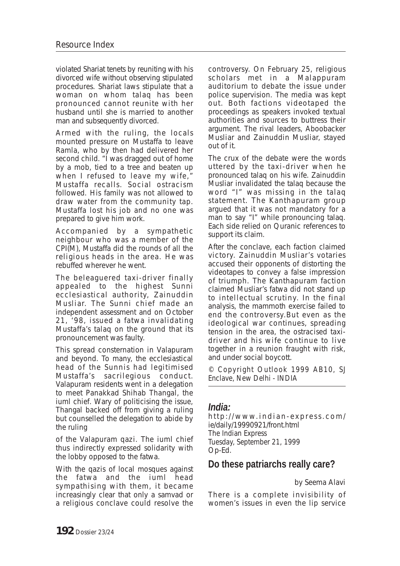violated Shariat tenets by reuniting with his divorced wife without observing stipulated procedures. Shariat laws stipulate that a woman on whom talaq has been pronounced cannot reunite with her husband until she is married to another man and subsequently divorced.

Armed with the ruling, the locals mounted pressure on Mustaffa to leave Ramla, who by then had delivered her second child. "I was dragged out of home by a mob, tied to a tree and beaten up when I refused to leave my wife." Mustaffa recalls. Social ostracism followed. His family was not allowed to draw water from the community tap. Mustaffa lost his job and no one was prepared to give him work.

Accompanied by a sympathetic neighbour who was a member of the CPI(M), Mustaffa did the rounds of all the religious heads in the area. He was rebuffed wherever he went.

The beleaguered taxi-driver finally appealed to the highest Sunni ecclesiastical authority, Zainuddin Musliar. The Sunni chief made an independent assessment and on October 21, '98, issued a fatwa invalidating Mustaffa's talaq on the ground that its pronouncement was faulty.

This spread consternation in Valapuram and beyond. To many, the ecclesiastical head of the Sunnis had legitimised Mustaffa's sacrilegious conduct. Valapuram residents went in a delegation to meet Panakkad Shihab Thangal, the iuml chief. Wary of politicising the issue, Thangal backed off from giving a ruling but counselled the delegation to abide by the ruling

of the Valapuram qazi. The iuml chief thus indirectly expressed solidarity with the lobby opposed to the fatwa.

With the qazis of local mosques against the fatwa and the iuml head sympathising with them, it became increasingly clear that only a samvad or a religious conclave could resolve the

controversy. On February 25, religious scholars met in a Malappuram auditorium to debate the issue under police supervision. The media was kept out. Both factions videotaped the proceedings as speakers invoked textual authorities and sources to buttress their argument. The rival leaders, Aboobacker Musliar and Zainuddin Musliar, stayed out of it.

The crux of the debate were the words uttered by the taxi-driver when he pronounced talaq on his wife. Zainuddin Musliar invalidated the talaq because the word "I" was missing in the talaq statement. The Kanthapuram group argued that it was not mandatory for a man to say "I" while pronouncing talaq. Each side relied on Quranic references to support its claim.

After the conclave, each faction claimed victory. Zainuddin Musliar's votaries accused their opponents of distorting the videotapes to convey a false impression of triumph. The Kanthapuram faction claimed Musliar's fatwa did not stand up to intellectual scrutiny. In the final analysis, the mammoth exercise failed to end the controversy.But even as the ideological war continues, spreading tension in the area, the ostracised taxidriver and his wife continue to live together in a reunion fraught with risk, and under social boycott.

© Copyright Outlook 1999 AB10, SJ Enclave, New Delhi - INDIA

## **India:**

http://www.indian-express.com/ ie/daily/19990921/front.html The Indian Express Tuesday, September 21, 1999 Op-Ed.

# **Do these patriarchs really care?**

### *by Seema Alavi*

There is a complete invisibility of women's issues in even the lip service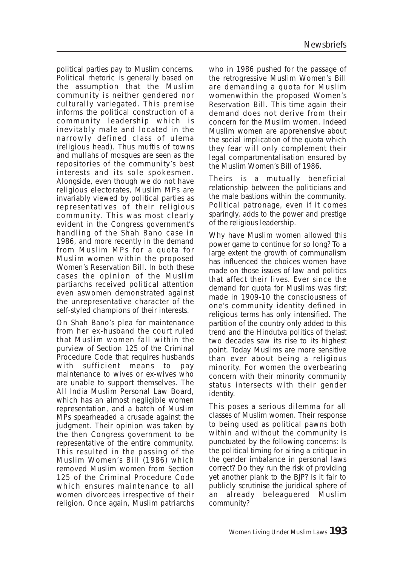political parties pay to Muslim concerns. Political rhetoric is generally based on the assumption that the Muslim community is neither gendered nor culturally variegated. This premise informs the political construction of a community leadership which is inevitably male and located in the narrowly defined class of ulema (religious head). Thus muftis of towns and mullahs of mosques are seen as the repositories of the community's best interests and its sole spokesmen. Alongside, even though we do not have religious electorates, Muslim MPs are invariably viewed by political parties as representatives of their religious community. This was most clearly evident in the Congress government's handling of the Shah Bano case in 1986, and more recently in the demand from Muslim MPs for a quota for Muslim women within the proposed Women's Reservation Bill. In both these cases the opinion of the Muslim partiarchs received political attention even aswomen demonstrated against the unrepresentative character of the self-styled champions of their interests.

On Shah Bano's plea for maintenance from her ex-husband the court ruled that Muslim women fall within the purview of Section 125 of the Criminal Procedure Code that requires husbands with sufficient means to pay maintenance to wives or ex-wives who are unable to support themselves. The All India Muslim Personal Law Board, which has an almost negligible women representation, and a batch of Muslim MPs spearheaded a crusade against the judgment. Their opinion was taken by the then Congress government to be representative of the entire community. This resulted in the passing of the Muslim Women's Bill (1986) which removed Muslim women from Section 125 of the Criminal Procedure Code which ensures maintenance to all women divorcees irrespective of their religion. Once again, Muslim patriarchs

who in 1986 pushed for the passage of the retrogressive Muslim Women's Bill are demanding a quota for Muslim womenwithin the proposed Women's Reservation Bill. This time again their demand does not derive from their concern for the Muslim women. Indeed Muslim women are apprehensive about the social implication of the quota which they fear will only complement their legal compartmentalisation ensured by the Muslim Women's Bill of 1986.

Theirs is a mutually beneficial relationship between the politicians and the male bastions within the community. Political patronage, even if it comes sparingly, adds to the power and prestige of the religious leadership.

Why have Muslim women allowed this power game to continue for so long? To a large extent the growth of communalism has influenced the choices women have made on those issues of law and politics that affect their lives. Ever since the demand for quota for Muslims was first made in 1909-10 the consciousness of one's community identity defined in religious terms has only intensified. The partition of the country only added to this trend and the Hindutva politics of thelast two decades saw its rise to its highest point. Today Muslims are more sensitive than ever about being a religious minority. For women the overbearing concern with their minority community status intersects with their gender identity.

This poses a serious dilemma for all classes of Muslim women. Their response to being used as political pawns both within and without the community is punctuated by the following concerns: Is the political timing for airing a critique in the gender imbalance in personal laws correct? Do they run the risk of providing yet another plank to the BJP? Is it fair to publicly scrutinise the juridical sphere of an already beleaguered Muslim community?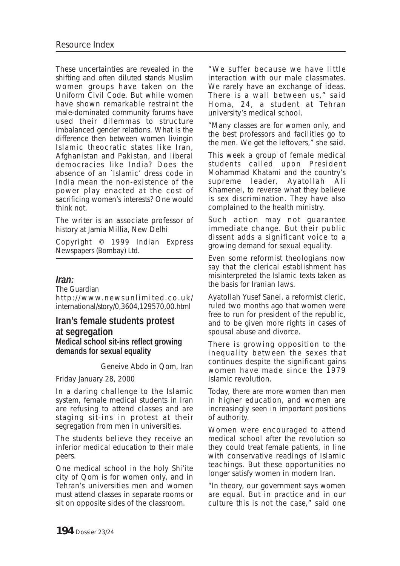These uncertainties are revealed in the shifting and often diluted stands Muslim women groups have taken on the Uniform Civil Code. But while women have shown remarkable restraint the male-dominated community forums have used their dilemmas to structure imbalanced gender relations. What is the difference then between women livingin Islamic theocratic states like Iran, Afghanistan and Pakistan, and liberal democracies like India? Does the absence of an `Islamic' dress code in India mean the non-existence of the power play enacted at the cost of sacrificing women's interests? One would think not.

The writer is an associate professor of history at Jamia Millia, New Delhi

Copyright © 1999 Indian Express Newspapers (Bombay) Ltd.

# **Iran:**

The Guardian

http://www.newsunlimited.co.uk/ international/story/0,3604,129570,00.html

### **Iran's female students protest at segregation Medical school sit-ins reflect growing demands for sexual equality**

*Geneive Abdo in Qom, Iran*

Friday January 28, 2000

In a daring challenge to the Islamic system, female medical students in Iran are refusing to attend classes and are staging sit-ins in protest at their segregation from men in universities.

The students believe they receive an inferior medical education to their male peers.

One medical school in the holy Shi'ite city of Qom is for women only, and in Tehran's universities men and women must attend classes in separate rooms or sit on opposite sides of the classroom.

"We suffer because we have little interaction with our male classmates. We rarely have an exchange of ideas. There is a wall between us," said Homa, 24, a student at Tehran university's medical school.

"Many classes are for women only, and the best professors and facilities go to the men. We get the leftovers," she said.

This week a group of female medical students called upon President Mohammad Khatami and the country's supreme leader, Ayatollah Ali Khamenei, to reverse what they believe is sex discrimination. They have also complained to the health ministry.

Such action may not guarantee immediate change. But their public dissent adds a significant voice to a growing demand for sexual equality.

Even some reformist theologians now say that the clerical establishment has misinterpreted the Islamic texts taken as the basis for Iranian laws.

Ayatollah Yusef Sanei, a reformist cleric, ruled two months ago that women were free to run for president of the republic, and to be given more rights in cases of spousal abuse and divorce.

There is growing opposition to the inequality between the sexes that continues despite the significant gains women have made since the 1979 Islamic revolution.

Today, there are more women than men in higher education, and women are increasingly seen in important positions of authority.

Women were encouraged to attend medical school after the revolution so they could treat female patients, in line with conservative readings of Islamic teachings. But these opportunities no longer satisfy women in modern Iran.

"In theory, our government says women are equal. But in practice and in our culture this is not the case," said one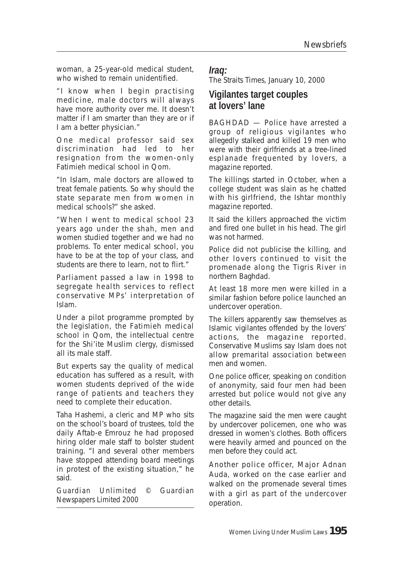woman, a 25-year-old medical student, who wished to remain unidentified.

"I know when I begin practising medicine, male doctors will always have more authority over me. It doesn't matter if I am smarter than they are or if I am a better physician."

One medical professor said sex discrimination had led to her resignation from the women-only Fatimieh medical school in Qom.

"In Islam, male doctors are allowed to treat female patients. So why should the state separate men from women in medical schools?" she asked.

"When I went to medical school 23 years ago under the shah, men and women studied together and we had no problems. To enter medical school, you have to be at the top of your class, and students are there to learn, not to flirt."

Parliament passed a law in 1998 to segregate health services to reflect conservative MPs' interpretation of Islam.

Under a pilot programme prompted by the legislation, the Fatimieh medical school in Qom, the intellectual centre for the Shi'ite Muslim clergy, dismissed all its male staff.

But experts say the quality of medical education has suffered as a result, with women students deprived of the wide range of patients and teachers they need to complete their education.

Taha Hashemi, a cleric and MP who sits on the school's board of trustees, told the daily Aftab-e Emrouz he had proposed hiring older male staff to bolster student training. "I and several other members have stopped attending board meetings in protest of the existing situation," he said.

Guardian Unlimited © Guardian Newspapers Limited 2000

### **Iraq:**

The Straits Times, January 10, 2000

## **Vigilantes target couples at lovers' lane**

BAGHDAD — Police have arrested a group of religious vigilantes who allegedly stalked and killed 19 men who were with their girlfriends at a tree-lined esplanade frequented by lovers, a magazine reported.

The killings started in October, when a college student was slain as he chatted with his girlfriend, the Ishtar monthly magazine reported.

It said the killers approached the victim and fired one bullet in his head. The girl was not harmed.

Police did not publicise the killing, and other lovers continued to visit the promenade along the Tigris River in northern Baghdad.

At least 18 more men were killed in a similar fashion before police launched an undercover operation.

The killers apparently saw themselves as Islamic vigilantes offended by the lovers' actions, the magazine reported. Conservative Muslims say Islam does not allow premarital association between men and women.

One police officer, speaking on condition of anonymity, said four men had been arrested but police would not give any other details.

The magazine said the men were caught by undercover policemen, one who was dressed in women's clothes. Both officers were heavily armed and pounced on the men before they could act.

Another police officer, Major Adnan Auda, worked on the case earlier and walked on the promenade several times with a girl as part of the undercover operation.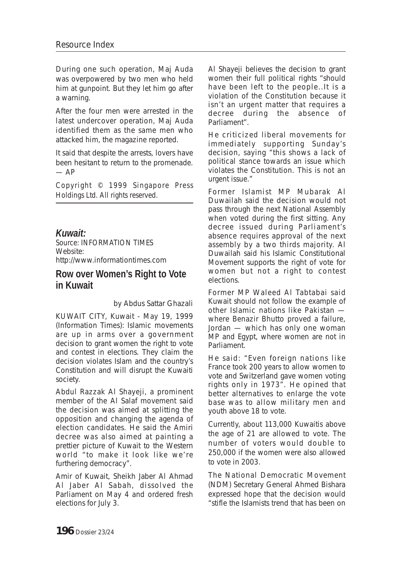During one such operation, Maj Auda was overpowered by two men who held him at gunpoint. But they let him go after a warning.

After the four men were arrested in the latest undercover operation, Maj Auda identified them as the same men who attacked him, the magazine reported.

It said that despite the arrests, lovers have been hesitant to return to the promenade.  $-$  AP

Copyright © 1999 Singapore Press Holdings Ltd. All rights reserved.

# **Kuwait:**

Source: INFORMATION TIMES Website: http://www.informationtimes.com

## **Row over Women's Right to Vote in Kuwait**

### *by Abdus Sattar Ghazali*

KUWAIT CITY, Kuwait - May 19, 1999 (Information Times): Islamic movements are up in arms over a government decision to grant women the right to vote and contest in elections. They claim the decision violates Islam and the country's Constitution and will disrupt the Kuwaiti society.

Abdul Razzak Al Shayeji, a prominent member of the Al Salaf movement said the decision was aimed at splitting the opposition and changing the agenda of election candidates. He said the Amiri decree was also aimed at painting a prettier picture of Kuwait to the Western world "to make it look like we're furthering democracy".

Amir of Kuwait, Sheikh Jaber Al Ahmad Al Jaber Al Sabah, dissolved the Parliament on May 4 and ordered fresh elections for July 3.

Al Shayeji believes the decision to grant women their full political rights "should have been left to the people..It is a violation of the Constitution because it isn't an urgent matter that requires a decree during the absence of Parliament".

He criticized liberal movements for immediately supporting Sunday's decision, saying "this shows a lack of political stance towards an issue which violates the Constitution. This is not an urgent issue."

Former Islamist MP Mubarak Al Duwailah said the decision would not pass through the next National Assembly when voted during the first sitting. Any decree issued during Parliament's absence requires approval of the next assembly by a two thirds majority. Al Duwailah said his Islamic Constitutional Movement supports the right of vote for women but not a right to contest elections.

Former MP Waleed Al Tabtabai said Kuwait should not follow the example of other Islamic nations like Pakistan where Benazir Bhutto proved a failure, Jordan — which has only one woman MP and Egypt, where women are not in Parliament.

He said: "Even foreign nations like France took 200 years to allow women to vote and Switzerland gave women voting rights only in 1973". He opined that better alternatives to enlarge the vote base was to allow military men and youth above 18 to vote.

Currently, about 113,000 Kuwaitis above the age of 21 are allowed to vote. The number of voters would double to 250,000 if the women were also allowed to vote in 2003.

The National Democratic Movement (NDM) Secretary General Ahmed Bishara expressed hope that the decision would "stifle the Islamists trend that has been on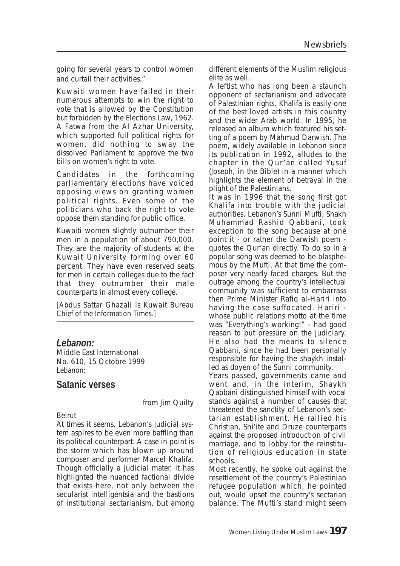going for several years to control women and curtail their activities."

Kuwaiti women have failed in their numerous attempts to win the right to vote that is allowed by the Constitution but forbidden by the Elections Law, 1962. A Fatwa from the Al Azhar University, which supported full political rights for women, did nothing to sway the dissolved Parliament to approve the two bills on women's right to vote.

Candidates in the forthcoming parliamentary elections have voiced opposing views on granting women political rights. Even some of the politicians who back the right to vote oppose them standing for public office.

Kuwaiti women slightly outnumber their men in a population of about 790,000. They are the majority of students at the Kuwait University forming over 60 percent. They have even reserved seats for men in certain colleges due to the fact that they outnumber their male counterparts in almost every college.

[Abdus Sattar Ghazali is Kuwait Bureau Chief of the Information Times.]

## **Lebanon:**

Middle East International No. 610, 15 Octobre 1999 Lebanon:

## **Satanic verses**

Beirut

At times it seems, Lebanon's judicial system aspires to be even more baffling than its political counterpart. A case in point is the storm which has blown up around composer and performer Marcel Khalifa. Though officially a judicial mater, it has highlighted the nuanced factional divide that exists here, not only between the secularist intelligentsia and the bastions of institutional sectarianism, but among

*from Jim Quilty*

different elements of the Muslim religious elite as well.

A leftist who has long been a staunch opponent of sectarianism and advocate of Palestinian rights, Khalifa is easily one of the best loved artists in this country and the wider Arab world. In 1995, he released an album which featured his setting of a poem by Mahmud Darwish. The poem, widely available in Lebanon since its publication in 1992, alludes to the chapter in the Qur'an called Yusuf (Joseph, in the Bible) in a manner which highlights the element of betrayal in the plight of the Palestinians.

It was in 1996 that the song first got Khalifa into trouble with the judicial authorities. Lebanon's Sunni Mufti, Shakh Muhammad Rashid Qabbani, took exception to the song because at one point it - or rather the Darwish poem quotes the Qur'an directly. To do so in a popular song was deemed to be blasphemous by the Mufti. At that time the composer very nearly faced charges. But the outrage among the country's intellectual community was sufficient to embarrass then Prime Minister Rafiq al-Hariri into having the case suffocated. Hariri whose public relations motto at the time was "Everything's working!" - had good reason to put pressure on the judiciary. He also had the means to silence Qabbani, since he had been personally responsible for having the shaykh installed as doyen of the Sunni community.

Years passed, governments came and went and, in the interim, Shaykh Qabbani distinguished himself with vocal stands against a number of causes that threatened the sanctity of Lebanon's sectarian establishment. He rallied his Christian, Shi'ite and Druze counterparts against the proposed introduction of civil marriage, and to lobby for the reinstitution of religious education in state schools.

Most recently, he spoke out against the resettlement of the country's Palestinian refugee population which, he pointed out, would upset the country's sectarian balance. The Mufti's stand might seem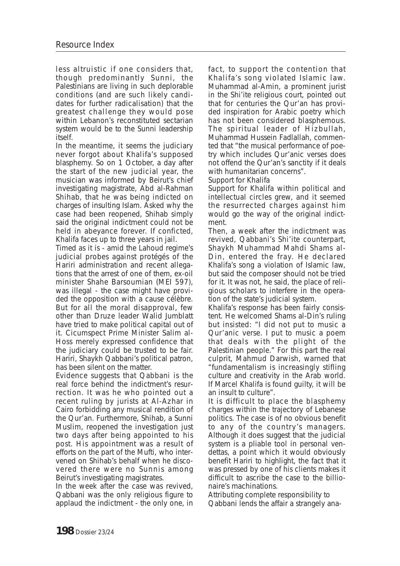less altruistic if one considers that, though predominantly Sunni, the Palestinians are living in such deplorable conditions (and are such likely candidates for further radicalisation) that the greatest challenge they would pose within Lebanon's reconstituted sectarian system would be to the Sunni leadership itself.

In the meantime, it seems the judiciary never forgot about Khalifa's supposed blasphemy. So on 1 October, a day after the start of the new judicial year, the musician was informed by Beirut's chief investigating magistrate, Abd al-Rahman Shihab, that he was being indicted on charges of insulting Islam. Asked why the case had been reopened, Shihab simply said the original indictment could not be held in abeyance forever. If conficted, Khalifa faces up to three years in jail.

Timed as it is - amid the Lahoud regime's judicial probes against protégés of the Hariri administration and recent allegations that the arrest of one of them, ex-oil minister Shahe Barsoumian (MEI 597), was illegal - the case might have provided the opposition with a cause célèbre. But for all the moral disapproval, few other than Druze leader Walid Jumblatt have tried to make political capital out of it. Cicumspect Prime Minister Salim al-Hoss merely expressed confidence that the judiciary could be trusted to be fair. Hariri, Shaykh Qabbani's political patron, has been silent on the matter.

Evidence suggests that Qabbani is the real force behind the indictment's resurrection. It was he who pointed out a recent ruling by jurists at Al-Azhar in Cairo forbidding any musical rendition of the Qur'an. Furthermore, Shihab, a Sunni Muslim, reopened the investigation just two days after being appointed to his post. His appointment was a result of efforts on the part of the Mufti, who intervened on Shihab's behalf when he discovered there were no Sunnis among Beirut's investigating magistrates.

In the week after the case was revived, Qabbani was the only religious figure to applaud the indictment - the only one, in fact, to support the contention that Khalifa's song violated Islamic law. Muhammad al-Amin, a prominent jurist in the Shi'ite religious court, pointed out that for centuries the Qur'an has provided inspiration for Arabic poetry which has not been considered blasphemous. The spiritual leader of Hizbullah, Muhammad Hussein Fadlallah, commented that "the musical performance of poetry which includes Qur'anic verses does not offend the Qur'an's sanctity if it deals with humanitarian concerns".

Support for Khalifa

Support for Khalifa within political and intellectual circles grew, and it seemed the resurrected charges against him would go the way of the original indictment.

Then, a week after the indictment was revived, Qabbani's Shi'ite counterpart, Shaykh Muhammad Mahdi Shams al-Din, entered the fray. He declared Khalifa's song a violation of Islamic law, but said the composer should not be tried for it. It was not, he said, the place of religious scholars to interfere in the operation of the state's judicial system.

Khalifa's response has been fairly consistent. He welcomed Shams al-Din's ruling but insisted: "I did not put to music a Qur'anic verse. I put to music a poem that deals with the plight of the Palestinian people." For this part the real culprit, Mahmud Darwish, warned that "fundamentalism is increasingly stifling culture and creativity in the Arab world. If Marcel Khalifa is found guilty, it will be an insult to culture".

It is difficult to place the blasphemy charges within the trajectory of Lebanese politics. The case is of no obvious benefit to any of the country's managers. Although it does suggest that the judicial system is a pliable tool in personal vendettas, a point which it would obviously benefit Hariri to highlight, the fact that it was pressed by one of his clients makes it difficult to ascribe the case to the billionaire's machinations.

Attributing complete responsibility to Qabbani lends the affair a strangely ana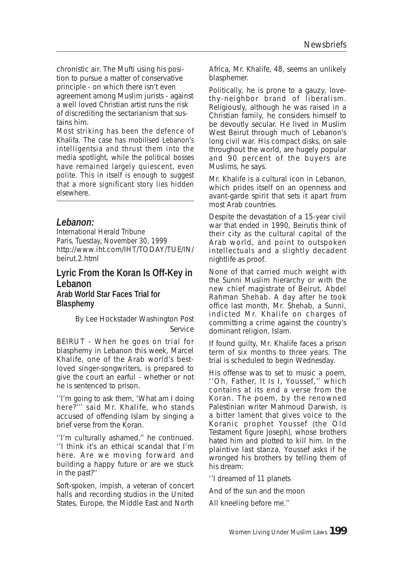chronistic air. The Mufti using his position to pursue a matter of conservative principle - on which there isn't even agreement among Muslim jurists - against a well loved Christian artist runs the risk of discrediting the sectarianism that sustains him.

Most striking has been the defence of Khalifa. The case has mobilised Lebanon's intelligentsia and thrust them into the media spotlight, while the political bosses have remained largely quiescent, even polite. This in itself is enough to suggest that a more significant story lies hidden elsewhere.

## **Lebanon:**

International Herald Tribune Paris, Tuesday, November 30, 1999 http://www.iht.com/IHT/TODAY/TUE/IN/ beirut.2.html

### **Lyric From the Koran Is Off-Key in Lebanon Arab World Star Faces Trial for Blasphemy**

*By Lee Hockstader Washington Post Service*

BEIRUT - When he goes on trial for blasphemy in Lebanon this week, Marcel Khalife, one of the Arab world's bestloved singer-songwriters, is prepared to give the court an earful - whether or not he is sentenced to prison.

''I'm going to ask them, 'What am I doing here?''' said Mr. Khalife, who stands accused of offending Islam by singing a brief verse from the Koran.

''I'm culturally ashamed,'' he continued. ''I think it's an ethical scandal that I'm here. Are we moving forward and building a happy future or are we stuck in the past?''

Soft-spoken, impish, a veteran of concert halls and recording studios in the United States, Europe, the Middle East and North

Africa, Mr. Khalife, 48, seems an unlikely blasphemer.

Politically, he is prone to a gauzy, lovethy-neighbor brand of liberalism. Religiously, although he was raised in a Christian family, he considers himself to be devoutly secular. He lived in Muslim West Beirut through much of Lebanon's long civil war. His compact disks, on sale throughout the world, are hugely popular and 90 percent of the buyers are Muslims, he says.

Mr. Khalife is a cultural icon in Lebanon, which prides itself on an openness and avant-garde spirit that sets it apart from most Arab countries.

Despite the devastation of a 15-year civil war that ended in 1990, Beirutis think of their city as the cultural capital of the Arab world, and point to outspoken intellectuals and a slightly decadent nightlife as proof.

None of that carried much weight with the Sunni Muslim hierarchy or with the new chief magistrate of Beirut, Abdel Rahman Shehab. A day after he took office last month, Mr. Shehab, a Sunni, indicted Mr. Khalife on charges of committing a crime against the country's dominant religion, Islam.

If found guilty, Mr. Khalife faces a prison term of six months to three years. The trial is scheduled to begin Wednesday.

His offense was to set to music a poem, ''Oh, Father, It Is I, Youssef,'' which contains at its end a verse from the Koran. The poem, by the renowned Palestinian writer Mahmoud Darwish, is a bitter lament that gives voice to the Koranic prophet Youssef (the Old Testament figure Joseph), whose brothers hated him and plotted to kill him. In the plaintive last stanza, Youssef asks if he wronged his brothers by telling them of his dream:

''I dreamed of 11 planets

And of the sun and the moon

All kneeling before me.''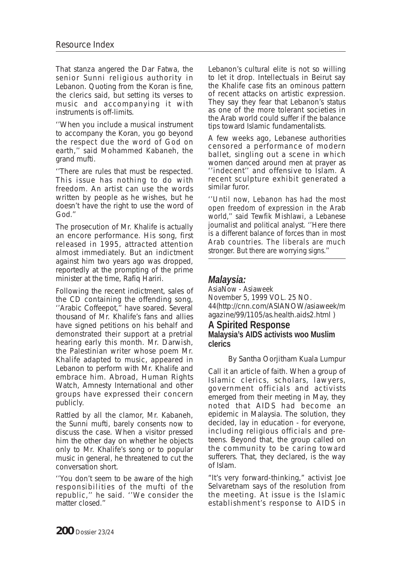That stanza angered the Dar Fatwa, the senior Sunni religious authority in Lebanon. Quoting from the Koran is fine, the clerics said, but setting its verses to music and accompanying it with instruments is off-limits.

''When you include a musical instrument to accompany the Koran, you go beyond the respect due the word of God on earth,'' said Mohammed Kabaneh, the grand mufti.

''There are rules that must be respected. This issue has nothing to do with freedom. An artist can use the words written by people as he wishes, but he doesn't have the right to use the word of God.''

The prosecution of Mr. Khalife is actually an encore performance. His song, first released in 1995, attracted attention almost immediately. But an indictment against him two years ago was dropped, reportedly at the prompting of the prime minister at the time, Rafiq Hariri.

Following the recent indictment, sales of the CD containing the offending song, ''Arabic Coffeepot,'' have soared. Several thousand of Mr. Khalife's fans and allies have signed petitions on his behalf and demonstrated their support at a pretrial hearing early this month. Mr. Darwish, the Palestinian writer whose poem Mr. Khalife adapted to music, appeared in Lebanon to perform with Mr. Khalife and embrace him. Abroad, Human Rights Watch, Amnesty International and other groups have expressed their concern publicly.

Rattled by all the clamor, Mr. Kabaneh, the Sunni mufti, barely consents now to discuss the case. When a visitor pressed him the other day on whether he objects only to Mr. Khalife's song or to popular music in general, he threatened to cut the conversation short.

''You don't seem to be aware of the high responsibilities of the mufti of the republic,'' he said. ''We consider the matter closed.''

Lebanon's cultural elite is not so willing to let it drop. Intellectuals in Beirut say the Khalife case fits an ominous pattern of recent attacks on artistic expression. They say they fear that Lebanon's status as one of the more tolerant societies in the Arab world could suffer if the balance tips toward Islamic fundamentalists.

A few weeks ago, Lebanese authorities censored a performance of modern ballet, singling out a scene in which women danced around men at prayer as ''indecent'' and offensive to Islam. A recent sculpture exhibit generated a similar furor.

''Until now, Lebanon has had the most open freedom of expression in the Arab world,'' said Tewfik Mishlawi, a Lebanese journalist and political analyst. ''Here there is a different balance of forces than in most Arab countries. The liberals are much stronger. But there are worrying signs.''

# **Malaysia:**

AsiaNow - Asiaweek November 5, 1999 VOL. 25 NO. 44(http://cnn.com/ASIANOW/asiaweek/m agazine/99/1105/as.health.aids2.html )

#### **A Spirited Response Malaysia's AIDS activists woo Muslim clerics**

### *By Santha Oorjitham Kuala Lumpur*

Call it an article of faith. When a group of Islamic clerics, scholars, lawyers, government officials and activists emerged from their meeting in May, they noted that AIDS had become an epidemic in Malaysia. The solution, they decided, lay in education - for everyone, including religious officials and preteens. Beyond that, the group called on the community to be caring toward sufferers. That, they declared, is the way of Islam.

"It's very forward-thinking," activist Joe Selvaretnam says of the resolution from the meeting. At issue is the Islamic establishment's response to AIDS in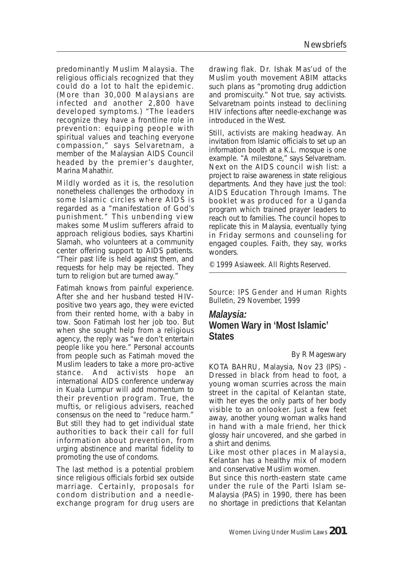predominantly Muslim Malaysia. The religious officials recognized that they could do a lot to halt the epidemic. (More than 30,000 Malaysians are infected and another 2,800 have developed symptoms.) "The leaders recognize they have a frontline role in prevention: equipping people with spiritual values and teaching everyone compassion," says Selvaretnam, a member of the Malaysian AIDS Council headed by the premier's daughter, Marina Mahathir.

Mildly worded as it is, the resolution nonetheless challenges the orthodoxy in some Islamic circles where AIDS is regarded as a "manifestation of God's punishment." This unbending view makes some Muslim sufferers afraid to approach religious bodies, says Khartini Slamah, who volunteers at a community center offering support to AIDS patients. "Their past life is held against them, and requests for help may be rejected. They turn to religion but are turned away."

Fatimah knows from painful experience. After she and her husband tested HIVpositive two years ago, they were evicted from their rented home, with a baby in tow. Soon Fatimah lost her job too. But when she sought help from a religious agency, the reply was "we don't entertain people like you here." Personal accounts from people such as Fatimah moved the Muslim leaders to take a more pro-active stance. And activists hope an international AIDS conference underway in Kuala Lumpur will add momentum to their prevention program. True, the muftis, or religious advisers, reached consensus on the need to "reduce harm." But still they had to get individual state authorities to back their call for full information about prevention, from urging abstinence and marital fidelity to promoting the use of condoms.

The last method is a potential problem since religious officials forbid sex outside marriage. Certainly, proposals for condom distribution and a needleexchange program for drug users are

drawing flak. Dr. Ishak Mas'ud of the Muslim youth movement ABIM attacks such plans as "promoting drug addiction and promiscuity." Not true, say activists. Selvaretnam points instead to declining HIV infections after needle-exchange was introduced in the West.

Still, activists are making headway. An invitation from Islamic officials to set up an information booth at a K.L. mosque is one example. "A milestone," says Selvaretnam. Next on the AIDS council wish list: a project to raise awareness in state religious departments. And they have just the tool: AIDS Education Through Imams. The booklet was produced for a Uganda program which trained prayer leaders to reach out to families. The council hopes to replicate this in Malaysia, eventually tying in Friday sermons and counseling for engaged couples. Faith, they say, works wonders.

© 1999 Asiaweek. All Rights Reserved.

Source: IPS Gender and Human Rights Bulletin, 29 November, 1999

# **Malaysia: Women Wary in 'Most Islamic' States**

### *By R Mageswary*

KOTA BAHRU, Malaysia, Nov 23 (IPS) - Dressed in black from head to foot, a young woman scurries across the main street in the capital of Kelantan state, with her eyes the only parts of her body visible to an onlooker. Just a few feet away, another young woman walks hand in hand with a male friend, her thick glossy hair uncovered, and she garbed in a shirt and denims.

Like most other places in Malaysia, Kelantan has a healthy mix of modern and conservative Muslim women.

But since this north-eastern state came under the rule of the Parti Islam se-Malaysia (PAS) in 1990, there has been no shortage in predictions that Kelantan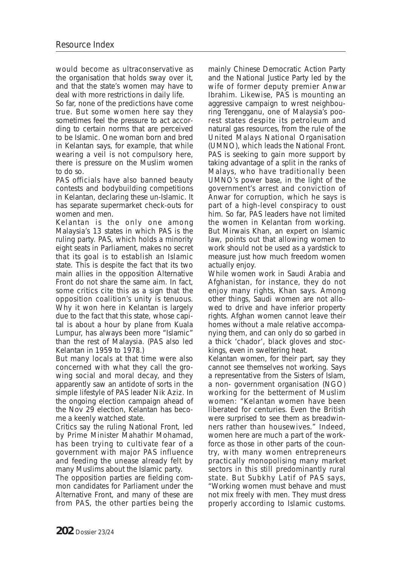would become as ultraconservative as the organisation that holds sway over it, and that the state's women may have to deal with more restrictions in daily life.

So far, none of the predictions have come true. But some women here say they sometimes feel the pressure to act according to certain norms that are perceived to be Islamic. One woman born and bred in Kelantan says, for example, that while wearing a veil is not compulsory here, there is pressure on the Muslim women to do so.

PAS officials have also banned beauty contests and bodybuilding competitions in Kelantan, declaring these un-Islamic. It has separate supermarket check-outs for women and men.

Kelantan is the only one among Malaysia's 13 states in which PAS is the ruling party. PAS, which holds a minority eight seats in Parliament, makes no secret that its goal is to establish an Islamic state. This is despite the fact that its two main allies in the opposition Alternative Front do not share the same aim. In fact, some critics cite this as a sign that the opposition coalition's unity is tenuous. Why it won here in Kelantan is largely due to the fact that this state, whose capital is about a hour by plane from Kuala Lumpur, has always been more "Islamic" than the rest of Malaysia. (PAS also led Kelantan in 1959 to 1978.)

But many locals at that time were also concerned with what they call the growing social and moral decay, and they apparently saw an antidote of sorts in the simple lifestyle of PAS leader Nik Aziz. In the ongoing election campaign ahead of the Nov 29 election, Kelantan has become a keenly watched state.

Critics say the ruling National Front, led by Prime Minister Mahathir Mohamad, has been trying to cultivate fear of a government with major PAS influence and feeding the unease already felt by many Muslims about the Islamic party.

The opposition parties are fielding common candidates for Parliament under the Alternative Front, and many of these are from PAS, the other parties being the

mainly Chinese Democratic Action Party and the National Justice Party led by the wife of former deputy premier Anwar Ibrahim. Likewise, PAS is mounting an aggressive campaign to wrest neighbouring Terengganu, one of Malaysia's poorest states despite its petroleum and natural gas resources, from the rule of the United Malays National Organisation (UMNO), which leads the National Front. PAS is seeking to gain more support by taking advantage of a split in the ranks of Malays, who have traditionally been UMNO's power base, in the light of the government's arrest and conviction of Anwar for corruption, which he says is part of a high-level conspiracy to oust him. So far, PAS leaders have not limited the women in Kelantan from working. But Mirwais Khan, an expert on Islamic law, points out that allowing women to work should not be used as a yardstick to measure just how much freedom women actually enjoy.

While women work in Saudi Arabia and Afghanistan, for instance, they do not enjoy many rights, Khan says. Among other things, Saudi women are not allowed to drive and have inferior property rights. Afghan women cannot leave their homes without a male relative accompanying them, and can only do so garbed in a thick 'chador', black gloves and stockings, even in sweltering heat.

Kelantan women, for their part, say they cannot see themselves not working. Says a representative from the Sisters of Islam, a non- government organisation (NGO) working for the betterment of Muslim women: "Kelantan women have been liberated for centuries. Even the British were surprised to see them as breadwinners rather than housewives." Indeed, women here are much a part of the workforce as those in other parts of the country, with many women entrepreneurs practically monopolising many market sectors in this still predominantly rural state. But Subkhy Latif of PAS says, "Working women must behave and must not mix freely with men. They must dress properly according to Islamic customs.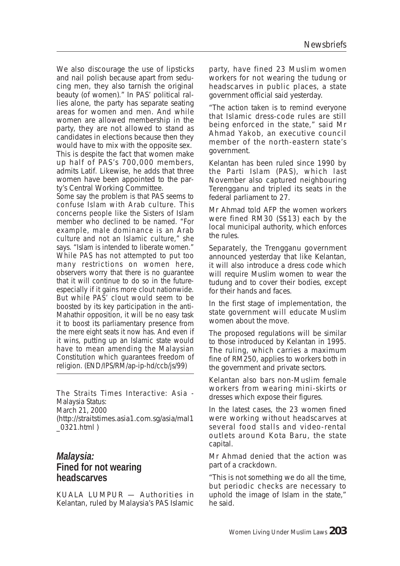We also discourage the use of lipsticks and nail polish because apart from seducing men, they also tarnish the original beauty (of women)." In PAS' political rallies alone, the party has separate seating areas for women and men. And while women are allowed membership in the party, they are not allowed to stand as candidates in elections because then they would have to mix with the opposite sex.

This is despite the fact that women make up half of PAS's 700,000 members, admits Latif. Likewise, he adds that three women have been appointed to the party's Central Working Committee.

Some say the problem is that PAS seems to confuse Islam with Arab culture. This concerns people like the Sisters of Islam member who declined to be named. "For example, male dominance is an Arab culture and not an Islamic culture," she says. "Islam is intended to liberate women." While PAS has not attempted to put too many restrictions on women here, observers worry that there is no guarantee that it will continue to do so in the futureespecially if it gains more clout nationwide. But while PAS' clout would seem to be boosted by its key participation in the anti-Mahathir opposition, it will be no easy task it to boost its parliamentary presence from the mere eight seats it now has. And even if it wins, putting up an Islamic state would have to mean amending the Malaysian Constitution which guarantees freedom of religion. (END/IPS/RM/ap-ip-hd/ccb/js/99)

The Straits Times Interactive: Asia - Malaysia Status: March 21, 2000 (http://straitstimes.asia1.com.sg/asia/mal1 \_0321.html )

# **Malaysia: Fined for not wearing headscarves**

KUALA LUMPUR — Authorities in Kelantan, ruled by Malaysia's PAS Islamic

party, have fined 23 Muslim women workers for not wearing the tudung or headscarves in public places, a state government official said yesterday.

"The action taken is to remind everyone that Islamic dress-code rules are still being enforced in the state," said Mr Ahmad Yakob, an executive council member of the north-eastern state's government.

Kelantan has been ruled since 1990 by the Parti Islam (PAS), which last November also captured neighbouring Terengganu and tripled its seats in the federal parliament to 27.

Mr Ahmad told AFP the women workers were fined RM30 (S\$13) each by the local municipal authority, which enforces the rules.

Separately, the Trengganu government announced yesterday that like Kelantan, it will also introduce a dress code which will require Muslim women to wear the tudung and to cover their bodies, except for their hands and faces.

In the first stage of implementation, the state government will educate Muslim women about the move.

The proposed regulations will be similar to those introduced by Kelantan in 1995. The ruling, which carries a maximum fine of RM250, applies to workers both in the government and private sectors.

Kelantan also bars non-Muslim female workers from wearing mini-skirts or dresses which expose their figures.

In the latest cases, the 23 women fined were working without headscarves at several food stalls and video-rental outlets around Kota Baru, the state capital.

Mr Ahmad denied that the action was part of a crackdown.

"This is not something we do all the time, but periodic checks are necessary to uphold the image of Islam in the state," he said.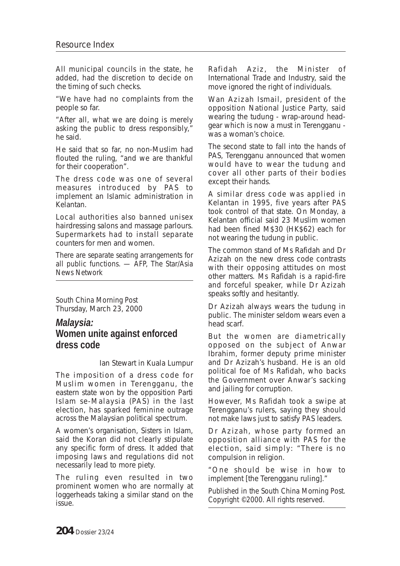All municipal councils in the state, he added, had the discretion to decide on the timing of such checks.

"We have had no complaints from the people so far.

"After all, what we are doing is merely asking the public to dress responsibly," he said.

He said that so far, no non-Muslim had flouted the ruling, "and we are thankful for their cooperation".

The dress code was one of several measures introduced by PAS to implement an Islamic administration in Kelantan.

Local authorities also banned unisex hairdressing salons and massage parlours. Supermarkets had to install separate counters for men and women.

There are separate seating arrangements for all public functions. — AFP, The Star/Asia News Network

South China Morning Post Thursday, March 23, 2000

## **Malaysia: Women unite against enforced dress code**

### *Ian Stewart in Kuala Lumpur*

The imposition of a dress code for Muslim women in Terengganu, the eastern state won by the opposition Parti Islam se-Malaysia (PAS) in the last election, has sparked feminine outrage across the Malaysian political spectrum.

A women's organisation, Sisters in Islam, said the Koran did not clearly stipulate any specific form of dress. It added that imposing laws and regulations did not necessarily lead to more piety.

The ruling even resulted in two prominent women who are normally at loggerheads taking a similar stand on the issue.

Rafidah Aziz, the Minister of International Trade and Industry, said the move ignored the right of individuals.

Wan Azizah Ismail, president of the opposition National Justice Party, said wearing the tudung - wrap-around headgear which is now a must in Terengganu was a woman's choice.

The second state to fall into the hands of PAS, Terengganu announced that women would have to wear the tudung and cover all other parts of their bodies except their hands.

A similar dress code was applied in Kelantan in 1995, five years after PAS took control of that state. On Monday, a Kelantan official said 23 Muslim women had been fined M\$30 (HK\$62) each for not wearing the tudung in public.

The common stand of Ms Rafidah and Dr Azizah on the new dress code contrasts with their opposing attitudes on most other matters. Ms Rafidah is a rapid-fire and forceful speaker, while Dr Azizah speaks softly and hesitantly.

Dr Azizah always wears the tudung in public. The minister seldom wears even a head scarf.

But the women are diametrically opposed on the subject of Anwar Ibrahim, former deputy prime minister and Dr Azizah's husband. He is an old political foe of Ms Rafidah, who backs the Government over Anwar's sacking and jailing for corruption.

However, Ms Rafidah took a swipe at Terengganu's rulers, saying they should not make laws just to satisfy PAS leaders.

Dr Azizah, whose party formed an opposition alliance with PAS for the election, said simply: "There is no compulsion in religion.

"One should be wise in how to implement [the Terengganu ruling]."

Published in the South China Morning Post. Copyright ©2000. All rights reserved.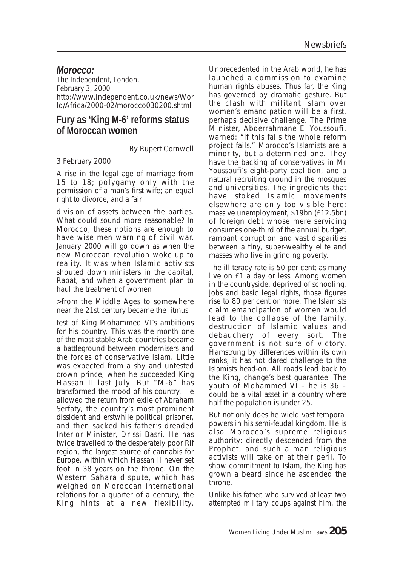## **Morocco:**

The Independent, London, February 3, 2000 http://www.independent.co.uk/news/Wor ld/Africa/2000-02/morocco030200.shtml

## **Fury as 'King M-6' reforms status of Moroccan women**

*By Rupert Cornwell*

#### 3 February 2000

A rise in the legal age of marriage from 15 to 18; polygamy only with the permission of a man's first wife; an equal right to divorce, and a fair

division of assets between the parties. What could sound more reasonable? In Morocco, these notions are enough to have wise men warning of civil war. January 2000 will go down as when the new Moroccan revolution woke up to reality. It was when Islamic activists shouted down ministers in the capital, Rabat, and when a government plan to haul the treatment of women

>from the Middle Ages to somewhere near the 21st century became the litmus

test of King Mohammed VI's ambitions for his country. This was the month one of the most stable Arab countries became a battleground between modernisers and the forces of conservative Islam. Little was expected from a shy and untested crown prince, when he succeeded King Hassan II last July. But "M-6" has transformed the mood of his country. He allowed the return from exile of Abraham Serfaty, the country's most prominent dissident and erstwhile political prisoner, and then sacked his father's dreaded Interior Minister, Drissi Basri. He has twice travelled to the desperately poor Rif region, the largest source of cannabis for Europe, within which Hassan II never set foot in 38 years on the throne. On the Western Sahara dispute, which has weighed on Moroccan international relations for a quarter of a century, the King hints at a new flexibility.

Unprecedented in the Arab world, he has launched a commission to examine human rights abuses. Thus far, the King has governed by dramatic gesture. But the clash with militant Islam over women's emancipation will be a first, perhaps decisive challenge. The Prime Minister, Abderrahmane El Youssoufi, warned: "If this fails the whole reform project fails." Morocco's Islamists are a minority, but a determined one. They have the backing of conservatives in Mr Youssoufi's eight-party coalition, and a natural recruiting ground in the mosques and universities. The ingredients that have stoked Islamic movements elsewhere are only too visible here: massive unemployment, \$19bn (£12.5bn) of foreign debt whose mere servicing consumes one-third of the annual budget, rampant corruption and vast disparities between a tiny, super-wealthy elite and masses who live in grinding poverty.

The illiteracy rate is 50 per cent; as many live on £1 a day or less. Among women in the countryside, deprived of schooling, jobs and basic legal rights, those figures rise to 80 per cent or more. The Islamists claim emancipation of women would lead to the collapse of the family, destruction of Islamic values and debauchery of every sort. The government is not sure of victory. Hamstrung by differences within its own ranks, it has not dared challenge to the Islamists head-on. All roads lead back to the King, change's best guarantee. The youth of Mohammed VI – he is 36 – could be a vital asset in a country where half the population is under 25.

But not only does he wield vast temporal powers in his semi-feudal kingdom. He is also Morocco's supreme religious authority: directly descended from the Prophet, and such a man religious activists will take on at their peril. To show commitment to Islam, the King has grown a beard since he ascended the throne.

Unlike his father, who survived at least two attempted military coups against him, the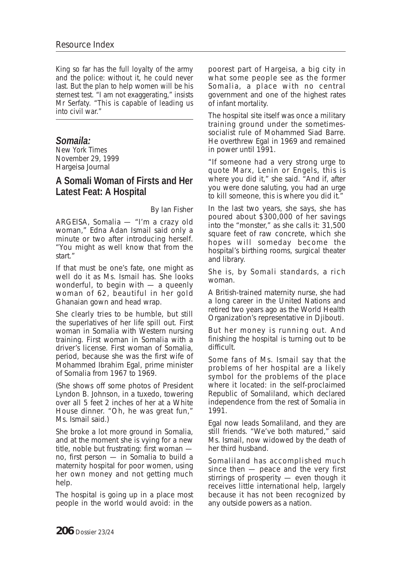King so far has the full loyalty of the army and the police: without it, he could never last. But the plan to help women will be his sternest test. "I am not exaggerating," insists Mr Serfaty. "This is capable of leading us into civil war."

### **Somaila:**

New York Times November 29, 1999 Hargeisa Journal

## **A Somali Woman of Firsts and Her Latest Feat: A Hospital**

*By Ian Fisher*

ARGEISA, Somalia — "I'm a crazy old woman," Edna Adan Ismail said only a minute or two after introducing herself. "You might as well know that from the start."

If that must be one's fate, one might as well do it as Ms. Ismail has. She looks wonderful, to begin with — a queenly woman of 62, beautiful in her gold Ghanaian gown and head wrap.

She clearly tries to be humble, but still the superlatives of her life spill out. First woman in Somalia with Western nursing training. First woman in Somalia with a driver's license. First woman of Somalia, period, because she was the first wife of Mohammed Ibrahim Egal, prime minister of Somalia from 1967 to 1969.

(She shows off some photos of President Lyndon B. Johnson, in a tuxedo, towering over all 5 feet 2 inches of her at a White House dinner. "Oh, he was great fun," Ms. Ismail said.)

She broke a lot more ground in Somalia, and at the moment she is vying for a new title, noble but frustrating: first woman no, first person — in Somalia to build a maternity hospital for poor women, using her own money and not getting much help.

The hospital is going up in a place most people in the world would avoid: in the

poorest part of Hargeisa, a big city in what some people see as the former Somalia, a place with no central government and one of the highest rates of infant mortality.

The hospital site itself was once a military training ground under the sometimessocialist rule of Mohammed Siad Barre. He overthrew Egal in 1969 and remained in power until 1991.

"If someone had a very strong urge to quote Marx, Lenin or Engels, this is where you did it," she said. "And if, after you were done saluting, you had an urge to kill someone, this is where you did it."

In the last two years, she says, she has poured about \$300,000 of her savings into the "monster," as she calls it: 31,500 square feet of raw concrete, which she hopes will someday become the hospital's birthing rooms, surgical theater and library.

She is, by Somali standards, a rich woman.

A British-trained maternity nurse, she had a long career in the United Nations and retired two years ago as the World Health Organization's representative in Djibouti.

But her money is running out. And finishing the hospital is turning out to be difficult.

Some fans of Ms. Ismail say that the problems of her hospital are a likely symbol for the problems of the place where it located: in the self-proclaimed Republic of Somaliland, which declared independence from the rest of Somalia in 1991.

Egal now leads Somaliland, and they are still friends. "We've both matured," said Ms. Ismail, now widowed by the death of her third husband.

Somaliland has accomplished much since then — peace and the very first stirrings of prosperity — even though it receives little international help, largely because it has not been recognized by any outside powers as a nation.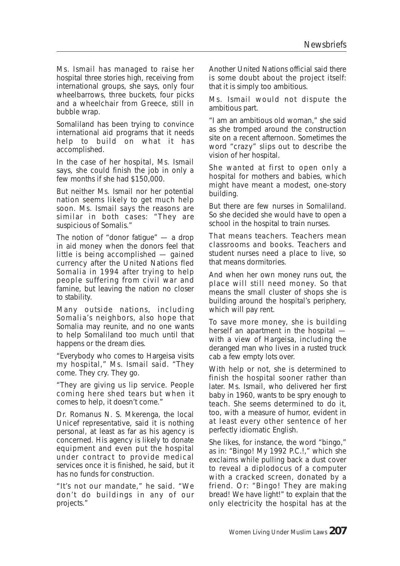Ms. Ismail has managed to raise her hospital three stories high, receiving from international groups, she says, only four wheelbarrows, three buckets, four picks and a wheelchair from Greece, still in bubble wrap.

Somaliland has been trying to convince international aid programs that it needs help to build on what it has accomplished.

In the case of her hospital, Ms. Ismail says, she could finish the job in only a few months if she had \$150,000.

But neither Ms. Ismail nor her potential nation seems likely to get much help soon. Ms. Ismail says the reasons are similar in both cases: "They are suspicious of Somalis."

The notion of "donor fatigue" — a drop in aid money when the donors feel that little is being accomplished — gained currency after the United Nations fled Somalia in 1994 after trying to help people suffering from civil war and famine, but leaving the nation no closer to stability.

Many outside nations, including Somalia's neighbors, also hope that Somalia may reunite, and no one wants to help Somaliland too much until that happens or the dream dies.

"Everybody who comes to Hargeisa visits my hospital," Ms. Ismail said. "They come. They cry. They go.

"They are giving us lip service. People coming here shed tears but when it comes to help, it doesn't come."

Dr. Romanus N. S. Mkerenga, the local Unicef representative, said it is nothing personal, at least as far as his agency is concerned. His agency is likely to donate equipment and even put the hospital under contract to provide medical services once it is finished, he said, but it has no funds for construction.

"It's not our mandate," he said. "We don't do buildings in any of our projects."

Another United Nations official said there is some doubt about the project itself: that it is simply too ambitious.

Ms. Ismail would not dispute the ambitious part.

"I am an ambitious old woman," she said as she tromped around the construction site on a recent afternoon. Sometimes the word "crazy" slips out to describe the vision of her hospital.

She wanted at first to open only a hospital for mothers and babies, which might have meant a modest, one-story building.

But there are few nurses in Somaliland. So she decided she would have to open a school in the hospital to train nurses.

That means teachers. Teachers mean classrooms and books. Teachers and student nurses need a place to live, so that means dormitories.

And when her own money runs out, the place will still need money. So that means the small cluster of shops she is building around the hospital's periphery, which will pay rent.

To save more money, she is building herself an apartment in the hospital with a view of Hargeisa, including the deranged man who lives in a rusted truck cab a few empty lots over.

With help or not, she is determined to finish the hospital sooner rather than later. Ms. Ismail, who delivered her first baby in 1960, wants to be spry enough to teach. She seems determined to do it, too, with a measure of humor, evident in at least every other sentence of her perfectly idiomatic English.

She likes, for instance, the word "bingo," as in: "Bingo! My 1992 P.C.!," which she exclaims while pulling back a dust cover to reveal a diplodocus of a computer with a cracked screen, donated by a friend. Or: "Bingo! They are making bread! We have light!" to explain that the only electricity the hospital has at the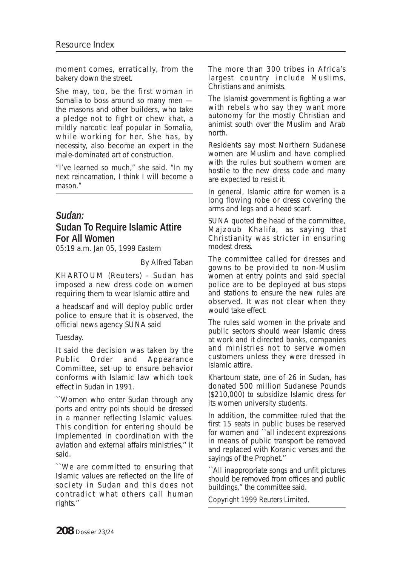moment comes, erratically, from the bakery down the street.

She may, too, be the first woman in Somalia to boss around so many men the masons and other builders, who take a pledge not to fight or chew khat, a mildly narcotic leaf popular in Somalia, while working for her. She has, by necessity, also become an expert in the male-dominated art of construction.

"I've learned so much," she said. "In my next reincarnation, I think I will become a mason."

## **Sudan: Sudan To Require Islamic Attire For All Women**

05:19 a.m. Jan 05, 1999 Eastern

*By Alfred Taban* 

KHARTOUM (Reuters) - Sudan has imposed a new dress code on women requiring them to wear Islamic attire and

a headscarf and will deploy public order police to ensure that it is observed, the official news agency SUNA said

Tuesday.

It said the decision was taken by the Public Order and Appearance Committee, set up to ensure behavior conforms with Islamic law which took effect in Sudan in 1991.

``Women who enter Sudan through any ports and entry points should be dressed in a manner reflecting Islamic values. This condition for entering should be implemented in coordination with the aviation and external affairs ministries,'' it said.

``We are committed to ensuring that Islamic values are reflected on the life of society in Sudan and this does not contradict what others call human rights.''

The more than 300 tribes in Africa's largest country include Muslims, Christians and animists.

The Islamist government is fighting a war with rebels who say they want more autonomy for the mostly Christian and animist south over the Muslim and Arab north.

Residents say most Northern Sudanese women are Muslim and have complied with the rules but southern women are hostile to the new dress code and many are expected to resist it.

In general, Islamic attire for women is a long flowing robe or dress covering the arms and legs and a head scarf.

SUNA quoted the head of the committee, Majzoub Khalifa, as saying that Christianity was stricter in ensuring modest dress.

The committee called for dresses and gowns to be provided to non-Muslim women at entry points and said special police are to be deployed at bus stops and stations to ensure the new rules are observed. It was not clear when they would take effect.

The rules said women in the private and public sectors should wear Islamic dress at work and it directed banks, companies and ministries not to serve women customers unless they were dressed in Islamic attire.

Khartoum state, one of 26 in Sudan, has donated 500 million Sudanese Pounds (\$210,000) to subsidize Islamic dress for its women university students.

In addition, the committee ruled that the first 15 seats in public buses be reserved for women and ``all indecent expressions in means of public transport be removed and replaced with Koranic verses and the sayings of the Prophet.''

``All inappropriate songs and unfit pictures should be removed from offices and public buildings,'' the committee said.

Copyright 1999 Reuters Limited.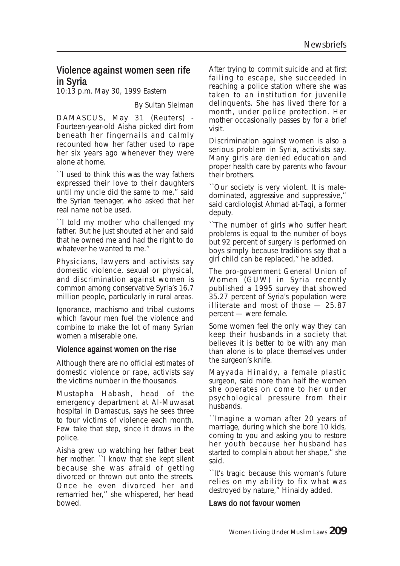## **Violence against women seen rife in Syria**

10:13 p.m. May 30, 1999 Eastern

*By Sultan Sleiman* 

DAMASCUS, May 31 (Reuters) - Fourteen-year-old Aisha picked dirt from beneath her fingernails and calmly recounted how her father used to rape her six years ago whenever they were alone at home.

``I used to think this was the way fathers expressed their love to their daughters until my uncle did the same to me,'' said the Syrian teenager, who asked that her real name not be used.

``I told my mother who challenged my father. But he just shouted at her and said that he owned me and had the right to do whatever he wanted to me.''

Physicians, lawyers and activists say domestic violence, sexual or physical, and discrimination against women is common among conservative Syria's 16.7 million people, particularly in rural areas.

Ignorance, machismo and tribal customs which favour men fuel the violence and combine to make the lot of many Syrian women a miserable one.

### **Violence against women on the rise**

Although there are no official estimates of domestic violence or rape, activists say the victims number in the thousands.

Mustapha Habash, head of the emergency department at Al-Muwasat hospital in Damascus, says he sees three to four victims of violence each month. Few take that step, since it draws in the police.

Aisha grew up watching her father beat her mother. ``I know that she kept silent because she was afraid of getting divorced or thrown out onto the streets. Once he even divorced her and remarried her,'' she whispered, her head bowed.

After trying to commit suicide and at first failing to escape, she succeeded in reaching a police station where she was taken to an institution for juvenile delinquents. She has lived there for a month, under police protection. Her mother occasionally passes by for a brief visit.

Discrimination against women is also a serious problem in Syria, activists say. Many girls are denied education and proper health care by parents who favour their brothers.

``Our society is very violent. It is maledominated, aggressive and suppressive,'' said cardiologist Ahmad at-Taqi, a former deputy.

``The number of girls who suffer heart problems is equal to the number of boys but 92 percent of surgery is performed on boys simply because traditions say that a girl child can be replaced,'' he added.

The pro-government General Union of Women (GUW) in Syria recently published a 1995 survey that showed 35.27 percent of Syria's population were illiterate and most of those — 25.87 percent — were female.

Some women feel the only way they can keep their husbands in a society that believes it is better to be with any man than alone is to place themselves under the surgeon's knife.

Mayyada Hinaidy, a female plastic surgeon, said more than half the women she operates on come to her under psychological pressure from their husbands.

``Imagine a woman after 20 years of marriage, during which she bore 10 kids, coming to you and asking you to restore her youth because her husband has started to complain about her shape,'' she said.

``It's tragic because this woman's future relies on my ability to fix what was destroyed by nature," Hinaidy added.

### **Laws do not favour women**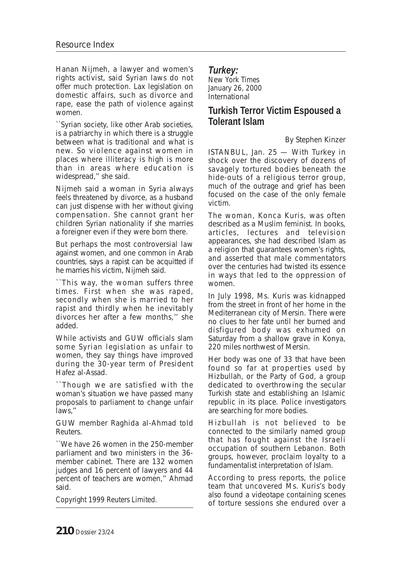Hanan Nijmeh, a lawyer and women's rights activist, said Syrian laws do not offer much protection. Lax legislation on domestic affairs, such as divorce and rape, ease the path of violence against women.

``Syrian society, like other Arab societies, is a patriarchy in which there is a struggle between what is traditional and what is new. So violence against women in places where illiteracy is high is more than in areas where education is widespread,'' she said.

Nijmeh said a woman in Syria always feels threatened by divorce, as a husband can just dispense with her without giving compensation. She cannot grant her children Syrian nationality if she marries a foreigner even if they were born there.

But perhaps the most controversial law against women, and one common in Arab countries, says a rapist can be acquitted if he marries his victim, Nijmeh said.

``This way, the woman suffers three times. First when she was raped, secondly when she is married to her rapist and thirdly when he inevitably divorces her after a few months,'' she added.

While activists and GUW officials slam some Syrian legislation as unfair to women, they say things have improved during the 30-year term of President Hafez al-Assad.

``Though we are satisfied with the woman's situation we have passed many proposals to parliament to change unfair laws,''

GUW member Raghida al-Ahmad told **Reuters** 

``We have 26 women in the 250-member parliament and two ministers in the 36 member cabinet. There are 132 women judges and 16 percent of lawyers and 44 percent of teachers are women,'' Ahmad said.

Copyright 1999 Reuters Limited.

# **Turkey:**

New York Times January 26, 2000 International

## **Turkish Terror Victim Espoused a Tolerant Islam**

#### *By Stephen Kinzer*

ISTANBUL, Jan. 25 — With Turkey in shock over the discovery of dozens of savagely tortured bodies beneath the hide-outs of a religious terror group, much of the outrage and grief has been focused on the case of the only female victim.

The woman, Konca Kuris, was often described as a Muslim feminist. In books, articles, lectures and television appearances, she had described Islam as a religion that guarantees women's rights, and asserted that male commentators over the centuries had twisted its essence in ways that led to the oppression of women.

In July 1998, Ms. Kuris was kidnapped from the street in front of her home in the Mediterranean city of Mersin. There were no clues to her fate until her burned and disfigured body was exhumed on Saturday from a shallow grave in Konya, 220 miles northwest of Mersin.

Her body was one of 33 that have been found so far at properties used by Hizbullah, or the Party of God, a group dedicated to overthrowing the secular Turkish state and establishing an Islamic republic in its place. Police investigators are searching for more bodies.

Hizbullah is not believed to be connected to the similarly named group that has fought against the Israeli occupation of southern Lebanon. Both groups, however, proclaim loyalty to a fundamentalist interpretation of Islam.

According to press reports, the police team that uncovered Ms. Kuris's body also found a videotape containing scenes of torture sessions she endured over a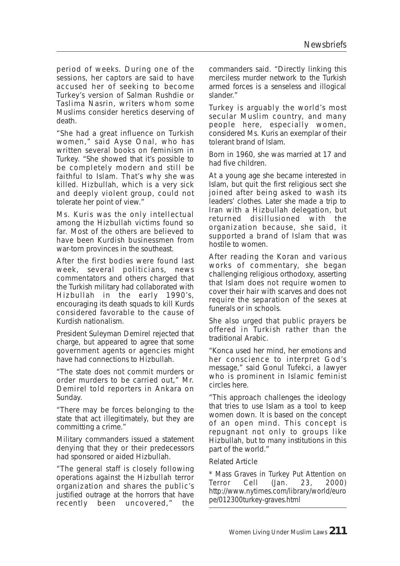period of weeks. During one of the sessions, her captors are said to have accused her of seeking to become Turkey's version of Salman Rushdie or Taslima Nasrin, writers whom some Muslims consider heretics deserving of death.

"She had a great influence on Turkish women," said Ayse Onal, who has written several books on feminism in Turkey. "She showed that it's possible to be completely modern and still be faithful to Islam. That's why she was killed. Hizbullah, which is a very sick and deeply violent group, could not tolerate her point of view."

Ms. Kuris was the only intellectual among the Hizbullah victims found so far. Most of the others are believed to have been Kurdish businessmen from war-torn provinces in the southeast.

After the first bodies were found last week, several politicians, news commentators and others charged that the Turkish military had collaborated with Hizbullah in the early 1990's, encouraging its death squads to kill Kurds considered favorable to the cause of Kurdish nationalism.

President Suleyman Demirel rejected that charge, but appeared to agree that some government agents or agencies might have had connections to Hizbullah.

"The state does not commit murders or order murders to be carried out," Mr. Demirel told reporters in Ankara on Sunday.

"There may be forces belonging to the state that act illegitimately, but they are committing a crime."

Military commanders issued a statement denying that they or their predecessors had sponsored or aided Hizbullah.

"The general staff is closely following operations against the Hizbullah terror organization and shares the public's justified outrage at the horrors that have recently been uncovered," the

commanders said. "Directly linking this merciless murder network to the Turkish armed forces is a senseless and illogical slander."

Turkey is arguably the world's most secular Muslim country, and many people here, especially women, considered Ms. Kuris an exemplar of their tolerant brand of Islam.

Born in 1960, she was married at 17 and had five children.

At a young age she became interested in Islam, but quit the first religious sect she joined after being asked to wash its leaders' clothes. Later she made a trip to Iran with a Hizbullah delegation, but returned disillusioned with the organization because, she said, it supported a brand of Islam that was hostile to women.

After reading the Koran and various works of commentary, she began challenging religious orthodoxy, asserting that Islam does not require women to cover their hair with scarves and does not require the separation of the sexes at funerals or in schools.

She also urged that public prayers be offered in Turkish rather than the traditional Arabic.

"Konca used her mind, her emotions and her conscience to interpret God's message," said Gonul Tufekci, a lawyer who is prominent in Islamic feminist circles here.

"This approach challenges the ideology that tries to use Islam as a tool to keep women down. It is based on the concept of an open mind. This concept is repugnant not only to groups like Hizbullah, but to many institutions in this part of the world."

#### Related Article

\* Mass Graves in Turkey Put Attention on Terror Cell (Jan. 23, 2000) http://www.nytimes.com/library/world/euro pe/012300turkey-graves.html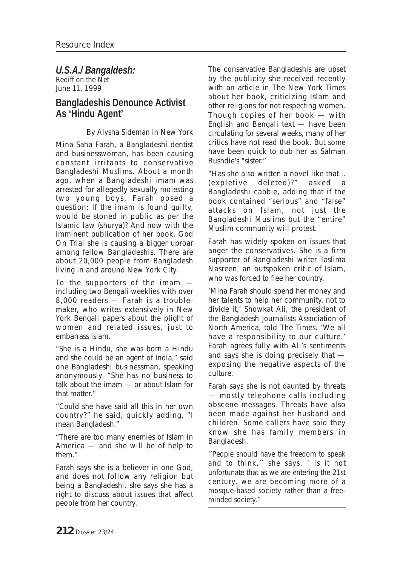## **U.S.A./ Bangaldesh:**

Rediff on the Net June 11, 1999

# **Bangladeshis Denounce Activist As 'Hindu Agent'**

### *By Alysha Sideman in New York*

Mina Saha Farah, a Bangladeshi dentist and businesswoman, has been causing constant irritants to conservative Bangladeshi Muslims. About a month ago, when a Bangladeshi imam was arrested for allegedly sexually molesting two young boys, Farah posed a question: If the imam is found guilty, would be stoned in public as per the Islamic law (shurya)? And now with the imminent publication of her book, God On Trial she is causing a bigger uproar among fellow Bangladeshis. There are about 20,000 people from Bangladesh living in and around New York City.

To the supporters of the imam including two Bengali weeklies with over 8,000 readers — Farah is a troublemaker, who writes extensively in New York Bengali papers about the plight of women and related issues, just to embarrass Islam.

"She is a Hindu, she was born a Hindu and she could be an agent of India," said one Bangladeshi businessman, speaking anonymously. "She has no business to talk about the imam — or about Islam for that matter."

"Could she have said all this in her own country?" he said, quickly adding, "I mean Bangladesh."

"There are too many enemies of Islam in America — and she will be of help to them."

Farah says she is a believer in one God, and does not follow any religion but being a Bangladeshi, she says she has a right to discuss about issues that affect people from her country.

The conservative Bangladeshis are upset by the publicity she received recently with an article in The New York Times about her book, criticizing Islam and other religions for not respecting women. Though copies of her book — with English and Bengali text — have been circulating for several weeks, many of her critics have not read the book. But some have been quick to dub her as Salman Rushdie's "sister."

"Has she also written a novel like that... (expletive deleted)?" asked a Bangladeshi cabbie, adding that if the book contained "serious" and "false" attacks on Islam, not just the Bangladeshi Muslims but the "entire" Muslim community will protest.

Farah has widely spoken on issues that anger the conservatives. She is a firm supporter of Bangladeshi writer Taslima Nasreen, an outspoken critic of Islam, who was forced to flee her country.

'Mina Farah should spend her money and her talents to help her community, not to divide it,' Showkat Ali, the president of the Bangladesh Journalists Association of North America, told The Times. 'We all have a responsibility to our culture.' Farah agrees fully with Ali's sentiments and says she is doing precisely that exposing the negative aspects of the culture.

Farah says she is not daunted by threats — mostly telephone calls including obscene messages. Threats have also been made against her husband and children. Some callers have said they know she has family members in Bangladesh.

''People should have the freedom to speak and to think,'' she says. ' Is it not unfortunate that as we are entering the 21st century, we are becoming more of a mosque-based society rather than a freeminded society.''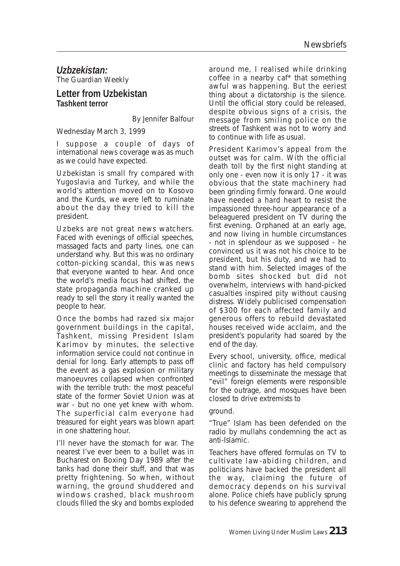**Uzbzekistan:** The Guardian Weekly

### **Letter from Uzbekistan Tashkent terror**

*By Jennifer Balfour*

Wednesday March 3, 1999

I suppose a couple of days of international news coverage was as much as we could have expected.

Uzbekistan is small fry compared with Yugoslavia and Turkey, and while the world's attention moved on to Kosovo and the Kurds, we were left to ruminate about the day they tried to kill the president.

Uzbeks are not great news watchers. Faced with evenings of official speeches, massaged facts and party lines, one can understand why. But this was no ordinary cotton-picking scandal, this was news that everyone wanted to hear. And once the world's media focus had shifted, the state propaganda machine cranked up ready to sell the story it really wanted the people to hear.

Once the bombs had razed six major government buildings in the capital, Tashkent, missing President Islam Karimov by minutes, the selective information service could not continue in denial for long. Early attempts to pass off the event as a gas explosion or military manoeuvres collapsed when confronted with the terrible truth: the most peaceful state of the former Soviet Union was at war - but no one yet knew with whom. The superficial calm everyone had treasured for eight years was blown apart in one shattering hour.

I'll never have the stomach for war. The nearest I've ever been to a bullet was in Bucharest on Boxing Day 1989 after the tanks had done their stuff, and that was pretty frightening. So when, without warning, the ground shuddered and windows crashed, black mushroom clouds filled the sky and bombs exploded

around me, I realised while drinking coffee in a nearby caf\* that something awful was happening. But the eeriest thing about a dictatorship is the silence. Until the official story could be released, despite obvious signs of a crisis, the message from smiling police on the streets of Tashkent was not to worry and to continue with life as usual.

President Karimov's appeal from the outset was for calm. With the official death toll by the first night standing at only one - even now it is only 17 - it was obvious that the state machinery had been grinding firmly forward. One would have needed a hard heart to resist the impassioned three-hour appearance of a beleaguered president on TV during the first evening. Orphaned at an early age, and now living in humble circumstances - not in splendour as we supposed - he convinced us it was not his choice to be president, but his duty, and we had to stand with him. Selected images of the bomb sites shocked but did not overwhelm, interviews with hand-picked casualties inspired pity without causing distress. Widely publicised compensation of \$300 for each affected family and generous offers to rebuild devastated houses received wide acclaim, and the president's popularity had soared by the end of the day.

Every school, university, office, medical clinic and factory has held compulsory meetings to disseminate the message that "evil" foreign elements were responsible for the outrage, and mosques have been closed to drive extremists to

#### ground.

"True" Islam has been defended on the radio by mullahs condemning the act as anti-Islamic.

Teachers have offered formulas on TV to cultivate law-abiding children, and politicians have backed the president all the way, claiming the future of democracy depends on his survival alone. Police chiefs have publicly sprung to his defence swearing to apprehend the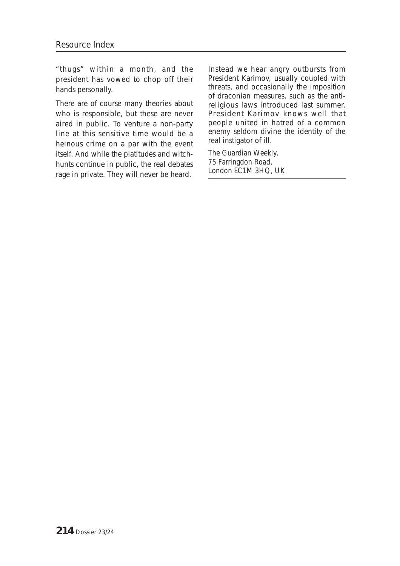"thugs" within a month, and the president has vowed to chop off their hands personally.

There are of course many theories about who is responsible, but these are never aired in public. To venture a non-party line at this sensitive time would be a heinous crime on a par with the event itself. And while the platitudes and witchhunts continue in public, the real debates rage in private. They will never be heard.

Instead we hear angry outbursts from President Karimov, usually coupled with threats, and occasionally the imposition of draconian measures, such as the antireligious laws introduced last summer. President Karimov knows well that people united in hatred of a common enemy seldom divine the identity of the real instigator of ill.

The Guardian Weekly, 75 Farringdon Road, London EC1M 3HQ, UK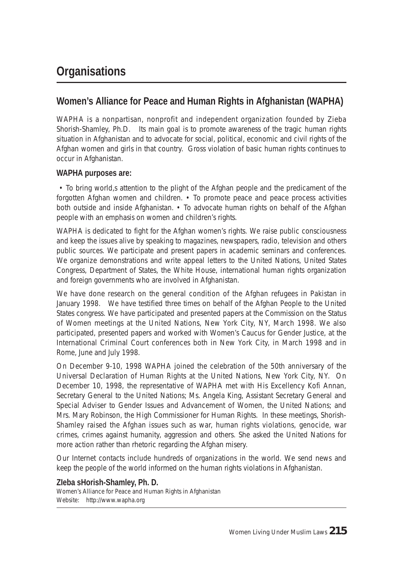# **Organisations**

## **Women's Alliance for Peace and Human Rights in Afghanistan (WAPHA)**

WAPHA is a nonpartisan, nonprofit and independent organization founded by Zieba Shorish-Shamley, Ph.D. Its main goal is to promote awareness of the tragic human rights situation in Afghanistan and to advocate for social, political, economic and civil rights of the Afghan women and girls in that country. Gross violation of basic human rights continues to occur in Afghanistan.

### **WAPHA purposes are:**

• To bring world, a attention to the plight of the Afghan people and the predicament of the forgotten Afghan women and children. • To promote peace and peace process activities both outside and inside Afghanistan. • To advocate human rights on behalf of the Afghan people with an emphasis on women and children's rights.

WAPHA is dedicated to fight for the Afghan women's rights. We raise public consciousness and keep the issues alive by speaking to magazines, newspapers, radio, television and others public sources. We participate and present papers in academic seminars and conferences. We organize demonstrations and write appeal letters to the United Nations, United States Congress, Department of States, the White House, international human rights organization and foreign governments who are involved in Afghanistan.

We have done research on the general condition of the Afghan refugees in Pakistan in January 1998. We have testified three times on behalf of the Afghan People to the United States congress. We have participated and presented papers at the Commission on the Status of Women meetings at the United Nations, New York City, NY, March 1998. We also participated, presented papers and worked with Women's Caucus for Gender Justice, at the International Criminal Court conferences both in New York City, in March 1998 and in Rome, June and July 1998.

On December 9-10, 1998 WAPHA joined the celebration of the 50th anniversary of the Universal Declaration of Human Rights at the United Nations, New York City, NY. On December 10, 1998, the representative of WAPHA met with His Excellency Kofi Annan, Secretary General to the United Nations; Ms. Angela King, Assistant Secretary General and Special Adviser to Gender Issues and Advancement of Women, the United Nations; and Mrs. Mary Robinson, the High Commissioner for Human Rights. In these meetings, Shorish-Shamley raised the Afghan issues such as war, human rights violations, genocide, war crimes, crimes against humanity, aggression and others. She asked the United Nations for more action rather than rhetoric regarding the Afghan misery.

Our Internet contacts include hundreds of organizations in the world. We send news and keep the people of the world informed on the human rights violations in Afghanistan.

### **ZIeba sHorish-Shamley, Ph. D.**

*Women's Alliance for Peace and Human Rights in Afghanistan Website: http://www.wapha.org*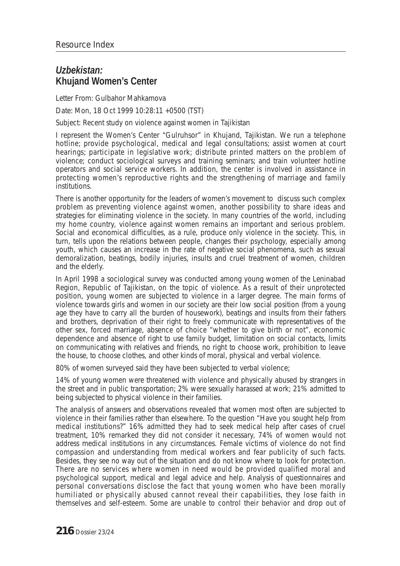### **Uzbekistan: Khujand Women's Center**

Letter From: Gulbahor Mahkamova

Date: Mon, 18 Oct 1999 10:28:11 +0500 (TST)

Subject: Recent study on violence against women in Tajikistan

I represent the Women's Center "Gulruhsor" in Khujand, Tajikistan. We run a telephone hotline; provide psychological, medical and legal consultations; assist women at court hearings; participate in legislative work; distribute printed matters on the problem of violence; conduct sociological surveys and training seminars; and train volunteer hotline operators and social service workers. In addition, the center is involved in assistance in protecting women's reproductive rights and the strengthening of marriage and family institutions.

There is another opportunity for the leaders of women's movement to discuss such complex problem as preventing violence against women, another possibility to share ideas and strategies for eliminating violence in the society. In many countries of the world, including my home country, violence against women remains an important and serious problem. Social and economical difficulties, as a rule, produce only violence in the society. This, in turn, tells upon the relations between people, changes their psychology, especially among youth, which causes an increase in the rate of negative social phenomena, such as sexual demoralization, beatings, bodily injuries, insults and cruel treatment of women, children and the elderly.

In April 1998 a sociological survey was conducted among young women of the Leninabad Region, Republic of Tajikistan, on the topic of violence. As a result of their unprotected position, young women are subjected to violence in a larger degree. The main forms of violence towards girls and women in our society are their low social position (from a young age they have to carry all the burden of housework), beatings and insults from their fathers and brothers, deprivation of their right to freely communicate with representatives of the other sex, forced marriage, absence of choice "whether to give birth or not", economic dependence and absence of right to use family budget, limitation on social contacts, limits on communicating with relatives and friends, no right to choose work, prohibition to leave the house, to choose clothes, and other kinds of moral, physical and verbal violence.

80% of women surveyed said they have been subjected to verbal violence;

14% of young women were threatened with violence and physically abused by strangers in the street and in public transportation; 2% were sexually harassed at work; 21% admitted to being subjected to physical violence in their families.

The analysis of answers and observations revealed that women most often are subjected to violence in their families rather than elsewhere. To the question "Have you sought help from medical institutions?" 16% admitted they had to seek medical help after cases of cruel treatment, 10% remarked they did not consider it necessary, 74% of women would not address medical institutions in any circumstances. Female victims of violence do not find compassion and understanding from medical workers and fear publicity of such facts. Besides, they see no way out of the situation and do not know where to look for protection. There are no services where women in need would be provided qualified moral and psychological support, medical and legal advice and help. Analysis of questionnaires and personal conversations disclose the fact that young women who have been morally humiliated or physically abused cannot reveal their capabilities, they lose faith in themselves and self-esteem. Some are unable to control their behavior and drop out of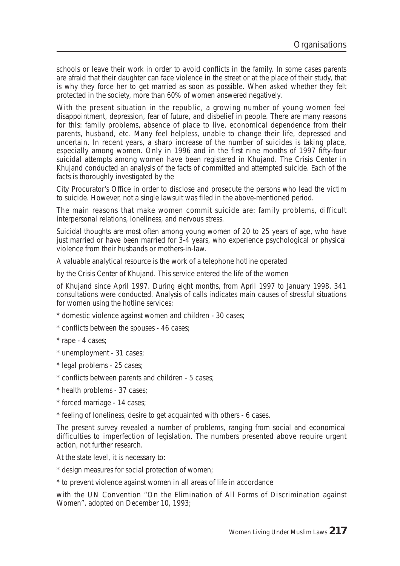schools or leave their work in order to avoid conflicts in the family. In some cases parents are afraid that their daughter can face violence in the street or at the place of their study, that is why they force her to get married as soon as possible. When asked whether they felt protected in the society, more than 60% of women answered negatively.

With the present situation in the republic, a growing number of young women feel disappointment, depression, fear of future, and disbelief in people. There are many reasons for this: family problems, absence of place to live, economical dependence from their parents, husband, etc. Many feel helpless, unable to change their life, depressed and uncertain. In recent years, a sharp increase of the number of suicides is taking place, especially among women. Only in 1996 and in the first nine months of 1997 fifty-four suicidal attempts among women have been registered in Khujand. The Crisis Center in Khujand conducted an analysis of the facts of committed and attempted suicide. Each of the facts is thoroughly investigated by the

City Procurator's Office in order to disclose and prosecute the persons who lead the victim to suicide. However, not a single lawsuit was filed in the above-mentioned period.

The main reasons that make women commit suicide are: family problems, difficult interpersonal relations, loneliness, and nervous stress.

Suicidal thoughts are most often among young women of 20 to 25 years of age, who have just married or have been married for 3-4 years, who experience psychological or physical violence from their husbands or mothers-in-law.

A valuable analytical resource is the work of a telephone hotline operated

by the Crisis Center of Khujand. This service entered the life of the women

of Khujand since April 1997. During eight months, from April 1997 to January 1998, 341 consultations were conducted. Analysis of calls indicates main causes of stressful situations for women using the hotline services:

\* domestic violence against women and children - 30 cases;

\* conflicts between the spouses - 46 cases;

- \* rape 4 cases;
- \* unemployment 31 cases;
- \* legal problems 25 cases;
- \* conflicts between parents and children 5 cases;
- \* health problems 37 cases;
- \* forced marriage 14 cases;
- \* feeling of loneliness, desire to get acquainted with others 6 cases.

The present survey revealed a number of problems, ranging from social and economical difficulties to imperfection of legislation. The numbers presented above require urgent action, not further research.

At the state level, it is necessary to:

\* design measures for social protection of women;

\* to prevent violence against women in all areas of life in accordance

with the UN Convention "On the Elimination of All Forms of Discrimination against Women", adopted on December 10, 1993;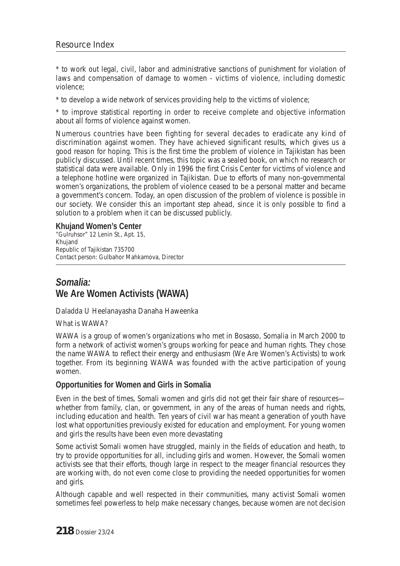\* to work out legal, civil, labor and administrative sanctions of punishment for violation of laws and compensation of damage to women - victims of violence, including domestic violence;

\* to develop a wide network of services providing help to the victims of violence;

\* to improve statistical reporting in order to receive complete and objective information about all forms of violence against women.

Numerous countries have been fighting for several decades to eradicate any kind of discrimination against women. They have achieved significant results, which gives us a good reason for hoping. This is the first time the problem of violence in Tajikistan has been publicly discussed. Until recent times, this topic was a sealed book, on which no research or statistical data were available. Only in 1996 the first Crisis Center for victims of violence and a telephone hotline were organized in Tajikistan. Due to efforts of many non-governmental women's organizations, the problem of violence ceased to be a personal matter and became a government's concern. Today, an open discussion of the problem of violence is possible in our society. We consider this an important step ahead, since it is only possible to find a solution to a problem when it can be discussed publicly.

#### **Khujand Women's Center**

*"Gulruhsor" 12 Lenin St., Apt. 15, Khujand Republic of Tajikistan 735700 Contact person: Gulbahor Mahkamova, Director* 

### **Somalia: We Are Women Activists (WAWA)**

Daladda U Heelanayasha Danaha Haweenka

What is WAWA?

WAWA is a group of women's organizations who met in Bosasso, Somalia in March 2000 to form a network of activist women's groups working for peace and human rights. They chose the name WAWA to reflect their energy and enthusiasm (We Are Women's Activists) to work together. From its beginning WAWA was founded with the active participation of young women.

#### **Opportunities for Women and Girls in Somalia**

Even in the best of times, Somali women and girls did not get their fair share of resources whether from family, clan, or government, in any of the areas of human needs and rights, including education and health. Ten years of civil war has meant a generation of youth have lost what opportunities previously existed for education and employment. For young women and girls the results have been even more devastating

Some activist Somali women have struggled, mainly in the fields of education and heath, to try to provide opportunities for all, including girls and women. However, the Somali women activists see that their efforts, though large in respect to the meager financial resources they are working with, do not even come close to providing the needed opportunities for women and girls.

Although capable and well respected in their communities, many activist Somali women sometimes feel powerless to help make necessary changes, because women are not decision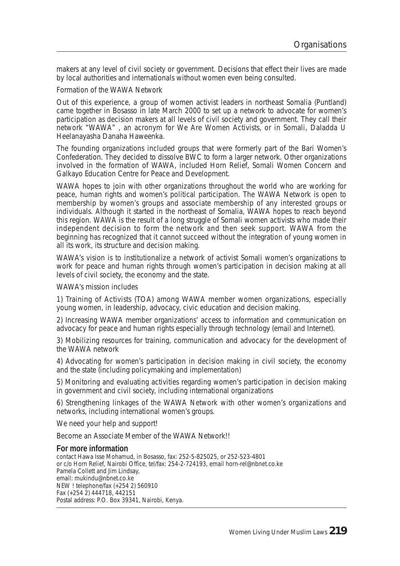makers at any level of civil society or government. Decisions that effect their lives are made by local authorities and internationals without women even being consulted.

Formation of the WAWA Network

Out of this experience, a group of women activist leaders in northeast Somalia (Puntland) came together in Bosasso in late March 2000 to set up a network to advocate for women's participation as decision makers at all levels of civil society and government. They call their network "WAWA" , an acronym for We Are Women Activists, or in Somali, Daladda U Heelanayasha Danaha Haweenka.

The founding organizations included groups that were formerly part of the Bari Women's Confederation. They decided to dissolve BWC to form a larger network. Other organizations involved in the formation of WAWA, included Horn Relief, Somali Women Concern and Galkayo Education Centre for Peace and Development.

WAWA hopes to join with other organizations throughout the world who are working for peace, human rights and women's political participation. The WAWA Network is open to membership by women's groups and associate membership of any interested groups or individuals. Although it started in the northeast of Somalia, WAWA hopes to reach beyond this region. WAWA is the result of a long struggle of Somali women activists who made their independent decision to form the network and then seek support. WAWA from the beginning has recognized that it cannot succeed without the integration of young women in all its work, its structure and decision making.

WAWA's vision is to institutionalize a network of activist Somali women's organizations to work for peace and human rights through women's participation in decision making at all levels of civil society, the economy and the state.

WAWA's mission includes

1) Training of Activists (TOA) among WAWA member women organizations, especially young women, in leadership, advocacy, civic education and decision making.

2) Increasing WAWA member organizations' access to information and communication on advocacy for peace and human rights especially through technology (email and Internet).

3) Mobilizing resources for training, communication and advocacy for the development of the WAWA network

4) Advocating for women's participation in decision making in civil society, the economy and the state (including policymaking and implementation)

5) Monitoring and evaluating activities regarding women's participation in decision making in government and civil society, including international organizations

6) Strengthening linkages of the WAWA Network with other women's organizations and networks, including international women's groups.

We need your help and support!

Become an Associate Member of the WAWA Network!!

#### **For more information**

*contact Hawa Isse Mohamud, in Bosasso, fax: 252-5-825025, or 252-523-4801 or c/o Horn Relief, Nairobi Office, tel/fax: 254-2-724193, email horn-rel@nbnet.co.ke Pamela Collett and Jim Lindsay, email: mukindu@nbnet.co.ke NEW ! telephone/fax (+254 2) 560910 Fax (+254 2) 444718, 442151 Postal address: P.O. Box 39341, Nairobi, Kenya.*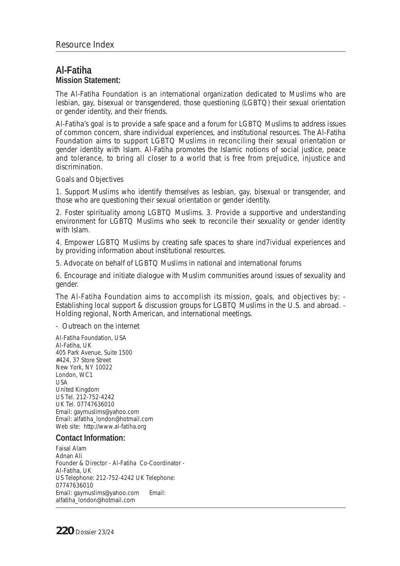### **Al-Fatiha Mission Statement:**

The Al-Fatiha Foundation is an international organization dedicated to Muslims who are lesbian, gay, bisexual or transgendered, those questioning (LGBTQ) their sexual orientation or gender identity, and their friends.

Al-Fatiha's goal is to provide a safe space and a forum for LGBTQ Muslims to address issues of common concern, share individual experiences, and institutional resources. The Al-Fatiha Foundation aims to support LGBTQ Muslims in reconciling their sexual orientation or gender identity with Islam. Al-Fatiha promotes the Islamic notions of social justice, peace and tolerance, to bring all closer to a world that is free from prejudice, injustice and discrimination.

Goals and Objectives

1. Support Muslims who identify themselves as lesbian, gay, bisexual or transgender, and those who are questioning their sexual orientation or gender identity.

2. Foster spirituality among LGBTQ Muslims. 3. Provide a supportive and understanding environment for LGBTQ Muslims who seek to reconcile their sexuality or gender identity with Islam.

4. Empower LGBTQ Muslims by creating safe spaces to share ind7ividual experiences and by providing information about institutional resources.

5. Advocate on behalf of LGBTQ Muslims in national and international forums

6. Encourage and initiate dialogue with Muslim communities around issues of sexuality and gender.

The Al-Fatiha Foundation aims to accomplish its mission, goals, and objectives by: - Establishing local support & discussion groups for LGBTQ Muslims in the U.S. and abroad. - Holding regional, North American, and international meetings.

- Outreach on the internet

*Al-Fatiha Foundation, USA Al-Fatiha, UK 405 Park Avenue, Suite 1500 #424, 37 Store Street New York, NY 10022 London, WC1 USA United Kingdom US Tel. 212-752-4242 UK Tel. 07747636010 Email: gaymuslims@yahoo.com Email: alfatiha\_london@hotmail.com Web site: http://www.al-fatiha.org*

#### **Contact Information:**

*Faisal Alam Adnan Ali Founder & Director - Al-Fatiha Co-Coordinator - Al-Fatiha, UK US Telephone: 212-752-4242 UK Telephone: 07747636010 Email: gaymuslims@yahoo.com Email: alfatiha\_london@hotmail.com*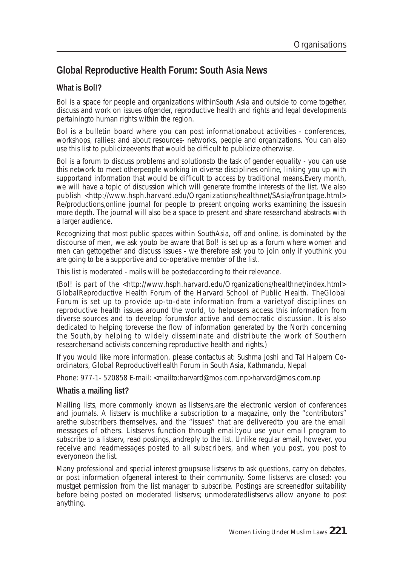# **Global Reproductive Health Forum: South Asia News**

### **What is Bol!?**

Bol is a space for people and organizations withinSouth Asia and outside to come together, discuss and work on issues ofgender, reproductive health and rights and legal developments pertainingto human rights within the region.

Bol is a bulletin board where you can post informationabout activities - conferences, workshops, rallies; and about resources- networks, people and organizations. You can also use this list to publicizeevents that would be difficult to publicize otherwise.

Bol is a forum to discuss problems and solutionsto the task of gender equality - you can use this network to meet otherpeople working in diverse disciplines online, linking you up with supportand information that would be difficult to access by traditional means.Every month, we will have a topic of discussion which will generate fromthe interests of the list. We also publish <http://www.hsph.harvard.edu/Organizations/healthnet/SAsia/frontpage.html> Re/productions,online journal for people to present ongoing works examining the issuesin more depth. The journal will also be a space to present and share researchand abstracts with a larger audience.

Recognizing that most public spaces within SouthAsia, off and online, is dominated by the discourse of men, we ask youto be aware that Bol! is set up as a forum where women and men can gettogether and discuss issues - we therefore ask you to join only if youthink you are going to be a supportive and co-operative member of the list.

This list is moderated - mails will be postedaccording to their relevance.

(Bol! is part of the <http://www.hsph.harvard.edu/Organizations/healthnet/index.html> GlobalReproductive Health Forum of the Harvard School of Public Health. TheGlobal Forum is set up to provide up-to-date information from a varietyof disciplines on reproductive health issues around the world, to helpusers access this information from diverse sources and to develop forumsfor active and democratic discussion. It is also dedicated to helping toreverse the flow of information generated by the North concerning the South,by helping to widely disseminate and distribute the work of Southern researchersand activists concerning reproductive health and rights.)

If you would like more information, please contactus at: Sushma Joshi and Tal Halpern Coordinators, Global ReproductiveHealth Forum in South Asia, Kathmandu, Nepal

Phone: 977-1- 520858 E-mail: <mailto:harvard@mos.com.np>harvard@mos.com.np

### **Whatis a mailing list?**

Mailing lists, more commonly known as listservs,are the electronic version of conferences and journals. A listserv is muchlike a subscription to a magazine, only the "contributors" arethe subscribers themselves, and the "issues" that are deliveredto you are the email messages of others. Listservs function through email:you use your email program to subscribe to a listserv, read postings, andreply to the list. Unlike regular email, however, you receive and readmessages posted to all subscribers, and when you post, you post to everyoneon the list.

Many professional and special interest groupsuse listservs to ask questions, carry on debates, or post information ofgeneral interest to their community. Some listservs are closed: you mustget permission from the list manager to subscribe. Postings are screenedfor suitability before being posted on moderated listservs; unmoderatedlistservs allow anyone to post anything.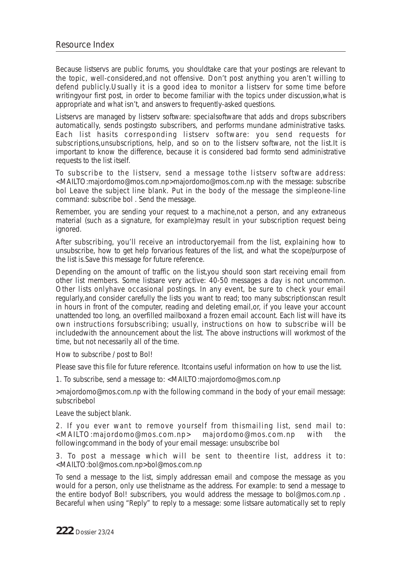Because listservs are public forums, you shouldtake care that your postings are relevant to the topic, well-considered,and not offensive. Don't post anything you aren't willing to defend publicly.Usually it is a good idea to monitor a listserv for some time before writingyour first post, in order to become familiar with the topics under discussion,what is appropriate and what isn't, and answers to frequently-asked questions.

Listservs are managed by listserv software: specialsoftware that adds and drops subscribers automatically, sends postingsto subscribers, and performs mundane administrative tasks. Each list hasits corresponding listserv software: you send requests for subscriptions,unsubscriptions, help, and so on to the listserv software, not the list.It is important to know the difference, because it is considered bad formto send administrative requests to the list itself.

To subscribe to the listserv, send a message tothe listserv software address: <MAILTO:majordomo@mos.com.np>majordomo@mos.com.np with the message: subscribe bol Leave the subject line blank. Put in the body of the message the simpleone-line command: subscribe bol . Send the message.

Remember, you are sending your request to a machine,not a person, and any extraneous material (such as a signature, for example)may result in your subscription request being ignored.

After subscribing, you'll receive an introductoryemail from the list, explaining how to unsubscribe, how to get help forvarious features of the list, and what the scope/purpose of the list is.Save this message for future reference.

Depending on the amount of traffic on the list,you should soon start receiving email from other list members. Some listsare very active: 40-50 messages a day is not uncommon. Other lists onlyhave occasional postings. In any event, be sure to check your email regularly,and consider carefully the lists you want to read; too many subscriptionscan result in hours in front of the computer, reading and deleting email,or, if you leave your account unattended too long, an overfilled mailboxand a frozen email account. Each list will have its own instructions forsubscribing; usually, instructions on how to subscribe will be includedwith the announcement about the list. The above instructions will workmost of the time, but not necessarily all of the time.

How to subscribe / post to Bol!

Please save this file for future reference. Itcontains useful information on how to use the list.

1. To subscribe, send a message to: <MAILTO:majordomo@mos.com.np

>majordomo@mos.com.np with the following command in the body of your email message: subscribebol

Leave the subject blank.

2. If you ever want to remove yourself from thismailing list, send mail to: <MAILTO:majordomo@mos.com.np> majordomo@mos.com.np with the followingcommand in the body of your email message: unsubscribe bol

3. To post a message which will be sent to theentire list, address it to: <MAILTO:bol@mos.com.np>bol@mos.com.np

To send a message to the list, simply addressan email and compose the message as you would for a person, only use thelistname as the address. For example: to send a message to the entire bodyof Bol! subscribers, you would address the message to bol@mos.com.np . Becareful when using "Reply" to reply to a message: some listsare automatically set to reply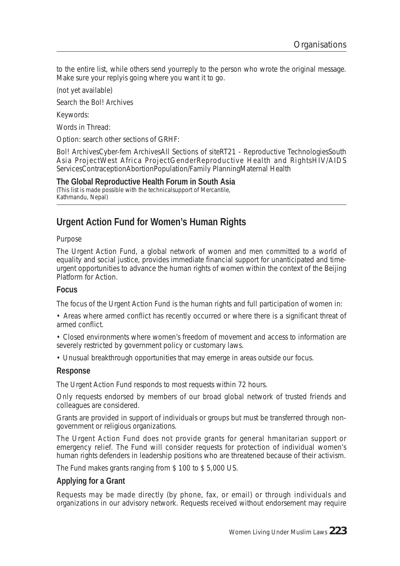to the entire list, while others send yourreply to the person who wrote the original message. Make sure your replyis going where you want it to go.

(not yet available)

Search the Bol! Archives

Keywords:

Words in Thread:

Option: search other sections of GRHF:

Bol! ArchivesCyber-fem ArchivesAll Sections of siteRT21 - Reproductive TechnologiesSouth Asia ProjectWest Africa ProjectGenderReproductive Health and RightsHIV/AIDS ServicesContraceptionAbortionPopulation/Family PlanningMaternal Health

#### **The Global Reproductive Health Forum in South Asia**

*(This list is made possible with the technicalsupport of Mercantile, Kathmandu, Nepal)*

# **Urgent Action Fund for Women's Human Rights**

Purpose

The Urgent Action Fund, a global network of women and men committed to a world of equality and social justice, provides immediate financial support for unanticipated and timeurgent opportunities to advance the human rights of women within the context of the Beijing Platform for Action.

#### **Focus**

The focus of the Urgent Action Fund is the human rights and full participation of women in:

- Areas where armed conflict has recently occurred or where there is a significant threat of armed conflict.
- Closed environments where women's freedom of movement and access to information are severely restricted by government policy or customary laws.
- Unusual breakthrough opportunities that may emerge in areas outside our focus.

#### **Response**

The Urgent Action Fund responds to most requests within 72 hours.

Only requests endorsed by members of our broad global network of trusted friends and colleagues are considered.

Grants are provided in support of individuals or groups but must be transferred through nongovernment or religious organizations.

The Urgent Action Fund does not provide grants for general hmanitarian support or emergency relief. The Fund will consider requests for protection of individual women's human rights defenders in leadership positions who are threatened because of their activism.

The Fund makes grants ranging from \$ 100 to \$ 5,000 US.

#### **Applying for a Grant**

Requests may be made directly (by phone, fax, or email) or through individuals and organizations in our advisory network. Requests received without endorsement may require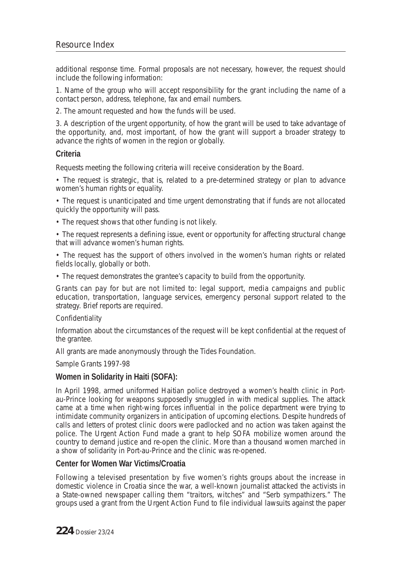additional response time. Formal proposals are not necessary, however, the request should include the following information:

1. Name of the group who will accept responsibility for the grant including the name of a contact person, address, telephone, fax and email numbers.

2. The amount requested and how the funds will be used.

3. A description of the urgent opportunity, of how the grant will be used to take advantage of the opportunity, and, most important, of how the grant will support a broader strategy to advance the rights of women in the region or globally.

#### **Criteria**

Requests meeting the following criteria will receive consideration by the Board.

• The request is strategic, that is, related to a pre-determined strategy or plan to advance women's human rights or equality.

• The request is unanticipated and time urgent demonstrating that if funds are not allocated quickly the opportunity will pass.

• The request shows that other funding is not likely.

• The request represents a defining issue, event or opportunity for affecting structural change that will advance women's human rights.

• The request has the support of others involved in the women's human rights or related fields locally, globally or both.

• The request demonstrates the grantee's capacity to build from the opportunity.

Grants can pay for but are not limited to: legal support, media campaigns and public education, transportation, language services, emergency personal support related to the strategy. Brief reports are required.

#### Confidentiality

Information about the circumstances of the request will be kept confidential at the request of the grantee.

All grants are made anonymously through the Tides Foundation.

Sample Grants 1997-98

#### **Women in Solidarity in Haiti (SOFA):**

In April 1998, armed uniformed Haitian police destroyed a women's health clinic in Portau-Prince looking for weapons supposedly smuggled in with medical supplies. The attack came at a time when right-wing forces influential in the police department were trying to intimidate community organizers in anticipation of upcoming elections. Despite hundreds of calls and letters of protest clinic doors were padlocked and no action was taken against the police. The Urgent Action Fund made a grant to help SOFA mobilize women around the country to demand justice and re-open the clinic. More than a thousand women marched in a show of solidarity in Port-au-Prince and the clinic was re-opened.

#### **Center for Women War Victims/Croatia**

Following a televised presentation by five women's rights groups about the increase in domestic violence in Croatia since the war, a well-known journalist attacked the activists in a State-owned newspaper calling them "traitors, witches" and "Serb sympathizers." The groups used a grant from the Urgent Action Fund to file individual lawsuits against the paper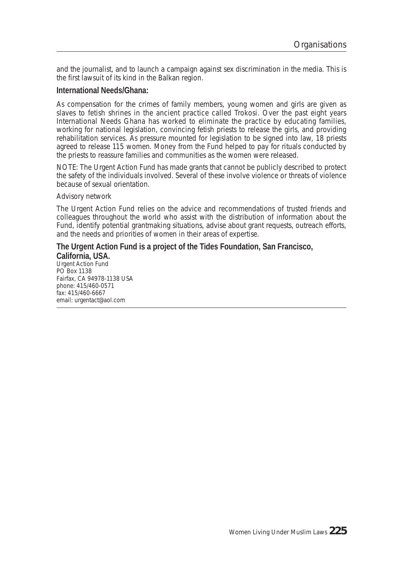and the journalist, and to launch a campaign against sex discrimination in the media. This is the first lawsuit of its kind in the Balkan region.

### **International Needs/Ghana:**

As compensation for the crimes of family members, young women and girls are given as slaves to fetish shrines in the ancient practice called Trokosi. Over the past eight years International Needs Ghana has worked to eliminate the practice by educating families, working for national legislation, convincing fetish priests to release the girls, and providing rehabilitation services. As pressure mounted for legislation to be signed into law, 18 priests agreed to release 115 women. Money from the Fund helped to pay for rituals conducted by the priests to reassure families and communities as the women were released.

NOTE: The Urgent Action Fund has made grants that cannot be publicly described to protect the safety of the individuals involved. Several of these involve violence or threats of violence because of sexual orientation.

#### Advisory network

The Urgent Action Fund relies on the advice and recommendations of trusted friends and colleagues throughout the world who assist with the distribution of information about the Fund, identify potential grantmaking situations, advise about grant requests, outreach efforts, and the needs and priorities of women in their areas of expertise.

#### **The Urgent Action Fund is a project of the Tides Foundation, San Francisco, California, USA.**

*Urgent Action Fund PO Box 1138 Fairfax, CA 94978-1138 USA phone: 415/460-0571 fax: 415/460-6667 email: urgentact@aol.com*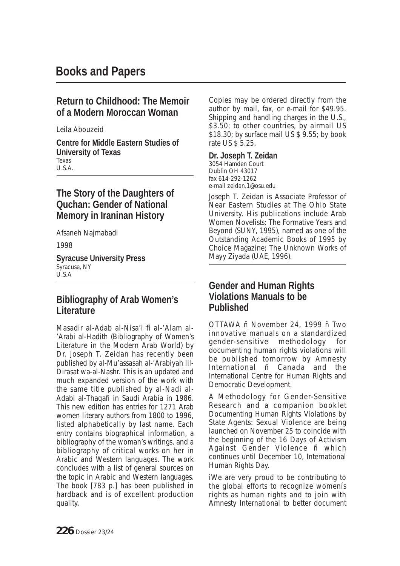### **Return to Childhood: The Memoir of a Modern Moroccan Woman**

Leila Abouzeid

**Centre for Middle Eastern Studies of University of Texas** *Texas U.S.A.*

### **The Story of the Daughters of Quchan: Gender of National Memory in Iraninan History**

Afsaneh Najmabadi

1998

**Syracuse University Press** *Syracuse, NY U.S.A*

### **Bibliography of Arab Women's Literature**

Masadir al-Adab al-Nisa'i fi al-'Alam al- 'Arabi al-Hadith (Bibliography of Women's Literature in the Modern Arab World) by Dr. Joseph T. Zeidan has recently been published by al-Mu'assasah al-'Arabiyah lil-Dirasat wa-al-Nashr. This is an updated and much expanded version of the work with the same title published by al-Nadi al-Adabi al-Thaqafi in Saudi Arabia in 1986. This new edition has entries for 1271 Arab women literary authors from 1800 to 1996, listed alphabetically by last name. Each entry contains biographical information, a bibliography of the woman's writings, and a bibliography of critical works on her in Arabic and Western languages. The work concludes with a list of general sources on the topic in Arabic and Western languages. The book [783 p.] has been published in hardback and is of excellent production quality.

Copies may be ordered directly from the author by mail, fax, or e-mail for \$49.95. Shipping and handling charges in the U.S., \$3.50; to other countries, by airmail US \$18.30; by surface mail US \$ 9.55; by book rate US \$ 5.25.

### **Dr. Joseph T. Zeidan**

*3054 Hamden Court Dublin OH 43017 fax 614-292-1262 e-mail zeidan.1@osu.edu*

Joseph T. Zeidan is Associate Professor of Near Eastern Studies at The Ohio State University. His publications include Arab Women Novelists: The Formative Years and Beyond (SUNY, 1995), named as one of the Outstanding Academic Books of 1995 by Choice Magazine; The Unknown Works of Mayy Ziyada (UAE, 1996).

### **Gender and Human Rights Violations Manuals to be Published**

OTTAWA ñ November 24, 1999 ñ Two innovative manuals on a standardized gender-sensitive methodology for documenting human rights violations will be published tomorrow by Amnesty International ñ Canada and the International Centre for Human Rights and Democratic Development.

A Methodology for Gender-Sensitive Research and a companion booklet Documenting Human Rights Violations by State Agents: Sexual Violence are being launched on November 25 to coincide with the beginning of the 16 Days of Activism Against Gender Violence ñ which continues until December 10, International Human Rights Day.

ìWe are very proud to be contributing to the global efforts to recognize womenís rights as human rights and to join with Amnesty International to better document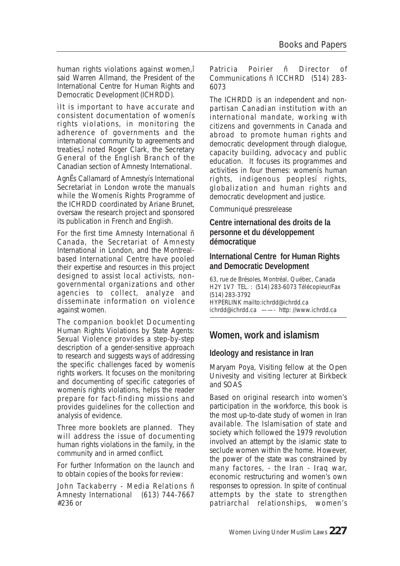human rights violations against women,î said Warren Allmand, the President of the International Centre for Human Rights and Democratic Development (ICHRDD).

ìIt is important to have accurate and consistent documentation of womenís rights violations, in monitoring the adherence of governments and the international community to agreements and treaties,î noted Roger Clark, the Secretary General of the English Branch of the Canadian section of Amnesty International.

AgnËs Callamard of Amnestyís International Secretariat in London wrote the manuals while the Womenís Rights Programme of the ICHRDD coordinated by Ariane Brunet, oversaw the research project and sponsored its publication in French and English.

For the first time Amnesty International ñ Canada, the Secretariat of Amnesty International in London, and the Montrealbased International Centre have pooled their expertise and resources in this project designed to assist local activists, nongovernmental organizations and other agencies to collect, analyze and disseminate information on violence against women.

The companion booklet Documenting Human Rights Violations by State Agents: Sexual Violence provides a step-by-step description of a gender-sensitive approach to research and suggests ways of addressing the specific challenges faced by womenís rights workers. It focuses on the monitoring and documenting of specific categories of womenís rights violations, helps the reader prepare for fact-finding missions and provides guidelines for the collection and analysis of evidence.

Three more booklets are planned. They will address the issue of documenting human rights violations in the family, in the community and in armed conflict.

For further Information on the launch and to obtain copies of the books for review:

John Tackaberry - Media Relations ñ Amnesty International (613) 744-7667 #236 or

Patricia Poirier ñ Director of Communications ñ ICCHRD (514) 283- 6073

The ICHRDD is an independent and nonpartisan Canadian institution with an international mandate, working with citizens and governments in Canada and abroad to promote human rights and democratic development through dialogue, capacity building, advocacy and public education. It focuses its programmes and activities in four themes: womenís human rights, indigenous peoplesí rights, globalization and human rights and democratic development and justice.

Communiqué pressrelease

### **Centre international des droits de la personne et du développement démocratique**

### **International Centre for Human Rights and Democratic Development**

*63, rue de Brésoles, Montréal, Québec, Canada H2Y 1V7 TEL. : (514) 283-6073 Télécopieur/Fax (514) 283-3792 HYPERLINK mailto:ichrdd@ichrdd.ca ichrdd@ichrdd.ca ——- http: //www.ichrdd.ca*

## **Women, work and islamism**

### **Ideology and resistance in Iran**

Maryam Poya, Visiting fellow at the Open Univesity and visiting lecturer at Birkbeck and SOAS

Based on original research into women's participation in the workforce, this book is the most up-to-date study of women in Iran available. The Islamisation of state and society which followed the 1979 revolution involved an attempt by the islamic state to seclude women within the home. However, the power of the state was constrained by many factores, - the Iran - Iraq war, economic restructuring and women's own responses to opression. In spite of continual attempts by the state to strengthen patriarchal relationships, women's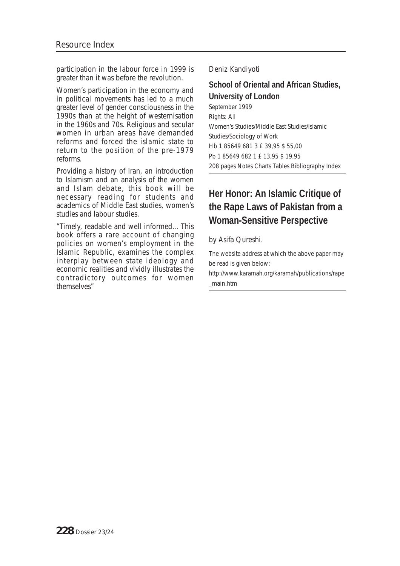participation in the labour force in 1999 is greater than it was before the revolution.

Women's participation in the economy and in political movements has led to a much greater level of gender consciousness in the 1990s than at the height of westernisation in the 1960s and 70s. Religious and secular women in urban areas have demanded reforms and forced the islamic state to return to the position of the pre-1979 reforms.

Providing a history of Iran, an introduction to Islamism and an analysis of the women and Islam debate, this book will be necessary reading for students and academics of Middle East studies, women's studies and labour studies.

"Timely, readable and well informed... This book offers a rare account of changing policies on women's employment in the Islamic Republic, examines the complex interplay between state ideology and economic realities and vividly illustrates the contradictory outcomes for women themselves"

#### Deniz Kandiyoti

### **School of Oriental and African Studies, University of London**

*September 1999 Rights: All Women's Studies/Middle East Studies/Islamic Studies/Sociology of Work Hb 1 85649 681 3 £ 39,95 \$ 55,00 Pb 1 85649 682 1 £ 13,95 \$ 19,95 208 pages Notes Charts Tables Bibliography Index*

# **Her Honor: An Islamic Critique of the Rape Laws of Pakistan from a Woman-Sensitive Perspective**

by Asifa Qureshi.

*The website address at which the above paper may be read is given below: http://www.karamah.org/karamah/publications/rape \_main.htm*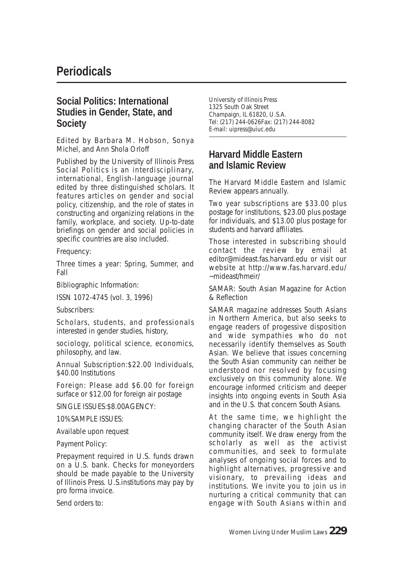# **Periodicals**

### **Social Politics: International Studies in Gender, State, and Society**

Edited by Barbara M. Hobson, Sonya Michel, and Ann Shola Orloff

Published by the University of Illinois Press Social Politics is an interdisciplinary, international, English-language journal edited by three distinguished scholars. It features articles on gender and social policy, citizenship, and the role of states in constructing and organizing relations in the family, workplace, and society. Up-to-date briefings on gender and social policies in specific countries are also included.

Frequency:

Three times a year: Spring, Summer, and Fall

Bibliographic Information:

ISSN 1072-4745 (vol. 3, 1996)

Subscribers:

Scholars, students, and professionals interested in gender studies, history,

sociology, political science, economics, philosophy, and law.

Annual Subscription:\$22.00 Individuals, \$40.00 Institutions

Foreign: Please add \$6.00 for foreign surface or \$12.00 for foreign air postage

SINGLE ISSUES:\$8.00AGENCY:

10%SAMPLE ISSUES:

Available upon request

Payment Policy:

Prepayment required in U.S. funds drawn on a U.S. bank. Checks for moneyorders should be made payable to the University of Illinois Press. U.S.institutions may pay by pro forma invoice.

Send orders to:

*University of Illinois Press 1325 South Oak Street Champaign, IL 61820, U.S.A. Tel: (217) 244-0626Fax: (217) 244-8082 E-mail: uipress@uiuc.edu*

### **Harvard Middle Eastern and Islamic Review**

The Harvard Middle Eastern and Islamic Review appears annually.

Two year subscriptions are \$33.00 plus postage for institutions, \$23.00 plus postage for individuals, and \$13.00 plus postage for students and harvard affiliates.

Those interested in subscribing should contact the review by email at editor@mideast.fas.harvard.edu or visit our website at http://www.fas.harvard.edu/ ~mideast/hmeir/

SAMAR: South Asian Magazine for Action & Reflection

SAMAR magazine addresses South Asians in Northern America, but also seeks to engage readers of progessive disposition and wide sympathies who do not necessarily identify themselves as South Asian. We believe that issues concerning the South Asian community can neither be understood nor resolved by focusing exclusively on this community alone. We encourage informed criticism and deeper insights into ongoing events in South Asia and in the U.S. that concern South Asians.

At the same time, we highlight the changing character of the South Asian community itself. We draw energy from the scholarly as well as the activist communities, and seek to formulate analyses of ongoing social forces and to highlight alternatives, progressive and visionary, to prevailing ideas and institutions. We invite you to join us in nurturing a critical community that can engage with South Asians within and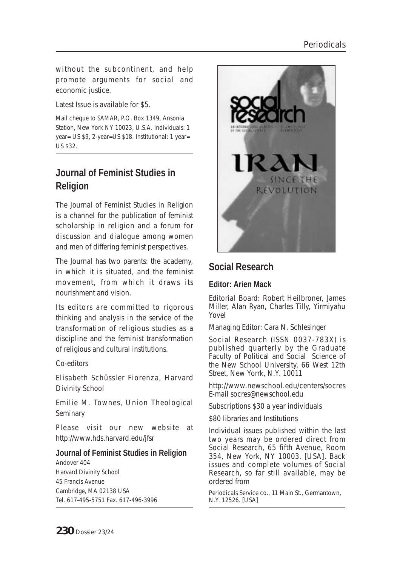without the subcontinent, and help promote arguments for social and economic justice.

Latest Issue is available for \$5.

*Mail cheque to SAMAR, P.O. Box 1349, Ansonia Station, New York NY 10023, U.S.A. Individuals: 1 year= US \$9, 2-year=US \$18. Institutional: 1 year= US \$32.* 

# **Journal of Feminist Studies in Religion**

The Journal of Feminist Studies in Religion is a channel for the publication of feminist scholarship in religion and a forum for discussion and dialogue among women and men of differing feminist perspectives.

The Journal has two parents: the academy, in which it is situated, and the feminist movement, from which it draws its nourishment and vision.

Its editors are committed to rigorous thinking and analysis in the service of the transformation of religious studies as a discipline and the feminist transformation of religious and cultural institutions.

#### Co-editors

Elisabeth Schüssler Fiorenza, Harvard Divinity School

Emilie M. Townes, Union Theological Seminary

Please visit our new website at http://www.hds.harvard.edu/jfsr

### **Journal of Feminist Studies in Religion**

*Andover 404 Harvard Divinity School 45 Francis Avenue Cambridge, MA 02138 USA Tel. 617-495-5751 Fax. 617-496-3996*



# **Social Research**

### **Editor: Arien Mack**

Editorial Board: Robert Heilbroner, James Miller, Alan Ryan, Charles Tilly, Yirmiyahu Yovel

Managing Editor: Cara N. Schlesinger

Social Research (ISSN 0037-783X) is published quarterly by the Graduate Faculty of Political and Social Science of the New School University, 66 West 12th Street, New Yorrk, N.Y. 10011

http://www.newschool.edu/centers/socres E-mail socres@newschool.edu

Subscriptions \$30 a year individuals

\$80 libraries and Institutions

Individual issues published within the last two years may be ordered direct from Social Research, 65 fifth Avenue, Room 354, New York, NY 10003. [USA]. Back issues and complete volumes of Social Research, so far still available, may be ordered from

*Periodicals Service co., 11 Main St., Germantown, N.Y. 12526. [USA]*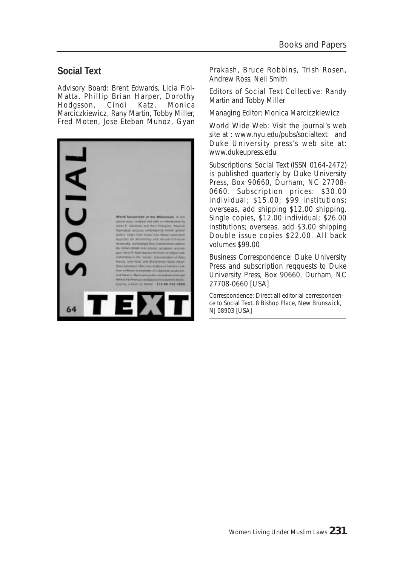## **Social Text**

Advisory Board: Brent Edwards, Licia Fiol-Matta, Phillip Brian Harper, Dorothy Hodgsson, Marciczkiewicz, Rany Martin, Tobby Miller, Fred Moten, Jose Eteban Munoz, Gyan



Prakash, Bruce Robbins, Trish Rosen, Andrew Ross, Neil Smith

Editors of Social Text Collective: Randy Martin and Tobby Miller

Managing Editor: Monica Marciczkiewicz

World Wide Web: Visit the journal's web site at : www.nyu.edu/pubs/socialtext and Duke University press's web site at: www.dukeupress.edu

Subscriptions: Social Text (ISSN 0164-2472) is published quarterly by Duke University Press, Box 90660, Durham, NC 27708- 0660. Subscription prices: \$30.00 individual; \$15.00; \$99 institutions; overseas, add shipping \$12.00 shipping. Single copies, \$12.00 individual; \$26.00 institutions; overseas, add \$3.00 shipping Double issue copies \$22.00. All back volumes \$99.00

Business Correspondence: Duke University Press and subscription reqquests to Duke University Press, Box 90660, Durham, NC 27708-0660 [USA]

*Correspondence: Direct all editorial correspondence to Social Text, 8 Bishop Place, New Brunswick, NJ 08903 [USA]*